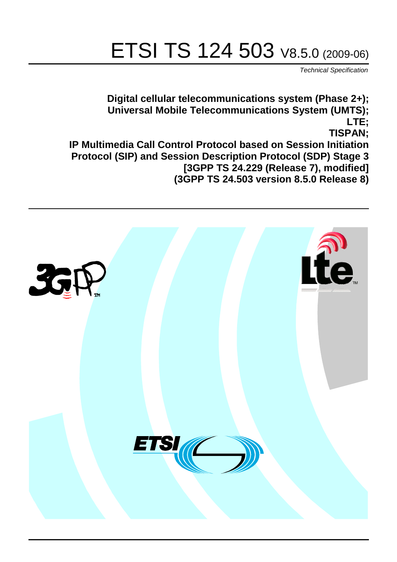# ETSI TS 124 503 V8.5.0 (2009-06)

*Technical Specification*

**Digital cellular telecommunications system (Phase 2+); Universal Mobile Telecommunications System (UMTS); LTE; TISPAN; IP Multimedia Call Control Protocol based on Session Initiation Protocol (SIP) and Session Description Protocol (SDP) Stage 3 [3GPP TS 24.229 (Release 7), modified] (3GPP TS 24.503 version 8.5.0 Release 8)**

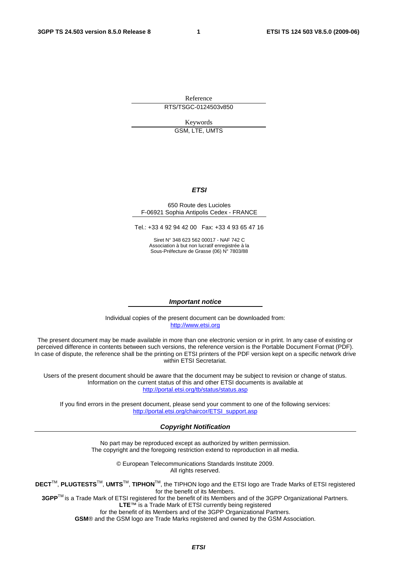Reference RTS/TSGC-0124503v850

Keywords GSM, LTE, UMTS

#### *ETSI*

#### 650 Route des Lucioles F-06921 Sophia Antipolis Cedex - FRANCE

Tel.: +33 4 92 94 42 00 Fax: +33 4 93 65 47 16

Siret N° 348 623 562 00017 - NAF 742 C Association à but non lucratif enregistrée à la Sous-Préfecture de Grasse (06) N° 7803/88

#### *Important notice*

Individual copies of the present document can be downloaded from: [http://www.etsi.org](http://www.etsi.org/)

The present document may be made available in more than one electronic version or in print. In any case of existing or perceived difference in contents between such versions, the reference version is the Portable Document Format (PDF). In case of dispute, the reference shall be the printing on ETSI printers of the PDF version kept on a specific network drive within ETSI Secretariat.

Users of the present document should be aware that the document may be subject to revision or change of status. Information on the current status of this and other ETSI documents is available at <http://portal.etsi.org/tb/status/status.asp>

If you find errors in the present document, please send your comment to one of the following services: [http://portal.etsi.org/chaircor/ETSI\\_support.asp](http://portal.etsi.org/chaircor/ETSI_support.asp)

#### *Copyright Notification*

No part may be reproduced except as authorized by written permission. The copyright and the foregoing restriction extend to reproduction in all media.

> © European Telecommunications Standards Institute 2009. All rights reserved.

**DECT**TM, **PLUGTESTS**TM, **UMTS**TM, **TIPHON**TM, the TIPHON logo and the ETSI logo are Trade Marks of ETSI registered for the benefit of its Members.

**3GPP**TM is a Trade Mark of ETSI registered for the benefit of its Members and of the 3GPP Organizational Partners. **LTE**™ is a Trade Mark of ETSI currently being registered

for the benefit of its Members and of the 3GPP Organizational Partners.

**GSM**® and the GSM logo are Trade Marks registered and owned by the GSM Association.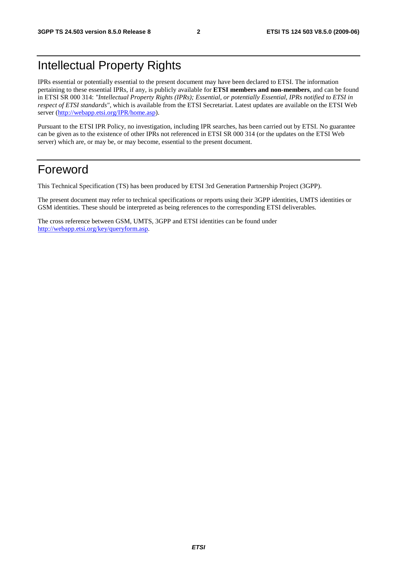## Intellectual Property Rights

IPRs essential or potentially essential to the present document may have been declared to ETSI. The information pertaining to these essential IPRs, if any, is publicly available for **ETSI members and non-members**, and can be found in ETSI SR 000 314: *"Intellectual Property Rights (IPRs); Essential, or potentially Essential, IPRs notified to ETSI in respect of ETSI standards"*, which is available from the ETSI Secretariat. Latest updates are available on the ETSI Web server [\(http://webapp.etsi.org/IPR/home.asp](http://webapp.etsi.org/IPR/home.asp)).

Pursuant to the ETSI IPR Policy, no investigation, including IPR searches, has been carried out by ETSI. No guarantee can be given as to the existence of other IPRs not referenced in ETSI SR 000 314 (or the updates on the ETSI Web server) which are, or may be, or may become, essential to the present document.

### Foreword

This Technical Specification (TS) has been produced by ETSI 3rd Generation Partnership Project (3GPP).

The present document may refer to technical specifications or reports using their 3GPP identities, UMTS identities or GSM identities. These should be interpreted as being references to the corresponding ETSI deliverables.

The cross reference between GSM, UMTS, 3GPP and ETSI identities can be found under <http://webapp.etsi.org/key/queryform.asp>.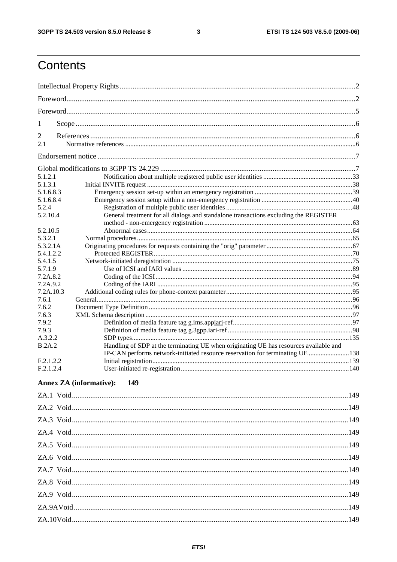$\mathbf{3}$ 

## Contents

| 1              |                                                                                       |  |
|----------------|---------------------------------------------------------------------------------------|--|
| $\overline{2}$ |                                                                                       |  |
| 2.1            |                                                                                       |  |
|                |                                                                                       |  |
|                |                                                                                       |  |
| 5.1.2.1        |                                                                                       |  |
| 5.1.3.1        |                                                                                       |  |
| 5.1.6.8.3      |                                                                                       |  |
| 5.1.6.8.4      |                                                                                       |  |
| 5.2.4          |                                                                                       |  |
| 5.2.10.4       | General treatment for all dialogs and standalone transactions excluding the REGISTER  |  |
|                |                                                                                       |  |
| 5.2.10.5       |                                                                                       |  |
| 5.3.2.1        |                                                                                       |  |
| 5.3.2.1A       |                                                                                       |  |
| 5.4.1.2.2      |                                                                                       |  |
| 5.4.1.5        |                                                                                       |  |
| 5.7.1.9        |                                                                                       |  |
| 7.2A.8.2       |                                                                                       |  |
| 7.2A.9.2       |                                                                                       |  |
| 7.2A.10.3      |                                                                                       |  |
| 7.6.1          |                                                                                       |  |
| 7.6.2          |                                                                                       |  |
| 7.6.3          |                                                                                       |  |
| 7.9.2          |                                                                                       |  |
| 7.9.3          |                                                                                       |  |
| A.3.2.2        |                                                                                       |  |
| B.2A.2         | Handling of SDP at the terminating UE when originating UE has resources available and |  |
|                | IP-CAN performs network-initiated resource reservation for terminating UE 138         |  |
| F.2.1.2.2      |                                                                                       |  |
| F.2.1.2.4      |                                                                                       |  |
|                | <b>Annex ZA</b> (informative):<br>149                                                 |  |
|                |                                                                                       |  |
|                |                                                                                       |  |
|                |                                                                                       |  |
|                |                                                                                       |  |
|                |                                                                                       |  |
|                |                                                                                       |  |
|                |                                                                                       |  |
|                |                                                                                       |  |
|                |                                                                                       |  |
|                |                                                                                       |  |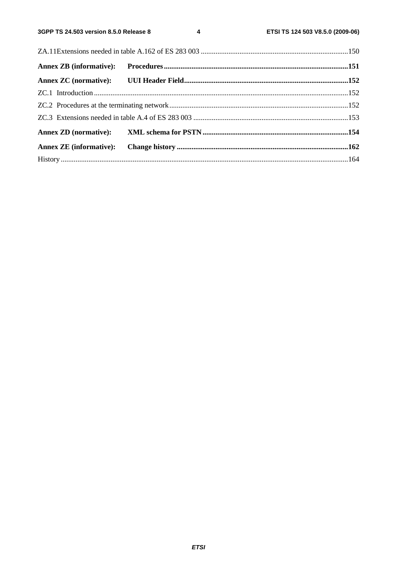$\overline{\mathbf{4}}$ 

| <b>Annex ZB</b> (informative): |  |  |
|--------------------------------|--|--|
|                                |  |  |
|                                |  |  |
|                                |  |  |
|                                |  |  |
|                                |  |  |
| <b>Annex ZE</b> (informative): |  |  |
|                                |  |  |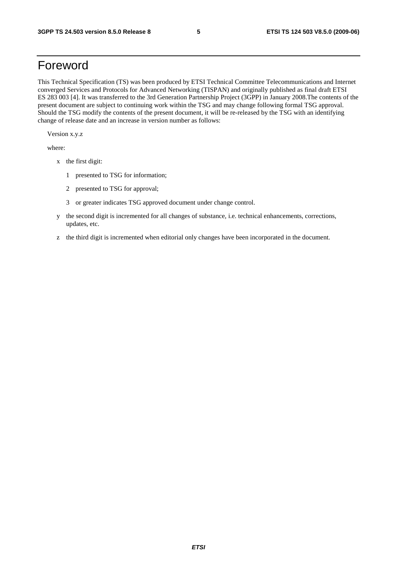### Foreword

This Technical Specification (TS) was been produced by ETSI Technical Committee Telecommunications and Internet converged Services and Protocols for Advanced Networking (TISPAN) and originally published as final draft ETSI ES 283 003 [4]. It was transferred to the 3rd Generation Partnership Project (3GPP) in January 2008.The contents of the present document are subject to continuing work within the TSG and may change following formal TSG approval. Should the TSG modify the contents of the present document, it will be re-released by the TSG with an identifying change of release date and an increase in version number as follows:

Version x.y.z

where:

- x the first digit:
	- 1 presented to TSG for information;
	- 2 presented to TSG for approval;
	- 3 or greater indicates TSG approved document under change control.
- y the second digit is incremented for all changes of substance, i.e. technical enhancements, corrections, updates, etc.
- z the third digit is incremented when editorial only changes have been incorporated in the document.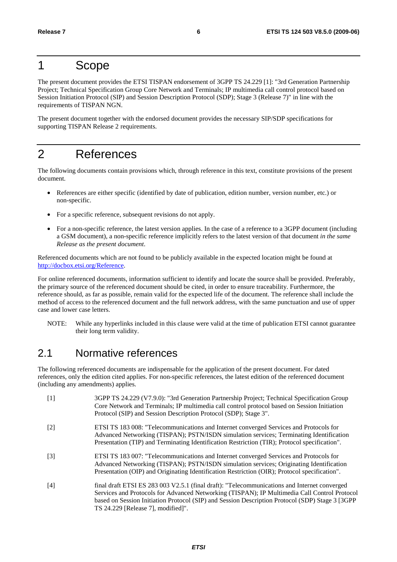### 1 Scope

The present document provides the ETSI TISPAN endorsement of 3GPP TS 24.229 [1]: "3rd Generation Partnership Project; Technical Specification Group Core Network and Terminals; IP multimedia call control protocol based on Session Initiation Protocol (SIP) and Session Description Protocol (SDP); Stage 3 (Release 7)" in line with the requirements of TISPAN NGN.

The present document together with the endorsed document provides the necessary SIP/SDP specifications for supporting TISPAN Release 2 requirements.

## 2 References

The following documents contain provisions which, through reference in this text, constitute provisions of the present document.

- References are either specific (identified by date of publication, edition number, version number, etc.) or non-specific.
- For a specific reference, subsequent revisions do not apply.
- For a non-specific reference, the latest version applies. In the case of a reference to a 3GPP document (including a GSM document), a non-specific reference implicitly refers to the latest version of that document *in the same Release as the present document*.

Referenced documents which are not found to be publicly available in the expected location might be found at http://docbox.etsi.org/Reference.

For online referenced documents, information sufficient to identify and locate the source shall be provided. Preferably, the primary source of the referenced document should be cited, in order to ensure traceability. Furthermore, the reference should, as far as possible, remain valid for the expected life of the document. The reference shall include the method of access to the referenced document and the full network address, with the same punctuation and use of upper case and lower case letters.

NOTE: While any hyperlinks included in this clause were valid at the time of publication ETSI cannot guarantee their long term validity.

### 2.1 Normative references

The following referenced documents are indispensable for the application of the present document. For dated references, only the edition cited applies. For non-specific references, the latest edition of the referenced document (including any amendments) applies.

| $\lceil 1 \rceil$ | 3GPP TS 24.229 (V7.9.0): "3rd Generation Partnership Project; Technical Specification Group<br>Core Network and Terminals; IP multimedia call control protocol based on Session Initiation<br>Protocol (SIP) and Session Description Protocol (SDP); Stage 3".                                                                         |
|-------------------|----------------------------------------------------------------------------------------------------------------------------------------------------------------------------------------------------------------------------------------------------------------------------------------------------------------------------------------|
| $\lceil 2 \rceil$ | ETSI TS 183 008: "Telecommunications and Internet converged Services and Protocols for<br>Advanced Networking (TISPAN); PSTN/ISDN simulation services; Terminating Identification<br>Presentation (TIP) and Terminating Identification Restriction (TIR); Protocol specification".                                                     |
| $[3]$             | ETSI TS 183 007: "Telecommunications and Internet converged Services and Protocols for<br>Advanced Networking (TISPAN); PSTN/ISDN simulation services; Originating Identification<br>Presentation (OIP) and Originating Identification Restriction (OIR); Protocol specification".                                                     |
| [4]               | final draft ETSI ES 283 003 V2.5.1 (final draft): "Telecommunications and Internet converged<br>Services and Protocols for Advanced Networking (TISPAN); IP Multimedia Call Control Protocol<br>based on Session Initiation Protocol (SIP) and Session Description Protocol (SDP) Stage 3 [3GPP]<br>TS 24.229 [Release 7], modified]". |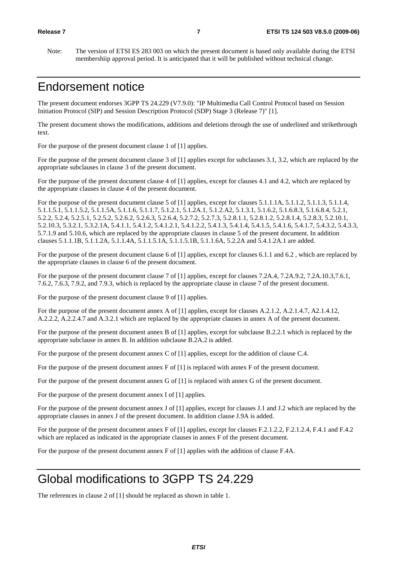Note: The version of ETSI ES 283 003 on which the present document is based only available during the ETSI membershiip approval period. It is anticipated that it will be published without technical change.

### Endorsement notice

The present document endorses 3GPP TS 24.229 (V7.9.0): "IP Multimedia Call Control Protocol based on Session Initiation Protocol (SIP) and Session Description Protocol (SDP) Stage 3 (Release 7)" [1].

The present document shows the modifications, additions and deletions through the use of underlined and strikethrough text.

For the purpose of the present document clause 1 of [1] applies.

For the purpose of the present document clause 3 of [1] applies except for subclauses 3.1, 3.2, which are replaced by the appropriate subclauses in clause 3 of the present document.

For the purpose of the present document clause 4 of [1] applies, except for clauses 4.1 and 4.2, which are replaced by the appropriate clauses in clause 4 of the present document.

For the purpose of the present document clause 5 of [1] applies, except for clauses 5.1.1.1A, 5.1.1.2, 5.1.1.3, 5.1.1.4, 5.1.1.5.1, 5.1.1.5.2, 5.1.1.5A, 5.1.1.6, 5.1.1.7, 5.1.2.1, 5.1.2A.1, 5.1.2.A2, 5.1.3.1, 5.1.6.2, 5.1.6.8.3, 5.1.6.8.4, 5.2.1, 5.2.2, 5.2.4, 5.2.5.1, 5.2.5.2, 5.2.6.2, 5.2.6.3, 5.2.6.4, 5.2.7.2, 5.2.7.3, 5.2.8.1.1, 5.2.8.1.2, 5.2.8.1.4, 5.2.8.3, 5.2.10.1, 5.2.10.3, 5.3.2.1, 5.3.2.1A, 5.4.1.1, 5.4.1.2, 5.4.1.2.1, 5.4.1.2.2, 5.4.1.3, 5.4.1.4, 5.4.1.5, 5.4.1.6, 5.4.1.7, 5.4.3.2, 5.4.3.3, 5.7.1.9 and 5.10.6, which are replaced by the appropriate clauses in clause 5 of the present document. In addition clauses 5.1.1.1B, 5.1.1.2A, 5.1.1.4A, 5.1.1.5.1A, 5.1.1.5.1B, 5.1.1.6A, 5.2.2A and 5.4.1.2A.1 are added.

For the purpose of the present document clause 6 of [1] applies, except for clauses 6.1.1 and 6.2 , which are replaced by the appropriate clauses in clause 6 of the present document.

For the purpose of the present document clause 7 of [1] applies, except for clauses 7.2A.4, 7.2A.9.2, 7.2A.10.3,7.6.1, 7.6.2, 7.6.3, 7.9.2, and 7.9.3, which is replaced by the appropriate clause in clause 7 of the present document.

For the purpose of the present document clause 9 of [1] applies.

For the purpose of the present document annex A of [1] applies, except for clauses A.2.1.2, A.2.1.4.7, A2.1.4.12, A.2.2.2, A.2.2.4.7 and A.3.2.1 which are replaced by the appropriate clauses in annex A of the present document.

For the purpose of the present document annex B of [1] applies, except for subclause B.2.2.1 which is replaced by the appropriate subclause in annex B. In addition subclause B.2A.2 is added.

For the purpose of the present document annex C of [1] applies, except for the addition of clause C.4.

For the purpose of the present document annex F of [1] is replaced with annex F of the present document.

For the purpose of the present document annex G of [1] is replaced with annex G of the present document.

For the purpose of the present document annex I of [1] applies.

For the purpose of the present document annex J of [1] applies, except for clauses J.1 and J.2 which are replaced by the appropriate clauses in annex J of the present document. In addition clause J.9A is added.

For the purpose of the present document annex F of [1] applies, except for clauses F.2.1.2.2, F.2.1.2.4, F.4.1 and F.4.2 which are replaced as indicated in the appropriate clauses in annex F of the present document.

For the purpose of the present document annex F of [1] applies with the addition of clause F.4A.

### Global modifications to 3GPP TS 24.229

The references in clause 2 of [1] should be replaced as shown in table 1.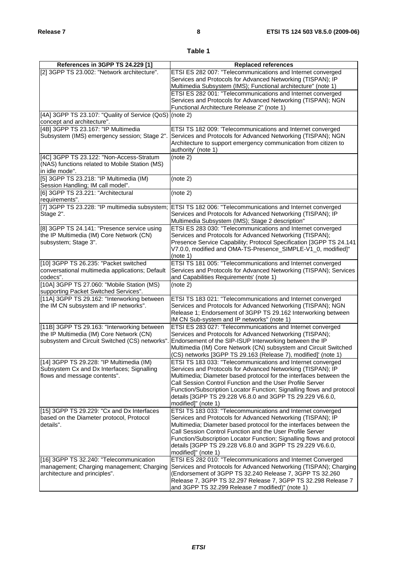### **Table 1**

| References in 3GPP TS 24.229 [1]                                                    | <b>Replaced references</b>                                                                                                      |
|-------------------------------------------------------------------------------------|---------------------------------------------------------------------------------------------------------------------------------|
| [2] 3GPP TS 23.002: "Network architecture".                                         | ETSI ES 282 007: "Telecommunications and Internet converged                                                                     |
|                                                                                     | Services and Protocols for Advanced Networking (TISPAN); IP                                                                     |
|                                                                                     | Multimedia Subsystem (IMS); Functional architecture" (note 1)                                                                   |
|                                                                                     | ETSI ES 282 001: "Telecommunications and Internet converged                                                                     |
|                                                                                     | Services and Protocols for Advanced Networking (TISPAN); NGN                                                                    |
|                                                                                     | Functional Architecture Release 2" (note 1)                                                                                     |
| [4A] 3GPP TS 23.107: "Quality of Service (QoS) (note 2)                             |                                                                                                                                 |
| concept and architecture".                                                          |                                                                                                                                 |
| [4B] 3GPP TS 23.167: "IP Multimedia                                                 | ETSI TS 182 009: 'Telecommunications and Internet converged                                                                     |
| Subsystem (IMS) emergency session; Stage 2".                                        | Services and Protocols for Advanced Networking (TISPAN); NGN<br>Architecture to support emergency communication from citizen to |
|                                                                                     | authority' (note 1)                                                                                                             |
| [4C] 3GPP TS 23.122: "Non-Access-Stratum                                            | (note 2)                                                                                                                        |
| (NAS) functions related to Mobile Station (MS)                                      |                                                                                                                                 |
| in idle mode".                                                                      |                                                                                                                                 |
| [5] 3GPP TS 23.218: "IP Multimedia (IM)                                             | (note 2)                                                                                                                        |
| Session Handling; IM call model".                                                   |                                                                                                                                 |
| [6] 3GPP TS 23.221: "Architectural                                                  | (note 2)                                                                                                                        |
| requirements".                                                                      |                                                                                                                                 |
| [7] 3GPP TS 23.228: "IP multimedia subsystem;                                       | <b>ETSI TS 182 006: "Telecommunications and Internet converged</b>                                                              |
| Stage 2".                                                                           | Services and Protocols for Advanced Networking (TISPAN); IP<br>Multimedia Subsystem (IMS); Stage 2 description"                 |
| [8] 3GPP TS 24.141: "Presence service using                                         | ETSI ES 283 030: "Telecommunications and Internet converged                                                                     |
| the IP Multimedia (IM) Core Network (CN)                                            | Services and Protocols for Advanced Networking (TISPAN);                                                                        |
| subsystem; Stage 3".                                                                | Presence Service Capability; Protocol Specification [3GPP TS 24.141                                                             |
|                                                                                     | V7.0.0, modified and OMA-TS-Presence_SIMPLE-V1_0, modified]"                                                                    |
|                                                                                     | (note 1)                                                                                                                        |
| [10] 3GPP TS 26.235: "Packet switched                                               | ETSI TS 181 005: "Telecommunications and Internet converged                                                                     |
| conversational multimedia applications; Default                                     | Services and Protocols for Advanced Networking (TISPAN); Services                                                               |
| codecs".                                                                            | and Capabilities Requirements' (note 1)                                                                                         |
| [10A] 3GPP TS 27.060: "Mobile Station (MS)<br>supporting Packet Switched Services". | (note 2)                                                                                                                        |
| [11A] 3GPP TS 29.162: "Interworking between                                         | ETSI TS 183 021: "Telecommunications and Internet converged                                                                     |
| the IM CN subsystem and IP networks".                                               | Services and Protocols for Advanced Networking (TISPAN); NGN                                                                    |
|                                                                                     | Release 1; Endorsement of 3GPP TS 29.162 Interworking between                                                                   |
|                                                                                     | IM CN Sub-system and IP networks" (note 1)                                                                                      |
| [11B] 3GPP TS 29.163: "Interworking between                                         | ETSI ES 283 027: 'Telecommunications and Internet converged                                                                     |
| the IP Multimedia (IM) Core Network (CN)                                            | Services and Protocols for Advanced Networking (TISPAN);                                                                        |
| subsystem and Circuit Switched (CS) networks"                                       | Endorsement of the SIP-ISUP Interworking between the IP                                                                         |
|                                                                                     | Multimedia (IM) Core Network (CN) subsystem and Circuit Switched                                                                |
| [14] 3GPP TS 29.228: "IP Multimedia (IM)                                            | (CS) networks [3GPP TS 29.163 (Release 7), modified]' (note 1)<br>ETSI TS 183 033: "Telecommunications and Internet converged   |
| Subsystem Cx and Dx Interfaces; Signalling                                          | Services and Protocols for Advanced Networking (TISPAN); IP                                                                     |
| flows and message contents".                                                        | Multimedia; Diameter based protocol for the interfaces between the                                                              |
|                                                                                     | Call Session Control Function and the User Profile Server                                                                       |
|                                                                                     | Function/Subscription Locator Function; Signalling flows and protocol                                                           |
|                                                                                     | details [3GPP TS 29.228 V6.8.0 and 3GPP TS 29.229 V6.6.0,                                                                       |
|                                                                                     | modified]" (note 1)                                                                                                             |
| [15] 3GPP TS 29.229: "Cx and Dx Interfaces                                          | ETSI TS 183 033: "Telecommunications and Internet converged                                                                     |
| based on the Diameter protocol, Protocol<br>details".                               | Services and Protocols for Advanced Networking (TISPAN); IP                                                                     |
|                                                                                     | Multimedia; Diameter based protocol for the interfaces between the<br>Call Session Control Function and the User Profile Server |
|                                                                                     | Function/Subscription Locator Function; Signalling flows and protocol                                                           |
|                                                                                     | details [3GPP TS 29.228 V6.8.0 and 3GPP TS 29.229 V6.6.0,                                                                       |
|                                                                                     | modified]" (note 1)                                                                                                             |
| [16] 3GPP TS 32.240: "Telecommunication                                             | ETSI ES 282 010: "Telecommunications and Internet Converged                                                                     |
| management; Charging management; Charging                                           | Services and Protocols for Advanced Networking (TISPAN); Charging                                                               |
| architecture and principles".                                                       | (Endorsement of 3GPP TS 32.240 Release 7, 3GPP TS 32.260                                                                        |
|                                                                                     | Release 7, 3GPP TS 32.297 Release 7, 3GPP TS 32.298 Release 7<br>and 3GPP TS 32.299 Release 7 modified)" (note 1)               |
|                                                                                     |                                                                                                                                 |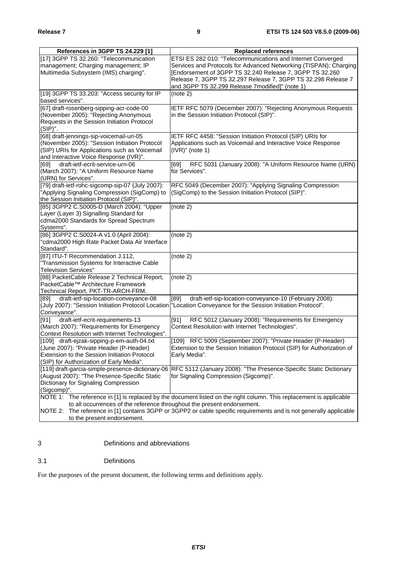| References in 3GPP TS 24.229 [1]                                                                                    | <b>Replaced references</b>                                                                                         |  |
|---------------------------------------------------------------------------------------------------------------------|--------------------------------------------------------------------------------------------------------------------|--|
| [17] 3GPP TS 32.260: "Telecommunication                                                                             | ETSI ES 282 010: "Telecommunications and Internet Converged                                                        |  |
| management; Charging management; IP                                                                                 | Services and Protocols for Advanced Networking (TISPAN); Charging                                                  |  |
| Multimedia Subsystem (IMS) charging".                                                                               | [Endorsement of 3GPP TS 32.240 Release 7, 3GPP TS 32.260                                                           |  |
|                                                                                                                     | Release 7, 3GPP TS 32.297 Release 7, 3GPP TS 32.298 Release 7                                                      |  |
|                                                                                                                     | and 3GPP TS 32.299 Release 7modified]" (note 1)                                                                    |  |
| [19] 3GPP TS 33.203: "Access security for IP                                                                        | (note 2)                                                                                                           |  |
| based services".                                                                                                    |                                                                                                                    |  |
| [67] draft-rosenberg-sipping-acr-code-00                                                                            | IETF RFC 5079 (December 2007): "Rejecting Anonymous Requests                                                       |  |
| (November 2005): "Rejecting Anonymous                                                                               | in the Session Initiation Protocol (SIP)".                                                                         |  |
| Requests in the Session Initiation Protocol                                                                         |                                                                                                                    |  |
| (SIP)".                                                                                                             |                                                                                                                    |  |
| [68] draft-jennings-sip-voicemail-uri-05                                                                            | IETF RFC 4458: "Session Initiation Protocol (SIP) URIs for                                                         |  |
| (November 2005): "Session Initiation Protocol                                                                       | Applications such as Voicemail and Interactive Voice Response                                                      |  |
| (SIP) URIs for Applications such as Voicemail                                                                       | $(IVR)"$ (note 1)                                                                                                  |  |
| and Interactive Voice Response (IVR)".                                                                              |                                                                                                                    |  |
| draft-ietf-ecrit-service-urn-06<br>[69]                                                                             | RFC 5031 (January 2008): "A Uniform Resource Name (URN)<br>[69]                                                    |  |
| (March 2007): "A Uniform Resource Name                                                                              | for Services".                                                                                                     |  |
| (URN) for Services".                                                                                                |                                                                                                                    |  |
| [79] draft-ietf-rohc-sigcomp-sip-07 (July 2007):                                                                    | RFC 5049 (December 2007): "Applying Signaling Compression                                                          |  |
| "Applying Signaling Compression (SigComp) to                                                                        | (SigComp) to the Session Initiation Protocol (SIP)".                                                               |  |
| the Session Initiation Protocol (SIP)".<br>[85] 3GPP2 C.S0005-D (March 2004): "Upper                                |                                                                                                                    |  |
| Layer (Layer 3) Signalling Standard for                                                                             | (note 2)                                                                                                           |  |
| cdma2000 Standards for Spread Spectrum                                                                              |                                                                                                                    |  |
| Systems".                                                                                                           |                                                                                                                    |  |
| [86] 3GPP2 C.S0024-A v1.0 (April 2004):                                                                             | (note 2)                                                                                                           |  |
| "cdma2000 High Rate Packet Data Air Interface                                                                       |                                                                                                                    |  |
| Standard".                                                                                                          |                                                                                                                    |  |
| [87] ITU-T Recommendation J.112,                                                                                    | (note 2)                                                                                                           |  |
| "Transmission Systems for Interactive Cable                                                                         |                                                                                                                    |  |
| <b>Television Services"</b>                                                                                         |                                                                                                                    |  |
| [88] PacketCable Release 2 Technical Report,                                                                        | (note 2)                                                                                                           |  |
| PacketCable™ Architecture Framework                                                                                 |                                                                                                                    |  |
| Technical Report, PKT-TR-ARCH-FRM.                                                                                  |                                                                                                                    |  |
| [89]<br>draft-ietf-sip-location-conveyance-08                                                                       | draft-ietf-sip-location-conveyance-10 (February 2008):<br>[89]                                                     |  |
|                                                                                                                     | (July 2007): "Session Initiation Protocol Location  "Location Conveyance for the Session Initiation Protocol".     |  |
| Conveyance".                                                                                                        |                                                                                                                    |  |
| draft-ietf-ecrit-requirements-13<br>[91]                                                                            | RFC 5012 (January 2008): "Requirements for Emergency<br>[91]                                                       |  |
| (March 2007): "Requirements for Emergency                                                                           | Context Resolution with Internet Technologies".                                                                    |  |
| Context Resolution with Internet Technologies".                                                                     | [109] RFC 5009 (September 2007): "Private Header (P-Header)                                                        |  |
| [109] draft-ejzak-sipping-p-em-auth-04.txt<br>(June 2007): "Private Header (P-Header)                               | Extension to the Session Initiation Protocol (SIP) for Authorization of                                            |  |
| Extension to the Session Initiation Protocol                                                                        | Early Media".                                                                                                      |  |
| (SIP) for Authorization of Early Media".                                                                            |                                                                                                                    |  |
|                                                                                                                     | [119] draft-garcia-simple-presence-dictionary-06 RFC 5112 (January 2008): "The Presence-Specific Static Dictionary |  |
| (August 2007): "The Presence-Specific Static                                                                        | for Signaling Compression (Sigcomp)".                                                                              |  |
| Dictionary for Signaling Compression                                                                                |                                                                                                                    |  |
| (Sigcomp)".                                                                                                         |                                                                                                                    |  |
| NOTE 1: The reference in [1] is replaced by the document listed on the right column. This replacement is applicable |                                                                                                                    |  |
| to all occurrences of the reference throughout the present endorsement.                                             |                                                                                                                    |  |
| NOTE 2: The reference in [1] contains 3GPP or 3GPP2 or cable specific requirements and is not generally applicable  |                                                                                                                    |  |
| to the present endorsement.                                                                                         |                                                                                                                    |  |

3 Definitions and abbreviations

### 3.1 Definitions

For the purposes of the present document, the following terms and definitions apply.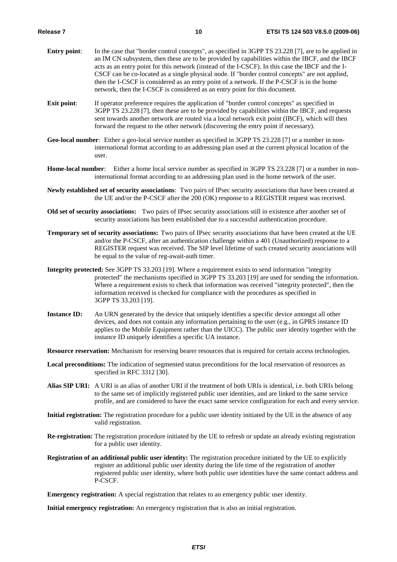- **Entry point:** In the case that "border control concepts", as specified in 3GPP TS 23.228 [7], are to be applied in an IM CN subsystem, then these are to be provided by capabilities within the IBCF, and the IBCF acts as an entry point for this network (instead of the I-CSCF). In this case the IBCF and the I-CSCF can be co-located as a single physical node. If "border control concepts" are not applied, then the I-CSCF is considered as an entry point of a network. If the P-CSCF is in the home network, then the I-CSCF is considered as an entry point for this document.
- **Exit point:** If operator preference requires the application of "border control concepts" as specified in 3GPP TS 23.228 [7], then these are to be provided by capabilities within the IBCF, and requests sent towards another network are routed via a local network exit point (IBCF), which will then forward the request to the other network (discovering the entry point if necessary).
- **Geo-local number**: Either a geo-local service number as specified in 3GPP TS 23.228 [7] or a number in noninternational format according to an addressing plan used at the current physical location of the user.
- **Home-local number**: Either a home local service number as specified in 3GPP TS 23.228 [7] or a number in noninternational format according to an addressing plan used in the home network of the user.
- **Newly established set of security associations**: Two pairs of IPsec security associations that have been created at the UE and/or the P-CSCF after the 200 (OK) response to a REGISTER request was received.
- **Old set of security associations:** Two pairs of IPsec security associations still in existence after another set of security associations has been established due to a successful authentication procedure.
- **Temporary set of security associations:** Two pairs of IPsec security associations that have been created at the UE and/or the P-CSCF, after an authentication challenge within a 401 (Unauthorized) response to a REGISTER request was received. The SIP level lifetime of such created security associations will be equal to the value of reg-await-auth timer.
- **Integrity protected:** See 3GPP TS 33.203 [19]. Where a requirement exists to send information "integrity protected" the mechanisms specified in 3GPP TS 33.203 [19] are used for sending the information. Where a requirement exists to check that information was received "integrity protected", then the information received is checked for compliance with the procedures as specified in 3GPP TS 33.203 [19].
- **Instance ID:** An URN generated by the device that uniquely identifies a specific device amongst all other devices, and does not contain any information pertaining to the user (e.g., in GPRS instance ID applies to the Mobile Equipment rather than the UICC). The public user identity together with the instance ID uniquely identifies a specific UA instance.

**Resource reservation:** Mechanism for reserving bearer resources that is required for certain access technologies.

- **Local preconditions:** The indication of segmented status preconditions for the local reservation of resources as specified in RFC 3312 [30].
- **Alias SIP URI:** A URI is an alias of another URI if the treatment of both URIs is identical, i.e. both URIs belong to the same set of implicitly registered public user identities, and are linked to the same service profile, and are considered to have the exact same service configuration for each and every service.
- **Initial registration:** The registration procedure for a public user identity initiated by the UE in the absence of any valid registration.
- **Re-registration:** The registration procedure initiated by the UE to refresh or update an already existing registration for a public user identity.
- **Registration of an additional public user identity:** The registration procedure initiated by the UE to explicitly register an additional public user identity during the life time of the registration of another registered public user identity, where both public user identities have the same contact address and P-CSCF.

**Emergency registration:** A special registration that relates to an emergency public user identity.

**Initial emergency registration:** An emergency registration that is also an initial registration.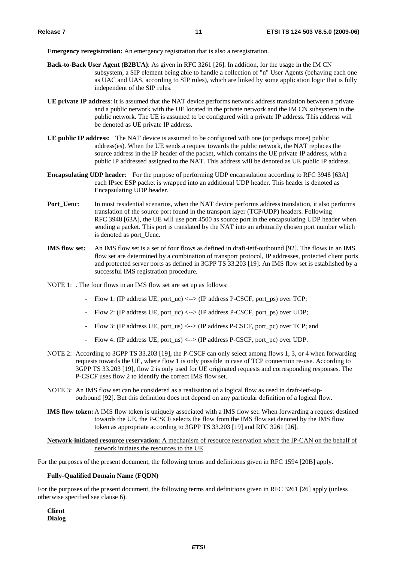**Emergency reregistration:** An emergency registration that is also a reregistration.

- **Back-to-Back User Agent (B2BUA)**: As given in RFC 3261 [26]. In addition, for the usage in the IM CN subsystem, a SIP element being able to handle a collection of "n" User Agents (behaving each one as UAC and UAS, according to SIP rules), which are linked by some application logic that is fully independent of the SIP rules.
- **UE private IP address**: It is assumed that the NAT device performs network address translation between a private and a public network with the UE located in the private network and the IM CN subsystem in the public network. The UE is assumed to be configured with a private IP address. This address will be denoted as UE private IP address.
- **UE public IP address**: The NAT device is assumed to be configured with one (or perhaps more) public address(es). When the UE sends a request towards the public network, the NAT replaces the source address in the IP header of the packet, which contains the UE private IP address, with a public IP addressed assigned to the NAT. This address will be denoted as UE public IP address.
- **Encapsulating UDP header**: For the purpose of performing UDP encapsulation according to RFC 3948 [63A] each IPsec ESP packet is wrapped into an additional UDP header. This header is denoted as Encapsulating UDP header.
- **Port Uenc**: In most residential scenarios, when the NAT device performs address translation, it also performs translation of the source port found in the transport layer (TCP/UDP) headers. Following RFC 3948 [63A], the UE will use port 4500 as source port in the encapsulating UDP header when sending a packet. This port is translated by the NAT into an arbitrarily chosen port number which is denoted as port\_Uenc.
- **IMS flow set:** An IMS flow set is a set of four flows as defined in draft-ietf-outbound [92]. The flows in an IMS flow set are determined by a combination of transport protocol, IP addresses, protected client ports and protected server ports as defined in 3GPP TS 33.203 [19]. An IMS flow set is established by a successful IMS registration procedure.
- NOTE 1: . The four flows in an IMS flow set are set up as follows:
	- Flow 1: (IP address UE, port\_uc) <--> (IP address P-CSCF, port\_ps) over TCP;
	- Flow 2: (IP address UE, port uc)  $\langle -\rangle$  (IP address P-CSCF, port ps) over UDP;
	- Flow 3: (IP address UE, port\_us) <--> (IP address P-CSCF, port\_pc) over TCP; and
	- Flow 4: (IP address UE, port\_us) <--> (IP address P-CSCF, port\_pc) over UDP.
- NOTE 2: According to 3GPP TS 33.203 [19], the P-CSCF can only select among flows 1, 3, or 4 when forwarding requests towards the UE, where flow 1 is only possible in case of TCP connection re-use. According to 3GPP TS 33.203 [19], flow 2 is only used for UE originated requests and corresponding responses. The P-CSCF uses flow 2 to identify the correct IMS flow set.
- NOTE 3: An IMS flow set can be considered as a realisation of a logical flow as used in draft-ietf-sipoutbound [92]. But this definition does not depend on any particular definition of a logical flow.
- **IMS flow token:** A IMS flow token is uniquely associated with a IMS flow set. When forwarding a request destined towards the UE, the P-CSCF selects the flow from the IMS flow set denoted by the IMS flow token as appropriate according to 3GPP TS 33.203 [19] and RFC 3261 [26].

#### **Network-initiated resource reservation:** A mechanism of resource reservation where the IP-CAN on the behalf of network initiates the resources to the UE

For the purposes of the present document, the following terms and definitions given in RFC 1594 [20B] apply.

#### **Fully-Qualified Domain Name (FQDN)**

For the purposes of the present document, the following terms and definitions given in RFC 3261 [26] apply (unless otherwise specified see clause 6).

**Client Dialog**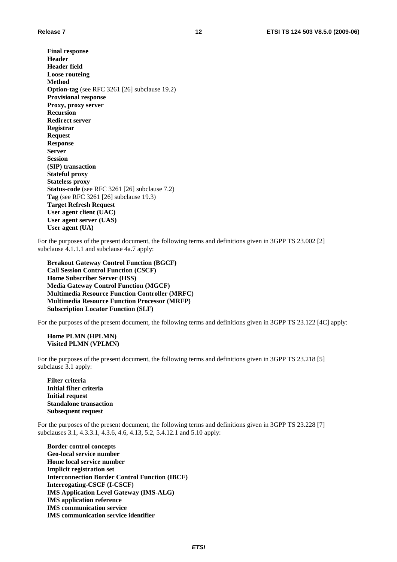**Final response Header Header field Loose routeing Method Option-tag** (see RFC 3261 [26] subclause 19.2) **Provisional response Proxy, proxy server Recursion Redirect server Registrar Request Response Server Session (SIP) transaction Stateful proxy Stateless proxy Status-code** (see RFC 3261 [26] subclause 7.2) **Tag** (see RFC 3261 [26] subclause 19.3) **Target Refresh Request User agent client (UAC) User agent server (UAS) User agent (UA)** 

For the purposes of the present document, the following terms and definitions given in 3GPP TS 23.002 [2] subclause 4.1.1.1 and subclause 4a.7 apply:

**Breakout Gateway Control Function (BGCF) Call Session Control Function (CSCF) Home Subscriber Server (HSS) Media Gateway Control Function (MGCF) Multimedia Resource Function Controller (MRFC) Multimedia Resource Function Processor (MRFP) Subscription Locator Function (SLF)** 

For the purposes of the present document, the following terms and definitions given in 3GPP TS 23.122 [4C] apply:

#### **Home PLMN (HPLMN) Visited PLMN (VPLMN)**

For the purposes of the present document, the following terms and definitions given in 3GPP TS 23.218 [5] subclause 3.1 apply:

**Filter criteria Initial filter criteria Initial request Standalone transaction Subsequent request** 

For the purposes of the present document, the following terms and definitions given in 3GPP TS 23.228 [7] subclauses 3.1, 4.3.3.1, 4.3.6, 4.6, 4.13, 5.2, 5.4.12.1 and 5.10 apply:

**Border control concepts Geo-local service number Home local service number Implicit registration set Interconnection Border Control Function (IBCF) Interrogating-CSCF (I-CSCF) IMS Application Level Gateway (IMS-ALG) IMS application reference IMS communication service IMS communication service identifier**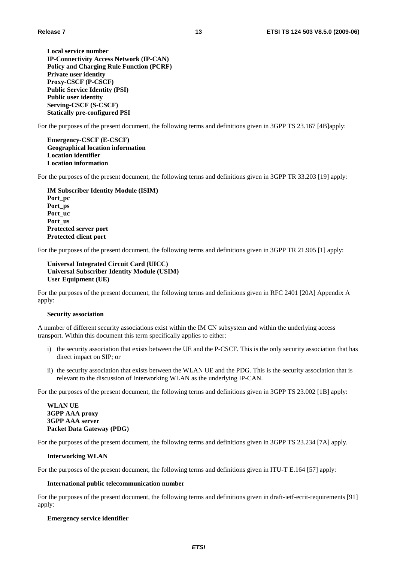**Local service number IP-Connectivity Access Network (IP-CAN) Policy and Charging Rule Function (PCRF) Private user identity Proxy-CSCF (P-CSCF) Public Service Identity (PSI) Public user identity Serving-CSCF (S-CSCF) Statically pre-configured PSI**

For the purposes of the present document, the following terms and definitions given in 3GPP TS 23.167 [4B]apply:

**Emergency-CSCF (E-CSCF) Geographical location information Location identifier Location information** 

For the purposes of the present document, the following terms and definitions given in 3GPP TR 33.203 [19] apply:

**IM Subscriber Identity Module (ISIM) Port\_pc Port\_ps Port\_uc Port\_us Protected server port Protected client port** 

For the purposes of the present document, the following terms and definitions given in 3GPP TR 21.905 [1] apply:

**Universal Integrated Circuit Card (UICC) Universal Subscriber Identity Module (USIM) User Equipment (UE)**

For the purposes of the present document, the following terms and definitions given in RFC 2401 [20A] Appendix A apply:

#### **Security association**

A number of different security associations exist within the IM CN subsystem and within the underlying access transport. Within this document this term specifically applies to either:

- i) the security association that exists between the UE and the P-CSCF. This is the only security association that has direct impact on SIP; or
- ii) the security association that exists between the WLAN UE and the PDG. This is the security association that is relevant to the discussion of Interworking WLAN as the underlying IP-CAN.

For the purposes of the present document, the following terms and definitions given in 3GPP TS 23.002 [1B] apply:

**WLAN UE 3GPP AAA proxy 3GPP AAA server Packet Data Gateway (PDG)** 

For the purposes of the present document, the following terms and definitions given in 3GPP TS 23.234 [7A] apply.

#### **Interworking WLAN**

For the purposes of the present document, the following terms and definitions given in ITU-T E.164 [57] apply:

#### **International public telecommunication number**

For the purposes of the present document, the following terms and definitions given in draft-ietf-ecrit-requirements [91] apply:

#### **Emergency service identifier**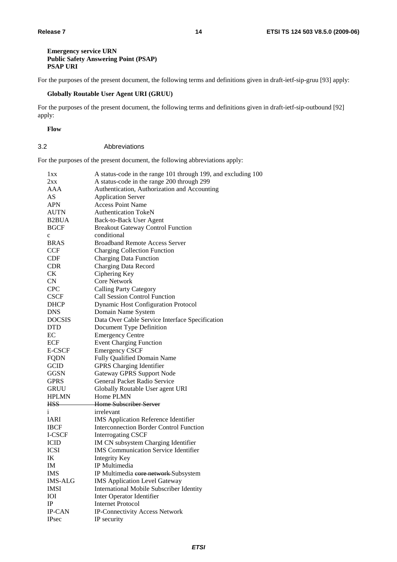#### **Emergency service URN Public Safety Answering Point (PSAP) PSAP URI**

For the purposes of the present document, the following terms and definitions given in draft-ietf-sip-gruu [93] apply:

#### **Globally Routable User Agent URI (GRUU)**

For the purposes of the present document, the following terms and definitions given in draft-ietf-sip-outbound [92] apply:

#### **Flow**

#### 3.2 Abbreviations

For the purposes of the present document, the following abbreviations apply:

| lxx                | A status-code in the range 101 through 199, and excluding 100 |
|--------------------|---------------------------------------------------------------|
| 2xx                | A status-code in the range 200 through 299                    |
| AAA                | Authentication, Authorization and Accounting                  |
| AS                 | <b>Application Server</b>                                     |
| <b>APN</b>         | <b>Access Point Name</b>                                      |
| <b>AUTN</b>        | <b>Authentication TokeN</b>                                   |
| B <sub>2</sub> BUA | Back-to-Back User Agent                                       |
| <b>BGCF</b>        | <b>Breakout Gateway Control Function</b>                      |
| $\mathbf c$        | conditional                                                   |
| <b>BRAS</b>        | <b>Broadband Remote Access Server</b>                         |
| <b>CCF</b>         | <b>Charging Collection Function</b>                           |
| <b>CDF</b>         | <b>Charging Data Function</b>                                 |
| <b>CDR</b>         | <b>Charging Data Record</b>                                   |
| <b>CK</b>          | Ciphering Key                                                 |
| CN                 | <b>Core Network</b>                                           |
| <b>CPC</b>         | <b>Calling Party Category</b>                                 |
| <b>CSCF</b>        | <b>Call Session Control Function</b>                          |
| <b>DHCP</b>        | <b>Dynamic Host Configuration Protocol</b>                    |
| <b>DNS</b>         | Domain Name System                                            |
| <b>DOCSIS</b>      | Data Over Cable Service Interface Specification               |
| <b>DTD</b>         | Document Type Definition                                      |
| EC                 | <b>Emergency Centre</b>                                       |
| ECF                | <b>Event Charging Function</b>                                |
| <b>E-CSCF</b>      | <b>Emergency CSCF</b>                                         |
| <b>FQDN</b>        | Fully Qualified Domain Name                                   |
| <b>GCID</b>        | <b>GPRS</b> Charging Identifier                               |
| <b>GGSN</b>        | <b>Gateway GPRS Support Node</b>                              |
| <b>GPRS</b>        | General Packet Radio Service                                  |
| <b>GRUU</b>        | Globally Routable User agent URI                              |
| <b>HPLMN</b>       | Home PLMN                                                     |
| HSS-               | Home Subscriber Server                                        |
| i                  | irrelevant                                                    |
| <b>IARI</b>        | <b>IMS</b> Application Reference Identifier                   |
| <b>IBCF</b>        | <b>Interconnection Border Control Function</b>                |
| I-CSCF             | <b>Interrogating CSCF</b>                                     |
| <b>ICID</b>        | <b>IM CN</b> subsystem Charging Identifier                    |
| <b>ICSI</b>        | <b>IMS</b> Communication Service Identifier                   |
| IK                 | <b>Integrity Key</b>                                          |
| IM                 | IP Multimedia                                                 |
| <b>IMS</b>         | IP Multimedia core network Subsystem                          |
| <b>IMS-ALG</b>     | <b>IMS Application Level Gateway</b>                          |
| <b>IMSI</b>        | International Mobile Subscriber Identity                      |
| IOI                | Inter Operator Identifier                                     |
| $\rm IP$           | <b>Internet Protocol</b>                                      |
| <b>IP-CAN</b>      | <b>IP-Connectivity Access Network</b>                         |
| <b>IPsec</b>       | IP security                                                   |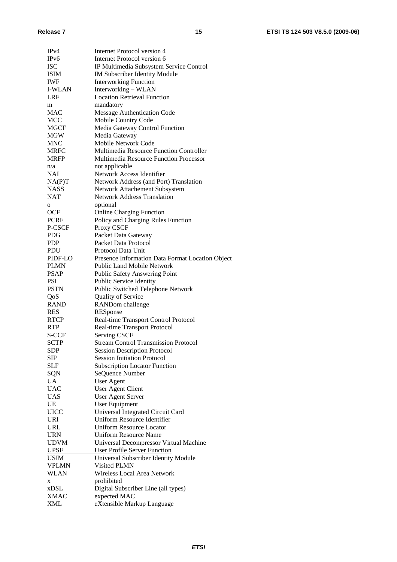| IPv4            | <b>Internet Protocol version 4</b>               |
|-----------------|--------------------------------------------------|
| IPv6            | <b>Internet Protocol version 6</b>               |
| <b>ISC</b>      | IP Multimedia Subsystem Service Control          |
| <b>ISIM</b>     | IM Subscriber Identity Module                    |
| <b>IWF</b>      | <b>Interworking Function</b>                     |
| <b>I-WLAN</b>   | Interworking - WLAN                              |
| LRF             | <b>Location Retrieval Function</b>               |
|                 | mandatory                                        |
| m<br><b>MAC</b> |                                                  |
|                 | <b>Message Authentication Code</b>               |
| MCC             | Mobile Country Code                              |
| <b>MGCF</b>     | Media Gateway Control Function                   |
| MGW             | Media Gateway                                    |
| <b>MNC</b>      | Mobile Network Code                              |
| <b>MRFC</b>     | Multimedia Resource Function Controller          |
| <b>MRFP</b>     | <b>Multimedia Resource Function Processor</b>    |
| n/a             | not applicable                                   |
| <b>NAI</b>      | Network Access Identifier                        |
| NA(P)T          | Network Address (and Port) Translation           |
| <b>NASS</b>     | Network Attachement Subsystem                    |
| NAT             | <b>Network Address Translation</b>               |
| 0               | optional                                         |
| <b>OCF</b>      | <b>Online Charging Function</b>                  |
| <b>PCRF</b>     | Policy and Charging Rules Function               |
| P-CSCF          | Proxy CSCF                                       |
| <b>PDG</b>      | Packet Data Gateway                              |
| <b>PDP</b>      | Packet Data Protocol                             |
| PDU             | Protocol Data Unit                               |
| PIDF-LO         | Presence Information Data Format Location Object |
|                 |                                                  |
| <b>PLMN</b>     | <b>Public Land Mobile Network</b>                |
| <b>PSAP</b>     | Public Safety Answering Point                    |
| <b>PSI</b>      | Public Service Identity                          |
| <b>PSTN</b>     | Public Switched Telephone Network                |
| QoS             | Quality of Service                               |
| <b>RAND</b>     | RANDom challenge                                 |
| <b>RES</b>      | RESponse                                         |
| <b>RTCP</b>     | Real-time Transport Control Protocol             |
| <b>RTP</b>      | Real-time Transport Protocol                     |
| S-CCF           | <b>Serving CSCF</b>                              |
| <b>SCTP</b>     | <b>Stream Control Transmission Protocol</b>      |
| SDP             | <b>Session Description Protocol</b>              |
| SIP             | <b>Session Initiation Protocol</b>               |
| SLF             | <b>Subscription Locator Function</b>             |
| SQN             | SeQuence Number                                  |
| UA              | <b>User Agent</b>                                |
| <b>UAC</b>      | <b>User Agent Client</b>                         |
| <b>UAS</b>      | <b>User Agent Server</b>                         |
| UE              | User Equipment                                   |
| <b>UICC</b>     | Universal Integrated Circuit Card                |
| <b>URI</b>      | Uniform Resource Identifier                      |
| URL             | <b>Uniform Resource Locator</b>                  |
| <b>URN</b>      | Uniform Resource Name                            |
|                 |                                                  |
| <b>UDVM</b>     | Universal Decompressor Virtual Machine           |
| <b>UPSF</b>     | <b>User Profile Server Function</b>              |
| USIM            | Universal Subscriber Identity Module             |
| <b>VPLMN</b>    | Visited PLMN                                     |
| <b>WLAN</b>     | Wireless Local Area Network                      |
| X               | prohibited                                       |
| xDSL            | Digital Subscriber Line (all types)              |
| <b>XMAC</b>     | expected MAC                                     |
| XML             | eXtensible Markup Language                       |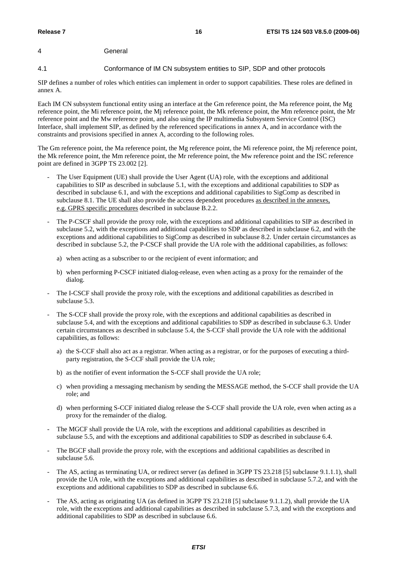### 4 General

#### 4.1 Conformance of IM CN subsystem entities to SIP, SDP and other protocols

SIP defines a number of roles which entities can implement in order to support capabilities. These roles are defined in annex A.

Each IM CN subsystem functional entity using an interface at the Gm reference point, the Ma reference point, the Mg reference point, the Mi reference point, the Mj reference point, the Mk reference point, the Mm reference point, the Mr reference point and the Mw reference point, and also using the IP multimedia Subsystem Service Control (ISC) Interface, shall implement SIP, as defined by the referenced specifications in annex A, and in accordance with the constraints and provisions specified in annex A, according to the following roles.

The Gm reference point, the Ma reference point, the Mg reference point, the Mi reference point, the Mj reference point, the Mk reference point, the Mm reference point, the Mr reference point, the Mw reference point and the ISC reference point are defined in 3GPP TS 23.002 [2].

- The User Equipment (UE) shall provide the User Agent (UA) role, with the exceptions and additional capabilities to SIP as described in subclause 5.1, with the exceptions and additional capabilities to SDP as described in subclause 6.1, and with the exceptions and additional capabilities to SigComp as described in subclause 8.1. The UE shall also provide the access dependent procedures as described in the annexes, e.g. GPRS specific procedures described in subclause B.2.2.
- The P-CSCF shall provide the proxy role, with the exceptions and additional capabilities to SIP as described in subclause 5.2, with the exceptions and additional capabilities to SDP as described in subclause 6.2, and with the exceptions and additional capabilities to SigComp as described in subclause 8.2. Under certain circumstances as described in subclause 5.2, the P-CSCF shall provide the UA role with the additional capabilities, as follows:
	- a) when acting as a subscriber to or the recipient of event information; and
	- b) when performing P-CSCF initiated dialog-release, even when acting as a proxy for the remainder of the dialog.
- The I-CSCF shall provide the proxy role, with the exceptions and additional capabilities as described in subclause 5.3.
- The S-CCF shall provide the proxy role, with the exceptions and additional capabilities as described in subclause 5.4, and with the exceptions and additional capabilities to SDP as described in subclause 6.3. Under certain circumstances as described in subclause 5.4, the S-CCF shall provide the UA role with the additional capabilities, as follows:
	- a) the S-CCF shall also act as a registrar. When acting as a registrar, or for the purposes of executing a thirdparty registration, the S-CCF shall provide the UA role;
	- b) as the notifier of event information the S-CCF shall provide the UA role;
	- c) when providing a messaging mechanism by sending the MESSAGE method, the S-CCF shall provide the UA role; and
	- d) when performing S-CCF initiated dialog release the S-CCF shall provide the UA role, even when acting as a proxy for the remainder of the dialog.
- The MGCF shall provide the UA role, with the exceptions and additional capabilities as described in subclause 5.5, and with the exceptions and additional capabilities to SDP as described in subclause 6.4.
- The BGCF shall provide the proxy role, with the exceptions and additional capabilities as described in subclause 5.6.
- The AS, acting as terminating UA, or redirect server (as defined in 3GPP TS 23.218 [5] subclause 9.1.1.1), shall provide the UA role, with the exceptions and additional capabilities as described in subclause 5.7.2, and with the exceptions and additional capabilities to SDP as described in subclause 6.6.
- The AS, acting as originating UA (as defined in 3GPP TS 23.218 [5] subclause 9.1.1.2), shall provide the UA role, with the exceptions and additional capabilities as described in subclause 5.7.3, and with the exceptions and additional capabilities to SDP as described in subclause 6.6.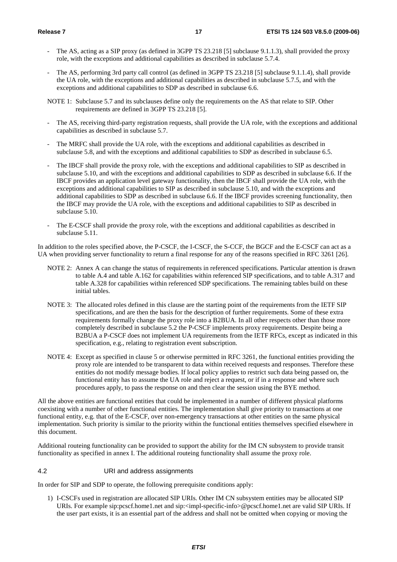- The AS, acting as a SIP proxy (as defined in 3GPP TS 23.218 [5] subclause 9.1.1.3), shall provided the proxy role, with the exceptions and additional capabilities as described in subclause 5.7.4.
- The AS, performing 3rd party call control (as defined in 3GPP TS 23.218 [5] subclause 9.1.1.4), shall provide the UA role, with the exceptions and additional capabilities as described in subclause 5.7.5, and with the exceptions and additional capabilities to SDP as described in subclause 6.6.
- NOTE 1: Subclause 5.7 and its subclauses define only the requirements on the AS that relate to SIP. Other requirements are defined in 3GPP TS 23.218 [5].
- The AS, receiving third-party registration requests, shall provide the UA role, with the exceptions and additional capabilities as described in subclause 5.7.
- The MRFC shall provide the UA role, with the exceptions and additional capabilities as described in subclause 5.8, and with the exceptions and additional capabilities to SDP as described in subclause 6.5.
- The IBCF shall provide the proxy role, with the exceptions and additional capabilities to SIP as described in subclause 5.10, and with the exceptions and additional capabilities to SDP as described in subclause 6.6. If the IBCF provides an application level gateway functionality, then the IBCF shall provide the UA role, with the exceptions and additional capabilities to SIP as described in subclause 5.10, and with the exceptions and additional capabilities to SDP as described in subclause 6.6. If the IBCF provides screening functionality, then the IBCF may provide the UA role, with the exceptions and additional capabilities to SIP as described in subclause 5.10.
- The E-CSCF shall provide the proxy role, with the exceptions and additional capabilities as described in subclause 5.11.

In addition to the roles specified above, the P-CSCF, the I-CSCF, the S-CCF, the BGCF and the E-CSCF can act as a UA when providing server functionality to return a final response for any of the reasons specified in RFC 3261 [26].

- NOTE 2: Annex A can change the status of requirements in referenced specifications. Particular attention is drawn to table A.4 and table A.162 for capabilities within referenced SIP specifications, and to table A.317 and table A.328 for capabilities within referenced SDP specifications. The remaining tables build on these initial tables.
- NOTE 3: The allocated roles defined in this clause are the starting point of the requirements from the IETF SIP specifications, and are then the basis for the description of further requirements. Some of these extra requirements formally change the proxy role into a B2BUA. In all other respects other than those more completely described in subclause 5.2 the P-CSCF implements proxy requirements. Despite being a B2BUA a P-CSCF does not implement UA requirements from the IETF RFCs, except as indicated in this specification, e.g., relating to registration event subscription.
- NOTE 4: Except as specified in clause 5 or otherwise permitted in RFC 3261, the functional entities providing the proxy role are intended to be transparent to data within received requests and responses. Therefore these entities do not modify message bodies. If local policy applies to restrict such data being passed on, the functional entity has to assume the UA role and reject a request, or if in a response and where such procedures apply, to pass the response on and then clear the session using the BYE method.

All the above entities are functional entities that could be implemented in a number of different physical platforms coexisting with a number of other functional entities. The implementation shall give priority to transactions at one functional entity, e.g. that of the E-CSCF, over non-emergency transactions at other entities on the same physical implementation. Such priority is similar to the priority within the functional entities themselves specified elsewhere in this document.

Additional routeing functionality can be provided to support the ability for the IM CN subsystem to provide transit functionality as specified in annex I. The additional routeing functionality shall assume the proxy role.

#### 4.2 URI and address assignments

In order for SIP and SDP to operate, the following prerequisite conditions apply:

1) I-CSCFs used in registration are allocated SIP URIs. Other IM CN subsystem entities may be allocated SIP URIs. For example sip:pcscf.home1.net and sip:<impl-specific-info>@pcscf.home1.net are valid SIP URIs. If the user part exists, it is an essential part of the address and shall not be omitted when copying or moving the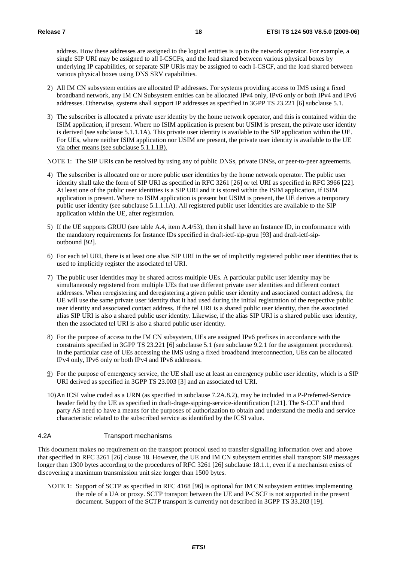address. How these addresses are assigned to the logical entities is up to the network operator. For example, a single SIP URI may be assigned to all I-CSCFs, and the load shared between various physical boxes by underlying IP capabilities, or separate SIP URIs may be assigned to each I-CSCF, and the load shared between various physical boxes using DNS SRV capabilities.

- 2) All IM CN subsystem entities are allocated IP addresses. For systems providing access to IMS using a fixed broadband network, any IM CN Subsystem entities can be allocated IPv4 only, IPv6 only or both IPv4 and IPv6 addresses. Otherwise, systems shall support IP addresses as specified in 3GPP TS 23.221 [6] subclause 5.1.
- 3) The subscriber is allocated a private user identity by the home network operator, and this is contained within the ISIM application, if present. Where no ISIM application is present but USIM is present, the private user identity is derived (see subclause 5.1.1.1A). This private user identity is available to the SIP application within the UE. For UEs, where neither ISIM application nor USIM are present, the private user identity is available to the UE via other means (see subclause 5.1.1.1B).

NOTE 1: The SIP URIs can be resolved by using any of public DNSs, private DNSs, or peer-to-peer agreements.

- 4) The subscriber is allocated one or more public user identities by the home network operator. The public user identity shall take the form of SIP URI as specified in RFC 3261 [26] or tel URI as specified in RFC 3966 [22]. At least one of the public user identities is a SIP URI and it is stored within the ISIM application, if ISIM application is present. Where no ISIM application is present but USIM is present, the UE derives a temporary public user identity (see subclause 5.1.1.1A). All registered public user identities are available to the SIP application within the UE, after registration.
- 5) If the UE supports GRUU (see table A.4, item A.4/53), then it shall have an Instance ID, in conformance with the mandatory requirements for Instance IDs specified in draft-ietf-sip-gruu [93] and draft-ietf-sipoutbound [92].
- 6) For each tel URI, there is at least one alias SIP URI in the set of implicitly registered public user identities that is used to implicitly register the associated tel URI.
- 7) The public user identities may be shared across multiple UEs. A particular public user identity may be simultaneously registered from multiple UEs that use different private user identities and different contact addresses. When reregistering and deregistering a given public user identity and associated contact address, the UE will use the same private user identity that it had used during the initial registration of the respective public user identity and associated contact address. If the tel URI is a shared public user identity, then the associated alias SIP URI is also a shared public user identity. Likewise, if the alias SIP URI is a shared public user identity, then the associated tel URI is also a shared public user identity.
- 8) For the purpose of access to the IM CN subsystem, UEs are assigned IPv6 prefixes in accordance with the constraints specified in 3GPP TS 23.221 [6] subclause 5.1 (see subclause 9.2.1 for the assignment procedures). In the particular case of UEs accessing the IMS using a fixed broadband interconnection, UEs can be allocated IPv4 only, IPv6 only or both IPv4 and IPv6 addresses.
- 9) For the purpose of emergency service, the UE shall use at least an emergency public user identity, which is a SIP URI derived as specified in 3GPP TS 23.003 [3] and an associated tel URI.
- 10) An ICSI value coded as a URN (as specified in subclause 7.2A.8.2), may be included in a P-Preferred-Service header field by the UE as specified in draft-drage-sipping-service-identification [121]. The S-CCF and third party AS need to have a means for the purposes of authorization to obtain and understand the media and service characteristic related to the subscribed service as identified by the ICSI value.

#### 4.2A Transport mechanisms

This document makes no requirement on the transport protocol used to transfer signalling information over and above that specified in RFC 3261 [26] clause 18. However, the UE and IM CN subsystem entities shall transport SIP messages longer than 1300 bytes according to the procedures of RFC 3261 [26] subclause 18.1.1, even if a mechanism exists of discovering a maximum transmission unit size longer than 1500 bytes.

NOTE 1: Support of SCTP as specified in RFC 4168 [96] is optional for IM CN subsystem entities implementing the role of a UA or proxy. SCTP transport between the UE and P-CSCF is not supported in the present document. Support of the SCTP transport is currently not described in 3GPP TS 33.203 [19].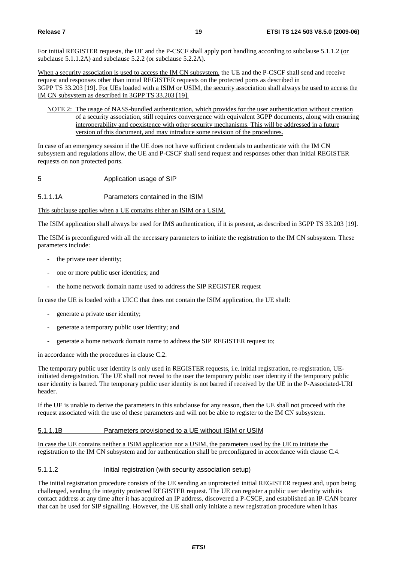For initial REGISTER requests, the UE and the P-CSCF shall apply port handling according to subclause 5.1.1.2 (or subclause 5.1.1.2A) and subclause 5.2.2 (or subclause 5.2.2A).

When a security association is used to access the IM CN subsystem, the UE and the P-CSCF shall send and receive request and responses other than initial REGISTER requests on the protected ports as described in 3GPP TS 33.203 [19]. For UEs loaded with a ISIM or USIM, the security association shall always be used to access the IM CN subsystem as described in 3GPP TS 33.203 [19].

NOTE 2: The usage of NASS-bundled authentication, which provides for the user authentication without creation of a security association, still requires convergence with equivalent 3GPP documents, along with ensuring interoperability and coexistence with other security mechanisms. This will be addressed in a future version of this document, and may introduce some revision of the procedures.

In case of an emergency session if the UE does not have sufficient credentials to authenticate with the IM CN subsystem and regulations allow, the UE and P-CSCF shall send request and responses other than initial REGISTER requests on non protected ports.

5 Application usage of SIP

#### 5.1.1.1A Parameters contained in the ISIM

This subclause applies when a UE contains either an ISIM or a USIM.

The ISIM application shall always be used for IMS authentication, if it is present, as described in 3GPP TS 33.203 [19].

The ISIM is preconfigured with all the necessary parameters to initiate the registration to the IM CN subsystem. These parameters include:

- the private user identity;
- one or more public user identities; and
- the home network domain name used to address the SIP REGISTER request

In case the UE is loaded with a UICC that does not contain the ISIM application, the UE shall:

- generate a private user identity;
- generate a temporary public user identity; and
- generate a home network domain name to address the SIP REGISTER request to;

in accordance with the procedures in clause C.2.

The temporary public user identity is only used in REGISTER requests, i.e. initial registration, re-registration, UEinitiated deregistration. The UE shall not reveal to the user the temporary public user identity if the temporary public user identity is barred. The temporary public user identity is not barred if received by the UE in the P-Associated-URI header.

If the UE is unable to derive the parameters in this subclause for any reason, then the UE shall not proceed with the request associated with the use of these parameters and will not be able to register to the IM CN subsystem.

#### 5.1.1.1B Parameters provisioned to a UE without ISIM or USIM

In case the UE contains neither a ISIM application nor a USIM, the parameters used by the UE to initiate the registration to the IM CN subsystem and for authentication shall be preconfigured in accordance with clause C.4.

#### 5.1.1.2 Initial registration (with security association setup)

The initial registration procedure consists of the UE sending an unprotected initial REGISTER request and, upon being challenged, sending the integrity protected REGISTER request. The UE can register a public user identity with its contact address at any time after it has acquired an IP address, discovered a P-CSCF, and established an IP-CAN bearer that can be used for SIP signalling. However, the UE shall only initiate a new registration procedure when it has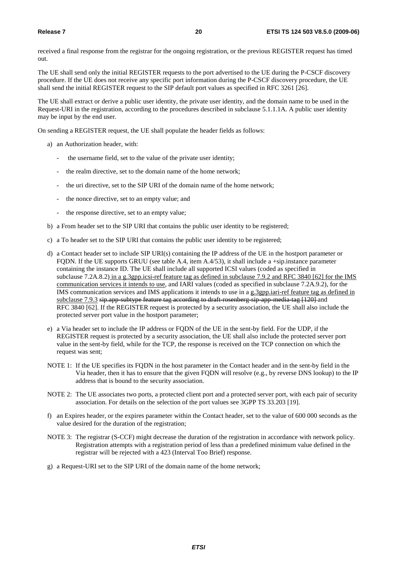received a final response from the registrar for the ongoing registration, or the previous REGISTER request has timed out.

The UE shall send only the initial REGISTER requests to the port advertised to the UE during the P-CSCF discovery procedure. If the UE does not receive any specific port information during the P-CSCF discovery procedure, the UE shall send the initial REGISTER request to the SIP default port values as specified in RFC 3261 [26].

The UE shall extract or derive a public user identity, the private user identity, and the domain name to be used in the Request-URI in the registration, according to the procedures described in subclause 5.1.1.1A. A public user identity may be input by the end user.

On sending a REGISTER request, the UE shall populate the header fields as follows:

- a) an Authorization header, with:
	- the username field, set to the value of the private user identity;
	- the realm directive, set to the domain name of the home network;
	- the uri directive, set to the SIP URI of the domain name of the home network;
	- the nonce directive, set to an empty value; and
	- the response directive, set to an empty value;
- b) a From header set to the SIP URI that contains the public user identity to be registered;
- c) a To header set to the SIP URI that contains the public user identity to be registered;
- d) a Contact header set to include SIP URI(s) containing the IP address of the UE in the hostport parameter or FQDN. If the UE supports GRUU (see table A.4, item A.4/53), it shall include a +sip.instance parameter containing the instance ID. The UE shall include all supported ICSI values (coded as specified in subclause 7.2A.8.2) in a g.3gpp.icsi-ref feature tag as defined in subclause 7.9.2 and RFC 3840 [62] for the IMS communication services it intends to use, and IARI values (coded as specified in subclause 7.2A.9.2), for the IMS communication services and IMS applications it intends to use in a g.3gpp.iari-ref feature tag as defined in subclause 7.9.3 sip.app-subtype feature tag according to draft-rosenberg-sip-app-media-tag [120] and RFC 3840 [62]. If the REGISTER request is protected by a security association, the UE shall also include the protected server port value in the hostport parameter;
- e) a Via header set to include the IP address or FQDN of the UE in the sent-by field. For the UDP, if the REGISTER request is protected by a security association, the UE shall also include the protected server port value in the sent-by field, while for the TCP, the response is received on the TCP connection on which the request was sent;
- NOTE 1: If the UE specifies its FQDN in the host parameter in the Contact header and in the sent-by field in the Via header, then it has to ensure that the given FQDN will resolve (e.g., by reverse DNS lookup) to the IP address that is bound to the security association.
- NOTE 2: The UE associates two ports, a protected client port and a protected server port, with each pair of security association. For details on the selection of the port values see 3GPP TS 33.203 [19].
- f) an Expires header, or the expires parameter within the Contact header, set to the value of 600 000 seconds as the value desired for the duration of the registration;
- NOTE 3: The registrar (S-CCF) might decrease the duration of the registration in accordance with network policy. Registration attempts with a registration period of less than a predefined minimum value defined in the registrar will be rejected with a 423 (Interval Too Brief) response.
- g) a Request-URI set to the SIP URI of the domain name of the home network;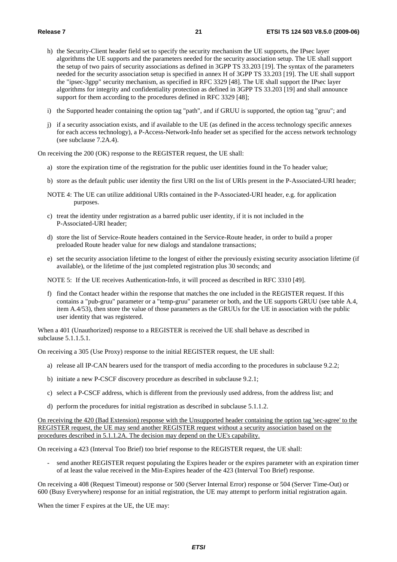- h) the Security-Client header field set to specify the security mechanism the UE supports, the IPsec layer algorithms the UE supports and the parameters needed for the security association setup. The UE shall support the setup of two pairs of security associations as defined in 3GPP TS 33.203 [19]. The syntax of the parameters needed for the security association setup is specified in annex H of 3GPP TS 33.203 [19]. The UE shall support the "ipsec-3gpp" security mechanism, as specified in RFC 3329 [48]. The UE shall support the IPsec layer algorithms for integrity and confidentiality protection as defined in 3GPP TS 33.203 [19] and shall announce support for them according to the procedures defined in RFC 3329 [48];
- i) the Supported header containing the option tag "path", and if GRUU is supported, the option tag "gruu"; and
- j) if a security association exists, and if available to the UE (as defined in the access technology specific annexes for each access technology), a P-Access-Network-Info header set as specified for the access network technology (see subclause 7.2A.4).

On receiving the 200 (OK) response to the REGISTER request, the UE shall:

- a) store the expiration time of the registration for the public user identities found in the To header value;
- b) store as the default public user identity the first URI on the list of URIs present in the P-Associated-URI header;
- NOTE 4: The UE can utilize additional URIs contained in the P-Associated-URI header, e.g. for application purposes.
- c) treat the identity under registration as a barred public user identity, if it is not included in the P-Associated-URI header;
- d) store the list of Service-Route headers contained in the Service-Route header, in order to build a proper preloaded Route header value for new dialogs and standalone transactions;
- e) set the security association lifetime to the longest of either the previously existing security association lifetime (if available), or the lifetime of the just completed registration plus 30 seconds; and

NOTE 5: If the UE receives Authentication-Info, it will proceed as described in RFC 3310 [49].

f) find the Contact header within the response that matches the one included in the REGISTER request. If this contains a "pub-gruu" parameter or a "temp-gruu" parameter or both, and the UE supports GRUU (see table A.4, item A.4/53), then store the value of those parameters as the GRUUs for the UE in association with the public user identity that was registered.

When a 401 (Unauthorized) response to a REGISTER is received the UE shall behave as described in subclause 5.1.1.5.1.

On receiving a 305 (Use Proxy) response to the initial REGISTER request, the UE shall:

- a) release all IP-CAN bearers used for the transport of media according to the procedures in subclause 9.2.2;
- b) initiate a new P-CSCF discovery procedure as described in subclause 9.2.1;
- c) select a P-CSCF address, which is different from the previously used address, from the address list; and
- d) perform the procedures for initial registration as described in subclause 5.1.1.2.

On receiving the 420 (Bad Extension) response with the Unsupported header containing the option tag 'sec-agree' to the REGISTER request, the UE may send another REGISTER request without a security association based on the procedures described in 5.1.1.2A. The decision may depend on the UE's capability.

On receiving a 423 (Interval Too Brief) too brief response to the REGISTER request, the UE shall:

- send another REGISTER request populating the Expires header or the expires parameter with an expiration timer of at least the value received in the Min-Expires header of the 423 (Interval Too Brief) response.

On receiving a 408 (Request Timeout) response or 500 (Server Internal Error) response or 504 (Server Time-Out) or 600 (Busy Everywhere) response for an initial registration, the UE may attempt to perform initial registration again.

When the timer F expires at the UE, the UE may: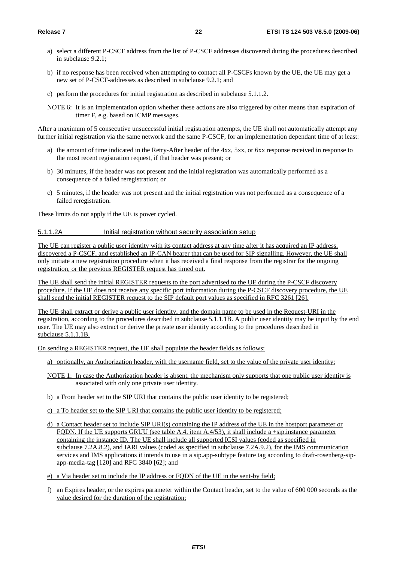- a) select a different P-CSCF address from the list of P-CSCF addresses discovered during the procedures described in subclause 9.2.1;
- b) if no response has been received when attempting to contact all P-CSCFs known by the UE, the UE may get a new set of P-CSCF-addresses as described in subclause 9.2.1; and
- c) perform the procedures for initial registration as described in subclause 5.1.1.2.
- NOTE 6: It is an implementation option whether these actions are also triggered by other means than expiration of timer F, e.g. based on ICMP messages.

After a maximum of 5 consecutive unsuccessful initial registration attempts, the UE shall not automatically attempt any further initial registration via the same network and the same P-CSCF, for an implementation dependant time of at least:

- a) the amount of time indicated in the Retry-After header of the 4xx, 5xx, or 6xx response received in response to the most recent registration request, if that header was present; or
- b) 30 minutes, if the header was not present and the initial registration was automatically performed as a consequence of a failed reregistration; or
- c) 5 minutes, if the header was not present and the initial registration was not performed as a consequence of a failed reregistration.

These limits do not apply if the UE is power cycled.

#### 5.1.1.2A Initial registration without security association setup

The UE can register a public user identity with its contact address at any time after it has acquired an IP address, discovered a P-CSCF, and established an IP-CAN bearer that can be used for SIP signalling. However, the UE shall only initiate a new registration procedure when it has received a final response from the registrar for the ongoing registration, or the previous REGISTER request has timed out.

The UE shall send the initial REGISTER requests to the port advertised to the UE during the P-CSCF discovery procedure. If the UE does not receive any specific port information during the P-CSCF discovery procedure, the UE shall send the initial REGISTER request to the SIP default port values as specified in RFC 3261 [26].

The UE shall extract or derive a public user identity, and the domain name to be used in the Request-URI in the registration, according to the procedures described in subclause 5.1.1.1B. A public user identity may be input by the end user. The UE may also extract or derive the private user identity according to the procedures described in subclause 5.1.1.1B.

On sending a REGISTER request, the UE shall populate the header fields as follows:

- a) optionally, an Authorization header, with the username field, set to the value of the private user identity;
- NOTE 1: In case the Authorization header is absent, the mechanism only supports that one public user identity is associated with only one private user identity.
- b) a From header set to the SIP URI that contains the public user identity to be registered;
- c) a To header set to the SIP URI that contains the public user identity to be registered;
- d) a Contact header set to include SIP URI(s) containing the IP address of the UE in the hostport parameter or FQDN. If the UE supports GRUU (see table A.4, item A.4/53), it shall include a +sip.instance parameter containing the instance ID. The UE shall include all supported ICSI values (coded as specified in subclause 7.2A.8.2), and IARI values (coded as specified in subclause 7.2A.9.2), for the IMS communication services and IMS applications it intends to use in a sip.app-subtype feature tag according to draft-rosenberg-sipapp-media-tag [120] and RFC 3840 [62]; and
- e) a Via header set to include the IP address or FQDN of the UE in the sent-by field;
- f) an Expires header, or the expires parameter within the Contact header, set to the value of 600 000 seconds as the value desired for the duration of the registration;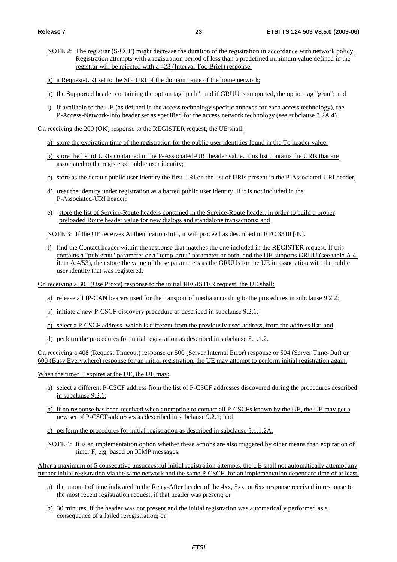- NOTE 2: The registrar (S-CCF) might decrease the duration of the registration in accordance with network policy. Registration attempts with a registration period of less than a predefined minimum value defined in the registrar will be rejected with a 423 (Interval Too Brief) response.
- g) a Request-URI set to the SIP URI of the domain name of the home network;
- h) the Supported header containing the option tag "path", and if GRUU is supported, the option tag "gruu"; and
- i) if available to the UE (as defined in the access technology specific annexes for each access technology), the P-Access-Network-Info header set as specified for the access network technology (see subclause 7.2A.4).

On receiving the 200 (OK) response to the REGISTER request, the UE shall:

- a) store the expiration time of the registration for the public user identities found in the To header value;
- b) store the list of URIs contained in the P-Associated-URI header value. This list contains the URIs that are associated to the registered public user identity;
- c) store as the default public user identity the first URI on the list of URIs present in the P-Associated-URI header;
- d) treat the identity under registration as a barred public user identity, if it is not included in the P-Associated-URI header;
- e) store the list of Service-Route headers contained in the Service-Route header, in order to build a proper preloaded Route header value for new dialogs and standalone transactions; and

NOTE 3: If the UE receives Authentication-Info, it will proceed as described in RFC 3310 [49].

f) find the Contact header within the response that matches the one included in the REGISTER request. If this contains a "pub-gruu" parameter or a "temp-gruu" parameter or both, and the UE supports GRUU (see table A.4, item A.4/53), then store the value of those parameters as the GRUUs for the UE in association with the public user identity that was registered.

On receiving a 305 (Use Proxy) response to the initial REGISTER request, the UE shall:

- a) release all IP-CAN bearers used for the transport of media according to the procedures in subclause 9.2.2;
- b) initiate a new P-CSCF discovery procedure as described in subclause 9.2.1;
- c) select a P-CSCF address, which is different from the previously used address, from the address list; and
- d) perform the procedures for initial registration as described in subclause 5.1.1.2.

On receiving a 408 (Request Timeout) response or 500 (Server Internal Error) response or 504 (Server Time-Out) or 600 (Busy Everywhere) response for an initial registration, the UE may attempt to perform initial registration again.

When the timer F expires at the UE, the UE may:

- a) select a different P-CSCF address from the list of P-CSCF addresses discovered during the procedures described in subclause 9.2.1;
- b) if no response has been received when attempting to contact all P-CSCFs known by the UE, the UE may get a new set of P-CSCF-addresses as described in subclause 9.2.1; and
- c) perform the procedures for initial registration as described in subclause 5.1.1.2A.
- NOTE 4: It is an implementation option whether these actions are also triggered by other means than expiration of timer F, e.g. based on ICMP messages.

After a maximum of 5 consecutive unsuccessful initial registration attempts, the UE shall not automatically attempt any further initial registration via the same network and the same P-CSCF, for an implementation dependant time of at least:

- a) the amount of time indicated in the Retry-After header of the 4xx, 5xx, or 6xx response received in response to the most recent registration request, if that header was present; or
- b) 30 minutes, if the header was not present and the initial registration was automatically performed as a consequence of a failed reregistration; or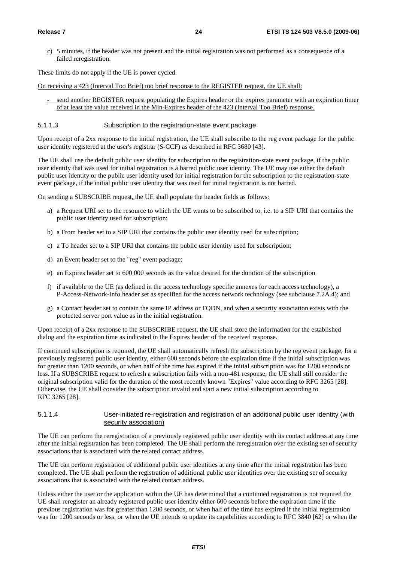c) 5 minutes, if the header was not present and the initial registration was not performed as a consequence of a failed reregistration.

These limits do not apply if the UE is power cycled.

On receiving a 423 (Interval Too Brief) too brief response to the REGISTER request, the UE shall:

send another REGISTER request populating the Expires header or the expires parameter with an expiration timer of at least the value received in the Min-Expires header of the 423 (Interval Too Brief) response.

#### 5.1.1.3 Subscription to the registration-state event package

Upon receipt of a 2xx response to the initial registration, the UE shall subscribe to the reg event package for the public user identity registered at the user's registrar (S-CCF) as described in RFC 3680 [43].

The UE shall use the default public user identity for subscription to the registration-state event package, if the public user identity that was used for initial registration is a barred public user identity. The UE may use either the default public user identity or the public user identity used for initial registration for the subscription to the registration-state event package, if the initial public user identity that was used for initial registration is not barred.

On sending a SUBSCRIBE request, the UE shall populate the header fields as follows:

- a) a Request URI set to the resource to which the UE wants to be subscribed to, i.e. to a SIP URI that contains the public user identity used for subscription;
- b) a From header set to a SIP URI that contains the public user identity used for subscription;
- c) a To header set to a SIP URI that contains the public user identity used for subscription;
- d) an Event header set to the "reg" event package;
- e) an Expires header set to 600 000 seconds as the value desired for the duration of the subscription
- f) if available to the UE (as defined in the access technology specific annexes for each access technology), a P-Access-Network-Info header set as specified for the access network technology (see subclause 7.2A.4); and
- g) a Contact header set to contain the same IP address or FQDN, and when a security association exists with the protected server port value as in the initial registration.

Upon receipt of a 2xx response to the SUBSCRIBE request, the UE shall store the information for the established dialog and the expiration time as indicated in the Expires header of the received response.

If continued subscription is required, the UE shall automatically refresh the subscription by the reg event package, for a previously registered public user identity, either 600 seconds before the expiration time if the initial subscription was for greater than 1200 seconds, or when half of the time has expired if the initial subscription was for 1200 seconds or less. If a SUBSCRIBE request to refresh a subscription fails with a non-481 response, the UE shall still consider the original subscription valid for the duration of the most recently known "Expires" value according to RFC 3265 [28]. Otherwise, the UE shall consider the subscription invalid and start a new initial subscription according to RFC 3265 [28].

#### 5.1.1.4 User-initiated re-registration and registration of an additional public user identity (with security association)

The UE can perform the reregistration of a previously registered public user identity with its contact address at any time after the initial registration has been completed. The UE shall perform the reregistration over the existing set of security associations that is associated with the related contact address.

The UE can perform registration of additional public user identities at any time after the initial registration has been completed. The UE shall perform the registration of additional public user identities over the existing set of security associations that is associated with the related contact address.

Unless either the user or the application within the UE has determined that a continued registration is not required the UE shall reregister an already registered public user identity either 600 seconds before the expiration time if the previous registration was for greater than 1200 seconds, or when half of the time has expired if the initial registration was for 1200 seconds or less, or when the UE intends to update its capabilities according to RFC 3840 [62] or when the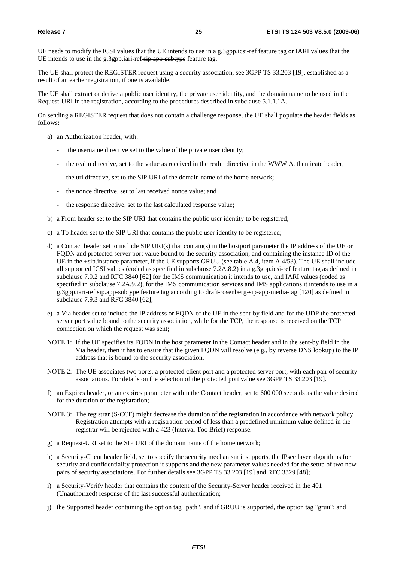UE needs to modify the ICSI values that the UE intends to use in a g.3gpp.icsi-ref feature tag or IARI values that the UE intends to use in the g.3gpp.iari-ref-sip.app-subtype feature tag.

The UE shall protect the REGISTER request using a security association, see 3GPP TS 33.203 [19], established as a result of an earlier registration, if one is available.

The UE shall extract or derive a public user identity, the private user identity, and the domain name to be used in the Request-URI in the registration, according to the procedures described in subclause 5.1.1.1A.

On sending a REGISTER request that does not contain a challenge response, the UE shall populate the header fields as follows:

- a) an Authorization header, with:
	- the username directive set to the value of the private user identity;
	- the realm directive, set to the value as received in the realm directive in the WWW Authenticate header;
	- the uri directive, set to the SIP URI of the domain name of the home network;
	- the nonce directive, set to last received nonce value; and
	- the response directive, set to the last calculated response value;
- b) a From header set to the SIP URI that contains the public user identity to be registered;
- c) a To header set to the SIP URI that contains the public user identity to be registered;
- d) a Contact header set to include SIP URI(s) that contain(s) in the hostport parameter the IP address of the UE or FQDN and protected server port value bound to the security association, and containing the instance ID of the UE in the +sip.instance parameter, if the UE supports GRUU (see table A.4, item A.4/53). The UE shall include all supported ICSI values (coded as specified in subclause  $7.2A.8.2)$  in a g.3gpp.icsi-ref feature tag as defined in subclause 7.9.2 and RFC 3840 [62] for the IMS communication it intends to use, and IARI values (coded as specified in subclause 7.2A.9.2), for the IMS communication services and IMS applications it intends to use in a g.3gpp.iari-ref sip.app-subtype feature tag according to draft-rosenberg-sip-app-media-tag [120] as defined in subclause 7.9.3 and RFC 3840 [62];
- e) a Via header set to include the IP address or FQDN of the UE in the sent-by field and for the UDP the protected server port value bound to the security association, while for the TCP, the response is received on the TCP connection on which the request was sent;
- NOTE 1: If the UE specifies its FQDN in the host parameter in the Contact header and in the sent-by field in the Via header, then it has to ensure that the given FQDN will resolve (e.g., by reverse DNS lookup) to the IP address that is bound to the security association.
- NOTE 2: The UE associates two ports, a protected client port and a protected server port, with each pair of security associations. For details on the selection of the protected port value see 3GPP TS 33.203 [19].
- f) an Expires header, or an expires parameter within the Contact header, set to 600 000 seconds as the value desired for the duration of the registration;
- NOTE 3: The registrar (S-CCF) might decrease the duration of the registration in accordance with network policy. Registration attempts with a registration period of less than a predefined minimum value defined in the registrar will be rejected with a 423 (Interval Too Brief) response.
- g) a Request-URI set to the SIP URI of the domain name of the home network;
- h) a Security-Client header field, set to specify the security mechanism it supports, the IPsec layer algorithms for security and confidentiality protection it supports and the new parameter values needed for the setup of two new pairs of security associations. For further details see 3GPP TS 33.203 [19] and RFC 3329 [48];
- i) a Security-Verify header that contains the content of the Security-Server header received in the 401 (Unauthorized) response of the last successful authentication;
- j) the Supported header containing the option tag "path", and if GRUU is supported, the option tag "gruu"; and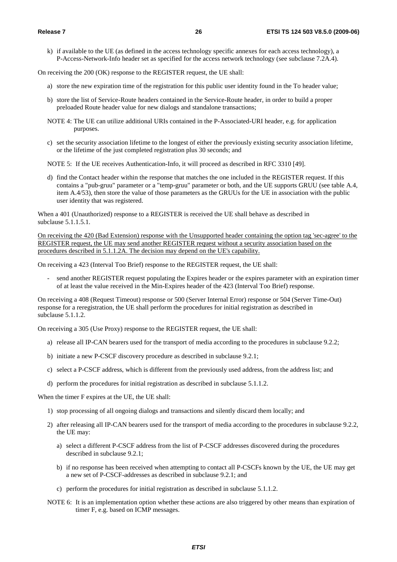k) if available to the UE (as defined in the access technology specific annexes for each access technology), a P-Access-Network-Info header set as specified for the access network technology (see subclause 7.2A.4).

On receiving the 200 (OK) response to the REGISTER request, the UE shall:

- a) store the new expiration time of the registration for this public user identity found in the To header value;
- b) store the list of Service-Route headers contained in the Service-Route header, in order to build a proper preloaded Route header value for new dialogs and standalone transactions;
- NOTE 4: The UE can utilize additional URIs contained in the P-Associated-URI header, e.g. for application purposes.
- c) set the security association lifetime to the longest of either the previously existing security association lifetime, or the lifetime of the just completed registration plus 30 seconds; and

NOTE 5: If the UE receives Authentication-Info, it will proceed as described in RFC 3310 [49].

d) find the Contact header within the response that matches the one included in the REGISTER request. If this contains a "pub-gruu" parameter or a "temp-gruu" parameter or both, and the UE supports GRUU (see table A.4, item A.4/53), then store the value of those parameters as the GRUUs for the UE in association with the public user identity that was registered.

When a 401 (Unauthorized) response to a REGISTER is received the UE shall behave as described in subclause 5.1.1.5.1.

On receiving the 420 (Bad Extension) response with the Unsupported header containing the option tag 'sec-agree' to the REGISTER request, the UE may send another REGISTER request without a security association based on the procedures described in 5.1.1.2A. The decision may depend on the UE's capability.

On receiving a 423 (Interval Too Brief) response to the REGISTER request, the UE shall:

send another REGISTER request populating the Expires header or the expires parameter with an expiration timer of at least the value received in the Min-Expires header of the 423 (Interval Too Brief) response.

On receiving a 408 (Request Timeout) response or 500 (Server Internal Error) response or 504 (Server Time-Out) response for a reregistration, the UE shall perform the procedures for initial registration as described in subclause 5.1.1.2.

On receiving a 305 (Use Proxy) response to the REGISTER request, the UE shall:

- a) release all IP-CAN bearers used for the transport of media according to the procedures in subclause 9.2.2;
- b) initiate a new P-CSCF discovery procedure as described in subclause 9.2.1;
- c) select a P-CSCF address, which is different from the previously used address, from the address list; and
- d) perform the procedures for initial registration as described in subclause 5.1.1.2.

When the timer F expires at the UE, the UE shall:

- 1) stop processing of all ongoing dialogs and transactions and silently discard them locally; and
- 2) after releasing all IP-CAN bearers used for the transport of media according to the procedures in subclause 9.2.2, the UE may:
	- a) select a different P-CSCF address from the list of P-CSCF addresses discovered during the procedures described in subclause 9.2.1;
	- b) if no response has been received when attempting to contact all P-CSCFs known by the UE, the UE may get a new set of P-CSCF-addresses as described in subclause 9.2.1; and
	- c) perform the procedures for initial registration as described in subclause 5.1.1.2.
- NOTE 6: It is an implementation option whether these actions are also triggered by other means than expiration of timer F, e.g. based on ICMP messages.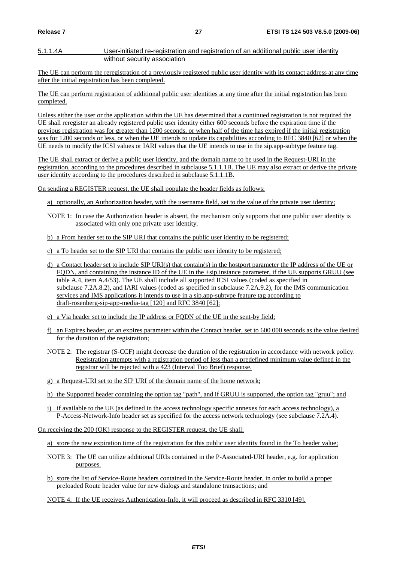#### 5.1.1.4A User-initiated re-registration and registration of an additional public user identity without security association

The UE can perform the reregistration of a previously registered public user identity with its contact address at any time after the initial registration has been completed.

The UE can perform registration of additional public user identities at any time after the initial registration has been completed.

Unless either the user or the application within the UE has determined that a continued registration is not required the UE shall reregister an already registered public user identity either 600 seconds before the expiration time if the previous registration was for greater than 1200 seconds, or when half of the time has expired if the initial registration was for 1200 seconds or less, or when the UE intends to update its capabilities according to RFC 3840 [62] or when the UE needs to modify the ICSI values or IARI values that the UE intends to use in the sip.app-subtype feature tag.

The UE shall extract or derive a public user identity, and the domain name to be used in the Request-URI in the registration, according to the procedures described in subclause 5.1.1.1B. The UE may also extract or derive the private user identity according to the procedures described in subclause 5.1.1.1B.

On sending a REGISTER request, the UE shall populate the header fields as follows:

- a) optionally, an Authorization header, with the username field, set to the value of the private user identity;
- NOTE 1: In case the Authorization header is absent, the mechanism only supports that one public user identity is associated with only one private user identity.
- b) a From header set to the SIP URI that contains the public user identity to be registered;
- c) a To header set to the SIP URI that contains the public user identity to be registered;
- d) a Contact header set to include SIP URI(s) that contain(s) in the hostport parameter the IP address of the UE or FQDN, and containing the instance ID of the UE in the +sip.instance parameter, if the UE supports GRUU (see table A.4, item A.4/53). The UE shall include all supported ICSI values (coded as specified in subclause 7.2A.8.2), and IARI values (coded as specified in subclause 7.2A.9.2), for the IMS communication services and IMS applications it intends to use in a sip.app-subtype feature tag according to draft-rosenberg-sip-app-media-tag [120] and RFC 3840 [62];
- e) a Via header set to include the IP address or FQDN of the UE in the sent-by field;
- f) an Expires header, or an expires parameter within the Contact header, set to 600 000 seconds as the value desired for the duration of the registration;
- NOTE 2: The registrar (S-CCF) might decrease the duration of the registration in accordance with network policy. Registration attempts with a registration period of less than a predefined minimum value defined in the registrar will be rejected with a 423 (Interval Too Brief) response.
- g) a Request-URI set to the SIP URI of the domain name of the home network;
- h) the Supported header containing the option tag "path", and if GRUU is supported, the option tag "gruu"; and
- i) if available to the UE (as defined in the access technology specific annexes for each access technology), a P-Access-Network-Info header set as specified for the access network technology (see subclause 7.2A.4).

On receiving the 200 (OK) response to the REGISTER request, the UE shall:

a) store the new expiration time of the registration for this public user identity found in the To header value;

- NOTE 3: The UE can utilize additional URIs contained in the P-Associated-URI header, e.g. for application purposes.
- b) store the list of Service-Route headers contained in the Service-Route header, in order to build a proper preloaded Route header value for new dialogs and standalone transactions; and
- NOTE 4: If the UE receives Authentication-Info, it will proceed as described in RFC 3310 [49].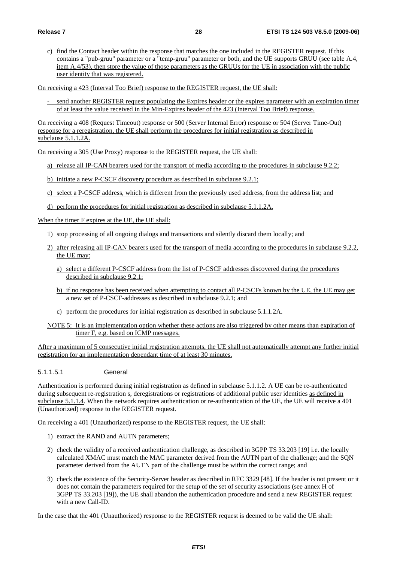c) find the Contact header within the response that matches the one included in the REGISTER request. If this contains a "pub-gruu" parameter or a "temp-gruu" parameter or both, and the UE supports GRUU (see table A.4, item A.4/53), then store the value of those parameters as the GRUUs for the UE in association with the public user identity that was registered.

On receiving a 423 (Interval Too Brief) response to the REGISTER request, the UE shall:

- send another REGISTER request populating the Expires header or the expires parameter with an expiration timer of at least the value received in the Min-Expires header of the 423 (Interval Too Brief) response.

On receiving a 408 (Request Timeout) response or 500 (Server Internal Error) response or 504 (Server Time-Out) response for a reregistration, the UE shall perform the procedures for initial registration as described in subclause 5.1.1.2A.

On receiving a 305 (Use Proxy) response to the REGISTER request, the UE shall:

- a) release all IP-CAN bearers used for the transport of media according to the procedures in subclause 9.2.2;
- b) initiate a new P-CSCF discovery procedure as described in subclause 9.2.1;
- c) select a P-CSCF address, which is different from the previously used address, from the address list; and
- d) perform the procedures for initial registration as described in subclause 5.1.1.2A.

When the timer F expires at the UE, the UE shall:

1) stop processing of all ongoing dialogs and transactions and silently discard them locally; and

- 2) after releasing all IP-CAN bearers used for the transport of media according to the procedures in subclause 9.2.2, the UE may:
	- a) select a different P-CSCF address from the list of P-CSCF addresses discovered during the procedures described in subclause 9.2.1;
	- b) if no response has been received when attempting to contact all P-CSCFs known by the UE, the UE may get a new set of P-CSCF-addresses as described in subclause 9.2.1; and
	- c) perform the procedures for initial registration as described in subclause 5.1.1.2A.
- NOTE 5: It is an implementation option whether these actions are also triggered by other means than expiration of timer F, e.g. based on ICMP messages.

After a maximum of 5 consecutive initial registration attempts, the UE shall not automatically attempt any further initial registration for an implementation dependant time of at least 30 minutes.

5.1.1.5.1 General

Authentication is performed during initial registration as defined in subclause 5.1.1.2. A UE can be re-authenticated during subsequent re-registration s, deregistrations or registrations of additional public user identities as defined in subclause 5.1.1.4. When the network requires authentication or re-authentication of the UE, the UE will receive a 401 (Unauthorized) response to the REGISTER request.

On receiving a 401 (Unauthorized) response to the REGISTER request, the UE shall:

- 1) extract the RAND and AUTN parameters;
- 2) check the validity of a received authentication challenge, as described in 3GPP TS 33.203 [19] i.e. the locally calculated XMAC must match the MAC parameter derived from the AUTN part of the challenge; and the SQN parameter derived from the AUTN part of the challenge must be within the correct range; and
- 3) check the existence of the Security-Server header as described in RFC 3329 [48]. If the header is not present or it does not contain the parameters required for the setup of the set of security associations (see annex H of 3GPP TS 33.203 [19]), the UE shall abandon the authentication procedure and send a new REGISTER request with a new Call-ID.

In the case that the 401 (Unauthorized) response to the REGISTER request is deemed to be valid the UE shall: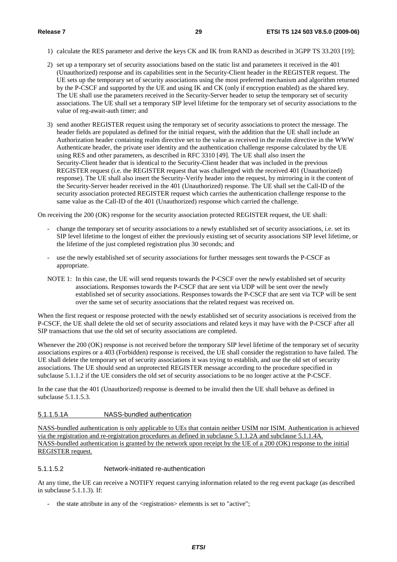- 1) calculate the RES parameter and derive the keys CK and IK from RAND as described in 3GPP TS 33.203 [19];
- 2) set up a temporary set of security associations based on the static list and parameters it received in the 401 (Unauthorized) response and its capabilities sent in the Security-Client header in the REGISTER request. The UE sets up the temporary set of security associations using the most preferred mechanism and algorithm returned by the P-CSCF and supported by the UE and using IK and CK (only if encryption enabled) as the shared key. The UE shall use the parameters received in the Security-Server header to setup the temporary set of security associations. The UE shall set a temporary SIP level lifetime for the temporary set of security associations to the value of reg-await-auth timer; and
- 3) send another REGISTER request using the temporary set of security associations to protect the message. The header fields are populated as defined for the initial request, with the addition that the UE shall include an Authorization header containing realm directive set to the value as received in the realm directive in the WWW Authenticate header, the private user identity and the authentication challenge response calculated by the UE using RES and other parameters, as described in RFC 3310 [49]. The UE shall also insert the Security-Client header that is identical to the Security-Client header that was included in the previous REGISTER request (i.e. the REGISTER request that was challenged with the received 401 (Unauthorized) response). The UE shall also insert the Security-Verify header into the request, by mirroring in it the content of the Security-Server header received in the 401 (Unauthorized) response. The UE shall set the Call-ID of the security association protected REGISTER request which carries the authentication challenge response to the same value as the Call-ID of the 401 (Unauthorized) response which carried the challenge.

On receiving the 200 (OK) response for the security association protected REGISTER request, the UE shall:

- change the temporary set of security associations to a newly established set of security associations, i.e. set its SIP level lifetime to the longest of either the previously existing set of security associations SIP level lifetime, or the lifetime of the just completed registration plus 30 seconds; and
- use the newly established set of security associations for further messages sent towards the P-CSCF as appropriate.
- NOTE 1: In this case, the UE will send requests towards the P-CSCF over the newly established set of security associations. Responses towards the P-CSCF that are sent via UDP will be sent over the newly established set of security associations. Responses towards the P-CSCF that are sent via TCP will be sent over the same set of security associations that the related request was received on.

When the first request or response protected with the newly established set of security associations is received from the P-CSCF, the UE shall delete the old set of security associations and related keys it may have with the P-CSCF after all SIP transactions that use the old set of security associations are completed.

Whenever the 200 (OK) response is not received before the temporary SIP level lifetime of the temporary set of security associations expires or a 403 (Forbidden) response is received, the UE shall consider the registration to have failed. The UE shall delete the temporary set of security associations it was trying to establish, and use the old set of security associations. The UE should send an unprotected REGISTER message according to the procedure specified in subclause 5.1.1.2 if the UE considers the old set of security associations to be no longer active at the P-CSCF.

In the case that the 401 (Unauthorized) response is deemed to be invalid then the UE shall behave as defined in subclause 5.1.1.5.3.

#### 5.1.1.5.1A NASS-bundled authentication

NASS-bundled authentication is only applicable to UEs that contain neither USIM nor ISIM. Authentication is achieved via the registration and re-registration procedures as defined in subclause 5.1.1.2A and subclause 5.1.1.4A. NASS-bundled authentication is granted by the network upon receipt by the UE of a 200 (OK) response to the initial REGISTER request.

#### 5.1.1.5.2 Network-initiated re-authentication

At any time, the UE can receive a NOTIFY request carrying information related to the reg event package (as described in subclause 5.1.1.3). If:

the state attribute in any of the  $\langle$  registration $\rangle$  elements is set to "active";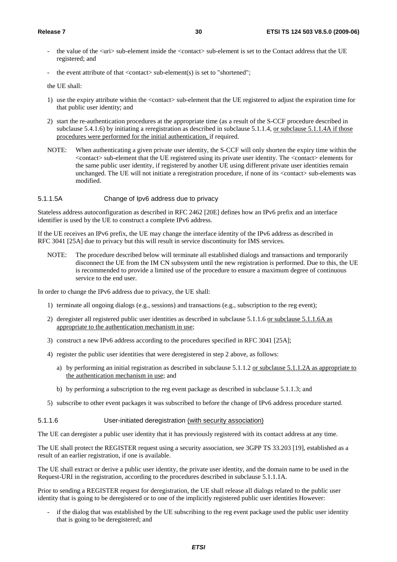- the value of the  $\langle \text{uri} \rangle$  sub-element inside the  $\langle \text{contact} \rangle$  sub-element is set to the Contact address that the UE registered; and
- the event attribute of that  $\langle$ contact $\rangle$  sub-element(s) is set to "shortened";

the UE shall:

- 1) use the expiry attribute within the <contact> sub-element that the UE registered to adjust the expiration time for that public user identity; and
- 2) start the re-authentication procedures at the appropriate time (as a result of the S-CCF procedure described in subclause 5.4.1.6) by initiating a reregistration as described in subclause 5.1.1.4, or subclause 5.1.1.4A if those procedures were performed for the initial authentication, if required.
- NOTE: When authenticating a given private user identity, the S-CCF will only shorten the expiry time within the <contact> sub-element that the UE registered using its private user identity. The <contact> elements for the same public user identity, if registered by another UE using different private user identities remain unchanged. The UE will not initiate a reregistration procedure, if none of its <contact> sub-elements was modified.

#### 5.1.1.5A Change of Ipv6 address due to privacy

Stateless address autoconfiguration as described in RFC 2462 [20E] defines how an IPv6 prefix and an interface identifier is used by the UE to construct a complete IPv6 address.

If the UE receives an IPv6 prefix, the UE may change the interface identity of the IPv6 address as described in RFC 3041 [25A] due to privacy but this will result in service discontinuity for IMS services.

NOTE: The procedure described below will terminate all established dialogs and transactions and temporarily disconnect the UE from the IM CN subsystem until the new registration is performed. Due to this, the UE is recommended to provide a limited use of the procedure to ensure a maximum degree of continuous service to the end user.

In order to change the IPv6 address due to privacy, the UE shall:

- 1) terminate all ongoing dialogs (e.g., sessions) and transactions (e.g., subscription to the reg event);
- 2) deregister all registered public user identities as described in subclause 5.1.1.6 or subclause 5.1.1.6A as appropriate to the authentication mechanism in use;
- 3) construct a new IPv6 address according to the procedures specified in RFC 3041 [25A];
- 4) register the public user identities that were deregistered in step 2 above, as follows:
	- a) by performing an initial registration as described in subclause 5.1.1.2 or subclause 5.1.1.2A as appropriate to the authentication mechanism in use; and
	- b) by performing a subscription to the reg event package as described in subclause 5.1.1.3; and
- 5) subscribe to other event packages it was subscribed to before the change of IPv6 address procedure started.

#### 5.1.1.6 User-initiated deregistration (with security association)

The UE can deregister a public user identity that it has previously registered with its contact address at any time.

The UE shall protect the REGISTER request using a security association, see 3GPP TS 33.203 [19], established as a result of an earlier registration, if one is available.

The UE shall extract or derive a public user identity, the private user identity, and the domain name to be used in the Request-URI in the registration, according to the procedures described in subclause 5.1.1.1A.

Prior to sending a REGISTER request for deregistration, the UE shall release all dialogs related to the public user identity that is going to be deregistered or to one of the implicitly registered public user identities However:

if the dialog that was established by the UE subscribing to the reg event package used the public user identity that is going to be deregistered; and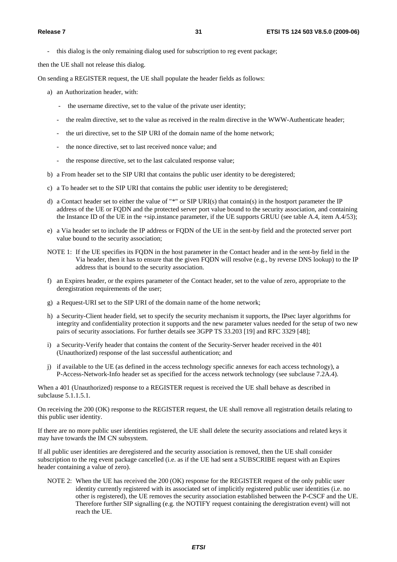this dialog is the only remaining dialog used for subscription to reg event package;

then the UE shall not release this dialog.

On sending a REGISTER request, the UE shall populate the header fields as follows:

- a) an Authorization header, with:
	- the username directive, set to the value of the private user identity;
	- the realm directive, set to the value as received in the realm directive in the WWW-Authenticate header;
	- the uri directive, set to the SIP URI of the domain name of the home network;
	- the nonce directive, set to last received nonce value; and
	- the response directive, set to the last calculated response value;
- b) a From header set to the SIP URI that contains the public user identity to be deregistered;
- c) a To header set to the SIP URI that contains the public user identity to be deregistered;
- d) a Contact header set to either the value of "\*" or SIP URI(s) that contain(s) in the hostport parameter the IP address of the UE or FQDN and the protected server port value bound to the security association, and containing the Instance ID of the UE in the +sip.instance parameter, if the UE supports GRUU (see table A.4, item A.4/53);
- e) a Via header set to include the IP address or FQDN of the UE in the sent-by field and the protected server port value bound to the security association;
- NOTE 1: If the UE specifies its FQDN in the host parameter in the Contact header and in the sent-by field in the Via header, then it has to ensure that the given FQDN will resolve (e.g., by reverse DNS lookup) to the IP address that is bound to the security association.
- f) an Expires header, or the expires parameter of the Contact header, set to the value of zero, appropriate to the deregistration requirements of the user;
- g) a Request-URI set to the SIP URI of the domain name of the home network;
- h) a Security-Client header field, set to specify the security mechanism it supports, the IPsec layer algorithms for integrity and confidentiality protection it supports and the new parameter values needed for the setup of two new pairs of security associations. For further details see 3GPP TS 33.203 [19] and RFC 3329 [48];
- i) a Security-Verify header that contains the content of the Security-Server header received in the 401 (Unauthorized) response of the last successful authentication; and
- j) if available to the UE (as defined in the access technology specific annexes for each access technology), a P-Access-Network-Info header set as specified for the access network technology (see subclause 7.2A.4).

When a 401 (Unauthorized) response to a REGISTER request is received the UE shall behave as described in subclause 5.1.1.5.1.

On receiving the 200 (OK) response to the REGISTER request, the UE shall remove all registration details relating to this public user identity.

If there are no more public user identities registered, the UE shall delete the security associations and related keys it may have towards the IM CN subsystem.

If all public user identities are deregistered and the security association is removed, then the UE shall consider subscription to the reg event package cancelled (i.e. as if the UE had sent a SUBSCRIBE request with an Expires header containing a value of zero).

NOTE 2: When the UE has received the 200 (OK) response for the REGISTER request of the only public user identity currently registered with its associated set of implicitly registered public user identities (i.e. no other is registered), the UE removes the security association established between the P-CSCF and the UE. Therefore further SIP signalling (e.g. the NOTIFY request containing the deregistration event) will not reach the UE.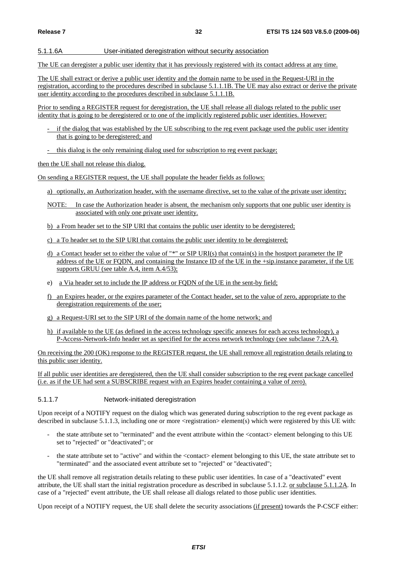#### 5.1.1.6A User-initiated deregistration without security association

The UE can deregister a public user identity that it has previously registered with its contact address at any time.

The UE shall extract or derive a public user identity and the domain name to be used in the Request-URI in the registration, according to the procedures described in subclause 5.1.1.1B. The UE may also extract or derive the private user identity according to the procedures described in subclause  $\overline{5.1.1.1B}$ .

Prior to sending a REGISTER request for deregistration, the UE shall release all dialogs related to the public user identity that is going to be deregistered or to one of the implicitly registered public user identities. However:

- if the dialog that was established by the UE subscribing to the reg event package used the public user identity that is going to be deregistered; and
- this dialog is the only remaining dialog used for subscription to reg event package;

then the UE shall not release this dialog.

On sending a REGISTER request, the UE shall populate the header fields as follows:

- a) optionally, an Authorization header, with the username directive, set to the value of the private user identity;
- NOTE: In case the Authorization header is absent, the mechanism only supports that one public user identity is associated with only one private user identity.
- b) a From header set to the SIP URI that contains the public user identity to be deregistered;
- c) a To header set to the SIP URI that contains the public user identity to be deregistered;
- d) a Contact header set to either the value of "\*" or SIP URI(s) that contain(s) in the hostport parameter the IP address of the UE or FQDN, and containing the Instance ID of the UE in the +sip.instance parameter, if the UE supports GRUU (see table A.4, item A.4/53);
- e) a Via header set to include the IP address or FQDN of the UE in the sent-by field;
- f) an Expires header, or the expires parameter of the Contact header, set to the value of zero, appropriate to the deregistration requirements of the user;
- g) a Request-URI set to the SIP URI of the domain name of the home network; and
- h) if available to the UE (as defined in the access technology specific annexes for each access technology), a P-Access-Network-Info header set as specified for the access network technology (see subclause 7.2A.4).

On receiving the 200 (OK) response to the REGISTER request, the UE shall remove all registration details relating to this public user identity.

If all public user identities are deregistered, then the UE shall consider subscription to the reg event package cancelled (i.e. as if the UE had sent a SUBSCRIBE request with an Expires header containing a value of zero).

5.1.1.7 Network-initiated deregistration

Upon receipt of a NOTIFY request on the dialog which was generated during subscription to the reg event package as described in subclause 5.1.1.3, including one or more  $\leq$  registration $\geq$  element(s) which were registered by this UE with:

- the state attribute set to "terminated" and the event attribute within the <contact> element belonging to this UE set to "rejected" or "deactivated"; or
- the state attribute set to "active" and within the <contact> element belonging to this UE, the state attribute set to "terminated" and the associated event attribute set to "rejected" or "deactivated";

the UE shall remove all registration details relating to these public user identities. In case of a "deactivated" event attribute, the UE shall start the initial registration procedure as described in subclause 5.1.1.2. or subclause 5.1.1.2A. In case of a "rejected" event attribute, the UE shall release all dialogs related to those public user identities.

Upon receipt of a NOTIFY request, the UE shall delete the security associations (if present) towards the P-CSCF either: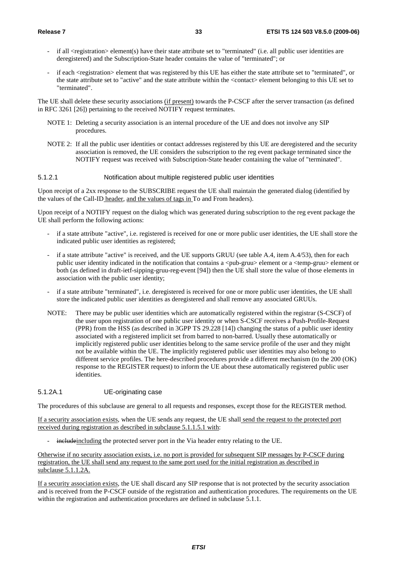- if all  $\leq$  registration $\geq$  element(s) have their state attribute set to "terminated" (i.e. all public user identities are deregistered) and the Subscription-State header contains the value of "terminated"; or
- if each <registration> element that was registered by this UE has either the state attribute set to "terminated", or the state attribute set to "active" and the state attribute within the <contact> element belonging to this UE set to "terminated".

The UE shall delete these security associations (if present) towards the P-CSCF after the server transaction (as defined in RFC 3261 [26]) pertaining to the received NOTIFY request terminates.

- NOTE 1: Deleting a security association is an internal procedure of the UE and does not involve any SIP procedures.
- NOTE 2: If all the public user identities or contact addresses registered by this UE are deregistered and the security association is removed, the UE considers the subscription to the reg event package terminated since the NOTIFY request was received with Subscription-State header containing the value of "terminated".

#### 5.1.2.1 Notification about multiple registered public user identities

Upon receipt of a 2xx response to the SUBSCRIBE request the UE shall maintain the generated dialog (identified by the values of the Call-ID header, and the values of tags in To and From headers).

Upon receipt of a NOTIFY request on the dialog which was generated during subscription to the reg event package the UE shall perform the following actions:

- if a state attribute "active", i.e. registered is received for one or more public user identities, the UE shall store the indicated public user identities as registered;
- if a state attribute "active" is received, and the UE supports GRUU (see table A.4, item A.4/53), then for each public user identity indicated in the notification that contains a  $\langle$ pub-gruu $\rangle$  element or a  $\langle$ temp-gruu $\rangle$  element or both (as defined in draft-ietf-sipping-gruu-reg-event [94]) then the UE shall store the value of those elements in association with the public user identity;
- if a state attribute "terminated", i.e. deregistered is received for one or more public user identities, the UE shall store the indicated public user identities as deregistered and shall remove any associated GRUUs.
- NOTE: There may be public user identities which are automatically registered within the registrar (S-CSCF) of the user upon registration of one public user identity or when S-CSCF receives a Push-Profile-Request (PPR) from the HSS (as described in 3GPP TS 29.228 [14]) changing the status of a public user identity associated with a registered implicit set from barred to non-barred. Usually these automatically or implicitly registered public user identities belong to the same service profile of the user and they might not be available within the UE. The implicitly registered public user identities may also belong to different service profiles. The here-described procedures provide a different mechanism (to the 200 (OK) response to the REGISTER request) to inform the UE about these automatically registered public user identities.

#### 5.1.2A.1 UE-originating case

The procedures of this subclause are general to all requests and responses, except those for the REGISTER method.

If a security association exists, when the UE sends any request, the UE shall send the request to the protected port received during registration as described in subclause 5.1.1.5.1 with:

includeincluding the protected server port in the Via header entry relating to the UE.

Otherwise if no security association exists, i.e. no port is provided for subsequent SIP messages by P-CSCF during registration, the UE shall send any request to the same port used for the initial registration as described in subclause 5.1.1.2A.

If a security association exists, the UE shall discard any SIP response that is not protected by the security association and is received from the P-CSCF outside of the registration and authentication procedures. The requirements on the UE within the registration and authentication procedures are defined in subclause 5.1.1.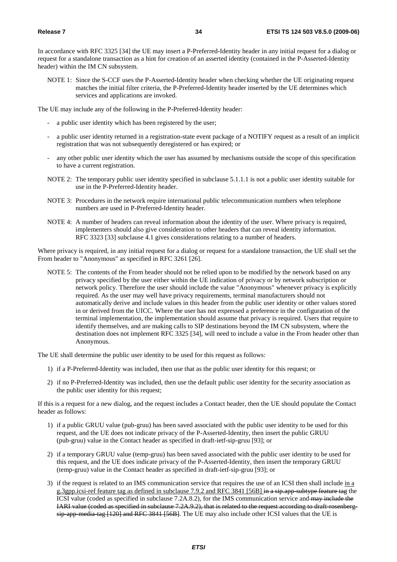In accordance with RFC 3325 [34] the UE may insert a P-Preferred-Identity header in any initial request for a dialog or request for a standalone transaction as a hint for creation of an asserted identity (contained in the P-Asserted-Identity header) within the IM CN subsystem.

NOTE 1: Since the S-CCF uses the P-Asserted-Identity header when checking whether the UE originating request matches the initial filter criteria, the P-Preferred-Identity header inserted by the UE determines which services and applications are invoked.

The UE may include any of the following in the P-Preferred-Identity header:

- a public user identity which has been registered by the user;
- a public user identity returned in a registration-state event package of a NOTIFY request as a result of an implicit registration that was not subsequently deregistered or has expired; or
- any other public user identity which the user has assumed by mechanisms outside the scope of this specification to have a current registration.
- NOTE 2: The temporary public user identity specified in subclause 5.1.1.1 is not a public user identity suitable for use in the P-Preferred-Identity header.
- NOTE 3: Procedures in the network require international public telecommunication numbers when telephone numbers are used in P-Preferred-Identity header.
- NOTE 4: A number of headers can reveal information about the identity of the user. Where privacy is required, implementers should also give consideration to other headers that can reveal identity information. RFC 3323 [33] subclause 4.1 gives considerations relating to a number of headers.

Where privacy is required, in any initial request for a dialog or request for a standalone transaction, the UE shall set the From header to "Anonymous" as specified in RFC 3261 [26].

NOTE 5: The contents of the From header should not be relied upon to be modified by the network based on any privacy specified by the user either within the UE indication of privacy or by network subscription or network policy. Therefore the user should include the value "Anonymous" whenever privacy is explicitly required. As the user may well have privacy requirements, terminal manufacturers should not automatically derive and include values in this header from the public user identity or other values stored in or derived from the UICC. Where the user has not expressed a preference in the configuration of the terminal implementation, the implementation should assume that privacy is required. Users that require to identify themselves, and are making calls to SIP destinations beyond the IM CN subsystem, where the destination does not implement RFC 3325 [34], will need to include a value in the From header other than Anonymous.

The UE shall determine the public user identity to be used for this request as follows:

- 1) if a P-Preferred-Identity was included, then use that as the public user identity for this request; or
- 2) if no P-Preferred-Identity was included, then use the default public user identity for the security association as the public user identity for this request;

If this is a request for a new dialog, and the request includes a Contact header, then the UE should populate the Contact header as follows:

- 1) if a public GRUU value (pub-gruu) has been saved associated with the public user identity to be used for this request, and the UE does not indicate privacy of the P-Asserted-Identity, then insert the public GRUU (pub-gruu) value in the Contact header as specified in draft-ietf-sip-gruu [93]; or
- 2) if a temporary GRUU value (temp-gruu) has been saved associated with the public user identity to be used for this request, and the UE does indicate privacy of the P-Asserted-Identity, then insert the temporary GRUU (temp-gruu) value in the Contact header as specified in draft-ietf-sip-gruu [93]; or
- 3) if the request is related to an IMS communication service that requires the use of an ICSI then shall include in a g.3gpp.icsi-ref feature tag as defined in subclause 7.9.2 and RFC 3841 [56B] in a sip.app-subtype feature tag the ICSI value (coded as specified in subclause 7.2A.8.2), for the IMS communication service and may include the IARI value (coded as specified in subclause 7.2A.9.2), that is related to the request according to draft-rosenbergsip app media-tag [120] and RFC 3841 [56B]. The UE may also include other ICSI values that the UE is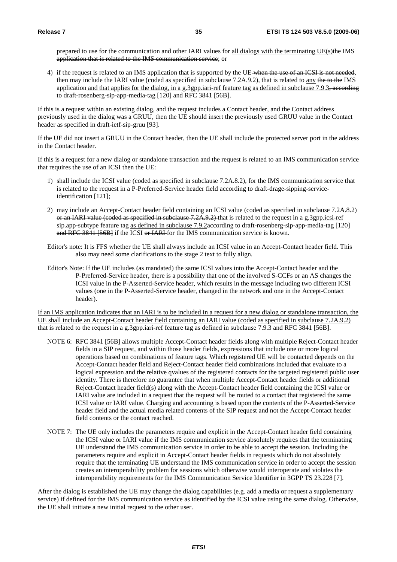prepared to use for the communication and other IARI values for all dialogs with the terminating UE(s)the IMS application that is related to the IMS communication service; or

4) if the request is related to an IMS application that is supported by the UE-when the use of an ICSI is not needed, then may include the IARI value (coded as specified in subclause  $7.2A.9.2$ ), that is related to any the to the IMS application and that applies for the dialog, in a g.3gpp.iari-ref feature tag as defined in subclause 7.9.3, according to draft rosenberg-sip-app-media-tag [120] and RFC 3841 [56B].

If this is a request within an existing dialog, and the request includes a Contact header, and the Contact address previously used in the dialog was a GRUU, then the UE should insert the previously used GRUU value in the Contact header as specified in draft-ietf-sip-gruu [93].

If the UE did not insert a GRUU in the Contact header, then the UE shall include the protected server port in the address in the Contact header.

If this is a request for a new dialog or standalone transaction and the request is related to an IMS communication service that requires the use of an ICSI then the UE:

- 1) shall include the ICSI value (coded as specified in subclause 7.2A.8.2), for the IMS communication service that is related to the request in a P-Preferred-Service header field according to draft-drage-sipping-serviceidentification [121];
- 2) may include an Accept-Contact header field containing an ICSI value (coded as specified in subclause 7.2A.8.2) or an IARI value (coded as specified in subclause 7.2A.9.2) that is related to the request in a g.3gpp.icsi-ref sip.app-subtype-feature tag as defined in subclause 7.9.2according to draft-rosenberg-sip-app-media-tag [120] and RFC 3841 [56B] if the ICSI or IARI for the IMS communication service is known.
- Editor's note: It is FFS whether the UE shall always include an ICSI value in an Accept-Contact header field. This also may need some clarifications to the stage 2 text to fully align.
- Editor's Note: If the UE includes (as mandated) the same ICSI values into the Accept-Contact header and the P-Preferred-Service header, there is a possibility that one of the involved S-CCFs or an AS changes the ICSI value in the P-Asserted-Service header, which results in the message including two different ICSI values (one in the P-Asserted-Service header, changed in the network and one in the Accept-Contact header).

If an IMS application indicates that an IARI is to be included in a request for a new dialog or standalone transaction, the UE shall include an Accept-Contact header field containing an IARI value (coded as specified in subclause 7.2A.9.2) that is related to the request in a g.3gpp.iari-ref feature tag as defined in subclause 7.9.3 and RFC 3841 [56B].

- NOTE 6: RFC 3841 [56B] allows multiple Accept-Contact header fields along with multiple Reject-Contact header fields in a SIP request, and within those header fields, expressions that include one or more logical operations based on combinations of feature tags. Which registered UE will be contacted depends on the Accept-Contact header field and Reject-Contact header field combinations included that evaluate to a logical expression and the relative qvalues of the registered contacts for the targeted registered public user identity. There is therefore no guarantee that when multiple Accept-Contact header fields or additional Reject-Contact header field(s) along with the Accept-Contact header field containing the ICSI value or IARI value are included in a request that the request will be routed to a contact that registered the same ICSI value or IARI value. Charging and accounting is based upon the contents of the P-Asserted-Service header field and the actual media related contents of the SIP request and not the Accept-Contact header field contents or the contact reached.
- NOTE 7: The UE only includes the parameters require and explicit in the Accept-Contact header field containing the ICSI value or IARI value if the IMS communication service absolutely requires that the terminating UE understand the IMS communication service in order to be able to accept the session. Including the parameters require and explicit in Accept-Contact header fields in requests which do not absolutely require that the terminating UE understand the IMS communication service in order to accept the session creates an interoperability problem for sessions which otherwise would interoperate and violates the interoperability requirements for the IMS Communication Service Identifier in 3GPP TS 23.228 [7].

After the dialog is established the UE may change the dialog capabilities (e.g. add a media or request a supplementary service) if defined for the IMS communication service as identified by the ICSI value using the same dialog. Otherwise, the UE shall initiate a new initial request to the other user.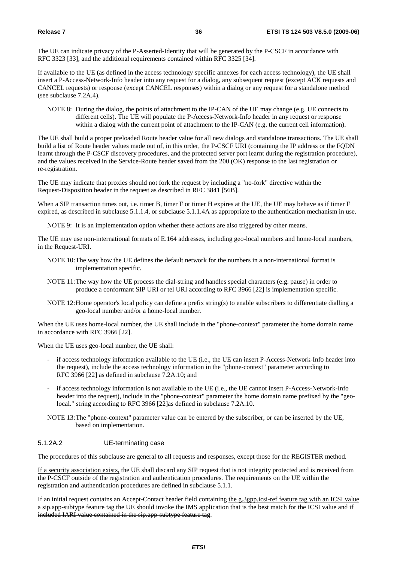The UE can indicate privacy of the P-Asserted-Identity that will be generated by the P-CSCF in accordance with RFC 3323 [33], and the additional requirements contained within RFC 3325 [34].

If available to the UE (as defined in the access technology specific annexes for each access technology), the UE shall insert a P-Access-Network-Info header into any request for a dialog, any subsequent request (except ACK requests and CANCEL requests) or response (except CANCEL responses) within a dialog or any request for a standalone method (see subclause 7.2A.4).

NOTE 8: During the dialog, the points of attachment to the IP-CAN of the UE may change (e.g. UE connects to different cells). The UE will populate the P-Access-Network-Info header in any request or response within a dialog with the current point of attachment to the IP-CAN (e.g. the current cell information).

The UE shall build a proper preloaded Route header value for all new dialogs and standalone transactions. The UE shall build a list of Route header values made out of, in this order, the P-CSCF URI (containing the IP address or the FQDN learnt through the P-CSCF discovery procedures, and the protected server port learnt during the registration procedure), and the values received in the Service-Route header saved from the 200 (OK) response to the last registration or re-registration.

The UE may indicate that proxies should not fork the request by including a "no-fork" directive within the Request-Disposition header in the request as described in RFC 3841 [56B].

When a SIP transaction times out, i.e. timer B, timer F or timer H expires at the UE, the UE may behave as if timer F expired, as described in subclause 5.1.1.4, or subclause 5.1.1.4A as appropriate to the authentication mechanism in use.

NOTE 9: It is an implementation option whether these actions are also triggered by other means.

The UE may use non-international formats of E.164 addresses, including geo-local numbers and home-local numbers, in the Request-URI.

- NOTE 10: The way how the UE defines the default network for the numbers in a non-international format is implementation specific.
- NOTE 11: The way how the UE process the dial-string and handles special characters (e.g. pause) in order to produce a conformant SIP URI or tel URI according to RFC 3966 [22] is implementation specific.
- NOTE 12: Home operator's local policy can define a prefix string(s) to enable subscribers to differentiate dialling a geo-local number and/or a home-local number.

When the UE uses home-local number, the UE shall include in the "phone-context" parameter the home domain name in accordance with RFC 3966 [22].

When the UE uses geo-local number, the UE shall:

- if access technology information available to the UE (i.e., the UE can insert P-Access-Network-Info header into the request), include the access technology information in the "phone-context" parameter according to RFC 3966 [22] as defined in subclause 7.2A.10; and
- if access technology information is not available to the UE (i.e., the UE cannot insert P-Access-Network-Info header into the request), include in the "phone-context" parameter the home domain name prefixed by the "geolocal." string according to RFC 3966 [22]as defined in subclause 7.2A.10.
- NOTE 13: The "phone-context" parameter value can be entered by the subscriber, or can be inserted by the UE, based on implementation.

## 5.1.2A.2 UE-terminating case

The procedures of this subclause are general to all requests and responses, except those for the REGISTER method.

If a security association exists, the UE shall discard any SIP request that is not integrity protected and is received from the P-CSCF outside of the registration and authentication procedures. The requirements on the UE within the registration and authentication procedures are defined in subclause 5.1.1.

If an initial request contains an Accept-Contact header field containing the g.3gpp.icsi-ref feature tag with an ICSI value a sip.app subtype feature tag the UE should invoke the IMS application that is the best match for the ICSI value and if included IARI value contained in the sip.app-subtype feature tag.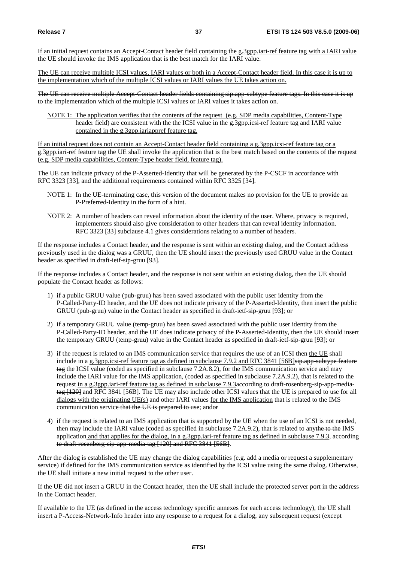If an initial request contains an Accept-Contact header field containing the g.3gpp.iari-ref feature tag with a IARI value the UE should invoke the IMS application that is the best match for the IARI value.

The UE can receive multiple ICSI values, IARI values or both in a Accept-Contact header field. In this case it is up to the implementation which of the multiple ICSI values or IARI values the UE takes action on.

The UE can receive multiple Accept-Contact header fields containing sip.app-subtype feature tags. In this case it is up to the implementation which of the multiple ICSI values or IARI values it takes action on.

NOTE 1: The application verifies that the contents of the request (e.g. SDP media capabilities, Content-Type header field) are consistent with the the ICSI value in the g.3gpp.icsi-ref feature tag and IARI value contained in the g.3gpp.iariappref feature tag.

If an initial request does not contain an Accept-Contact header field containing a g.3gpp.icsi-ref feature tag or a g.3gpp.iari-ref feature tag the UE shall invoke the application that is the best match based on the contents of the request (e.g. SDP media capabilities, Content-Type header field, feature tag).

The UE can indicate privacy of the P-Asserted-Identity that will be generated by the P-CSCF in accordance with RFC 3323 [33], and the additional requirements contained within RFC 3325 [34].

- NOTE 1: In the UE-terminating case, this version of the document makes no provision for the UE to provide an P-Preferred-Identity in the form of a hint.
- NOTE 2: A number of headers can reveal information about the identity of the user. Where, privacy is required, implementers should also give consideration to other headers that can reveal identity information. RFC 3323 [33] subclause 4.1 gives considerations relating to a number of headers.

If the response includes a Contact header, and the response is sent within an existing dialog, and the Contact address previously used in the dialog was a GRUU, then the UE should insert the previously used GRUU value in the Contact header as specified in draft-ietf-sip-gruu [93].

If the response includes a Contact header, and the response is not sent within an existing dialog, then the UE should populate the Contact header as follows:

- 1) if a public GRUU value (pub-gruu) has been saved associated with the public user identity from the P-Called-Party-ID header, and the UE does not indicate privacy of the P-Asserted-Identity, then insert the public GRUU (pub-gruu) value in the Contact header as specified in draft-ietf-sip-gruu [93]; or
- 2) if a temporary GRUU value (temp-gruu) has been saved associated with the public user identity from the P-Called-Party-ID header, and the UE does indicate privacy of the P-Asserted-Identity, then the UE should insert the temporary GRUU (temp-gruu) value in the Contact header as specified in draft-ietf-sip-gruu [93]; or
- 3) if the request is related to an IMS communication service that requires the use of an ICSI then the UE shall include in a g.3gpp.icsi-ref feature tag as defined in subclause 7.9.2 and RFC 3841 [56B]sip.app-subtype feature tag the ICSI value (coded as specified in subclause 7.2A.8.2), for the IMS communication service and may include the IARI value for the IMS application, (coded as specified in subclause 7.2A.9.2), that is related to the request in a g.3gpp.iari-ref feature tag as defined in subclause 7.9.3<del>according to draft rosenberg-sip-app-media-</del> tag  $[120]$  and RFC 3841 [56B]. The UE may also include other ICSI values that the UE is prepared to use for all dialogs with the originating UE(s) and other IARI values for the IMS application that is related to the IMS communication service that the UE is prepared to use; andor
- 4) if the request is related to an IMS application that is supported by the UE when the use of an ICSI is not needed, then may include the IARI value (coded as specified in subclause 7.2A.9.2), that is related to anythe to the IMS application and that applies for the dialog, in a g.3gpp.iari-ref feature tag as defined in subclause 7.9.3, according to draft-rosenberg-sip-app-media-tag [120] and RFC 3841 [56B].

After the dialog is established the UE may change the dialog capabilities (e.g. add a media or request a supplementary service) if defined for the IMS communication service as identified by the ICSI value using the same dialog. Otherwise, the UE shall initiate a new initial request to the other user.

If the UE did not insert a GRUU in the Contact header, then the UE shall include the protected server port in the address in the Contact header.

If available to the UE (as defined in the access technology specific annexes for each access technology), the UE shall insert a P-Access-Network-Info header into any response to a request for a dialog, any subsequent request (except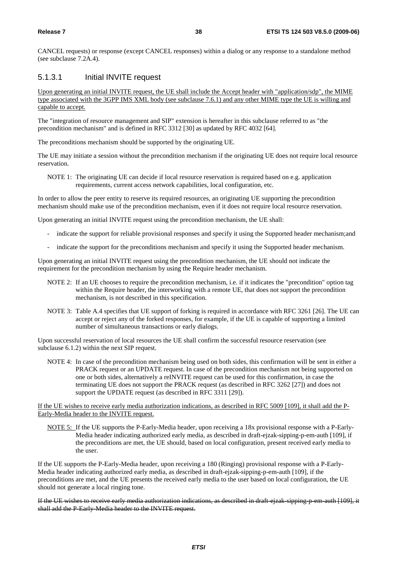CANCEL requests) or response (except CANCEL responses) within a dialog or any response to a standalone method (see subclause 7.2A.4).

# 5.1.3.1 Initial INVITE request

Upon generating an initial INVITE request, the UE shall include the Accept header with "application/sdp", the MIME type associated with the 3GPP IMS XML body (see subclause 7.6.1) and any other MIME type the UE is willing and capable to accept.

The "integration of resource management and SIP" extension is hereafter in this subclause referred to as "the precondition mechanism" and is defined in RFC 3312 [30] as updated by RFC 4032 [64].

The preconditions mechanism should be supported by the originating UE.

The UE may initiate a session without the precondition mechanism if the originating UE does not require local resource reservation.

NOTE 1: The originating UE can decide if local resource reservation is required based on e.g. application requirements, current access network capabilities, local configuration, etc.

In order to allow the peer entity to reserve its required resources, an originating UE supporting the precondition mechanism should make use of the precondition mechanism, even if it does not require local resource reservation.

Upon generating an initial INVITE request using the precondition mechanism, the UE shall:

- indicate the support for reliable provisional responses and specify it using the Supported header mechanism;and
- indicate the support for the preconditions mechanism and specify it using the Supported header mechanism.

Upon generating an initial INVITE request using the precondition mechanism, the UE should not indicate the requirement for the precondition mechanism by using the Require header mechanism.

- NOTE 2: If an UE chooses to require the precondition mechanism, i.e. if it indicates the "precondition" option tag within the Require header, the interworking with a remote UE, that does not support the precondition mechanism, is not described in this specification.
- NOTE 3: Table A.4 specifies that UE support of forking is required in accordance with RFC 3261 [26]. The UE can accept or reject any of the forked responses, for example, if the UE is capable of supporting a limited number of simultaneous transactions or early dialogs.

Upon successful reservation of local resources the UE shall confirm the successful resource reservation (see subclause 6.1.2) within the next SIP request.

NOTE 4: In case of the precondition mechanism being used on both sides, this confirmation will be sent in either a PRACK request or an UPDATE request. In case of the precondition mechanism not being supported on one or both sides, alternatively a reINVITE request can be used for this confirmation, in case the terminating UE does not support the PRACK request (as described in RFC 3262 [27]) and does not support the UPDATE request (as described in RFC 3311 [29]).

If the UE wishes to receive early media authorization indications, as described in RFC 5009 [109], it shall add the P-Early-Media header to the INVITE request.

NOTE 5: If the UE supports the P-Early-Media header, upon receiving a 18x provisional response with a P-Early-Media header indicating authorized early media, as described in draft-ejzak-sipping-p-em-auth [109], if the preconditions are met, the UE should, based on local configuration, present received early media to the user.

If the UE supports the P-Early-Media header, upon receiving a 180 (Ringing) provisional response with a P-Early-Media header indicating authorized early media, as described in draft-ejzak-sipping-p-em-auth [109], if the preconditions are met, and the UE presents the received early media to the user based on local configuration, the UE should not generate a local ringing tone.

If the UE wishes to receive early media authorization indications, as described in draft-ejzak-sipping-p-em-auth [109], it shall add the P-Early-Media header to the INVITE request.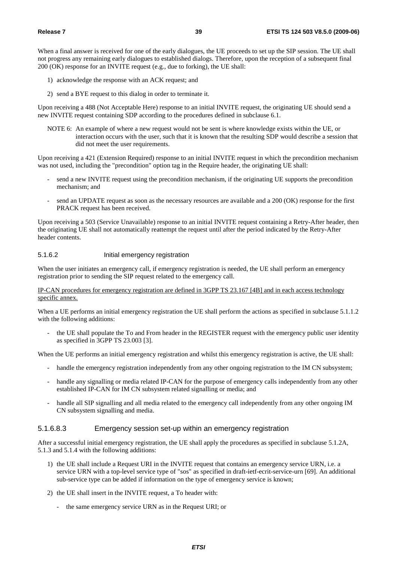When a final answer is received for one of the early dialogues, the UE proceeds to set up the SIP session. The UE shall not progress any remaining early dialogues to established dialogs. Therefore, upon the reception of a subsequent final 200 (OK) response for an INVITE request (e.g., due to forking), the UE shall:

- 1) acknowledge the response with an ACK request; and
- 2) send a BYE request to this dialog in order to terminate it.

Upon receiving a 488 (Not Acceptable Here) response to an initial INVITE request, the originating UE should send a new INVITE request containing SDP according to the procedures defined in subclause 6.1.

NOTE 6: An example of where a new request would not be sent is where knowledge exists within the UE, or interaction occurs with the user, such that it is known that the resulting SDP would describe a session that did not meet the user requirements.

Upon receiving a 421 (Extension Required) response to an initial INVITE request in which the precondition mechanism was not used, including the "precondition" option tag in the Require header, the originating UE shall:

- send a new INVITE request using the precondition mechanism, if the originating UE supports the precondition mechanism; and
- send an UPDATE request as soon as the necessary resources are available and a 200 (OK) response for the first PRACK request has been received.

Upon receiving a 503 (Service Unavailable) response to an initial INVITE request containing a Retry-After header, then the originating UE shall not automatically reattempt the request until after the period indicated by the Retry-After header contents.

### 5.1.6.2 Initial emergency registration

When the user initiates an emergency call, if emergency registration is needed, the UE shall perform an emergency registration prior to sending the SIP request related to the emergency call.

# IP-CAN procedures for emergency registration are defined in 3GPP TS 23.167 [4B] and in each access technology specific annex.

When a UE performs an initial emergency registration the UE shall perform the actions as specified in subclause 5.1.1.2 with the following additions:

- the UE shall populate the To and From header in the REGISTER request with the emergency public user identity as specified in 3GPP TS 23.003 [3].

When the UE performs an initial emergency registration and whilst this emergency registration is active, the UE shall:

- handle the emergency registration independently from any other ongoing registration to the IM CN subsystem;
- handle any signalling or media related IP-CAN for the purpose of emergency calls independently from any other established IP-CAN for IM CN subsystem related signalling or media; and
- handle all SIP signalling and all media related to the emergency call independently from any other ongoing IM CN subsystem signalling and media.

## 5.1.6.8.3 Emergency session set-up within an emergency registration

After a successful initial emergency registration, the UE shall apply the procedures as specified in subclause 5.1.2A, 5.1.3 and 5.1.4 with the following additions:

- 1) the UE shall include a Request URI in the INVITE request that contains an emergency service URN, i.e. a service URN with a top-level service type of "sos" as specified in draft-ietf-ecrit-service-urn [69]. An additional sub-service type can be added if information on the type of emergency service is known;
- 2) the UE shall insert in the INVITE request, a To header with:
	- the same emergency service URN as in the Request URI; or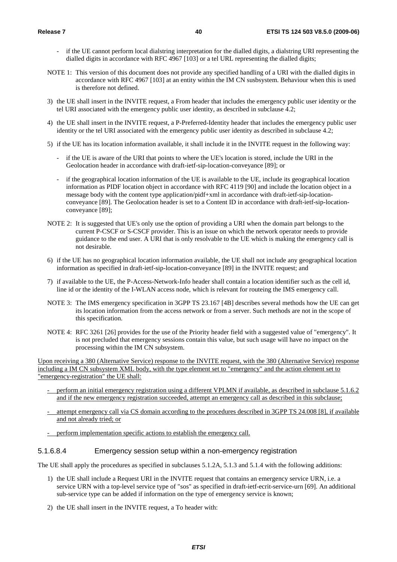- if the UE cannot perform local dialstring interpretation for the dialled digits, a dialstring URI representing the dialled digits in accordance with RFC 4967 [103] or a tel URL representing the dialled digits;
- NOTE 1: This version of this document does not provide any specified handling of a URI with the dialled digits in accordance with RFC 4967 [103] at an entity within the IM CN susbsystem. Behaviour when this is used is therefore not defined.
- 3) the UE shall insert in the INVITE request, a From header that includes the emergency public user identity or the tel URI associated with the emergency public user identity, as described in subclause 4.2;
- 4) the UE shall insert in the INVITE request, a P-Preferred-Identity header that includes the emergency public user identity or the tel URI associated with the emergency public user identity as described in subclause 4.2;
- 5) if the UE has its location information available, it shall include it in the INVITE request in the following way:
	- if the UE is aware of the URI that points to where the UE's location is stored, include the URI in the Geolocation header in accordance with draft-ietf-sip-location-conveyance [89]; or
	- if the geographical location information of the UE is available to the UE, include its geographical location information as PIDF location object in accordance with RFC 4119 [90] and include the location object in a message body with the content type application/pidf+xml in accordance with draft-ietf-sip-locationconveyance [89]. The Geolocation header is set to a Content ID in accordance with draft-ietf-sip-locationconveyance [89];
- NOTE 2: It is suggested that UE's only use the option of providing a URI when the domain part belongs to the current P-CSCF or S-CSCF provider. This is an issue on which the network operator needs to provide guidance to the end user. A URI that is only resolvable to the UE which is making the emergency call is not desirable.
- 6) if the UE has no geographical location information available, the UE shall not include any geographical location information as specified in draft-ietf-sip-location-conveyance [89] in the INVITE request; and
- 7) if available to the UE, the P-Access-Network-Info header shall contain a location identifier such as the cell id, line id or the identity of the I-WLAN access node, which is relevant for routeing the IMS emergency call.
- NOTE 3: The IMS emergency specification in 3GPP TS 23.167 [4B] describes several methods how the UE can get its location information from the access network or from a server. Such methods are not in the scope of this specification.
- NOTE 4: RFC 3261 [26] provides for the use of the Priority header field with a suggested value of "emergency". It is not precluded that emergency sessions contain this value, but such usage will have no impact on the processing within the IM CN subsystem.

Upon receiving a 380 (Alternative Service) response to the INVITE request, with the 380 (Alternative Service) response including a IM CN subsystem XML body, with the type element set to "emergency" and the action element set to "emergency-registration" the UE shall:

- perform an initial emergency registration using a different VPLMN if available, as described in subclause 5.1.6.2 and if the new emergency registration succeeded, attempt an emergency call as described in this subclause;
- attempt emergency call via CS domain according to the procedures described in 3GPP TS 24.008 [8], if available and not already tried; or
- perform implementation specific actions to establish the emergency call.

# 5.1.6.8.4 Emergency session setup within a non-emergency registration

The UE shall apply the procedures as specified in subclauses 5.1.2A, 5.1.3 and 5.1.4 with the following additions:

- 1) the UE shall include a Request URI in the INVITE request that contains an emergency service URN, i.e. a service URN with a top-level service type of "sos" as specified in draft-ietf-ecrit-service-urn [69]. An additional sub-service type can be added if information on the type of emergency service is known;
- 2) the UE shall insert in the INVITE request, a To header with: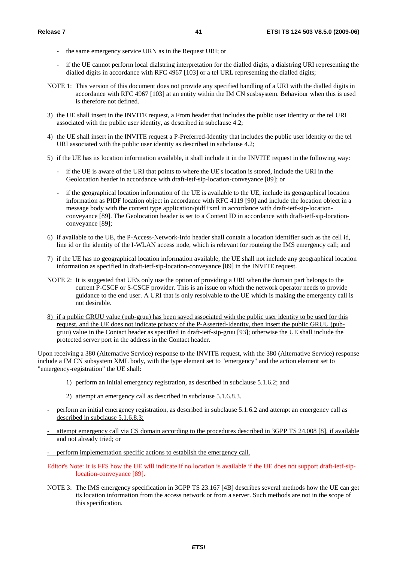- the same emergency service URN as in the Request URI; or
- if the UE cannot perform local dialstring interpretation for the dialled digits, a dialstring URI representing the dialled digits in accordance with RFC 4967 [103] or a tel URL representing the dialled digits;
- NOTE 1: This version of this document does not provide any specified handling of a URI with the dialled digits in accordance with RFC 4967 [103] at an entity within the IM CN susbsystem. Behaviour when this is used is therefore not defined.
- 3) the UE shall insert in the INVITE request, a From header that includes the public user identity or the tel URI associated with the public user identity, as described in subclause 4.2;
- 4) the UE shall insert in the INVITE request a P-Preferred-Identity that includes the public user identity or the tel URI associated with the public user identity as described in subclause 4.2;
- 5) if the UE has its location information available, it shall include it in the INVITE request in the following way:
	- if the UE is aware of the URI that points to where the UE's location is stored, include the URI in the Geolocation header in accordance with draft-ietf-sip-location-conveyance [89]; or
	- if the geographical location information of the UE is available to the UE, include its geographical location information as PIDF location object in accordance with RFC 4119 [90] and include the location object in a message body with the content type application/pidf+xml in accordance with draft-ietf-sip-locationconveyance [89]. The Geolocation header is set to a Content ID in accordance with draft-ietf-sip-locationconveyance [89];
- 6) if available to the UE, the P-Access-Network-Info header shall contain a location identifier such as the cell id, line id or the identity of the I-WLAN access node, which is relevant for routeing the IMS emergency call; and
- 7) if the UE has no geographical location information available, the UE shall not include any geographical location information as specified in draft-ietf-sip-location-conveyance [89] in the INVITE request.
- NOTE 2: It is suggested that UE's only use the option of providing a URI when the domain part belongs to the current P-CSCF or S-CSCF provider. This is an issue on which the network operator needs to provide guidance to the end user. A URI that is only resolvable to the UE which is making the emergency call is not desirable.
- 8) if a public GRUU value (pub-gruu) has been saved associated with the public user identity to be used for this request, and the UE does not indicate privacy of the P-Asserted-Identity, then insert the public GRUU (pubgruu) value in the Contact header as specified in draft-ietf-sip-gruu [93]; otherwise the UE shall include the protected server port in the address in the Contact header.

Upon receiving a 380 (Alternative Service) response to the INVITE request, with the 380 (Alternative Service) response include a IM CN subsystem XML body, with the type element set to "emergency" and the action element set to "emergency-registration" the UE shall:

1) perform an initial emergency registration, as described in subclause 5.1.6.2; and

2) attempt an emergency call as described in subclause 5.1.6.8.3.

- perform an initial emergency registration, as described in subclause 5.1.6.2 and attempt an emergency call as described in subclause 5.1.6.8.3;
- attempt emergency call via CS domain according to the procedures described in 3GPP TS 24.008 [8], if available and not already tried; or

- perform implementation specific actions to establish the emergency call.

- Editor's Note: It is FFS how the UE will indicate if no location is available if the UE does not support draft-ietf-siplocation-conveyance [89].
- NOTE 3: The IMS emergency specification in 3GPP TS 23.167 [4B] describes several methods how the UE can get its location information from the access network or from a server. Such methods are not in the scope of this specification.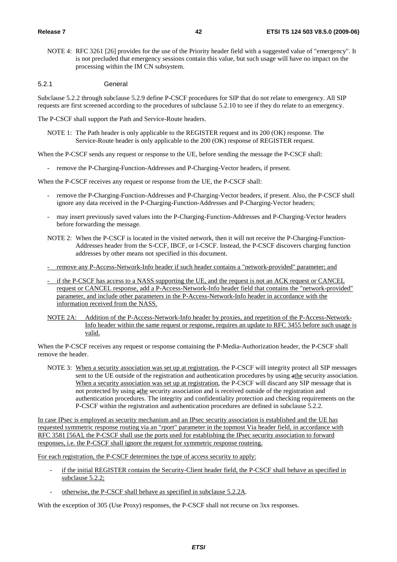NOTE 4: RFC 3261 [26] provides for the use of the Priority header field with a suggested value of "emergency". It is not precluded that emergency sessions contain this value, but such usage will have no impact on the processing within the IM CN subsystem.

#### 5.2.1 General

Subclause 5.2.2 through subclause 5.2.9 define P-CSCF procedures for SIP that do not relate to emergency. All SIP requests are first screened according to the procedures of subclause 5.2.10 to see if they do relate to an emergency.

The P-CSCF shall support the Path and Service-Route headers.

NOTE 1: The Path header is only applicable to the REGISTER request and its 200 (OK) response. The Service-Route header is only applicable to the 200 (OK) response of REGISTER request.

When the P-CSCF sends any request or response to the UE, before sending the message the P-CSCF shall:

- remove the P-Charging-Function-Addresses and P-Charging-Vector headers, if present.

When the P-CSCF receives any request or response from the UE, the P-CSCF shall:

- remove the P-Charging-Function-Addresses and P-Charging-Vector headers, if present. Also, the P-CSCF shall ignore any data received in the P-Charging-Function-Addresses and P-Charging-Vector headers;
- may insert previously saved values into the P-Charging-Function-Addresses and P-Charging-Vector headers before forwarding the message.
- NOTE 2: When the P-CSCF is located in the visited network, then it will not receive the P-Charging-Function-Addresses header from the S-CCF, IBCF, or I-CSCF. Instead, the P-CSCF discovers charging function addresses by other means not specified in this document.
- remove any P-Access-Network-Info header if such header contains a "network-provided" parameter; and
- if the P-CSCF has access to a NASS supporting the UE, and the request is not an ACK request or CANCEL request or CANCEL response, add a P-Access-Network-Info header field that contains the "network-provided" parameter, and include other parameters in the P-Access-Network-Info header in accordance with the information received from the NASS.
- NOTE 2A: Addition of the P-Access-Network-Info header by proxies, and repetition of the P-Access-Network-Info header within the same request or response, requires an update to RFC 3455 before such usage is valid.

When the P-CSCF receives any request or response containing the P-Media-Authorization header, the P-CSCF shall remove the header.

NOTE 3: When a security association was set up at registration, the P-CSCF will integrity protect all SIP messages sent to the UE outside of the registration and authentication procedures by using  $\frac{a_{th}}{b}$  security association. When a security association was set up at registration, the P-CSCF will discard any SIP message that is not protected by using athe security association and is received outside of the registration and authentication procedures. The integrity and confidentiality protection and checking requirements on the P-CSCF within the registration and authentication procedures are defined in subclause 5.2.2.

In case IPsec is employed as security mechanism and an IPsec security association is established and the UE has requested symmetric response routing via an "rport" parameter in the topmost Via header field, in accordance with RFC 3581 [56A], the P-CSCF shall use the ports used for establishing the IPsec security association to forward responses, i.e. the P-CSCF shall ignore the request for symmetric response routeing.

For each registration, the P-CSCF determines the type of access security to apply:

- if the initial REGISTER contains the Security-Client header field, the P-CSCF shall behave as specified in subclause 5.2.2;
- otherwise, the P-CSCF shall behave as specified in subclause 5.2.2A.

With the exception of 305 (Use Proxy) responses, the P-CSCF shall not recurse on 3xx responses.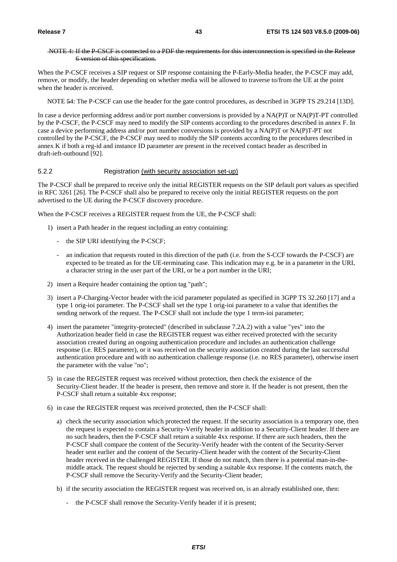# NOTE 4: If the P-CSCF is connected to a PDF the requirements for this interconnection is specified in the Release 6 version of this specification.

When the P-CSCF receives a SIP request or SIP response containing the P-Early-Media header, the P-CSCF may add, remove, or modify, the header depending on whether media will be allowed to traverse to/from the UE at the point when the header is received.

NOTE 54: The P-CSCF can use the header for the gate control procedures, as described in 3GPP TS 29.214 [13D].

In case a device performing address and/or port number conversions is provided by a NA(P)T or NA(P)T-PT controlled by the P-CSCF, the P-CSCF may need to modify the SIP contents according to the procedures described in annex F. In case a device performing address and/or port number conversions is provided by a NA(P)T or NA(P)T-PT not controlled by the P-CSCF, the P-CSCF may need to modify the SIP contents according to the procedures described in annex K if both a reg-id and instance ID parameter are present in the received contact header as described in draft-ieft-outbound [92].

# 5.2.2 Registration (with security association set-up)

The P-CSCF shall be prepared to receive only the initial REGISTER requests on the SIP default port values as specified in RFC 3261 [26]. The P-CSCF shall also be prepared to receive only the initial REGISTER requests on the port advertised to the UE during the P-CSCF discovery procedure.

When the P-CSCF receives a REGISTER request from the UE, the P-CSCF shall:

- 1) insert a Path header in the request including an entry containing:
	- the SIP URI identifying the P-CSCF;
	- an indication that requests routed in this direction of the path (i.e. from the S-CCF towards the P-CSCF) are expected to be treated as for the UE-terminating case. This indication may e.g. be in a parameter in the URI, a character string in the user part of the URI, or be a port number in the URI;
- 2) insert a Require header containing the option tag "path";
- 3) insert a P-Charging-Vector header with the icid parameter populated as specified in 3GPP TS 32.260 [17] and a type 1 orig-ioi parameter. The P-CSCF shall set the type 1 orig-ioi parameter to a value that identifies the sending network of the request. The P-CSCF shall not include the type 1 term-ioi parameter;
- 4) insert the parameter "integrity-protected" (described in subclause 7.2A.2) with a value "yes" into the Authorization header field in case the REGISTER request was either received protected with the security association created during an ongoing authentication procedure and includes an authentication challenge response (i.e. RES parameter), or it was received on the security association created during the last successful authentication procedure and with no authentication challenge response (i.e. no RES parameter), otherwise insert the parameter with the value "no";
- 5) in case the REGISTER request was received without protection, then check the existence of the Security-Client header. If the header is present, then remove and store it. If the header is not present, then the P-CSCF shall return a suitable 4xx response;
- 6) in case the REGISTER request was received protected, then the P-CSCF shall:
	- a) check the security association which protected the request. If the security association is a temporary one, then the request is expected to contain a Security-Verify header in addition to a Security-Client header. If there are no such headers, then the P-CSCF shall return a suitable 4xx response. If there are such headers, then the P-CSCF shall compare the content of the Security-Verify header with the content of the Security-Server header sent earlier and the content of the Security-Client header with the content of the Security-Client header received in the challenged REGISTER. If those do not match, then there is a potential man-in-themiddle attack. The request should be rejected by sending a suitable 4xx response. If the contents match, the P-CSCF shall remove the Security-Verify and the Security-Client header;
	- b) if the security association the REGISTER request was received on, is an already established one, then:
		- the P-CSCF shall remove the Security-Verify header if it is present;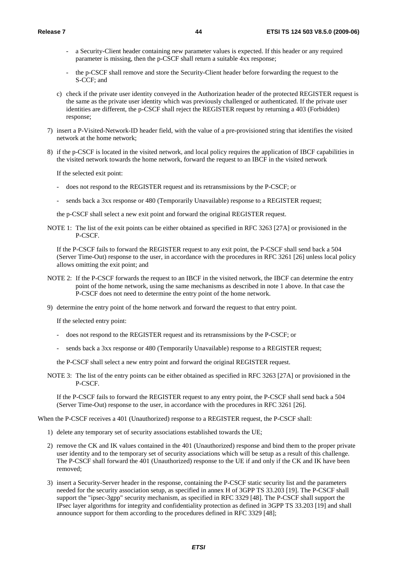- a Security-Client header containing new parameter values is expected. If this header or any required parameter is missing, then the p-CSCF shall return a suitable 4xx response;
- the p-CSCF shall remove and store the Security-Client header before forwarding the request to the S-CCF; and
- c) check if the private user identity conveyed in the Authorization header of the protected REGISTER request is the same as the private user identity which was previously challenged or authenticated. If the private user identities are different, the p-CSCF shall reject the REGISTER request by returning a 403 (Forbidden) response;
- 7) insert a P-Visited-Network-ID header field, with the value of a pre-provisioned string that identifies the visited network at the home network;
- 8) if the p-CSCF is located in the visited network, and local policy requires the application of IBCF capabilities in the visited network towards the home network, forward the request to an IBCF in the visited network

If the selected exit point:

- does not respond to the REGISTER request and its retransmissions by the P-CSCF; or
- sends back a 3xx response or 480 (Temporarily Unavailable) response to a REGISTER request;

the p-CSCF shall select a new exit point and forward the original REGISTER request.

NOTE 1: The list of the exit points can be either obtained as specified in RFC 3263 [27A] or provisioned in the P-CSCF.

If the P-CSCF fails to forward the REGISTER request to any exit point, the P-CSCF shall send back a 504 (Server Time-Out) response to the user, in accordance with the procedures in RFC 3261 [26] unless local policy allows omitting the exit point; and

- NOTE 2: If the P-CSCF forwards the request to an IBCF in the visited network, the IBCF can determine the entry point of the home network, using the same mechanisms as described in note 1 above. In that case the P-CSCF does not need to determine the entry point of the home network.
- 9) determine the entry point of the home network and forward the request to that entry point.

If the selected entry point:

- does not respond to the REGISTER request and its retransmissions by the P-CSCF; or
- sends back a 3xx response or 480 (Temporarily Unavailable) response to a REGISTER request;

the P-CSCF shall select a new entry point and forward the original REGISTER request.

NOTE 3: The list of the entry points can be either obtained as specified in RFC 3263 [27A] or provisioned in the P-CSCF.

If the P-CSCF fails to forward the REGISTER request to any entry point, the P-CSCF shall send back a 504 (Server Time-Out) response to the user, in accordance with the procedures in RFC 3261 [26].

When the P-CSCF receives a 401 (Unauthorized) response to a REGISTER request, the P-CSCF shall:

- 1) delete any temporary set of security associations established towards the UE;
- 2) remove the CK and IK values contained in the 401 (Unauthorized) response and bind them to the proper private user identity and to the temporary set of security associations which will be setup as a result of this challenge. The P-CSCF shall forward the 401 (Unauthorized) response to the UE if and only if the CK and IK have been removed;
- 3) insert a Security-Server header in the response, containing the P-CSCF static security list and the parameters needed for the security association setup, as specified in annex H of 3GPP TS 33.203 [19]. The P-CSCF shall support the "ipsec-3gpp" security mechanism, as specified in RFC 3329 [48]. The P-CSCF shall support the IPsec layer algorithms for integrity and confidentiality protection as defined in 3GPP TS 33.203 [19] and shall announce support for them according to the procedures defined in RFC 3329 [48];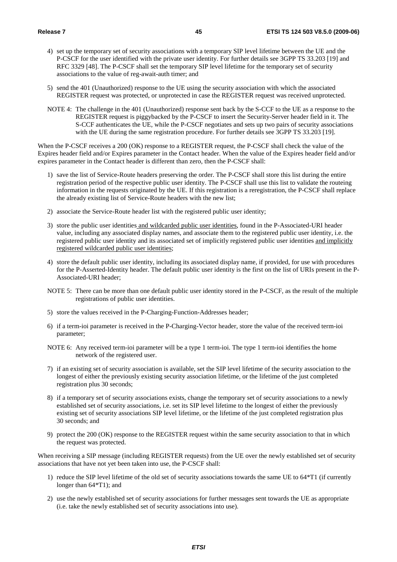- 4) set up the temporary set of security associations with a temporary SIP level lifetime between the UE and the P-CSCF for the user identified with the private user identity. For further details see 3GPP TS 33.203 [19] and RFC 3329 [48]. The P-CSCF shall set the temporary SIP level lifetime for the temporary set of security associations to the value of reg-await-auth timer; and
- 5) send the 401 (Unauthorized) response to the UE using the security association with which the associated REGISTER request was protected, or unprotected in case the REGISTER request was received unprotected.
- NOTE 4: The challenge in the 401 (Unauthorized) response sent back by the S-CCF to the UE as a response to the REGISTER request is piggybacked by the P-CSCF to insert the Security-Server header field in it. The S-CCF authenticates the UE, while the P-CSCF negotiates and sets up two pairs of security associations with the UE during the same registration procedure. For further details see 3GPP TS 33.203 [19].

When the P-CSCF receives a 200 (OK) response to a REGISTER request, the P-CSCF shall check the value of the Expires header field and/or Expires parameter in the Contact header. When the value of the Expires header field and/or expires parameter in the Contact header is different than zero, then the P-CSCF shall:

- 1) save the list of Service-Route headers preserving the order. The P-CSCF shall store this list during the entire registration period of the respective public user identity. The P-CSCF shall use this list to validate the routeing information in the requests originated by the UE. If this registration is a reregistration, the P-CSCF shall replace the already existing list of Service-Route headers with the new list;
- 2) associate the Service-Route header list with the registered public user identity;
- 3) store the public user identities and wildcarded public user identities, found in the P-Associated-URI header value, including any associated display names, and associate them to the registered public user identity, i.e. the registered public user identity and its associated set of implicitly registered public user identities and implicitly registered wildcarded public user identities;
- 4) store the default public user identity, including its associated display name, if provided, for use with procedures for the P-Asserted-Identity header. The default public user identity is the first on the list of URIs present in the P-Associated-URI header;
- NOTE 5: There can be more than one default public user identity stored in the P-CSCF, as the result of the multiple registrations of public user identities.
- 5) store the values received in the P-Charging-Function-Addresses header;
- 6) if a term-ioi parameter is received in the P-Charging-Vector header, store the value of the received term-ioi parameter;
- NOTE 6: Any received term-ioi parameter will be a type 1 term-ioi. The type 1 term-ioi identifies the home network of the registered user.
- 7) if an existing set of security association is available, set the SIP level lifetime of the security association to the longest of either the previously existing security association lifetime, or the lifetime of the just completed registration plus 30 seconds;
- 8) if a temporary set of security associations exists, change the temporary set of security associations to a newly established set of security associations, i.e. set its SIP level lifetime to the longest of either the previously existing set of security associations SIP level lifetime, or the lifetime of the just completed registration plus 30 seconds; and
- 9) protect the 200 (OK) response to the REGISTER request within the same security association to that in which the request was protected.

When receiving a SIP message (including REGISTER requests) from the UE over the newly established set of security associations that have not yet been taken into use, the P-CSCF shall:

- 1) reduce the SIP level lifetime of the old set of security associations towards the same UE to 64\*T1 (if currently longer than 64\*T1); and
- 2) use the newly established set of security associations for further messages sent towards the UE as appropriate (i.e. take the newly established set of security associations into use).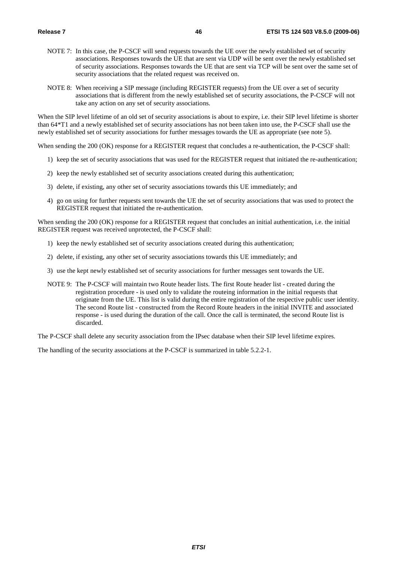- NOTE 7: In this case, the P-CSCF will send requests towards the UE over the newly established set of security associations. Responses towards the UE that are sent via UDP will be sent over the newly established set of security associations. Responses towards the UE that are sent via TCP will be sent over the same set of security associations that the related request was received on.
- NOTE 8: When receiving a SIP message (including REGISTER requests) from the UE over a set of security associations that is different from the newly established set of security associations, the P-CSCF will not take any action on any set of security associations.

When the SIP level lifetime of an old set of security associations is about to expire, i.e. their SIP level lifetime is shorter than 64\*T1 and a newly established set of security associations has not been taken into use, the P-CSCF shall use the newly established set of security associations for further messages towards the UE as appropriate (see note 5).

When sending the 200 (OK) response for a REGISTER request that concludes a re-authentication, the P-CSCF shall:

- 1) keep the set of security associations that was used for the REGISTER request that initiated the re-authentication;
- 2) keep the newly established set of security associations created during this authentication;
- 3) delete, if existing, any other set of security associations towards this UE immediately; and
- 4) go on using for further requests sent towards the UE the set of security associations that was used to protect the REGISTER request that initiated the re-authentication.

When sending the 200 (OK) response for a REGISTER request that concludes an initial authentication, i.e. the initial REGISTER request was received unprotected, the P-CSCF shall:

- 1) keep the newly established set of security associations created during this authentication;
- 2) delete, if existing, any other set of security associations towards this UE immediately; and
- 3) use the kept newly established set of security associations for further messages sent towards the UE.
- NOTE 9: The P-CSCF will maintain two Route header lists. The first Route header list created during the registration procedure - is used only to validate the routeing information in the initial requests that originate from the UE. This list is valid during the entire registration of the respective public user identity. The second Route list - constructed from the Record Route headers in the initial INVITE and associated response - is used during the duration of the call. Once the call is terminated, the second Route list is discarded.

The P-CSCF shall delete any security association from the IPsec database when their SIP level lifetime expires.

The handling of the security associations at the P-CSCF is summarized in table 5.2.2-1.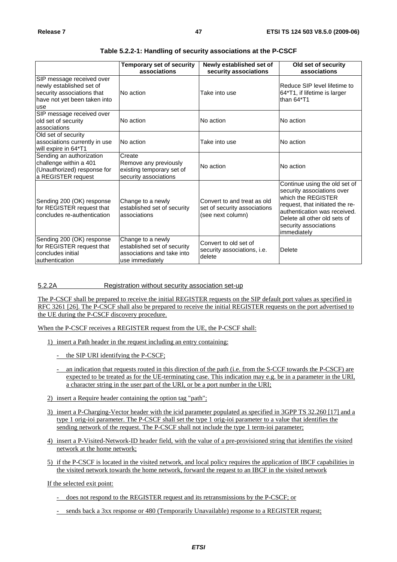|                                                                                                                            | <b>Temporary set of security</b><br>associations                                                  | Newly established set of<br>security associations                                | Old set of security<br>associations                                                                                                                                                                                          |
|----------------------------------------------------------------------------------------------------------------------------|---------------------------------------------------------------------------------------------------|----------------------------------------------------------------------------------|------------------------------------------------------------------------------------------------------------------------------------------------------------------------------------------------------------------------------|
| SIP message received over<br>newly established set of<br>security associations that<br>have not yet been taken into<br>use | No action                                                                                         | Take into use                                                                    | Reduce SIP level lifetime to<br>64*T1, if lifetime is larger<br>than 64*T1                                                                                                                                                   |
| SIP message received over<br>old set of security<br>associations                                                           | No action                                                                                         | No action                                                                        | No action                                                                                                                                                                                                                    |
| Old set of security<br>associations currently in use<br>will expire in 64*T1                                               | No action                                                                                         | Take into use                                                                    | No action                                                                                                                                                                                                                    |
| Sending an authorization<br>challenge within a 401<br>(Unauthorized) response for<br>a REGISTER request                    | Create<br>Remove any previously<br>existing temporary set of<br>security associations             | No action                                                                        | No action                                                                                                                                                                                                                    |
| Sending 200 (OK) response<br>for REGISTER request that<br>concludes re-authentication                                      | Change to a newly<br>established set of security<br>associations                                  | Convert to and treat as old<br>set of security associations<br>(see next column) | Continue using the old set of<br>security associations over<br>which the REGISTER<br>request, that initiated the re-<br>authentication was received.<br>Delete all other old sets of<br>security associations<br>immediately |
| Sending 200 (OK) response<br>for REGISTER request that<br>concludes initial<br>lauthentication                             | Change to a newly<br>established set of security<br>associations and take into<br>use immediately | Convert to old set of<br>security associations, i.e.<br>delete                   | Delete                                                                                                                                                                                                                       |

# **Table 5.2.2-1: Handling of security associations at the P-CSCF**

# 5.2.2A Registration without security association set-up

The P-CSCF shall be prepared to receive the initial REGISTER requests on the SIP default port values as specified in RFC 3261 [26]. The P-CSCF shall also be prepared to receive the initial REGISTER requests on the port advertised to the UE during the P-CSCF discovery procedure.

When the P-CSCF receives a REGISTER request from the UE, the P-CSCF shall:

- 1) insert a Path header in the request including an entry containing:
	- the SIP URI identifying the P-CSCF;
	- an indication that requests routed in this direction of the path (i.e. from the S-CCF towards the P-CSCF) are expected to be treated as for the UE-terminating case. This indication may e.g. be in a parameter in the URI, a character string in the user part of the URI, or be a port number in the URI;
- 2) insert a Require header containing the option tag "path";
- 3) insert a P-Charging-Vector header with the icid parameter populated as specified in 3GPP TS 32.260 [17] and a type 1 orig-ioi parameter. The P-CSCF shall set the type 1 orig-ioi parameter to a value that identifies the sending network of the request. The P-CSCF shall not include the type 1 term-ioi parameter;
- 4) insert a P-Visited-Network-ID header field, with the value of a pre-provisioned string that identifies the visited network at the home network;
- 5) if the P-CSCF is located in the visited network, and local policy requires the application of IBCF capabilities in the visited network towards the home network, forward the request to an IBCF in the visited network

If the selected exit point:

- does not respond to the REGISTER request and its retransmissions by the P-CSCF; or
- sends back a 3xx response or 480 (Temporarily Unavailable) response to a REGISTER request;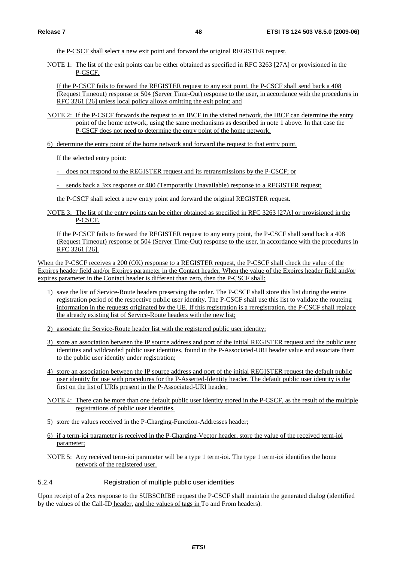the P-CSCF shall select a new exit point and forward the original REGISTER request.

NOTE 1: The list of the exit points can be either obtained as specified in RFC 3263 [27A] or provisioned in the P-CSCF.

If the P-CSCF fails to forward the REGISTER request to any exit point, the P-CSCF shall send back a 408 (Request Timeout) response or 504 (Server Time-Out) response to the user, in accordance with the procedures in RFC 3261 [26] unless local policy allows omitting the exit point; and

- NOTE 2: If the P-CSCF forwards the request to an IBCF in the visited network, the IBCF can determine the entry point of the home network, using the same mechanisms as described in note 1 above. In that case the P-CSCF does not need to determine the entry point of the home network.
- 6) determine the entry point of the home network and forward the request to that entry point.

If the selected entry point:

- does not respond to the REGISTER request and its retransmissions by the P-CSCF; or
- sends back a 3xx response or 480 (Temporarily Unavailable) response to a REGISTER request;
- the P-CSCF shall select a new entry point and forward the original REGISTER request.
- NOTE 3: The list of the entry points can be either obtained as specified in RFC 3263 [27A] or provisioned in the P-CSCF.

If the P-CSCF fails to forward the REGISTER request to any entry point, the P-CSCF shall send back a 408 (Request Timeout) response or 504 (Server Time-Out) response to the user, in accordance with the procedures in RFC 3261 [26].

When the P-CSCF receives a 200 (OK) response to a REGISTER request, the P-CSCF shall check the value of the Expires header field and/or Expires parameter in the Contact header. When the value of the Expires header field and/or expires parameter in the Contact header is different than zero, then the P-CSCF shall:

- 1) save the list of Service-Route headers preserving the order. The P-CSCF shall store this list during the entire registration period of the respective public user identity. The P-CSCF shall use this list to validate the routeing information in the requests originated by the UE. If this registration is a reregistration, the P-CSCF shall replace the already existing list of Service-Route headers with the new list;
- 2) associate the Service-Route header list with the registered public user identity;
- 3) store an association between the IP source address and port of the initial REGISTER request and the public user identities and wildcarded public user identities, found in the P-Associated-URI header value and associate them to the public user identity under registration;
- 4) store an association between the IP source address and port of the initial REGISTER request the default public user identity for use with procedures for the P-Asserted-Identity header. The default public user identity is the first on the list of URIs present in the P-Associated-URI header;
- NOTE 4: There can be more than one default public user identity stored in the P-CSCF, as the result of the multiple registrations of public user identities.
- 5) store the values received in the P-Charging-Function-Addresses header;
- 6) if a term-ioi parameter is received in the P-Charging-Vector header, store the value of the received term-ioi parameter;
- NOTE 5: Any received term-ioi parameter will be a type 1 term-ioi. The type 1 term-ioi identifies the home network of the registered user.
- 5.2.4 Registration of multiple public user identities

Upon receipt of a 2xx response to the SUBSCRIBE request the P-CSCF shall maintain the generated dialog (identified by the values of the Call-ID header, and the values of tags in To and From headers).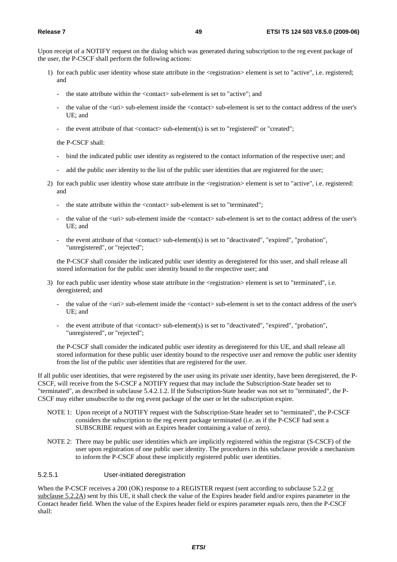Upon receipt of a NOTIFY request on the dialog which was generated during subscription to the reg event package of the user, the P-CSCF shall perform the following actions:

- 1) for each public user identity whose state attribute in the <registration> element is set to "active", i.e. registered; and
	- the state attribute within the <contact> sub-element is set to "active"; and
	- the value of the  $\langle \text{uri}\rangle$  sub-element inside the  $\langle \text{contact}\rangle$  sub-element is set to the contact address of the user's UE; and
	- the event attribute of that  $\langle$ contact $\rangle$  sub-element(s) is set to "registered" or "created";

the P-CSCF shall:

- bind the indicated public user identity as registered to the contact information of the respective user; and
- add the public user identity to the list of the public user identities that are registered for the user;
- 2) for each public user identity whose state attribute in the <registration> element is set to "active", i.e. registered: and
	- the state attribute within the <contact> sub-element is set to "terminated";
	- the value of the  $\langle \text{uri} \rangle$  sub-element inside the  $\langle \text{contact} \rangle$  sub-element is set to the contact address of the user's UE; and
	- the event attribute of that <contact> sub-element(s) is set to "deactivated", "expired", "probation", "unregistered", or "rejected";

 the P-CSCF shall consider the indicated public user identity as deregistered for this user, and shall release all stored information for the public user identity bound to the respective user; and

- 3) for each public user identity whose state attribute in the  $\langle$ registration $\rangle$  element is set to "terminated", i.e. deregistered; and
	- the value of the  $\langle \text{uri} \rangle$  sub-element inside the  $\langle \text{contact} \rangle$  sub-element is set to the contact address of the user's UE; and
	- the event attribute of that  $\langle$ contact $\rangle$  sub-element(s) is set to "deactivated", "expired", "probation", "unregistered", or "rejected";

 the P-CSCF shall consider the indicated public user identity as deregistered for this UE, and shall release all stored information for these public user identity bound to the respective user and remove the public user identity from the list of the public user identities that are registered for the user.

If all public user identities, that were registered by the user using its private user identity, have been deregistered, the P-CSCF, will receive from the S-CSCF a NOTIFY request that may include the Subscription-State header set to "terminated", as described in subclause 5.4.2.1.2. If the Subscription-State header was not set to "terminated", the P-CSCF may either unsubscribe to the reg event package of the user or let the subscription expire.

- NOTE 1: Upon receipt of a NOTIFY request with the Subscription-State header set to "terminated", the P-CSCF considers the subscription to the reg event package terminated (i.e. as if the P-CSCF had sent a SUBSCRIBE request with an Expires header containing a value of zero).
- NOTE 2: There may be public user identities which are implicitly registered within the registrar (S-CSCF) of the user upon registration of one public user identity. The procedures in this subclause provide a mechanism to inform the P-CSCF about these implicitly registered public user identities.

# 5.2.5.1 User-initiated deregistration

When the P-CSCF receives a 200 (OK) response to a REGISTER request (sent according to subclause 5.2.2 or subclause 5.2.2A) sent by this UE, it shall check the value of the Expires header field and/or expires parameter in the Contact header field. When the value of the Expires header field or expires parameter equals zero, then the P-CSCF shall: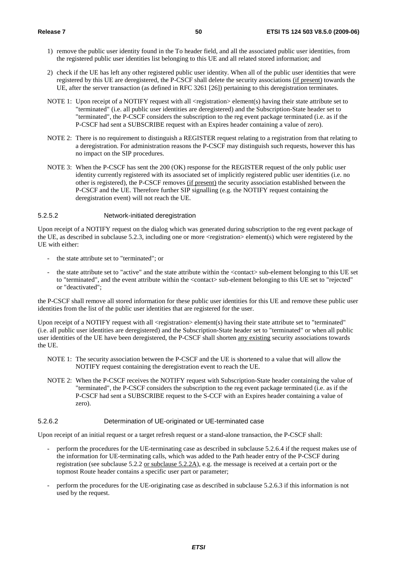- 1) remove the public user identity found in the To header field, and all the associated public user identities, from the registered public user identities list belonging to this UE and all related stored information; and
- 2) check if the UE has left any other registered public user identity. When all of the public user identities that were registered by this UE are deregistered, the P-CSCF shall delete the security associations (if present) towards the UE, after the server transaction (as defined in RFC 3261 [26]) pertaining to this deregistration terminates.
- NOTE 1: Upon receipt of a NOTIFY request with all  $\leq$  registration $\geq$  element(s) having their state attribute set to "terminated" (i.e. all public user identities are deregistered) and the Subscription-State header set to "terminated", the P-CSCF considers the subscription to the reg event package terminated (i.e. as if the P-CSCF had sent a SUBSCRIBE request with an Expires header containing a value of zero).
- NOTE 2: There is no requirement to distinguish a REGISTER request relating to a registration from that relating to a deregistration. For administration reasons the P-CSCF may distinguish such requests, however this has no impact on the SIP procedures.
- NOTE 3: When the P-CSCF has sent the 200 (OK) response for the REGISTER request of the only public user identity currently registered with its associated set of implicitly registered public user identities (i.e. no other is registered), the P-CSCF removes (if present) the security association established between the P-CSCF and the UE. Therefore further SIP signalling (e.g. the NOTIFY request containing the deregistration event) will not reach the UE.

# 5.2.5.2 Network-initiated deregistration

Upon receipt of a NOTIFY request on the dialog which was generated during subscription to the reg event package of the UE, as described in subclause 5.2.3, including one or more <registration> element(s) which were registered by the UE with either:

- the state attribute set to "terminated"; or
- the state attribute set to "active" and the state attribute within the <contact> sub-element belonging to this UE set to "terminated", and the event attribute within the <contact> sub-element belonging to this UE set to "rejected" or "deactivated";

the P-CSCF shall remove all stored information for these public user identities for this UE and remove these public user identities from the list of the public user identities that are registered for the user.

Upon receipt of a NOTIFY request with all <registration> element(s) having their state attribute set to "terminated" (i.e. all public user identities are deregistered) and the Subscription-State header set to "terminated" or when all public user identities of the UE have been deregistered, the P-CSCF shall shorten any existing security associations towards the UE.

- NOTE 1: The security association between the P-CSCF and the UE is shortened to a value that will allow the NOTIFY request containing the deregistration event to reach the UE.
- NOTE 2: When the P-CSCF receives the NOTIFY request with Subscription-State header containing the value of "terminated", the P-CSCF considers the subscription to the reg event package terminated (i.e. as if the P-CSCF had sent a SUBSCRIBE request to the S-CCF with an Expires header containing a value of zero).

# 5.2.6.2 Determination of UE-originated or UE-terminated case

Upon receipt of an initial request or a target refresh request or a stand-alone transaction, the P-CSCF shall:

- perform the procedures for the UE-terminating case as described in subclause 5.2.6.4 if the request makes use of the information for UE-terminating calls, which was added to the Path header entry of the P-CSCF during registration (see subclause 5.2.2 or subclause 5.2.2A), e.g. the message is received at a certain port or the topmost Route header contains a specific user part or parameter;
- perform the procedures for the UE-originating case as described in subclause 5.2.6.3 if this information is not used by the request.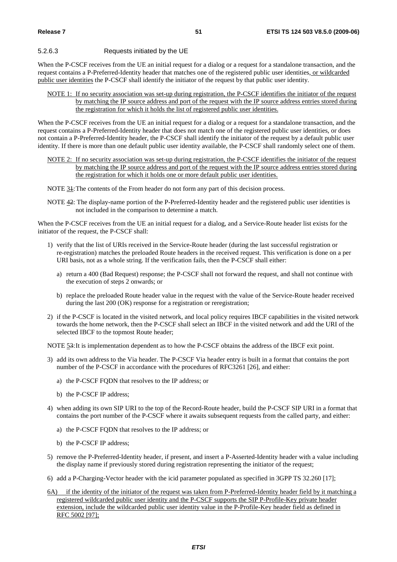## 5.2.6.3 Requests initiated by the UE

When the P-CSCF receives from the UE an initial request for a dialog or a request for a standalone transaction, and the request contains a P-Preferred-Identity header that matches one of the registered public user identities, or wildcarded public user identities the P-CSCF shall identify the initiator of the request by that public user identity.

NOTE 1: If no security association was set-up during registration, the P-CSCF identifies the initiator of the request by matching the IP source address and port of the request with the IP source address entries stored during the registration for which it holds the list of registered public user identities.

When the P-CSCF receives from the UE an initial request for a dialog or a request for a standalone transaction, and the request contains a P-Preferred-Identity header that does not match one of the registered public user identities, or does not contain a P-Preferred-Identity header, the P-CSCF shall identify the initiator of the request by a default public user identity. If there is more than one default public user identity available, the P-CSCF shall randomly select one of them.

- NOTE 2: If no security association was set-up during registration, the P-CSCF identifies the initiator of the request by matching the IP source address and port of the request with the IP source address entries stored during the registration for which it holds one or more default public user identities.
- NOTE 31: The contents of the From header do not form any part of this decision process.
- NOTE 42: The display-name portion of the P-Preferred-Identity header and the registered public user identities is not included in the comparison to determine a match.

When the P-CSCF receives from the UE an initial request for a dialog, and a Service-Route header list exists for the initiator of the request, the P-CSCF shall:

- 1) verify that the list of URIs received in the Service-Route header (during the last successful registration or re-registration) matches the preloaded Route headers in the received request. This verification is done on a per URI basis, not as a whole string. If the verification fails, then the P-CSCF shall either:
	- a) return a 400 (Bad Request) response; the P-CSCF shall not forward the request, and shall not continue with the execution of steps 2 onwards; or
	- b) replace the preloaded Route header value in the request with the value of the Service-Route header received during the last 200 (OK) response for a registration or reregistration;
- 2) if the P-CSCF is located in the visited network, and local policy requires IBCF capabilities in the visited network towards the home network, then the P-CSCF shall select an IBCF in the visited network and add the URI of the selected IBCF to the topmost Route header;

NOTE 53: It is implementation dependent as to how the P-CSCF obtains the address of the IBCF exit point.

- 3) add its own address to the Via header. The P-CSCF Via header entry is built in a format that contains the port number of the P-CSCF in accordance with the procedures of RFC3261 [26], and either:
	- a) the P-CSCF FQDN that resolves to the IP address; or
	- b) the P-CSCF IP address;
- 4) when adding its own SIP URI to the top of the Record-Route header, build the P-CSCF SIP URI in a format that contains the port number of the P-CSCF where it awaits subsequent requests from the called party, and either:
	- a) the P-CSCF FQDN that resolves to the IP address; or
	- b) the P-CSCF IP address;
- 5) remove the P-Preferred-Identity header, if present, and insert a P-Asserted-Identity header with a value including the display name if previously stored during registration representing the initiator of the request;
- 6) add a P-Charging-Vector header with the icid parameter populated as specified in 3GPP TS 32.260 [17];
- 6A) if the identity of the initiator of the request was taken from P-Preferred-Identity header field by it matching a registered wildcarded public user identity and the P-CSCF supports the SIP P-Profile-Key private header extension, include the wildcarded public user identity value in the P-Profile-Key header field as defined in RFC 5002 [97];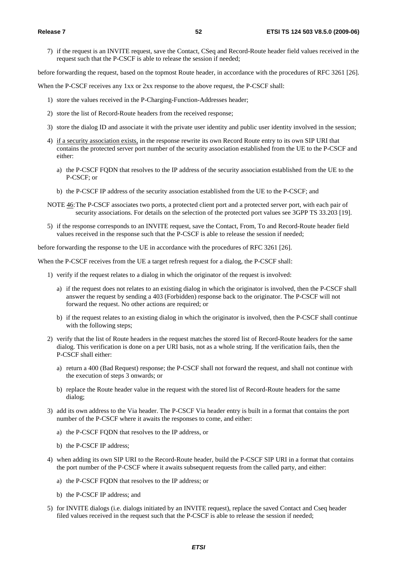7) if the request is an INVITE request, save the Contact, CSeq and Record-Route header field values received in the request such that the P-CSCF is able to release the session if needed;

before forwarding the request, based on the topmost Route header, in accordance with the procedures of RFC 3261 [26].

When the P-CSCF receives any 1xx or 2xx response to the above request, the P-CSCF shall:

- 1) store the values received in the P-Charging-Function-Addresses header;
- 2) store the list of Record-Route headers from the received response;
- 3) store the dialog ID and associate it with the private user identity and public user identity involved in the session;
- 4) if a security association exists, in the response rewrite its own Record Route entry to its own SIP URI that contains the protected server port number of the security association established from the UE to the P-CSCF and either:
	- a) the P-CSCF FQDN that resolves to the IP address of the security association established from the UE to the P-CSCF; or
	- b) the P-CSCF IP address of the security association established from the UE to the P-CSCF; and
- NOTE 46: The P-CSCF associates two ports, a protected client port and a protected server port, with each pair of security associations. For details on the selection of the protected port values see 3GPP TS 33.203 [19].
- 5) if the response corresponds to an INVITE request, save the Contact, From, To and Record-Route header field values received in the response such that the P-CSCF is able to release the session if needed;

before forwarding the response to the UE in accordance with the procedures of RFC 3261 [26].

When the P-CSCF receives from the UE a target refresh request for a dialog, the P-CSCF shall:

- 1) verify if the request relates to a dialog in which the originator of the request is involved:
	- a) if the request does not relates to an existing dialog in which the originator is involved, then the P-CSCF shall answer the request by sending a 403 (Forbidden) response back to the originator. The P-CSCF will not forward the request. No other actions are required; or
	- b) if the request relates to an existing dialog in which the originator is involved, then the P-CSCF shall continue with the following steps;
- 2) verify that the list of Route headers in the request matches the stored list of Record-Route headers for the same dialog. This verification is done on a per URI basis, not as a whole string. If the verification fails, then the P-CSCF shall either:
	- a) return a 400 (Bad Request) response; the P-CSCF shall not forward the request, and shall not continue with the execution of steps 3 onwards; or
	- b) replace the Route header value in the request with the stored list of Record-Route headers for the same dialog;
- 3) add its own address to the Via header. The P-CSCF Via header entry is built in a format that contains the port number of the P-CSCF where it awaits the responses to come, and either:
	- a) the P-CSCF FQDN that resolves to the IP address, or
	- b) the P-CSCF IP address;
- 4) when adding its own SIP URI to the Record-Route header, build the P-CSCF SIP URI in a format that contains the port number of the P-CSCF where it awaits subsequent requests from the called party, and either:
	- a) the P-CSCF FQDN that resolves to the IP address; or
	- b) the P-CSCF IP address; and
- 5) for INVITE dialogs (i.e. dialogs initiated by an INVITE request), replace the saved Contact and Cseq header filed values received in the request such that the P-CSCF is able to release the session if needed;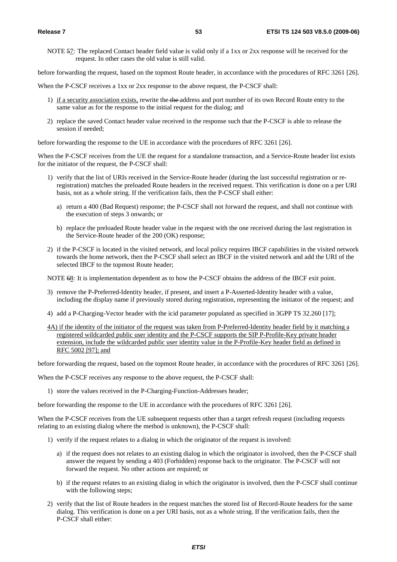NOTE 57: The replaced Contact header field value is valid only if a 1xx or 2xx response will be received for the request. In other cases the old value is still valid.

before forwarding the request, based on the topmost Route header, in accordance with the procedures of RFC 3261 [26].

When the P-CSCF receives a 1xx or 2xx response to the above request, the P-CSCF shall:

- 1) if a security association exists, rewrite the the address and port number of its own Record Route entry to the same value as for the response to the initial request for the dialog; and
- 2) replace the saved Contact header value received in the response such that the P-CSCF is able to release the session if needed;

before forwarding the response to the UE in accordance with the procedures of RFC 3261 [26].

When the P-CSCF receives from the UE the request for a standalone transaction, and a Service-Route header list exists for the initiator of the request, the P-CSCF shall:

- 1) verify that the list of URIs received in the Service-Route header (during the last successful registration or reregistration) matches the preloaded Route headers in the received request. This verification is done on a per URI basis, not as a whole string. If the verification fails, then the P-CSCF shall either:
	- a) return a 400 (Bad Request) response; the P-CSCF shall not forward the request, and shall not continue with the execution of steps 3 onwards; or
	- b) replace the preloaded Route header value in the request with the one received during the last registration in the Service-Route header of the 200 (OK) response;
- 2) if the P-CSCF is located in the visited network, and local policy requires IBCF capabilities in the visited network towards the home network, then the P-CSCF shall select an IBCF in the visited network and add the URI of the selected IBCF to the topmost Route header;

NOTE 68: It is implementation dependent as to how the P-CSCF obtains the address of the IBCF exit point.

- 3) remove the P-Preferred-Identity header, if present, and insert a P-Asserted-Identity header with a value, including the display name if previously stored during registration, representing the initiator of the request; and
- 4) add a P-Charging-Vector header with the icid parameter populated as specified in 3GPP TS 32.260 [17];
- 4A) if the identity of the initiator of the request was taken from P-Preferred-Identity header field by it matching a registered wildcarded public user identity and the P-CSCF supports the SIP P-Profile-Key private header extension, include the wildcarded public user identity value in the P-Profile-Key header field as defined in RFC 5002 [97]; and

before forwarding the request, based on the topmost Route header, in accordance with the procedures of RFC 3261 [26].

When the P-CSCF receives any response to the above request, the P-CSCF shall:

1) store the values received in the P-Charging-Function-Addresses header;

before forwarding the response to the UE in accordance with the procedures of RFC 3261 [26].

When the P-CSCF receives from the UE subsequent requests other than a target refresh request (including requests relating to an existing dialog where the method is unknown), the P-CSCF shall:

- 1) verify if the request relates to a dialog in which the originator of the request is involved:
	- a) if the request does not relates to an existing dialog in which the originator is involved, then the P-CSCF shall answer the request by sending a 403 (Forbidden) response back to the originator. The P-CSCF will not forward the request. No other actions are required; or
	- b) if the request relates to an existing dialog in which the originator is involved, then the P-CSCF shall continue with the following steps;
- 2) verify that the list of Route headers in the request matches the stored list of Record-Route headers for the same dialog. This verification is done on a per URI basis, not as a whole string. If the verification fails, then the P-CSCF shall either: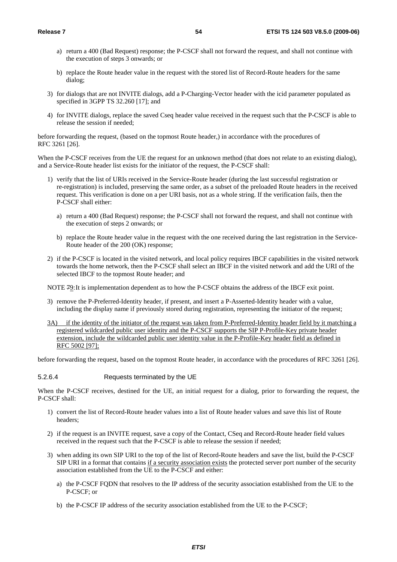- a) return a 400 (Bad Request) response; the P-CSCF shall not forward the request, and shall not continue with the execution of steps 3 onwards; or
- b) replace the Route header value in the request with the stored list of Record-Route headers for the same dialog;
- 3) for dialogs that are not INVITE dialogs, add a P-Charging-Vector header with the icid parameter populated as specified in 3GPP TS 32.260 [17]; and
- 4) for INVITE dialogs, replace the saved Cseq header value received in the request such that the P-CSCF is able to release the session if needed;

before forwarding the request, (based on the topmost Route header,) in accordance with the procedures of RFC 3261 [26].

When the P-CSCF receives from the UE the request for an unknown method (that does not relate to an existing dialog), and a Service-Route header list exists for the initiator of the request, the P-CSCF shall:

- 1) verify that the list of URIs received in the Service-Route header (during the last successful registration or re-registration) is included, preserving the same order, as a subset of the preloaded Route headers in the received request. This verification is done on a per URI basis, not as a whole string. If the verification fails, then the P-CSCF shall either:
	- a) return a 400 (Bad Request) response; the P-CSCF shall not forward the request, and shall not continue with the execution of steps 2 onwards; or
	- b) replace the Route header value in the request with the one received during the last registration in the Service-Route header of the 200 (OK) response;
- 2) if the P-CSCF is located in the visited network, and local policy requires IBCF capabilities in the visited network towards the home network, then the P-CSCF shall select an IBCF in the visited network and add the URI of the selected IBCF to the topmost Route header; and

NOTE 79: It is implementation dependent as to how the P-CSCF obtains the address of the IBCF exit point.

- 3) remove the P-Preferred-Identity header, if present, and insert a P-Asserted-Identity header with a value, including the display name if previously stored during registration, representing the initiator of the request;
- 3A) if the identity of the initiator of the request was taken from P-Preferred-Identity header field by it matching a registered wildcarded public user identity and the P-CSCF supports the SIP P-Profile-Key private header extension, include the wildcarded public user identity value in the P-Profile-Key header field as defined in RFC 5002 [97];

before forwarding the request, based on the topmost Route header, in accordance with the procedures of RFC 3261 [26].

#### 5.2.6.4 Requests terminated by the UE

When the P-CSCF receives, destined for the UE, an initial request for a dialog, prior to forwarding the request, the P-CSCF shall:

- 1) convert the list of Record-Route header values into a list of Route header values and save this list of Route headers;
- 2) if the request is an INVITE request, save a copy of the Contact, CSeq and Record-Route header field values received in the request such that the P-CSCF is able to release the session if needed;
- 3) when adding its own SIP URI to the top of the list of Record-Route headers and save the list, build the P-CSCF SIP URI in a format that contains if a security association exists the protected server port number of the security association established from the UE to the P-CSCF and either:
	- a) the P-CSCF FQDN that resolves to the IP address of the security association established from the UE to the P-CSCF; or
	- b) the P-CSCF IP address of the security association established from the UE to the P-CSCF;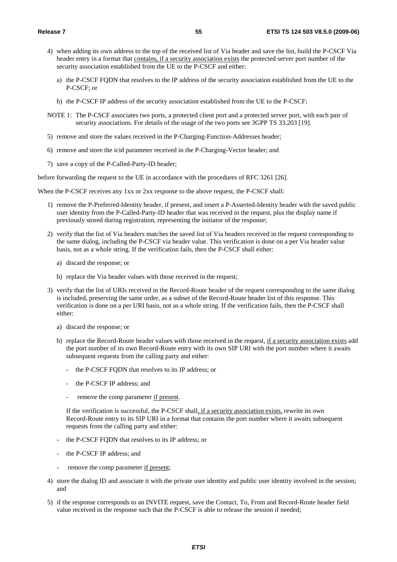- 4) when adding its own address to the top of the received list of Via header and save the list, build the P-CSCF Via header entry in a format that contains, if a security association exists the protected server port number of the security association established from the UE to the P-CSCF and either:
	- a) the P-CSCF FQDN that resolves to the IP address of the security association established from the UE to the P-CSCF; or
	- b) the P-CSCF IP address of the security association established from the UE to the P-CSCF;
- NOTE 1: The P-CSCF associates two ports, a protected client port and a protected server port, with each pair of security associations. For details of the usage of the two ports see 3GPP TS 33.203 [19].
- 5) remove and store the values received in the P-Charging-Function-Addresses header;
- 6) remove and store the icid parameter received in the P-Charging-Vector header; and
- 7) save a copy of the P-Called-Party-ID header;

before forwarding the request to the UE in accordance with the procedures of RFC 3261 [26].

When the P-CSCF receives any 1xx or 2xx response to the above request, the P-CSCF shall:

- 1) remove the P-Preferred-Identity header, if present, and insert a P-Asserted-Identity header with the saved public user identity from the P-Called-Party-ID header that was received in the request, plus the display name if previously stored during registration, representing the initiator of the response;
- 2) verify that the list of Via headers matches the saved list of Via headers received in the request corresponding to the same dialog, including the P-CSCF via header value. This verification is done on a per Via header value basis, not as a whole string. If the verification fails, then the P-CSCF shall either:
	- a) discard the response; or
	- b) replace the Via header values with those received in the request;
- 3) verify that the list of URIs received in the Record-Route header of the request corresponding to the same dialog is included, preserving the same order, as a subset of the Record-Route header list of this response. This verification is done on a per URI basis, not as a whole string. If the verification fails, then the P-CSCF shall either:
	- a) discard the response; or
	- b) replace the Record-Route header values with those received in the request, if a security association exists add the port number of its own Record-Route entry with its own SIP URI with the port number where it awaits subsequent requests from the calling party and either:
		- the P-CSCF FODN that resolves to its IP address; or
		- the P-CSCF IP address; and
		- remove the comp parameter if present.

If the verification is successful, the P-CSCF shall, if a security association exists, rewrite its own Record-Route entry to its SIP URI in a format that contains the port number where it awaits subsequent requests from the calling party and either:

- the P-CSCF FQDN that resolves to its IP address; or
- the P-CSCF IP address; and
- remove the comp parameter if present;
- 4) store the dialog ID and associate it with the private user identity and public user identity involved in the session; and
- 5) if the response corresponds to an INVITE request, save the Contact, To, From and Record-Route header field value received in the response such that the P-CSCF is able to release the session if needed;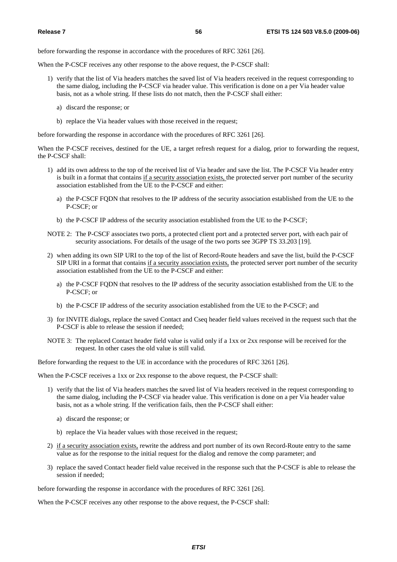before forwarding the response in accordance with the procedures of RFC 3261 [26].

When the P-CSCF receives any other response to the above request, the P-CSCF shall:

- 1) verify that the list of Via headers matches the saved list of Via headers received in the request corresponding to the same dialog, including the P-CSCF via header value. This verification is done on a per Via header value basis, not as a whole string. If these lists do not match, then the P-CSCF shall either:
	- a) discard the response; or
	- b) replace the Via header values with those received in the request;

before forwarding the response in accordance with the procedures of RFC 3261 [26].

When the P-CSCF receives, destined for the UE, a target refresh request for a dialog, prior to forwarding the request, the P-CSCF shall:

- 1) add its own address to the top of the received list of Via header and save the list. The P-CSCF Via header entry is built in a format that contains if a security association exists, the protected server port number of the security association established from the UE to the P-CSCF and either:
	- a) the P-CSCF FQDN that resolves to the IP address of the security association established from the UE to the P-CSCF; or
	- b) the P-CSCF IP address of the security association established from the UE to the P-CSCF;
- NOTE 2: The P-CSCF associates two ports, a protected client port and a protected server port, with each pair of security associations. For details of the usage of the two ports see 3GPP TS 33.203 [19].
- 2) when adding its own SIP URI to the top of the list of Record-Route headers and save the list, build the P-CSCF SIP URI in a format that contains if a security association exists, the protected server port number of the security association established from the UE to the P-CSCF and either:
	- a) the P-CSCF FQDN that resolves to the IP address of the security association established from the UE to the P-CSCF; or
	- b) the P-CSCF IP address of the security association established from the UE to the P-CSCF; and
- 3) for INVITE dialogs, replace the saved Contact and Cseq header field values received in the request such that the P-CSCF is able to release the session if needed;
- NOTE 3: The replaced Contact header field value is valid only if a 1xx or 2xx response will be received for the request. In other cases the old value is still valid.

Before forwarding the request to the UE in accordance with the procedures of RFC 3261 [26].

When the P-CSCF receives a 1xx or 2xx response to the above request, the P-CSCF shall:

- 1) verify that the list of Via headers matches the saved list of Via headers received in the request corresponding to the same dialog, including the P-CSCF via header value. This verification is done on a per Via header value basis, not as a whole string. If the verification fails, then the P-CSCF shall either:
	- a) discard the response; or
	- b) replace the Via header values with those received in the request;
- 2) if a security association exists, rewrite the address and port number of its own Record-Route entry to the same value as for the response to the initial request for the dialog and remove the comp parameter; and
- 3) replace the saved Contact header field value received in the response such that the P-CSCF is able to release the session if needed;

before forwarding the response in accordance with the procedures of RFC 3261 [26].

When the P-CSCF receives any other response to the above request, the P-CSCF shall: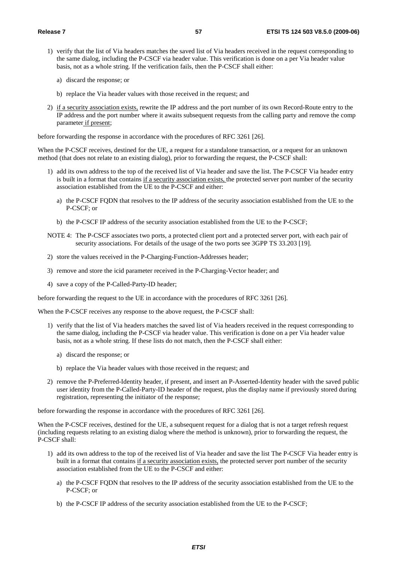- 1) verify that the list of Via headers matches the saved list of Via headers received in the request corresponding to the same dialog, including the P-CSCF via header value. This verification is done on a per Via header value basis, not as a whole string. If the verification fails, then the P-CSCF shall either:
	- a) discard the response; or
	- b) replace the Via header values with those received in the request; and
- 2) if a security association exists, rewrite the IP address and the port number of its own Record-Route entry to the IP address and the port number where it awaits subsequent requests from the calling party and remove the comp parameter if present;

before forwarding the response in accordance with the procedures of RFC 3261 [26].

When the P-CSCF receives, destined for the UE, a request for a standalone transaction, or a request for an unknown method (that does not relate to an existing dialog), prior to forwarding the request, the P-CSCF shall:

- 1) add its own address to the top of the received list of Via header and save the list. The P-CSCF Via header entry is built in a format that contains if a security association exists, the protected server port number of the security association established from the UE to the P-CSCF and either:
	- a) the P-CSCF FQDN that resolves to the IP address of the security association established from the UE to the P-CSCF; or
	- b) the P-CSCF IP address of the security association established from the UE to the P-CSCF;
- NOTE 4: The P-CSCF associates two ports, a protected client port and a protected server port, with each pair of security associations. For details of the usage of the two ports see 3GPP TS 33.203 [19].
- 2) store the values received in the P-Charging-Function-Addresses header;
- 3) remove and store the icid parameter received in the P-Charging-Vector header; and
- 4) save a copy of the P-Called-Party-ID header;

before forwarding the request to the UE in accordance with the procedures of RFC 3261 [26].

When the P-CSCF receives any response to the above request, the P-CSCF shall:

- 1) verify that the list of Via headers matches the saved list of Via headers received in the request corresponding to the same dialog, including the P-CSCF via header value. This verification is done on a per Via header value basis, not as a whole string. If these lists do not match, then the P-CSCF shall either:
	- a) discard the response; or
	- b) replace the Via header values with those received in the request; and
- 2) remove the P-Preferred-Identity header, if present, and insert an P-Asserted-Identity header with the saved public user identity from the P-Called-Party-ID header of the request, plus the display name if previously stored during registration, representing the initiator of the response;

before forwarding the response in accordance with the procedures of RFC 3261 [26].

When the P-CSCF receives, destined for the UE, a subsequent request for a dialog that is not a target refresh request (including requests relating to an existing dialog where the method is unknown), prior to forwarding the request, the P-CSCF shall:

- 1) add its own address to the top of the received list of Via header and save the list The P-CSCF Via header entry is built in a format that contains if a security association exists, the protected server port number of the security association established from the UE to the P-CSCF and either:
	- a) the P-CSCF FQDN that resolves to the IP address of the security association established from the UE to the P-CSCF; or
	- b) the P-CSCF IP address of the security association established from the UE to the P-CSCF;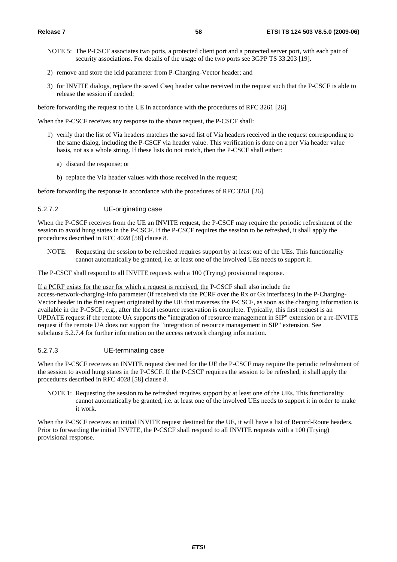- NOTE 5: The P-CSCF associates two ports, a protected client port and a protected server port, with each pair of security associations. For details of the usage of the two ports see 3GPP TS 33.203 [19].
- 2) remove and store the icid parameter from P-Charging-Vector header; and
- 3) for INVITE dialogs, replace the saved Cseq header value received in the request such that the P-CSCF is able to release the session if needed;

before forwarding the request to the UE in accordance with the procedures of RFC 3261 [26].

When the P-CSCF receives any response to the above request, the P-CSCF shall:

- 1) verify that the list of Via headers matches the saved list of Via headers received in the request corresponding to the same dialog, including the P-CSCF via header value. This verification is done on a per Via header value basis, not as a whole string. If these lists do not match, then the P-CSCF shall either:
	- a) discard the response; or
	- b) replace the Via header values with those received in the request;

before forwarding the response in accordance with the procedures of RFC 3261 [26].

### 5.2.7.2 UE-originating case

When the P-CSCF receives from the UE an INVITE request, the P-CSCF may require the periodic refreshment of the session to avoid hung states in the P-CSCF. If the P-CSCF requires the session to be refreshed, it shall apply the procedures described in RFC 4028 [58] clause 8.

NOTE: Requesting the session to be refreshed requires support by at least one of the UEs. This functionality cannot automatically be granted, i.e. at least one of the involved UEs needs to support it.

The P-CSCF shall respond to all INVITE requests with a 100 (Trying) provisional response.

#### If a PCRF exists for the user for which a request is received, the P-CSCF shall also include the

access-network-charging-info parameter (if received via the PCRF over the Rx or Gx interfaces) in the P-Charging-Vector header in the first request originated by the UE that traverses the P-CSCF, as soon as the charging information is available in the P-CSCF, e.g., after the local resource reservation is complete. Typically, this first request is an UPDATE request if the remote UA supports the "integration of resource management in SIP" extension or a re-INVITE request if the remote UA does not support the "integration of resource management in SIP" extension. See subclause 5.2.7.4 for further information on the access network charging information.

# 5.2.7.3 UE-terminating case

When the P-CSCF receives an INVITE request destined for the UE the P-CSCF may require the periodic refreshment of the session to avoid hung states in the P-CSCF. If the P-CSCF requires the session to be refreshed, it shall apply the procedures described in RFC 4028 [58] clause 8.

NOTE 1: Requesting the session to be refreshed requires support by at least one of the UEs. This functionality cannot automatically be granted, i.e. at least one of the involved UEs needs to support it in order to make it work.

When the P-CSCF receives an initial INVITE request destined for the UE, it will have a list of Record-Route headers. Prior to forwarding the initial INVITE, the P-CSCF shall respond to all INVITE requests with a 100 (Trying) provisional response.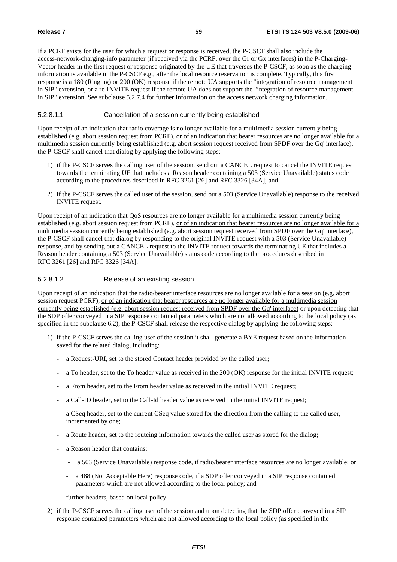If a PCRF exists for the user for which a request or response is received, the P-CSCF shall also include the access-network-charging-info parameter (if received via the PCRF, over the Gr or Gx interfaces) in the P-Charging-Vector header in the first request or response originated by the UE that traverses the P-CSCF, as soon as the charging information is available in the P-CSCF e.g., after the local resource reservation is complete. Typically, this first response is a 180 (Ringing) or 200 (OK) response if the remote UA supports the "integration of resource management in SIP" extension, or a re-INVITE request if the remote UA does not support the "integration of resource management in SIP" extension. See subclause 5.2.7.4 for further information on the access network charging information.

# 5.2.8.1.1 Cancellation of a session currently being established

Upon receipt of an indication that radio coverage is no longer available for a multimedia session currently being established (e.g. abort session request from PCRF), or of an indication that bearer resources are no longer available for a multimedia session currently being established (e.g. abort session request received from SPDF over the Gq' interface), the P-CSCF shall cancel that dialog by applying the following steps:

- 1) if the P-CSCF serves the calling user of the session, send out a CANCEL request to cancel the INVITE request towards the terminating UE that includes a Reason header containing a 503 (Service Unavailable) status code according to the procedures described in RFC 3261 [26] and RFC 3326 [34A]; and
- 2) if the P-CSCF serves the called user of the session, send out a 503 (Service Unavailable) response to the received INVITE request.

Upon receipt of an indication that QoS resources are no longer available for a multimedia session currently being established (e.g. abort session request from PCRF), or of an indication that bearer resources are no longer available for a multimedia session currently being established (e.g. abort session request received from SPDF over the Gq' interface), the P-CSCF shall cancel that dialog by responding to the original INVITE request with a 503 (Service Unavailable) response, and by sending out a CANCEL request to the INVITE request towards the terminating UE that includes a Reason header containing a 503 (Service Unavailable) status code according to the procedures described in RFC 3261 [26] and RFC 3326 [34A].

# 5.2.8.1.2 Release of an existing session

Upon receipt of an indication that the radio/bearer interface resources are no longer available for a session (e.g. abort session request PCRF), or of an indication that bearer resources are no longer available for a multimedia session currently being established (e.g. abort session request received from SPDF over the Gq' interface) or upon detecting that the SDP offer conveyed in a SIP response contained parameters which are not allowed according to the local policy (as specified in the subclause 6.2), the P-CSCF shall release the respective dialog by applying the following steps:

- 1) if the P-CSCF serves the calling user of the session it shall generate a BYE request based on the information saved for the related dialog, including:
	- a Request-URI, set to the stored Contact header provided by the called user;
	- a To header, set to the To header value as received in the 200 (OK) response for the initial INVITE request;
	- a From header, set to the From header value as received in the initial INVITE request;
	- a Call-ID header, set to the Call-Id header value as received in the initial INVITE request;
	- a CSeq header, set to the current CSeq value stored for the direction from the calling to the called user, incremented by one;
	- a Route header, set to the routeing information towards the called user as stored for the dialog;
	- a Reason header that contains:
		- a 503 (Service Unavailable) response code, if radio/bearer interface-resources are no longer available; or
		- a 488 (Not Acceptable Here) response code, if a SDP offer conveyed in a SIP response contained parameters which are not allowed according to the local policy; and
	- further headers, based on local policy.
- 2) if the P-CSCF serves the calling user of the session and upon detecting that the SDP offer conveyed in a SIP response contained parameters which are not allowed according to the local policy (as specified in the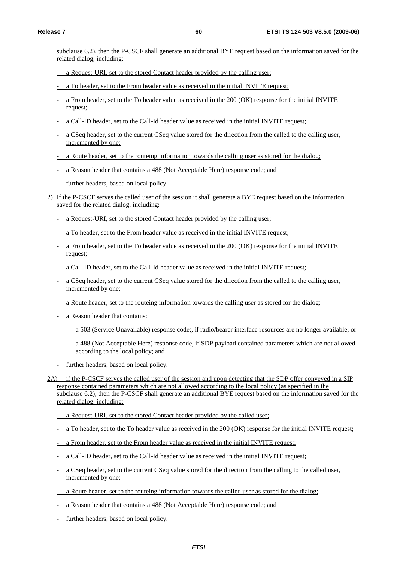subclause 6.2), then the P-CSCF shall generate an additional BYE request based on the information saved for the related dialog, including:

- a Request-URI, set to the stored Contact header provided by the calling user;
- a To header, set to the From header value as received in the initial INVITE request;
- a From header, set to the To header value as received in the 200 (OK) response for the initial INVITE request;
- a Call-ID header, set to the Call-Id header value as received in the initial INVITE request;
- a CSeq header, set to the current CSeq value stored for the direction from the called to the calling user, incremented by one;
- a Route header, set to the routeing information towards the calling user as stored for the dialog;
- a Reason header that contains a 488 (Not Acceptable Here) response code; and
- further headers, based on local policy.
- 2) If the P-CSCF serves the called user of the session it shall generate a BYE request based on the information saved for the related dialog, including:
	- a Request-URI, set to the stored Contact header provided by the calling user;
	- a To header, set to the From header value as received in the initial INVITE request;
	- a From header, set to the To header value as received in the 200 (OK) response for the initial INVITE request;
	- a Call-ID header, set to the Call-Id header value as received in the initial INVITE request;
	- a CSeq header, set to the current CSeq value stored for the direction from the called to the calling user, incremented by one;
	- a Route header, set to the routeing information towards the calling user as stored for the dialog;
	- a Reason header that contains:
		- a 503 (Service Unavailable) response code;, if radio/bearer interface resources are no longer available; or
		- a 488 (Not Acceptable Here) response code, if SDP payload contained parameters which are not allowed according to the local policy; and
	- further headers, based on local policy.
- 2A) if the P-CSCF serves the called user of the session and upon detecting that the SDP offer conveyed in a SIP response contained parameters which are not allowed according to the local policy (as specified in the subclause 6.2), then the P-CSCF shall generate an additional BYE request based on the information saved for the related dialog, including:
	- a Request-URI, set to the stored Contact header provided by the called user;
	- a To header, set to the To header value as received in the 200 (OK) response for the initial INVITE request;
	- a From header, set to the From header value as received in the initial INVITE request;
	- a Call-ID header, set to the Call-Id header value as received in the initial INVITE request;
	- a CSeq header, set to the current CSeq value stored for the direction from the calling to the called user, incremented by one;
	- a Route header, set to the routeing information towards the called user as stored for the dialog;
	- a Reason header that contains a 488 (Not Acceptable Here) response code; and
	- further headers, based on local policy.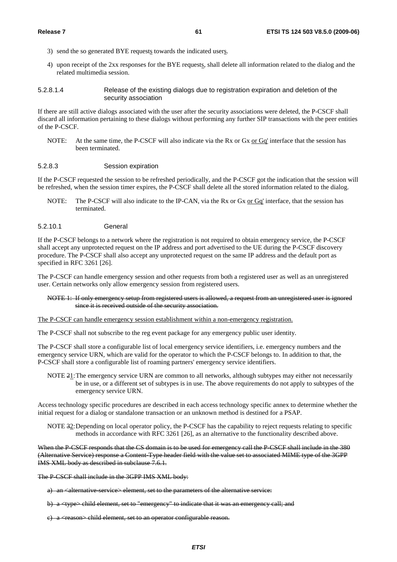- 3) send the so generated BYE requests towards the indicated users.
- 4) upon receipt of the 2xx responses for the BYE requests, shall delete all information related to the dialog and the related multimedia session.
- 5.2.8.1.4 Release of the existing dialogs due to registration expiration and deletion of the security association

If there are still active dialogs associated with the user after the security associations were deleted, the P-CSCF shall discard all information pertaining to these dialogs without performing any further SIP transactions with the peer entities of the P-CSCF.

NOTE: At the same time, the P-CSCF will also indicate via the Rx or Gx or Gq' interface that the session has been terminated.

#### 5.2.8.3 Session expiration

If the P-CSCF requested the session to be refreshed periodically, and the P-CSCF got the indication that the session will be refreshed, when the session timer expires, the P-CSCF shall delete all the stored information related to the dialog.

- NOTE: The P-CSCF will also indicate to the IP-CAN, via the Rx or Gx or Gq' interface, that the session has terminated.
- 5.2.10.1 General

If the P-CSCF belongs to a network where the registration is not required to obtain emergency service, the P-CSCF shall accept any unprotected request on the IP address and port advertised to the UE during the P-CSCF discovery procedure. The P-CSCF shall also accept any unprotected request on the same IP address and the default port as specified in RFC 3261 [26].

The P-CSCF can handle emergency session and other requests from both a registered user as well as an unregistered user. Certain networks only allow emergency session from registered users.

NOTE 1: If only emergency setup from registered users is allowed, a request from an unregistered user is ignored since it is received outside of the security association.

The P-CSCF can handle emergency session establishment within a non-emergency registration.

The P-CSCF shall not subscribe to the reg event package for any emergency public user identity.

The P-CSCF shall store a configurable list of local emergency service identifiers, i.e. emergency numbers and the emergency service URN, which are valid for the operator to which the P-CSCF belongs to. In addition to that, the P-CSCF shall store a configurable list of roaming partners' emergency service identifiers.

NOTE 21: The emergency service URN are common to all networks, although subtypes may either not necessarily be in use, or a different set of subtypes is in use. The above requirements do not apply to subtypes of the emergency service URN.

Access technology specific procedures are described in each access technology specific annex to determine whether the initial request for a dialog or standalone transaction or an unknown method is destined for a PSAP.

NOTE 32: Depending on local operator policy, the P-CSCF has the capability to reject requests relating to specific methods in accordance with RFC 3261 [26], as an alternative to the functionality described above.

When the P-CSCF responds that the CS domain is to be used for emergency call the P-CSCF shall include in the 380 (Alternative Service) response a Content-Type header field with the value set to associated MIME type of the 3GPP IMS XML body as described in subclause 7.6.1.

The P-CSCF shall include in the 3GPP IMS XML body:

- a) an <alternative service> element, set to the parameters of the alternative service:
- b) a <type> child element, set to "emergency" to indicate that it was an emergency call; and
- e) a  $\langle$ reason $\rangle$  child element, set to an operator configurable reason.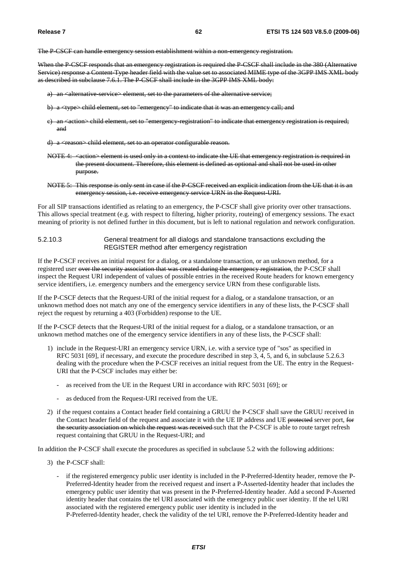The P-CSCF can handle emergency session establishment within a non-emergency registration.

When the P-CSCF responds that an emergency registration is required the P-CSCF shall include in the 380 (Alternative Service) response a Content-Type header field with the value set to associated MIME type of the 3GPP IMS XML body as described in subclause 7.6.1. The P-CSCF shall include in the 3GPP IMS XML body:

- a) an <alternative service> element, set to the parameters of the alternative service;
- b) a <type> child element, set to "emergency" to indicate that it was an emergency call; and
- c) an <action> child element, set to "emergency-registration" to indicate that emergency registration is required; and
- d) a  $\langle$ reason $\rangle$  child element, set to an operator configurable reason.
- NOTE 4: <action> element is used only in a context to indicate the UE that emergency registration is required in the present document. Therefore, this element is defined as optional and shall not be used in other purpose.
- NOTE 5: This response is only sent in case if the P-CSCF received an explicit indication from the UE that it is an emergency session, i.e. receive emergency service URN in the Request-URI.

For all SIP transactions identified as relating to an emergency, the P-CSCF shall give priority over other transactions. This allows special treatment (e.g. with respect to filtering, higher priority, routeing) of emergency sessions. The exact meaning of priority is not defined further in this document, but is left to national regulation and network configuration.

## 5.2.10.3 General treatment for all dialogs and standalone transactions excluding the REGISTER method after emergency registration

If the P-CSCF receives an initial request for a dialog, or a standalone transaction, or an unknown method, for a registered user over the security association that was created during the emergency registration, the P-CSCF shall inspect the Request URI independent of values of possible entries in the received Route headers for known emergency service identifiers, i.e. emergency numbers and the emergency service URN from these configurable lists.

If the P-CSCF detects that the Request-URI of the initial request for a dialog, or a standalone transaction, or an unknown method does not match any one of the emergency service identifiers in any of these lists, the P-CSCF shall reject the request by returning a 403 (Forbidden) response to the UE.

If the P-CSCF detects that the Request-URI of the initial request for a dialog, or a standalone transaction, or an unknown method matches one of the emergency service identifiers in any of these lists, the P-CSCF shall:

- 1) include in the Request-URI an emergency service URN, i.e. with a service type of "sos" as specified in RFC 5031 [69], if necessary, and execute the procedure described in step 3, 4, 5, and 6, in subclause 5.2.6.3 dealing with the procedure when the P-CSCF receives an initial request from the UE. The entry in the Request-URI that the P-CSCF includes may either be:
	- as received from the UE in the Request URI in accordance with RFC 5031 [69]; or
	- as deduced from the Request-URI received from the UE.
- 2) if the request contains a Contact header field containing a GRUU the P-CSCF shall save the GRUU received in the Contact header field of the request and associate it with the UE IP address and UE protected server port, for the security association on which the request was received such that the P-CSCF is able to route target refresh request containing that GRUU in the Request-URI; and

In addition the P-CSCF shall execute the procedures as specified in subclause 5.2 with the following additions:

- 3) the P-CSCF shall:
	- if the registered emergency public user identity is included in the P-Preferred-Identity header, remove the P-Preferred-Identity header from the received request and insert a P-Asserted-Identity header that includes the emergency public user identity that was present in the P-Preferred-Identity header. Add a second P-Asserted identity header that contains the tel URI associated with the emergency public user identity. If the tel URI associated with the registered emergency public user identity is included in the

P-Preferred-Identity header, check the validity of the tel URI, remove the P-Preferred-Identity header and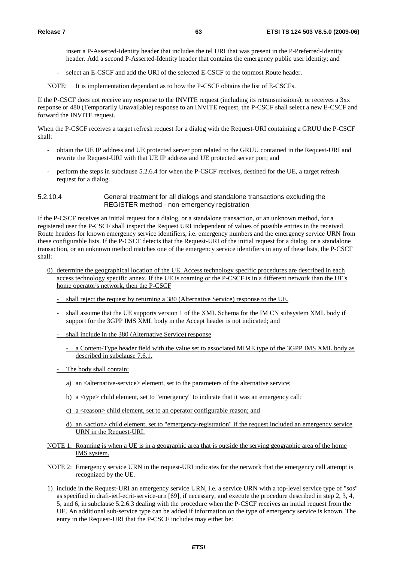insert a P-Asserted-Identity header that includes the tel URI that was present in the P-Preferred-Identity header. Add a second P-Asserted-Identity header that contains the emergency public user identity; and

select an E-CSCF and add the URI of the selected E-CSCF to the topmost Route header.

NOTE: It is implementation dependant as to how the P-CSCF obtains the list of E-CSCFs.

If the P-CSCF does not receive any response to the INVITE request (including its retransmissions); or receives a 3xx response or 480 (Temporarily Unavailable) response to an INVITE request, the P-CSCF shall select a new E-CSCF and forward the INVITE request.

When the P-CSCF receives a target refresh request for a dialog with the Request-URI containing a GRUU the P-CSCF shall:

- obtain the UE IP address and UE protected server port related to the GRUU contained in the Request-URI and rewrite the Request-URI with that UE IP address and UE protected server port; and
- perform the steps in subclause 5.2.6.4 for when the P-CSCF receives, destined for the UE, a target refresh request for a dialog.

# 5.2.10.4 General treatment for all dialogs and standalone transactions excluding the REGISTER method - non-emergency registration

If the P-CSCF receives an initial request for a dialog, or a standalone transaction, or an unknown method, for a registered user the P-CSCF shall inspect the Request URI independent of values of possible entries in the received Route headers for known emergency service identifiers, i.e. emergency numbers and the emergency service URN from these configurable lists. If the P-CSCF detects that the Request-URI of the initial request for a dialog, or a standalone transaction, or an unknown method matches one of the emergency service identifiers in any of these lists, the P-CSCF shall:

- 0) determine the geographical location of the UE. Access technology specific procedures are described in each access technology specific annex. If the UE is roaming or the P-CSCF is in a different network than the UE's home operator's network, then the P-CSCF
	- shall reject the request by returning a 380 (Alternative Service) response to the UE.
	- shall assume that the UE supports version 1 of the XML Schema for the IM CN subsystem XML body if support for the 3GPP IMS XML body in the Accept header is not indicated; and
	- shall include in the 380 (Alternative Service) response
		- a Content-Type header field with the value set to associated MIME type of the 3GPP IMS XML body as described in subclause 7.6.1.
	- The body shall contain:
		- a) an <alternative-service> element, set to the parameters of the alternative service;
		- b) a <type> child element, set to "emergency" to indicate that it was an emergency call;
		- c) a <reason> child element, set to an operator configurable reason; and
		- d) an  $\le$  action  $\ge$  child element, set to "emergency-registration" if the request included an emergency service URN in the Request-URI.
- NOTE 1: Roaming is when a UE is in a geographic area that is outside the serving geographic area of the home IMS system.
- NOTE 2: Emergency service URN in the request-URI indicates for the network that the emergency call attempt is recognized by the UE.
- 1) include in the Request-URI an emergency service URN, i.e. a service URN with a top-level service type of "sos" as specified in draft-ietf-ecrit-service-urn [69], if necessary, and execute the procedure described in step 2, 3, 4, 5, and 6, in subclause 5.2.6.3 dealing with the procedure when the P-CSCF receives an initial request from the UE. An additional sub-service type can be added if information on the type of emergency service is known. The entry in the Request-URI that the P-CSCF includes may either be: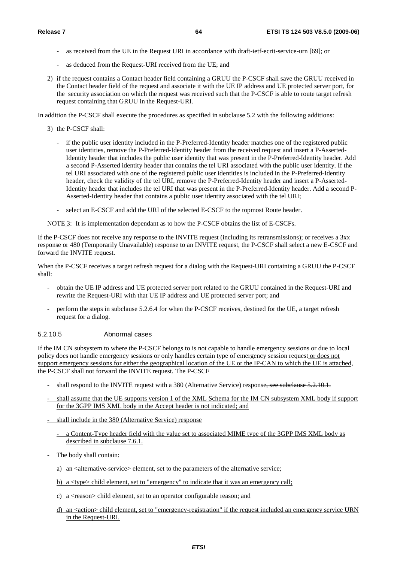- as received from the UE in the Request URI in accordance with draft-ietf-ecrit-service-urn [69]; or
- as deduced from the Request-URI received from the UE; and
- 2) if the request contains a Contact header field containing a GRUU the P-CSCF shall save the GRUU received in the Contact header field of the request and associate it with the UE IP address and UE protected server port, for the security association on which the request was received such that the P-CSCF is able to route target refresh request containing that GRUU in the Request-URI.

In addition the P-CSCF shall execute the procedures as specified in subclause 5.2 with the following additions:

- 3) the P-CSCF shall:
	- if the public user identity included in the P-Preferred-Identity header matches one of the registered public user identities, remove the P-Preferred-Identity header from the received request and insert a P-Asserted-Identity header that includes the public user identity that was present in the P-Preferred-Identity header. Add a second P-Asserted identity header that contains the tel URI associated with the public user identity. If the tel URI associated with one of the registered public user identities is included in the P-Preferred-Identity header, check the validity of the tel URI, remove the P-Preferred-Identity header and insert a P-Asserted-Identity header that includes the tel URI that was present in the P-Preferred-Identity header. Add a second P-Asserted-Identity header that contains a public user identity associated with the tel URI;
	- select an E-CSCF and add the URI of the selected E-CSCF to the topmost Route header.

NOTE 3: It is implementation dependant as to how the P-CSCF obtains the list of E-CSCFs.

If the P-CSCF does not receive any response to the INVITE request (including its retransmissions); or receives a 3xx response or 480 (Temporarily Unavailable) response to an INVITE request, the P-CSCF shall select a new E-CSCF and forward the INVITE request.

When the P-CSCF receives a target refresh request for a dialog with the Request-URI containing a GRUU the P-CSCF shall:

- obtain the UE IP address and UE protected server port related to the GRUU contained in the Request-URI and rewrite the Request-URI with that UE IP address and UE protected server port; and
- perform the steps in subclause 5.2.6.4 for when the P-CSCF receives, destined for the UE, a target refresh request for a dialog.

# 5.2.10.5 Abnormal cases

If the IM CN subsystem to where the P-CSCF belongs to is not capable to handle emergency sessions or due to local policy does not handle emergency sessions or only handles certain type of emergency session request or does not support emergency sessions for either the geographical location of the UE or the IP-CAN to which the UE is attached, the P-CSCF shall not forward the INVITE request. The P-CSCF

- shall respond to the INVITE request with a 380 (Alternative Service) response, see subclause 5.2.10.1.
- shall assume that the UE supports version 1 of the XML Schema for the IM CN subsystem XML body if support for the 3GPP IMS XML body in the Accept header is not indicated; and
- shall include in the 380 (Alternative Service) response
	- a Content-Type header field with the value set to associated MIME type of the 3GPP IMS XML body as described in subclause 7.6.1.
- The body shall contain:
	- a) an  $\leq$  alternative-service  $\geq$  element, set to the parameters of the alternative service;
	- b) a <type> child element, set to "emergency" to indicate that it was an emergency call;
	- c) a  $\langle$  reason $\rangle$  child element, set to an operator configurable reason; and
	- d) an  $\leq$  an  $\leq$  child element, set to "emergency-registration" if the request included an emergency service URN in the Request-URI.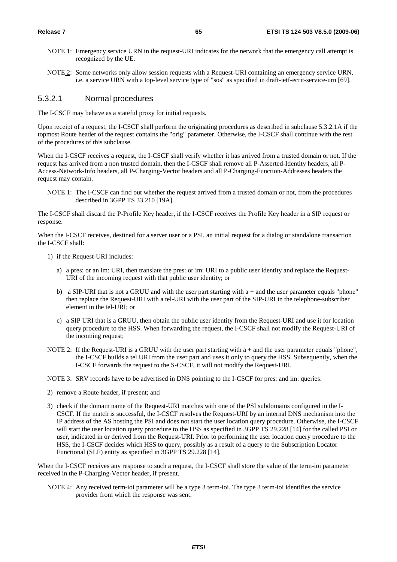- NOTE 1: Emergency service URN in the request-URI indicates for the network that the emergency call attempt is recognized by the UE.
- NOTE 2: Some networks only allow session requests with a Request-URI containing an emergency service URN, i.e. a service URN with a top-level service type of "sos" as specified in draft-ietf-ecrit-service-urn [69].

# 5.3.2.1 Normal procedures

The I-CSCF may behave as a stateful proxy for initial requests.

Upon receipt of a request, the I-CSCF shall perform the originating procedures as described in subclause 5.3.2.1A if the topmost Route header of the request contains the "orig" parameter. Otherwise, the I-CSCF shall continue with the rest of the procedures of this subclause.

When the I-CSCF receives a request, the I-CSCF shall verify whether it has arrived from a trusted domain or not. If the request has arrived from a non trusted domain, then the I-CSCF shall remove all P-Asserted-Identity headers, all P-Access-Network-Info headers, all P-Charging-Vector headers and all P-Charging-Function-Addresses headers the request may contain.

NOTE 1: The I-CSCF can find out whether the request arrived from a trusted domain or not, from the procedures described in 3GPP TS 33.210 [19A].

The I-CSCF shall discard the P-Profile Key header, if the I-CSCF receives the Profile Key header in a SIP request or response.

When the I-CSCF receives, destined for a server user or a PSI, an initial request for a dialog or standalone transaction the I-CSCF shall:

- 1) if the Request-URI includes:
	- a) a pres: or an im: URI, then translate the pres: or im: URI to a public user identity and replace the Request-URI of the incoming request with that public user identity; or
	- b) a SIP-URI that is not a GRUU and with the user part starting with  $a +$  and the user parameter equals "phone" then replace the Request-URI with a tel-URI with the user part of the SIP-URI in the telephone-subscriber element in the tel-URI; or
	- c) a SIP URI that is a GRUU, then obtain the public user identity from the Request-URI and use it for location query procedure to the HSS. When forwarding the request, the I-CSCF shall not modify the Request-URI of the incoming request;
- NOTE 2: If the Request-URI is a GRUU with the user part starting with a + and the user parameter equals "phone", the I-CSCF builds a tel URI from the user part and uses it only to query the HSS. Subsequently, when the I-CSCF forwards the request to the S-CSCF, it will not modify the Request-URI.

NOTE 3: SRV records have to be advertised in DNS pointing to the I-CSCF for pres: and im: queries.

- 2) remove a Route header, if present; and
- 3) check if the domain name of the Request-URI matches with one of the PSI subdomains configured in the I-CSCF. If the match is successful, the I-CSCF resolves the Request-URI by an internal DNS mechanism into the IP address of the AS hosting the PSI and does not start the user location query procedure. Otherwise, the I-CSCF will start the user location query procedure to the HSS as specified in 3GPP TS 29.228 [14] for the called PSI or user, indicated in or derived from the Request-URI. Prior to performing the user location query procedure to the HSS, the I-CSCF decides which HSS to query, possibly as a result of a query to the Subscription Locator Functional (SLF) entity as specified in 3GPP TS 29.228 [14].

When the I-CSCF receives any response to such a request, the I-CSCF shall store the value of the term-ioi parameter received in the P-Charging-Vector header, if present.

NOTE 4: Any received term-ioi parameter will be a type 3 term-ioi. The type 3 term-ioi identifies the service provider from which the response was sent.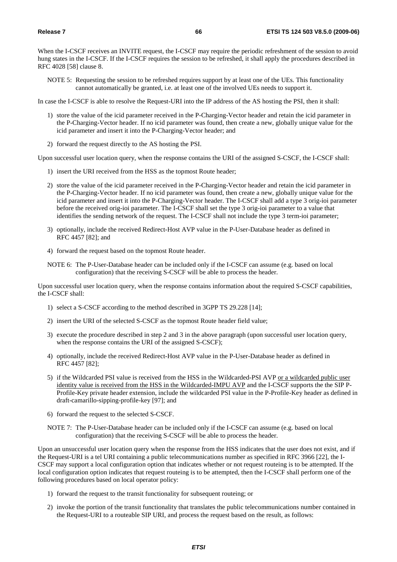When the I-CSCF receives an INVITE request, the I-CSCF may require the periodic refreshment of the session to avoid hung states in the I-CSCF. If the I-CSCF requires the session to be refreshed, it shall apply the procedures described in RFC 4028 [58] clause 8.

NOTE 5: Requesting the session to be refreshed requires support by at least one of the UEs. This functionality cannot automatically be granted, i.e. at least one of the involved UEs needs to support it.

In case the I-CSCF is able to resolve the Request-URI into the IP address of the AS hosting the PSI, then it shall:

- 1) store the value of the icid parameter received in the P-Charging-Vector header and retain the icid parameter in the P-Charging-Vector header. If no icid parameter was found, then create a new, globally unique value for the icid parameter and insert it into the P-Charging-Vector header; and
- 2) forward the request directly to the AS hosting the PSI.

Upon successful user location query, when the response contains the URI of the assigned S-CSCF, the I-CSCF shall:

- 1) insert the URI received from the HSS as the topmost Route header;
- 2) store the value of the icid parameter received in the P-Charging-Vector header and retain the icid parameter in the P-Charging-Vector header. If no icid parameter was found, then create a new, globally unique value for the icid parameter and insert it into the P-Charging-Vector header. The I-CSCF shall add a type 3 orig-ioi parameter before the received orig-ioi parameter. The I-CSCF shall set the type 3 orig-ioi parameter to a value that identifies the sending network of the request. The I-CSCF shall not include the type 3 term-ioi parameter;
- 3) optionally, include the received Redirect-Host AVP value in the P-User-Database header as defined in RFC 4457 [82]; and
- 4) forward the request based on the topmost Route header.
- NOTE 6: The P-User-Database header can be included only if the I-CSCF can assume (e.g. based on local configuration) that the receiving S-CSCF will be able to process the header.

Upon successful user location query, when the response contains information about the required S-CSCF capabilities, the I-CSCF shall:

- 1) select a S-CSCF according to the method described in 3GPP TS 29.228 [14];
- 2) insert the URI of the selected S-CSCF as the topmost Route header field value;
- 3) execute the procedure described in step 2 and 3 in the above paragraph (upon successful user location query, when the response contains the URI of the assigned S-CSCF);
- 4) optionally, include the received Redirect-Host AVP value in the P-User-Database header as defined in RFC 4457 [82];
- 5) if the Wildcarded PSI value is received from the HSS in the Wildcarded-PSI AVP or a wildcarded public user identity value is received from the HSS in the Wildcarded-IMPU AVP and the I-CSCF supports the the SIP P-Profile-Key private header extension, include the wildcarded PSI value in the P-Profile-Key header as defined in draft-camarillo-sipping-profile-key [97]; and
- 6) forward the request to the selected S-CSCF.
- NOTE 7: The P-User-Database header can be included only if the I-CSCF can assume (e.g. based on local configuration) that the receiving S-CSCF will be able to process the header.

Upon an unsuccessful user location query when the response from the HSS indicates that the user does not exist, and if the Request-URI is a tel URI containing a public telecommunications number as specified in RFC 3966 [22], the I-CSCF may support a local configuration option that indicates whether or not request routeing is to be attempted. If the local configuration option indicates that request routeing is to be attempted, then the I-CSCF shall perform one of the following procedures based on local operator policy:

- 1) forward the request to the transit functionality for subsequent routeing; or
- 2) invoke the portion of the transit functionality that translates the public telecommunications number contained in the Request-URI to a routeable SIP URI, and process the request based on the result, as follows: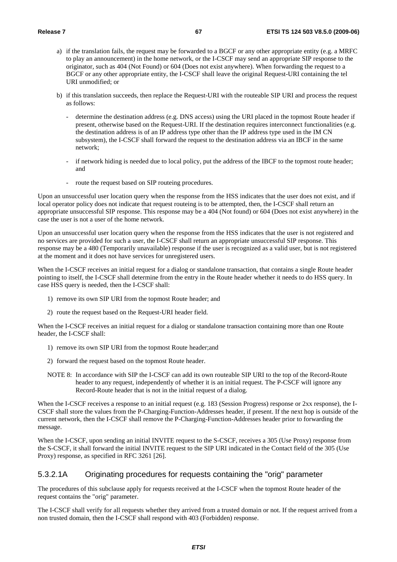- a) if the translation fails, the request may be forwarded to a BGCF or any other appropriate entity (e.g. a MRFC to play an announcement) in the home network, or the I-CSCF may send an appropriate SIP response to the originator, such as 404 (Not Found) or 604 (Does not exist anywhere). When forwarding the request to a BGCF or any other appropriate entity, the I-CSCF shall leave the original Request-URI containing the tel URI unmodified; or
- b) if this translation succeeds, then replace the Request-URI with the routeable SIP URI and process the request as follows:
	- determine the destination address (e.g. DNS access) using the URI placed in the topmost Route header if present, otherwise based on the Request-URI. If the destination requires interconnect functionalities (e.g. the destination address is of an IP address type other than the IP address type used in the IM CN subsystem), the I-CSCF shall forward the request to the destination address via an IBCF in the same network;
	- if network hiding is needed due to local policy, put the address of the IBCF to the topmost route header; and
	- route the request based on SIP routeing procedures.

Upon an unsuccessful user location query when the response from the HSS indicates that the user does not exist, and if local operator policy does not indicate that request routeing is to be attempted, then, the I-CSCF shall return an appropriate unsuccessful SIP response. This response may be a 404 (Not found) or 604 (Does not exist anywhere) in the case the user is not a user of the home network.

Upon an unsuccessful user location query when the response from the HSS indicates that the user is not registered and no services are provided for such a user, the I-CSCF shall return an appropriate unsuccessful SIP response. This response may be a 480 (Temporarily unavailable) response if the user is recognized as a valid user, but is not registered at the moment and it does not have services for unregistered users.

When the I-CSCF receives an initial request for a dialog or standalone transaction, that contains a single Route header pointing to itself, the I-CSCF shall determine from the entry in the Route header whether it needs to do HSS query. In case HSS query is needed, then the I-CSCF shall:

- 1) remove its own SIP URI from the topmost Route header; and
- 2) route the request based on the Request-URI header field.

When the I-CSCF receives an initial request for a dialog or standalone transaction containing more than one Route header, the I-CSCF shall:

- 1) remove its own SIP URI from the topmost Route header;and
- 2) forward the request based on the topmost Route header.
- NOTE 8: In accordance with SIP the I-CSCF can add its own routeable SIP URI to the top of the Record-Route header to any request, independently of whether it is an initial request. The P-CSCF will ignore any Record-Route header that is not in the initial request of a dialog.

When the I-CSCF receives a response to an initial request (e.g. 183 (Session Progress) response or 2xx response), the I-CSCF shall store the values from the P-Charging-Function-Addresses header, if present. If the next hop is outside of the current network, then the I-CSCF shall remove the P-Charging-Function-Addresses header prior to forwarding the message.

When the I-CSCF, upon sending an initial INVITE request to the S-CSCF, receives a 305 (Use Proxy) response from the S-CSCF, it shall forward the initial INVITE request to the SIP URI indicated in the Contact field of the 305 (Use Proxy) response, as specified in RFC 3261 [26].

# 5.3.2.1A Originating procedures for requests containing the "orig" parameter

The procedures of this subclause apply for requests received at the I-CSCF when the topmost Route header of the request contains the "orig" parameter.

The I-CSCF shall verify for all requests whether they arrived from a trusted domain or not. If the request arrived from a non trusted domain, then the I-CSCF shall respond with 403 (Forbidden) response.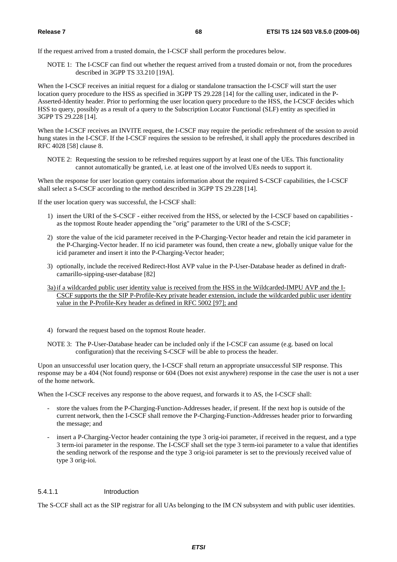If the request arrived from a trusted domain, the I-CSCF shall perform the procedures below.

NOTE 1: The I-CSCF can find out whether the request arrived from a trusted domain or not, from the procedures described in 3GPP TS 33.210 [19A].

When the I-CSCF receives an initial request for a dialog or standalone transaction the I-CSCF will start the user location query procedure to the HSS as specified in 3GPP TS 29.228 [14] for the calling user, indicated in the P-Asserted-Identity header. Prior to performing the user location query procedure to the HSS, the I-CSCF decides which HSS to query, possibly as a result of a query to the Subscription Locator Functional (SLF) entity as specified in 3GPP TS 29.228 [14].

When the I-CSCF receives an INVITE request, the I-CSCF may require the periodic refreshment of the session to avoid hung states in the I-CSCF. If the I-CSCF requires the session to be refreshed, it shall apply the procedures described in RFC 4028 [58] clause 8.

NOTE 2: Requesting the session to be refreshed requires support by at least one of the UEs. This functionality cannot automatically be granted, i.e. at least one of the involved UEs needs to support it.

When the response for user location query contains information about the required S-CSCF capabilities, the I-CSCF shall select a S-CSCF according to the method described in 3GPP TS 29.228 [14].

If the user location query was successful, the I-CSCF shall:

- 1) insert the URI of the S-CSCF either received from the HSS, or selected by the I-CSCF based on capabilities as the topmost Route header appending the "orig" parameter to the URI of the S-CSCF;
- 2) store the value of the icid parameter received in the P-Charging-Vector header and retain the icid parameter in the P-Charging-Vector header. If no icid parameter was found, then create a new, globally unique value for the icid parameter and insert it into the P-Charging-Vector header;
- 3) optionally, include the received Redirect-Host AVP value in the P-User-Database header as defined in draftcamarillo-sipping-user-database [82]
- 3a) if a wildcarded public user identity value is received from the HSS in the Wildcarded-IMPU AVP and the I-CSCF supports the the SIP P-Profile-Key private header extension, include the wildcarded public user identity value in the P-Profile-Key header as defined in RFC 5002 [97]; and
- 4) forward the request based on the topmost Route header.
- NOTE 3: The P-User-Database header can be included only if the I-CSCF can assume (e.g. based on local configuration) that the receiving S-CSCF will be able to process the header.

Upon an unsuccessful user location query, the I-CSCF shall return an appropriate unsuccessful SIP response. This response may be a 404 (Not found) response or 604 (Does not exist anywhere) response in the case the user is not a user of the home network.

When the I-CSCF receives any response to the above request, and forwards it to AS, the I-CSCF shall:

- store the values from the P-Charging-Function-Addresses header, if present. If the next hop is outside of the current network, then the I-CSCF shall remove the P-Charging-Function-Addresses header prior to forwarding the message; and
- insert a P-Charging-Vector header containing the type 3 orig-ioi parameter, if received in the request, and a type 3 term-ioi parameter in the response. The I-CSCF shall set the type 3 term-ioi parameter to a value that identifies the sending network of the response and the type 3 orig-ioi parameter is set to the previously received value of type 3 orig-ioi.

# 5.4.1.1 Introduction

The S-CCF shall act as the SIP registrar for all UAs belonging to the IM CN subsystem and with public user identities.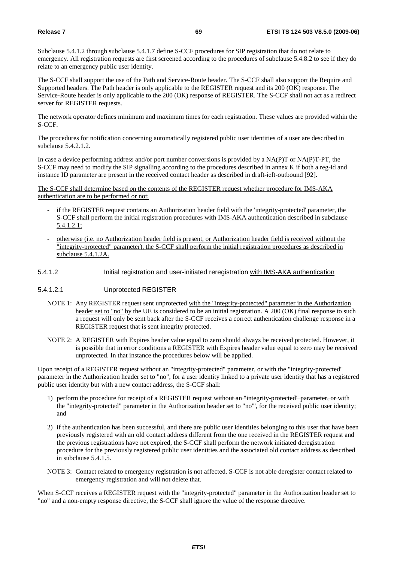Subclause 5.4.1.2 through subclause 5.4.1.7 define S-CCF procedures for SIP registration that do not relate to emergency. All registration requests are first screened according to the procedures of subclause 5.4.8.2 to see if they do relate to an emergency public user identity.

The S-CCF shall support the use of the Path and Service-Route header. The S-CCF shall also support the Require and Supported headers. The Path header is only applicable to the REGISTER request and its 200 (OK) response. The Service-Route header is only applicable to the 200 (OK) response of REGISTER. The S-CCF shall not act as a redirect server for REGISTER requests.

The network operator defines minimum and maximum times for each registration. These values are provided within the S-CCF.

The procedures for notification concerning automatically registered public user identities of a user are described in subclause 5.4.2.1.2.

In case a device performing address and/or port number conversions is provided by a NA(P)T or NA(P)T-PT, the S-CCF may need to modify the SIP signalling according to the procedures described in annex K if both a reg-id and instance ID parameter are present in the received contact header as described in draft-ieft-outbound [92].

The S-CCF shall determine based on the contents of the REGISTER request whether procedure for IMS-AKA authentication are to be performed or not:

- if the REGISTER request contains an Authorization header field with the 'integrity-protected' parameter, the S-CCF shall perform the initial registration procedures with IMS-AKA authentication described in subclause 5.4.1.2.1;
- otherwise (i.e. no Authorization header field is present, or Authorization header field is received without the "integrity-protected" parameter), the S-CCF shall perform the initial registration procedures as described in subclause 5.4.1.2A.
- 5.4.1.2 Initial registration and user-initiated reregistration with IMS-AKA authentication

## 5.4.1.2.1 Unprotected REGISTER

- NOTE 1: Any REGISTER request sent unprotected with the "integrity-protected" parameter in the Authorization header set to "no" by the UE is considered to be an initial registration. A 200 (OK) final response to such a request will only be sent back after the S-CCF receives a correct authentication challenge response in a REGISTER request that is sent integrity protected.
- NOTE 2: A REGISTER with Expires header value equal to zero should always be received protected. However, it is possible that in error conditions a REGISTER with Expires header value equal to zero may be received unprotected. In that instance the procedures below will be applied.

Upon receipt of a REGISTER request without an "integrity-protected" parameter, or with the "integrity-protected" parameter in the Authorization header set to "no", for a user identity linked to a private user identity that has a registered public user identity but with a new contact address, the S-CCF shall:

- 1) perform the procedure for receipt of a REGISTER request without an "integrity-protected" parameter, or with the "integrity-protected" parameter in the Authorization header set to "no"', for the received public user identity; and
- 2) if the authentication has been successful, and there are public user identities belonging to this user that have been previously registered with an old contact address different from the one received in the REGISTER request and the previous registrations have not expired, the S-CCF shall perform the network initiated deregistration procedure for the previously registered public user identities and the associated old contact address as described in subclause 5.4.1.5.
- NOTE 3: Contact related to emergency registration is not affected. S-CCF is not able deregister contact related to emergency registration and will not delete that.

When S-CCF receives a REGISTER request with the "integrity-protected" parameter in the Authorization header set to "no" and a non-empty response directive, the S-CCF shall ignore the value of the response directive.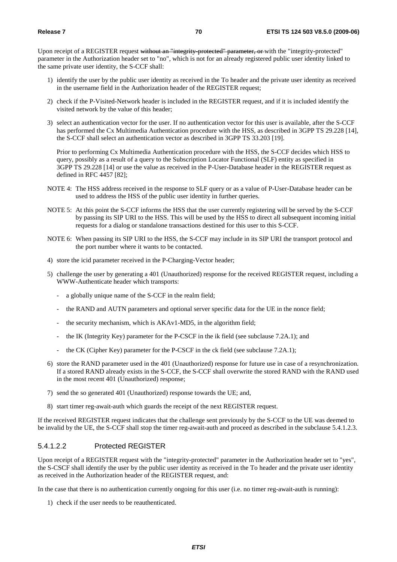Upon receipt of a REGISTER request without an "integrity-protected" parameter, or with the "integrity-protected" parameter in the Authorization header set to "no", which is not for an already registered public user identity linked to the same private user identity, the S-CCF shall:

- 1) identify the user by the public user identity as received in the To header and the private user identity as received in the username field in the Authorization header of the REGISTER request;
- 2) check if the P-Visited-Network header is included in the REGISTER request, and if it is included identify the visited network by the value of this header;
- 3) select an authentication vector for the user. If no authentication vector for this user is available, after the S-CCF has performed the Cx Multimedia Authentication procedure with the HSS, as described in 3GPP TS 29.228 [14], the S-CCF shall select an authentication vector as described in 3GPP TS 33.203 [19].

 Prior to performing Cx Multimedia Authentication procedure with the HSS, the S-CCF decides which HSS to query, possibly as a result of a query to the Subscription Locator Functional (SLF) entity as specified in 3GPP TS 29.228 [14] or use the value as received in the P-User-Database header in the REGISTER request as defined in RFC 4457 [82];

- NOTE 4: The HSS address received in the response to SLF query or as a value of P-User-Database header can be used to address the HSS of the public user identity in further queries.
- NOTE 5: At this point the S-CCF informs the HSS that the user currently registering will be served by the S-CCF by passing its SIP URI to the HSS. This will be used by the HSS to direct all subsequent incoming initial requests for a dialog or standalone transactions destined for this user to this S-CCF.
- NOTE 6: When passing its SIP URI to the HSS, the S-CCF may include in its SIP URI the transport protocol and the port number where it wants to be contacted.
- 4) store the icid parameter received in the P-Charging-Vector header;
- 5) challenge the user by generating a 401 (Unauthorized) response for the received REGISTER request, including a WWW-Authenticate header which transports:
	- a globally unique name of the S-CCF in the realm field;
	- the RAND and AUTN parameters and optional server specific data for the UE in the nonce field;
	- the security mechanism, which is AKAv1-MD5, in the algorithm field;
	- the IK (Integrity Key) parameter for the P-CSCF in the ik field (see subclause 7.2A.1); and
	- the CK (Cipher Key) parameter for the P-CSCF in the ck field (see subclause 7.2A.1);
- 6) store the RAND parameter used in the 401 (Unauthorized) response for future use in case of a resynchronization. If a stored RAND already exists in the S-CCF, the S-CCF shall overwrite the stored RAND with the RAND used in the most recent 401 (Unauthorized) response;
- 7) send the so generated 401 (Unauthorized) response towards the UE; and,
- 8) start timer reg-await-auth which guards the receipt of the next REGISTER request.

If the received REGISTER request indicates that the challenge sent previously by the S-CCF to the UE was deemed to be invalid by the UE, the S-CCF shall stop the timer reg-await-auth and proceed as described in the subclause 5.4.1.2.3.

# 5.4.1.2.2 Protected REGISTER

Upon receipt of a REGISTER request with the "integrity-protected" parameter in the Authorization header set to "yes", the S-CSCF shall identify the user by the public user identity as received in the To header and the private user identity as received in the Authorization header of the REGISTER request, and:

In the case that there is no authentication currently ongoing for this user (i.e. no timer reg-await-auth is running):

1) check if the user needs to be reauthenticated.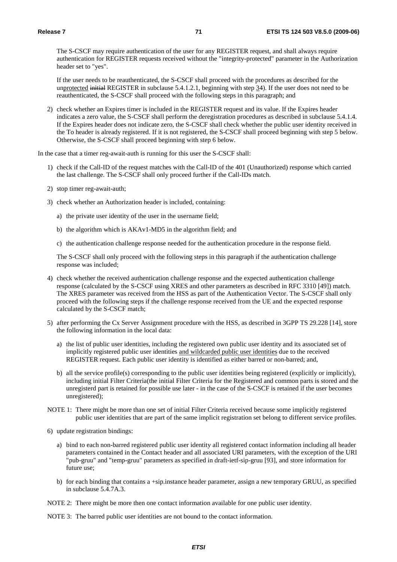The S-CSCF may require authentication of the user for any REGISTER request, and shall always require authentication for REGISTER requests received without the "integrity-protected" parameter in the Authorization header set to "yes".

If the user needs to be reauthenticated, the S-CSCF shall proceed with the procedures as described for the unprotected initial REGISTER in subclause 5.4.1.2.1, beginning with step 34). If the user does not need to be reauthenticated, the S-CSCF shall proceed with the following steps in this paragraph; and

2) check whether an Expires timer is included in the REGISTER request and its value. If the Expires header indicates a zero value, the S-CSCF shall perform the deregistration procedures as described in subclause 5.4.1.4. If the Expires header does not indicate zero, the S-CSCF shall check whether the public user identity received in the To header is already registered. If it is not registered, the S-CSCF shall proceed beginning with step 5 below. Otherwise, the S-CSCF shall proceed beginning with step 6 below.

In the case that a timer reg-await-auth is running for this user the S-CSCF shall:

- 1) check if the Call-ID of the request matches with the Call-ID of the 401 (Unauthorized) response which carried the last challenge. The S-CSCF shall only proceed further if the Call-IDs match.
- 2) stop timer reg-await-auth;
- 3) check whether an Authorization header is included, containing:
	- a) the private user identity of the user in the username field;
	- b) the algorithm which is AKAv1-MD5 in the algorithm field; and
	- c) the authentication challenge response needed for the authentication procedure in the response field.

The S-CSCF shall only proceed with the following steps in this paragraph if the authentication challenge response was included;

- 4) check whether the received authentication challenge response and the expected authentication challenge response (calculated by the S-CSCF using XRES and other parameters as described in RFC 3310 [49]) match. The XRES parameter was received from the HSS as part of the Authentication Vector. The S-CSCF shall only proceed with the following steps if the challenge response received from the UE and the expected response calculated by the S-CSCF match;
- 5) after performing the Cx Server Assignment procedure with the HSS, as described in 3GPP TS 29.228 [14], store the following information in the local data:
	- a) the list of public user identities, including the registered own public user identity and its associated set of implicitly registered public user identities and wildcarded public user identities due to the received REGISTER request. Each public user identity is identified as either barred or non-barred; and,
	- b) all the service profile(s) corresponding to the public user identities being registered (explicitly or implicitly), including initial Filter Criteria(the initial Filter Criteria for the Registered and common parts is stored and the unregisterd part is retained for possible use later - in the case of the S-CSCF is retained if the user becomes unregistered);
- NOTE 1: There might be more than one set of initial Filter Criteria received because some implicitly registered public user identities that are part of the same implicit registration set belong to different service profiles.
- 6) update registration bindings:
	- a) bind to each non-barred registered public user identity all registered contact information including all header parameters contained in the Contact header and all associated URI parameters, with the exception of the URI "pub-gruu" and "temp-gruu" parameters as specified in draft-ietf-sip-gruu [93], and store information for future use;
	- b) for each binding that contains a +sip.instance header parameter, assign a new temporary GRUU, as specified in subclause 5.4.7A.3.
- NOTE 2: There might be more then one contact information available for one public user identity.

NOTE 3: The barred public user identities are not bound to the contact information.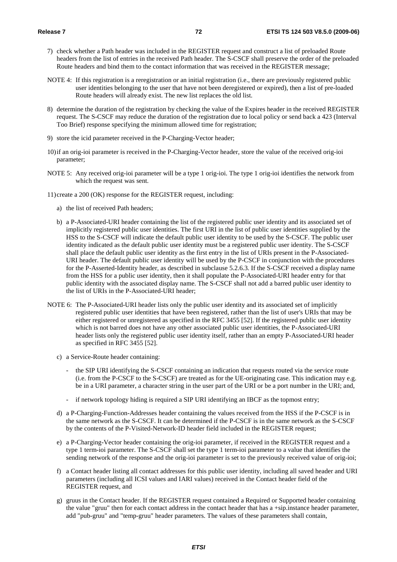- 7) check whether a Path header was included in the REGISTER request and construct a list of preloaded Route headers from the list of entries in the received Path header. The S-CSCF shall preserve the order of the preloaded Route headers and bind them to the contact information that was received in the REGISTER message;
- NOTE 4: If this registration is a reregistration or an initial registration (i.e., there are previously registered public user identities belonging to the user that have not been deregistered or expired), then a list of pre-loaded Route headers will already exist. The new list replaces the old list.
- 8) determine the duration of the registration by checking the value of the Expires header in the received REGISTER request. The S-CSCF may reduce the duration of the registration due to local policy or send back a 423 (Interval Too Brief) response specifying the minimum allowed time for registration;
- 9) store the icid parameter received in the P-Charging-Vector header;
- 10) if an orig-ioi parameter is received in the P-Charging-Vector header, store the value of the received orig-ioi parameter;
- NOTE 5: Any received orig-ioi parameter will be a type 1 orig-ioi. The type 1 orig-ioi identifies the network from which the request was sent.
- 11) create a 200 (OK) response for the REGISTER request, including:
	- a) the list of received Path headers;
	- b) a P-Associated-URI header containing the list of the registered public user identity and its associated set of implicitly registered public user identities. The first URI in the list of public user identities supplied by the HSS to the S-CSCF will indicate the default public user identity to be used by the S-CSCF. The public user identity indicated as the default public user identity must be a registered public user identity. The S-CSCF shall place the default public user identity as the first entry in the list of URIs present in the P-Associated-URI header. The default public user identity will be used by the P-CSCF in conjunction with the procedures for the P-Asserted-Identity header, as described in subclause 5.2.6.3. If the S-CSCF received a display name from the HSS for a public user identity, then it shall populate the P-Associated-URI header entry for that public identity with the associated display name. The S-CSCF shall not add a barred public user identity to the list of URIs in the P-Associated-URI header;
- NOTE 6: The P-Associated-URI header lists only the public user identity and its associated set of implicitly registered public user identities that have been registered, rather than the list of user's URIs that may be either registered or unregistered as specified in the RFC 3455 [52]. If the registered public user identity which is not barred does not have any other associated public user identities, the P-Associated-URI header lists only the registered public user identity itself, rather than an empty P-Associated-URI header as specified in RFC 3455 [52].
	- c) a Service-Route header containing:
		- the SIP URI identifying the S-CSCF containing an indication that requests routed via the service route (i.e. from the P-CSCF to the S-CSCF) are treated as for the UE-originating case. This indication may e.g. be in a URI parameter, a character string in the user part of the URI or be a port number in the URI; and,
		- if network topology hiding is required a SIP URI identifying an IBCF as the topmost entry;
	- d) a P-Charging-Function-Addresses header containing the values received from the HSS if the P-CSCF is in the same network as the S-CSCF. It can be determined if the P-CSCF is in the same network as the S-CSCF by the contents of the P-Visited-Network-ID header field included in the REGISTER request;
	- e) a P-Charging-Vector header containing the orig-ioi parameter, if received in the REGISTER request and a type 1 term-ioi parameter. The S-CSCF shall set the type 1 term-ioi parameter to a value that identifies the sending network of the response and the orig-ioi parameter is set to the previously received value of orig-ioi;
	- f) a Contact header listing all contact addresses for this public user identity, including all saved header and URI parameters (including all ICSI values and IARI values) received in the Contact header field of the REGISTER request, and
	- g) gruus in the Contact header. If the REGISTER request contained a Required or Supported header containing the value "gruu" then for each contact address in the contact header that has a +sip.instance header parameter, add "pub-gruu" and "temp-gruu" header parameters. The values of these parameters shall contain,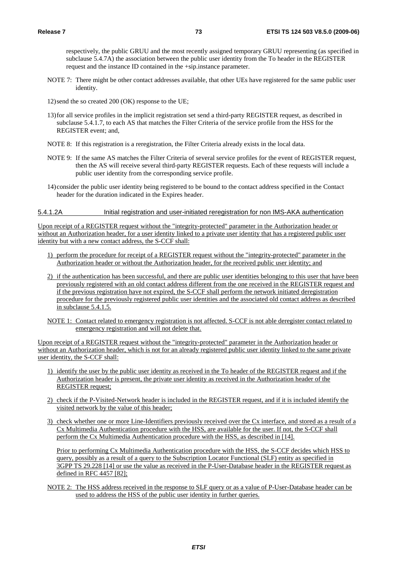respectively, the public GRUU and the most recently assigned temporary GRUU representing (as specified in subclause 5.4.7A) the association between the public user identity from the To header in the REGISTER request and the instance ID contained in the +sip.instance parameter.

- NOTE 7: There might be other contact addresses available, that other UEs have registered for the same public user identity.
- 12) send the so created 200 (OK) response to the UE;
- 13) for all service profiles in the implicit registration set send a third-party REGISTER request, as described in subclause 5.4.1.7, to each AS that matches the Filter Criteria of the service profile from the HSS for the REGISTER event; and,
- NOTE 8: If this registration is a reregistration, the Filter Criteria already exists in the local data.
- NOTE 9: If the same AS matches the Filter Criteria of several service profiles for the event of REGISTER request, then the AS will receive several third-party REGISTER requests. Each of these requests will include a public user identity from the corresponding service profile.
- 14) consider the public user identity being registered to be bound to the contact address specified in the Contact header for the duration indicated in the Expires header.

#### 5.4.1.2A Initial registration and user-initiated reregistration for non IMS-AKA authentication

Upon receipt of a REGISTER request without the "integrity-protected" parameter in the Authorization header or without an Authorization header, for a user identity linked to a private user identity that has a registered public user identity but with a new contact address, the S-CCF shall:

- 1) perform the procedure for receipt of a REGISTER request without the "integrity-protected" parameter in the Authorization header or without the Authorization header, for the received public user identity; and
- 2) if the authentication has been successful, and there are public user identities belonging to this user that have been previously registered with an old contact address different from the one received in the REGISTER request and if the previous registration have not expired, the S-CCF shall perform the network initiated deregistration procedure for the previously registered public user identities and the associated old contact address as described in subclause 5.4.1.5.
- NOTE 1: Contact related to emergency registration is not affected. S-CCF is not able deregister contact related to emergency registration and will not delete that.

Upon receipt of a REGISTER request without the "integrity-protected" parameter in the Authorization header or without an Authorization header, which is not for an already registered public user identity linked to the same private user identity, the S-CCF shall:

- 1) identify the user by the public user identity as received in the To header of the REGISTER request and if the Authorization header is present, the private user identity as received in the Authorization header of the REGISTER request;
- 2) check if the P-Visited-Network header is included in the REGISTER request, and if it is included identify the visited network by the value of this header;
- 3) check whether one or more Line-Identifiers previously received over the Cx interface, and stored as a result of a Cx Multimedia Authentication procedure with the HSS, are available for the user. If not, the S-CCF shall perform the Cx Multimedia Authentication procedure with the HSS, as described in [14].

Prior to performing Cx Multimedia Authentication procedure with the HSS, the S-CCF decides which HSS to query, possibly as a result of a query to the Subscription Locator Functional (SLF) entity as specified in 3GPP TS 29.228 [14] or use the value as received in the P-User-Database header in the REGISTER request as defined in RFC 4457 [82];

NOTE 2: The HSS address received in the response to SLF query or as a value of P-User-Database header can be used to address the HSS of the public user identity in further queries.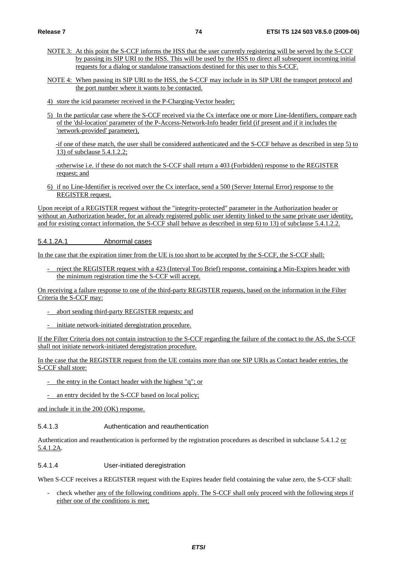- NOTE 3: At this point the S-CCF informs the HSS that the user currently registering will be served by the S-CCF by passing its SIP URI to the HSS. This will be used by the HSS to direct all subsequent incoming initial requests for a dialog or standalone transactions destined for this user to this S-CCF.
- NOTE 4: When passing its SIP URI to the HSS, the S-CCF may include in its SIP URI the transport protocol and the port number where it wants to be contacted.
- 4) store the icid parameter received in the P-Charging-Vector header;
- 5) In the particular case where the S-CCF received via the Cx interface one or more Line-Identifiers, compare each of the 'dsl-location' parameter of the P-Access-Network-Info header field (if present and if it includes the 'network-provided' parameter),

-if one of these match, the user shall be considered authenticated and the S-CCF behave as described in step 5) to 13) of subclause 5.4.1.2.2;

-otherwise i.e. if these do not match the S-CCF shall return a 403 (Forbidden) response to the REGISTER request; and

6) if no Line-Identifier is received over the Cx interface, send a 500 (Server Internal Error) response to the REGISTER request.

Upon receipt of a REGISTER request without the "integrity-protected" parameter in the Authorization header or without an Authorization header, for an already registered public user identity linked to the same private user identity, and for existing contact information, the S-CCF shall behave as described in step 6) to 13) of subclause 5.4.1.2.2.

#### 5.4.1.2A.1 Abnormal cases

In the case that the expiration timer from the UE is too short to be accepted by the S-CCF, the S-CCF shall:

reject the REGISTER request with a 423 (Interval Too Brief) response, containing a Min-Expires header with the minimum registration time the S-CCF will accept.

On receiving a failure response to one of the third-party REGISTER requests, based on the information in the Filter Criteria the S-CCF may:

- abort sending third-party REGISTER requests; and
- initiate network-initiated deregistration procedure.

If the Filter Criteria does not contain instruction to the S-CCF regarding the failure of the contact to the AS, the S-CCF shall not initiate network-initiated deregistration procedure.

In the case that the REGISTER request from the UE contains more than one SIP URIs as Contact header entries, the S-CCF shall store:

- the entry in the Contact header with the highest "q"; or
- an entry decided by the S-CCF based on local policy;

and include it in the 200 (OK) response.

### 5.4.1.3 Authentication and reauthentication

Authentication and reauthentication is performed by the registration procedures as described in subclause 5.4.1.2 or 5.4.1.2A.

## 5.4.1.4 User-initiated deregistration

When S-CCF receives a REGISTER request with the Expires header field containing the value zero, the S-CCF shall:

- check whether any of the following conditions apply. The S-CCF shall only proceed with the following steps if either one of the conditions is met;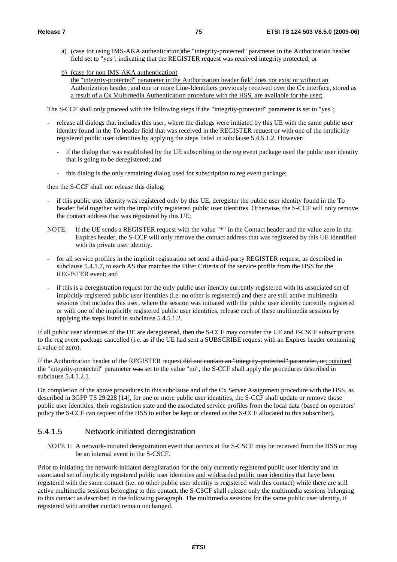a) (case for using IMS-AKA authentication)the "integrity-protected" parameter in the Authorization header field set to "yes", indicating that the REGISTER request was received integrity protected; or

b) (case for non IMS-AKA authentication)

the "integrity-protected" parameter in the Authorization header field does not exist or without an Authorization header, and one or more Line-Identifiers previously received over the Cx interface, stored as a result of a Cx Multimedia Authentication procedure with the HSS, are available for the user;

The S-CCF shall only proceed with the following steps if the "integrity-protected" parameter is set to "yes";

- release all dialogs that includes this user, where the dialogs were initiated by this UE with the same public user identity found in the To header field that was received in the REGISTER request or with one of the implicitly registered public user identities by applying the steps listed in subclause 5.4.5.1.2. However:
	- if the dialog that was established by the UE subscribing to the reg event package used the public user identity that is going to be deregistered; and
	- this dialog is the only remaining dialog used for subscription to reg event package;

then the S-CCF shall not release this dialog;

- if this public user identity was registered only by this UE, deregister the public user identity found in the To header field together with the implicitly registered public user identities. Otherwise, the S-CCF will only remove the contact address that was registered by this UE;
- NOTE: If the UE sends a REGISTER request with the value "\*" in the Contact header and the value zero in the Expires header, the S-CCF will only remove the contact address that was registered by this UE identified with its private user identity.
- for all service profiles in the implicit registration set send a third-party REGISTER request, as described in subclause 5.4.1.7, to each AS that matches the Filter Criteria of the service profile from the HSS for the REGISTER event; and
- if this is a deregistration request for the only public user identity currently registered with its associated set of implicitly registered public user identities (i.e. no other is registered) and there are still active multimedia sessions that includes this user, where the session was initiated with the public user identity currently registered or with one of the implicitly registered public user identities, release each of these multimedia sessions by applying the steps listed in subclause 5.4.5.1.2.

If all public user identities of the UE are deregistered, then the S-CCF may consider the UE and P-CSCF subscriptions to the reg event package cancelled (i.e. as if the UE had sent a SUBSCRIBE request with an Expires header containing a value of zero).

If the Authorization header of the REGISTER request did not contain an "integrity-protected" parameter, orcontained the "integrity-protected" parameter was set to the value "no", the S-CCF shall apply the procedures described in subclause 5.4.1.2.1.

On completion of the above procedures in this subclause and of the Cx Server Assignment procedure with the HSS, as described in 3GPP TS 29.228 [14], for one or more public user identities, the S-CCF shall update or remove those public user identities, their registration state and the associated service profiles from the local data (based on operators' policy the S-CCF can request of the HSS to either be kept or cleared as the S-CCF allocated to this subscriber).

## 5.4.1.5 Network-initiated deregistration

NOTE 1: A network-initiated deregistration event that occurs at the S-CSCF may be received from the HSS or may be an internal event in the S-CSCF.

Prior to initiating the network-initiated deregistration for the only currently registered public user identity and its associated set of implicitly registered public user identities and wildcarded public user identities that have been registered with the same contact (i.e. no other public user identity is registered with this contact) while there are still active multimedia sessions belonging to this contact, the S-CSCF shall release only the multimedia sessions belonging to this contact as described in the following paragraph. The multimedia sessions for the same public user identity, if registered with another contact remain unchanged.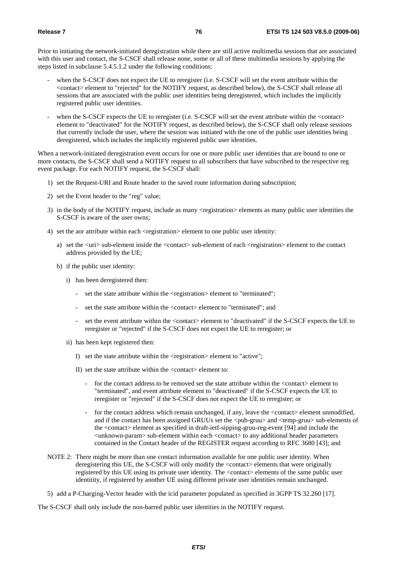Prior to initiating the network-initiated deregistration while there are still active multimedia sessions that are associated with this user and contact, the S-CSCF shall release none, some or all of these multimedia sessions by applying the steps listed in subclause 5.4.5.1.2 under the following conditions:

- when the S-CSCF does not expect the UE to reregister (i.e. S-CSCF will set the event attribute within the <contact> element to "rejected" for the NOTIFY request, as described below), the S-CSCF shall release all sessions that are associated with the public user identities being deregistered, which includes the implicitly registered public user identities.
- when the S-CSCF expects the UE to reregister (i.e. S-CSCF will set the event attribute within the <contact> element to "deactivated" for the NOTIFY request, as described below), the S-CSCF shall only release sessions that currently include the user, where the session was initiated with the one of the public user identities being deregistered, which includes the implicitly registered public user identities.

When a network-initiated deregistration event occurs for one or more public user identities that are bound to one or more contacts, the S-CSCF shall send a NOTIFY request to all subscribers that have subscribed to the respective reg event package. For each NOTIFY request, the S-CSCF shall:

- 1) set the Request-URI and Route header to the saved route information during subscription;
- 2) set the Event header to the "reg" value;
- 3) in the body of the NOTIFY request, include as many <registration> elements as many public user identities the S-CSCF is aware of the user owns;
- 4) set the aor attribute within each <registration> element to one public user identity:
	- a) set the <uri> sub-element inside the <contact> sub-element of each <registration> element to the contact address provided by the UE;
	- b) if the public user identity:
		- i) has been deregistered then:
			- set the state attribute within the <registration> element to "terminated";
			- set the state attribute within the <contact> element to "terminated"; and
			- set the event attribute within the <contact> element to "deactivated" if the S-CSCF expects the UE to reregister or "rejected" if the S-CSCF does not expect the UE to reregister; or
		- ii) has been kept registered then:
			- I) set the state attribute within the  $\langle$ registration $\rangle$  element to "active";
			- II) set the state attribute within the  $\langle$  contact $\rangle$  element to:
				- for the contact address to be removed set the state attribute within the <contact> element to "terminated", and event attribute element to "deactivated" if the S-CSCF expects the UE to reregister or "rejected" if the S-CSCF does not expect the UE to reregister; or
				- for the contact address which remain unchanged, if any, leave the <contact> element unmodified, and if the contact has been assigned GRUUs set the <pub-gruu> and <temp-gruu> sub-elements of the <contact> element as specified in draft-ietf-sipping-gruu-reg-event [94] and include the <unknown-param> sub-element within each <contact> to any additional header parameters contained in the Contact header of the REGISTER request according to RFC 3680 [43]; and
- NOTE 2: There might be more than one contact information available for one public user identity. When deregistering this UE, the S-CSCF will only modify the <contact> elements that were originally registered by this UE using its private user identity. The <contact> elements of the same public user identitity, if registered by another UE using different private user identities remain unchanged.
- 5) add a P-Charging-Vector header with the icid parameter populated as specified in 3GPP TS 32.260 [17].

The S-CSCF shall only include the non-barred public user identities in the NOTIFY request.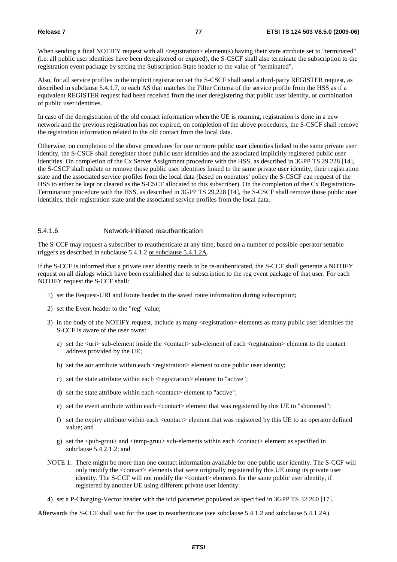When sending a final NOTIFY request with all <registration> element(s) having their state attribute set to "terminated" (i.e. all public user identities have been deregistered or expired), the S-CSCF shall also terminate the subscription to the registration event package by setting the Subscription-State header to the value of "terminated".

Also, for all service profiles in the implicit registration set the S-CSCF shall send a third-party REGISTER request, as described in subclause 5.4.1.7, to each AS that matches the Filter Criteria of the service profile from the HSS as if a equivalent REGISTER request had been received from the user deregistering that public user identity, or combination of public user identities.

In case of the deregistration of the old contact information when the UE is roaming, registration is done in a new network and the previous registration has not expired, on completion of the above procedures, the S-CSCF shall remove the registration information related to the old contact from the local data.

Otherwise, on completion of the above procedures for one or more public user identities linked to the same private user identity, the S-CSCF shall deregister those public user identities and the associated implicitly registered public user identities. On completion of the Cx Server Assignment procedure with the HSS, as described in 3GPP TS 29.228 [14], the S-CSCF shall update or remove those public user identities linked to the same private user identity, their registration state and the associated service profiles from the local data (based on operators' policy the S-CSCF can request of the HSS to either be kept or cleared as the S-CSCF allocated to this subscriber). On the completion of the Cx Registration-Termination procedure with the HSS, as described in 3GPP TS 29.228 [14], the S-CSCF shall remove those public user identities, their registration state and the associated service profiles from the local data.

## 5.4.1.6 Network-initiated reauthentication

The S-CCF may request a subscriber to reauthenticate at any time, based on a number of possible operator settable triggers as described in subclause 5.4.1.2 or subclause 5.4.1.2A.

If the S-CCF is informed that a private user identity needs to be re-authenticated, the S-CCF shall generate a NOTIFY request on all dialogs which have been established due to subscription to the reg event package of that user. For each NOTIFY request the S-CCF shall:

- 1) set the Request-URI and Route header to the saved route information during subscription;
- 2) set the Event header to the "reg" value;
- 3) in the body of the NOTIFY request, include as many <registration> elements as many public user identities the S-CCF is aware of the user owns:
	- a) set the <uri> sub-element inside the <contact> sub-element of each <registration> element to the contact address provided by the UE;
	- b) set the aor attribute within each <registration> element to one public user identity;
	- c) set the state attribute within each <registration> element to "active";
	- d) set the state attribute within each <contact> element to "active";
	- e) set the event attribute within each <contact> element that was registered by this UE to "shortened";
	- f) set the expiry attribute within each <contact> element that was registered by this UE to an operator defined value; and
	- g) set the <pub-gruu> and <temp-gruu> sub-elements within each <contact> element as specified in subclause 5.4.2.1.2; and
- NOTE 1: There might be more than one contact information available for one public user identity. The S-CCF will only modify the <contact> elements that were originally registered by this UE using its private user identity. The S-CCF will not modify the <contact> elements for the same public user identity, if registered by another UE using different private user identity.
- 4) set a P-Charging-Vector header with the icid parameter populated as specified in 3GPP TS 32.260 [17].

Afterwards the S-CCF shall wait for the user to reauthenticate (see subclause 5.4.1.2 and subclause 5.4.1.2A).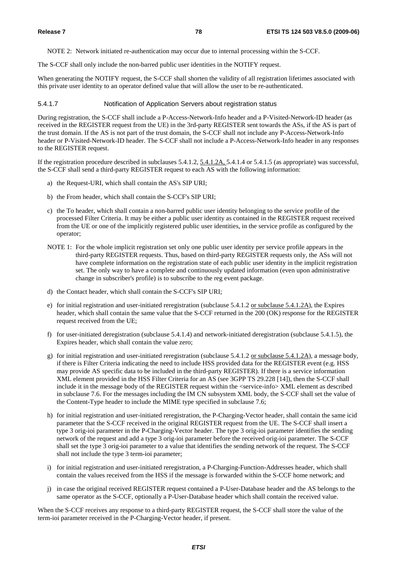NOTE 2: Network initiated re-authentication may occur due to internal processing within the S-CCF.

The S-CCF shall only include the non-barred public user identities in the NOTIFY request.

When generating the NOTIFY request, the S-CCF shall shorten the validity of all registration lifetimes associated with this private user identity to an operator defined value that will allow the user to be re-authenticated.

#### 5.4.1.7 Notification of Application Servers about registration status

During registration, the S-CCF shall include a P-Access-Network-Info header and a P-Visited-Network-ID header (as received in the REGISTER request from the UE) in the 3rd-party REGISTER sent towards the ASs, if the AS is part of the trust domain. If the AS is not part of the trust domain, the S-CCF shall not include any P-Access-Network-Info header or P-Visited-Network-ID header. The S-CCF shall not include a P-Access-Network-Info header in any responses to the REGISTER request.

If the registration procedure described in subclauses 5.4.1.2, 5.4.1.2A, 5.4.1.4 or 5.4.1.5 (as appropriate) was successful, the S-CCF shall send a third-party REGISTER request to each AS with the following information:

- a) the Request-URI, which shall contain the AS's SIP URI;
- b) the From header, which shall contain the S-CCF's SIP URI;
- c) the To header, which shall contain a non-barred public user identity belonging to the service profile of the processed Filter Criteria. It may be either a public user identity as contained in the REGISTER request received from the UE or one of the implicitly registered public user identities, in the service profile as configured by the operator;
- NOTE 1: For the whole implicit registration set only one public user identity per service profile appears in the third-party REGISTER requests. Thus, based on third-party REGISTER requests only, the ASs will not have complete information on the registration state of each public user identity in the implicit registration set. The only way to have a complete and continuously updated information (even upon administrative change in subscriber's profile) is to subscribe to the reg event package.
- d) the Contact header, which shall contain the S-CCF's SIP URI;
- e) for initial registration and user-initiated reregistration (subclause 5.4.1.2 or subclause 5.4.1.2A), the Expires header, which shall contain the same value that the S-CCF returned in the 200 (OK) response for the REGISTER request received from the UE;
- f) for user-initiated deregistration (subclause 5.4.1.4) and network-initiated deregistration (subclause 5.4.1.5), the Expires header, which shall contain the value zero;
- g) for initial registration and user-initiated reregistration (subclause 5.4.1.2 or subclause 5.4.1.2A), a message body, if there is Filter Criteria indicating the need to include HSS provided data for the REGISTER event (e.g. HSS may provide AS specific data to be included in the third-party REGISTER). If there is a service information XML element provided in the HSS Filter Criteria for an AS (see 3GPP TS 29.228 [14]), then the S-CCF shall include it in the message body of the REGISTER request within the <service-info> XML element as described in subclause 7.6. For the messages including the IM CN subsystem XML body, the S-CCF shall set the value of the Content-Type header to include the MIME type specified in subclause 7.6;
- h) for initial registration and user-initiated reregistration, the P-Charging-Vector header, shall contain the same icid parameter that the S-CCF received in the original REGISTER request from the UE. The S-CCF shall insert a type 3 orig-ioi parameter in the P-Charging-Vector header. The type 3 orig-ioi parameter identifies the sending network of the request and add a type 3 orig-ioi parameter before the received orig-ioi parameter. The S-CCF shall set the type 3 orig-ioi parameter to a value that identifies the sending network of the request. The S-CCF shall not include the type 3 term-ioi parameter;
- i) for initial registration and user-initiated reregistration, a P-Charging-Function-Addresses header, which shall contain the values received from the HSS if the message is forwarded within the S-CCF home network; and
- j) in case the original received REGISTER request contained a P-User-Database header and the AS belongs to the same operator as the S-CCF, optionally a P-User-Database header which shall contain the received value.

When the S-CCF receives any response to a third-party REGISTER request, the S-CCF shall store the value of the term-ioi parameter received in the P-Charging-Vector header, if present.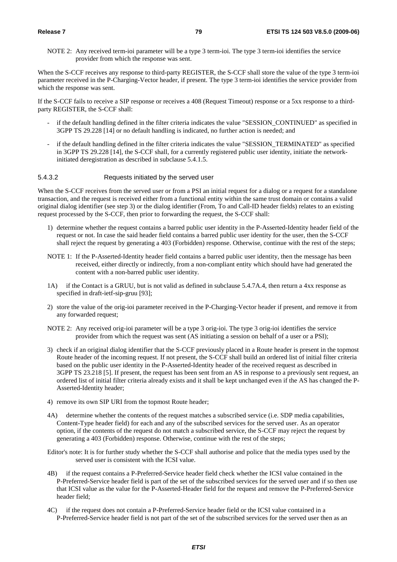NOTE 2: Any received term-ioi parameter will be a type 3 term-ioi. The type 3 term-ioi identifies the service provider from which the response was sent.

When the S-CCF receives any response to third-party REGISTER, the S-CCF shall store the value of the type 3 term-ioi parameter received in the P-Charging-Vector header, if present. The type 3 term-ioi identifies the service provider from which the response was sent.

If the S-CCF fails to receive a SIP response or receives a 408 (Request Timeout) response or a 5xx response to a thirdparty REGISTER, the S-CCF shall:

- if the default handling defined in the filter criteria indicates the value "SESSION\_CONTINUED" as specified in 3GPP TS 29.228 [14] or no default handling is indicated, no further action is needed; and
- if the default handling defined in the filter criteria indicates the value "SESSION\_TERMINATED" as specified in 3GPP TS 29.228 [14], the S-CCF shall, for a currently registered public user identity, initiate the networkinitiated deregistration as described in subclause 5.4.1.5.

#### 5.4.3.2 Requests initiated by the served user

When the S-CCF receives from the served user or from a PSI an initial request for a dialog or a request for a standalone transaction, and the request is received either from a functional entity within the same trust domain or contains a valid original dialog identifier (see step 3) or the dialog identifier (From, To and Call-ID header fields) relates to an existing request processed by the S-CCF, then prior to forwarding the request, the S-CCF shall:

- 1) determine whether the request contains a barred public user identity in the P-Asserted-Identity header field of the request or not. In case the said header field contains a barred public user identity for the user, then the S-CCF shall reject the request by generating a 403 (Forbidden) response. Otherwise, continue with the rest of the steps;
- NOTE 1: If the P-Asserted-Identity header field contains a barred public user identity, then the message has been received, either directly or indirectly, from a non-compliant entity which should have had generated the content with a non-barred public user identity.
- 1A) if the Contact is a GRUU, but is not valid as defined in subclause 5.4.7A.4, then return a 4xx response as specified in draft-ietf-sip-gruu [93];
- 2) store the value of the orig-ioi parameter received in the P-Charging-Vector header if present, and remove it from any forwarded request;
- NOTE 2: Any received orig-ioi parameter will be a type 3 orig-ioi. The type 3 orig-ioi identifies the service provider from which the request was sent (AS initiating a session on behalf of a user or a PSI);
- 3) check if an original dialog identifier that the S-CCF previously placed in a Route header is present in the topmost Route header of the incoming request. If not present, the S-CCF shall build an ordered list of initial filter criteria based on the public user identity in the P-Asserted-Identity header of the received request as described in 3GPP TS 23.218 [5]. If present, the request has been sent from an AS in response to a previously sent request, an ordered list of initial filter criteria already exists and it shall be kept unchanged even if the AS has changed the P-Asserted-Identity header;
- 4) remove its own SIP URI from the topmost Route header;
- 4A) determine whether the contents of the request matches a subscribed service (i.e. SDP media capabilities, Content-Type header field) for each and any of the subscribed services for the served user. As an operator option, if the contents of the request do not match a subscribed service, the S-CCF may reject the request by generating a 403 (Forbidden) response. Otherwise, continue with the rest of the steps;
- Editor's note: It is for further study whether the S-CCF shall authorise and police that the media types used by the served user is consistent with the ICSI value.
- 4B) if the request contains a P-Preferred-Service header field check whether the ICSI value contained in the P-Preferred-Service header field is part of the set of the subscribed services for the served user and if so then use that ICSI value as the value for the P-Asserted-Header field for the request and remove the P-Preferred-Service header field;
- 4C) if the request does not contain a P-Preferred-Service header field or the ICSI value contained in a P-Preferred-Service header field is not part of the set of the subscribed services for the served user then as an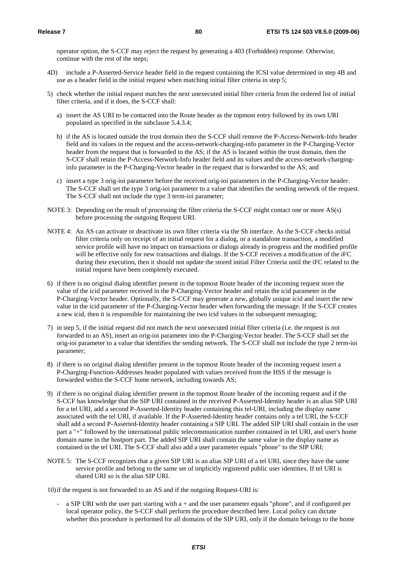operator option, the S-CCF may reject the request by generating a 403 (Forbidden) response. Otherwise, continue with the rest of the steps;

- 4D) include a P-Asserted-Service header field in the request containing the ICSI value determined in step 4B and use as a header field in the initial request when matching initial filter criteria in step 5;
- 5) check whether the initial request matches the next unexecuted initial filter criteria from the ordered list of initial filter criteria, and if it does, the S-CCF shall:
	- a) insert the AS URI to be contacted into the Route header as the topmost entry followed by its own URI populated as specified in the subclause 5.4.3.4;
	- b) if the AS is located outside the trust domain then the S-CCF shall remove the P-Access-Network-Info header field and its values in the request and the access-network-charging-info parameter in the P-Charging-Vector header from the request that is forwarded to the AS; if the AS is located within the trust domain, then the S-CCF shall retain the P-Access-Network-Info header field and its values and the access-network-charginginfo parameter in the P-Charging-Vector header in the request that is forwarded to the AS; and
	- c) insert a type 3 orig-ioi parameter before the received orig-ioi parameters in the P-Charging-Vector header. The S-CCF shall set the type 3 orig-ioi parameter to a value that identifies the sending network of the request. The S-CCF shall not include the type 3 term-ioi parameter;
- NOTE 3: Depending on the result of processing the filter criteria the S-CCF might contact one or more AS(s) before processing the outgoing Request URI.
- NOTE 4: An AS can activate or deactivate its own filter criteria via the Sh interface. As the S-CCF checks initial filter criteria only on receipt of an initial request for a dialog, or a standalone transaction, a modified service profile will have no impact on transactions or dialogs already in progress and the modified profile will be effective only for new transactions and dialogs. If the S-CCF receives a modification of the iFC during their execution, then it should not update the stored initial Filter Criteria until the iFC related to the initial request have been completely executed.
- 6) if there is no original dialog identifier present in the topmost Route header of the incoming request store the value of the icid parameter received in the P-Charging-Vector header and retain the icid parameter in the P-Charging-Vector header. Optionally, the S-CCF may generate a new, globally unique icid and insert the new value in the icid parameter of the P-Charging-Vector header when forwarding the message. If the S-CCF creates a new icid, then it is responsible for maintaining the two icid values in the subsequent messaging;
- 7) in step 5, if the initial request did not match the next unexecuted initial filter criteria (i.e. the request is not forwarded to an AS), insert an orig-ioi parameter into the P-Charging-Vector header. The S-CCF shall set the orig-ioi parameter to a value that identifies the sending network. The S-CCF shall not include the type 2 term-ioi parameter;
- 8) if there is no original dialog identifier present in the topmost Route header of the incoming request insert a P-Charging-Function-Addresses header populated with values received from the HSS if the message is forwarded within the S-CCF home network, including towards AS;
- 9) if there is no original dialog identifier present in the topmost Route header of the incoming request and if the S-CCF has knowledge that the SIP URI contained in the received P-Asserted-Identity header is an alias SIP URI for a tel URI, add a second P-Asserted-Identity header containing this tel-URI, including the display name associated with the tel URI, if available. If the P-Asserted-Identity header contains only a tel URI, the S-CCF shall add a second P-Asserted-Identity header containing a SIP URI. The added SIP URI shall contain in the user part a "+" followed by the international public telecommunication number contained in tel URI, and user's home domain name in the hostport part. The added SIP URI shall contain the same value in the display name as contained in the tel URI. The S-CCF shall also add a user parameter equals "phone" to the SIP URI;
- NOTE 5: The S-CCF recognizes that a given SIP URI is an alias SIP URI of a tel URI, since they have the same service profile and belong to the same set of implicitly registered public user identities. If tel URI is shared URI so is the alias SIP URI.

10) if the request is not forwarded to an AS and if the outgoing Request-URI is:

- a SIP URI with the user part starting with a + and the user parameter equals "phone", and if configured per local operator policy, the S-CCF shall perform the procedure described here. Local policy can dictate whether this procedure is performed for all domains of the SIP URI, only if the domain belongs to the home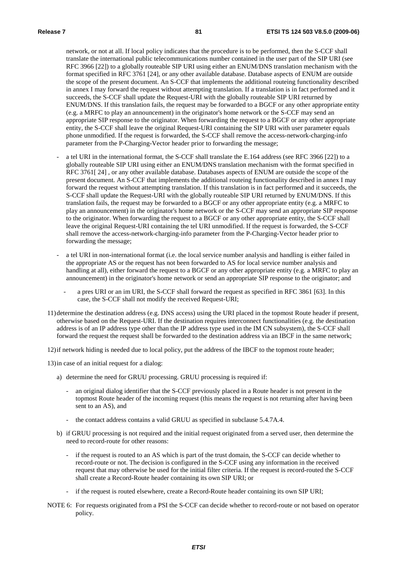network, or not at all. If local policy indicates that the procedure is to be performed, then the S-CCF shall translate the international public telecommunications number contained in the user part of the SIP URI (see RFC 3966 [22]) to a globally routeable SIP URI using either an ENUM/DNS translation mechanism with the format specified in RFC 3761 [24], or any other available database. Database aspects of ENUM are outside the scope of the present document. An S-CCF that implements the additional routeing functionality described in annex I may forward the request without attempting translation. If a translation is in fact performed and it succeeds, the S-CCF shall update the Request-URI with the globally routeable SIP URI returned by ENUM/DNS. If this translation fails, the request may be forwarded to a BGCF or any other appropriate entity (e.g. a MRFC to play an announcement) in the originator's home network or the S-CCF may send an appropriate SIP response to the originator. When forwarding the request to a BGCF or any other appropriate entity, the S-CCF shall leave the original Request-URI containing the SIP URI with user parameter equals phone unmodified. If the request is forwarded, the S-CCF shall remove the access-network-charging-info parameter from the P-Charging-Vector header prior to forwarding the message;

- a tel URI in the international format, the S-CCF shall translate the E.164 address (see RFC 3966 [22]) to a globally routeable SIP URI using either an ENUM/DNS translation mechanism with the format specified in RFC 3761[ 24] , or any other available database. Databases aspects of ENUM are outside the scope of the present document. An S-CCF that implements the additional routeing functionality described in annex I may forward the request without attempting translation. If this translation is in fact performed and it succeeds, the S-CCF shall update the Request-URI with the globally routeable SIP URI returned by ENUM/DNS. If this translation fails, the request may be forwarded to a BGCF or any other appropriate entity (e.g. a MRFC to play an announcement) in the originator's home network or the S-CCF may send an appropriate SIP response to the originator. When forwarding the request to a BGCF or any other appropriate entity, the S-CCF shall leave the original Request-URI containing the tel URI unmodified. If the request is forwarded, the S-CCF shall remove the access-network-charging-info parameter from the P-Charging-Vector header prior to forwarding the message;
- a tel URI in non-international format (i.e. the local service number analysis and handling is either failed in the appropriate AS or the request has not been forwarded to AS for local service number analysis and handling at all), either forward the request to a BGCF or any other appropriate entity (e.g. a MRFC to play an announcement) in the originator's home network or send an appropriate SIP response to the originator; and
	- a pres URI or an im URI, the S-CCF shall forward the request as specified in RFC 3861 [63]. In this case, the S-CCF shall not modify the received Request-URI;
- 11) determine the destination address (e.g. DNS access) using the URI placed in the topmost Route header if present, otherwise based on the Request-URI. If the destination requires interconnect functionalities (e.g. the destination address is of an IP address type other than the IP address type used in the IM CN subsystem), the S-CCF shall forward the request the request shall be forwarded to the destination address via an IBCF in the same network;
- 12) if network hiding is needed due to local policy, put the address of the IBCF to the topmost route header;

13) in case of an initial request for a dialog:

- a) determine the need for GRUU processing. GRUU processing is required if:
	- an original dialog identifier that the S-CCF previously placed in a Route header is not present in the topmost Route header of the incoming request (this means the request is not returning after having been sent to an AS), and
	- the contact address contains a valid GRUU as specified in subclause 5.4.7A.4.
- b) if GRUU processing is not required and the initial request originated from a served user, then determine the need to record-route for other reasons:
	- if the request is routed to an AS which is part of the trust domain, the S-CCF can decide whether to record-route or not. The decision is configured in the S-CCF using any information in the received request that may otherwise be used for the initial filter criteria. If the request is record-routed the S-CCF shall create a Record-Route header containing its own SIP URI; or
	- if the request is routed elsewhere, create a Record-Route header containing its own SIP URI;
- NOTE 6: For requests originated from a PSI the S-CCF can decide whether to record-route or not based on operator policy.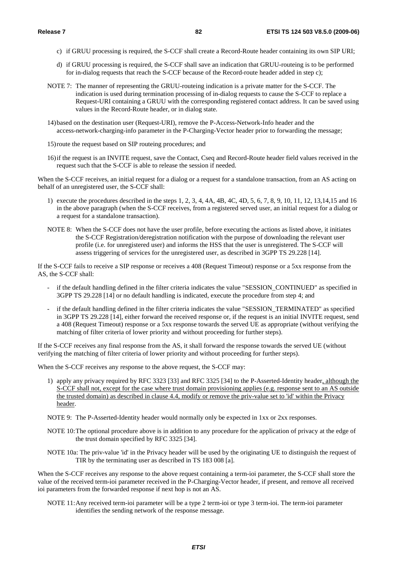- c) if GRUU processing is required, the S-CCF shall create a Record-Route header containing its own SIP URI;
- d) if GRUU processing is required, the S-CCF shall save an indication that GRUU-routeing is to be performed for in-dialog requests that reach the S-CCF because of the Record-route header added in step c);
- NOTE 7: The manner of representing the GRUU-routeing indication is a private matter for the S-CCF. The indication is used during termination processing of in-dialog requests to cause the S-CCF to replace a Request-URI containing a GRUU with the corresponding registered contact address. It can be saved using values in the Record-Route header, or in dialog state.
- 14) based on the destination user (Request-URI), remove the P-Access-Network-Info header and the access-network-charging-info parameter in the P-Charging-Vector header prior to forwarding the message;
- 15) route the request based on SIP routeing procedures; and
- 16) if the request is an INVITE request, save the Contact, Cseq and Record-Route header field values received in the request such that the S-CCF is able to release the session if needed.

When the S-CCF receives, an initial request for a dialog or a request for a standalone transaction, from an AS acting on behalf of an unregistered user, the S-CCF shall:

- 1) execute the procedures described in the steps 1, 2, 3, 4, 4A, 4B, 4C, 4D, 5, 6, 7, 8, 9, 10, 11, 12, 13,14,15 and 16 in the above paragraph (when the S-CCF receives, from a registered served user, an initial request for a dialog or a request for a standalone transaction).
- NOTE 8: When the S-CCF does not have the user profile, before executing the actions as listed above, it initiates the S-CCF Registration/deregistration notification with the purpose of downloading the relevant user profile (i.e. for unregistered user) and informs the HSS that the user is unregistered. The S-CCF will assess triggering of services for the unregistered user, as described in 3GPP TS 29.228 [14].

If the S-CCF fails to receive a SIP response or receives a 408 (Request Timeout) response or a 5xx response from the AS, the S-CCF shall:

- if the default handling defined in the filter criteria indicates the value "SESSION\_CONTINUED" as specified in 3GPP TS 29.228 [14] or no default handling is indicated, execute the procedure from step 4; and
- if the default handling defined in the filter criteria indicates the value "SESSION\_TERMINATED" as specified in 3GPP TS 29.228 [14], either forward the received response or, if the request is an initial INVITE request, send a 408 (Request Timeout) response or a 5xx response towards the served UE as appropriate (without verifying the matching of filter criteria of lower priority and without proceeding for further steps).

If the S-CCF receives any final response from the AS, it shall forward the response towards the served UE (without verifying the matching of filter criteria of lower priority and without proceeding for further steps).

When the S-CCF receives any response to the above request, the S-CCF may:

- 1) apply any privacy required by RFC 3323 [33] and RFC 3325 [34] to the P-Asserted-Identity header, although the S-CCF shall not, except for the case where trust domain provisioning applies (e.g. response sent to an AS outside the trusted domain) as described in clause 4.4, modify or remove the priv-value set to 'id' within the Privacy header.
- NOTE 9: The P-Asserted-Identity header would normally only be expected in 1xx or 2xx responses.
- NOTE 10: The optional procedure above is in addition to any procedure for the application of privacy at the edge of the trust domain specified by RFC 3325 [34].
- NOTE 10a: The priv-value 'id' in the Privacy header will be used by the originating UE to distinguish the request of TIR by the terminating user as described in TS 183 008 [a].

When the S-CCF receives any response to the above request containing a term-ioi parameter, the S-CCF shall store the value of the received term-ioi parameter received in the P-Charging-Vector header, if present, and remove all received ioi parameters from the forwarded response if next hop is not an AS.

NOTE 11: Any received term-ioi parameter will be a type 2 term-ioi or type 3 term-ioi. The term-ioi parameter identifies the sending network of the response message.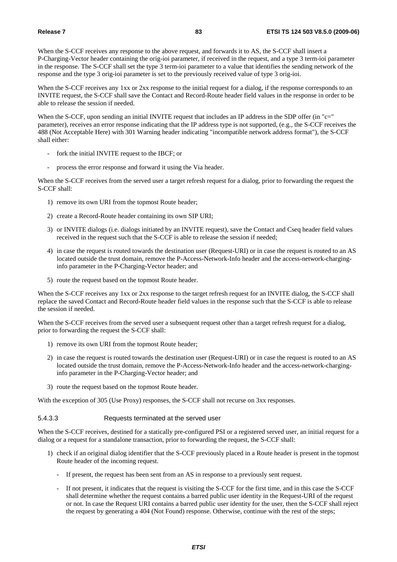When the S-CCF receives any response to the above request, and forwards it to AS, the S-CCF shall insert a P-Charging-Vector header containing the orig-ioi parameter, if received in the request, and a type 3 term-ioi parameter in the response. The S-CCF shall set the type 3 term-ioi parameter to a value that identifies the sending network of the response and the type 3 orig-ioi parameter is set to the previously received value of type 3 orig-ioi.

When the S-CCF receives any 1xx or 2xx response to the initial request for a dialog, if the response corresponds to an INVITE request, the S-CCF shall save the Contact and Record-Route header field values in the response in order to be able to release the session if needed.

When the S-CCF, upon sending an initial INVITE request that includes an IP address in the SDP offer (in "c=" parameter), receives an error response indicating that the IP address type is not supported, (e.g., the S-CCF receives the 488 (Not Acceptable Here) with 301 Warning header indicating "incompatible network address format"), the S-CCF shall either:

- fork the initial INVITE request to the IBCF; or
- process the error response and forward it using the Via header.

When the S-CCF receives from the served user a target refresh request for a dialog, prior to forwarding the request the S-CCF shall:

- 1) remove its own URI from the topmost Route header;
- 2) create a Record-Route header containing its own SIP URI;
- 3) or INVITE dialogs (i.e. dialogs initiated by an INVITE request), save the Contact and Cseq header field values received in the request such that the S-CCF is able to release the session if needed;
- 4) in case the request is routed towards the destination user (Request-URI) or in case the request is routed to an AS located outside the trust domain, remove the P-Access-Network-Info header and the access-network-charginginfo parameter in the P-Charging-Vector header; and
- 5) route the request based on the topmost Route header.

When the S-CCF receives any 1xx or 2xx response to the target refresh request for an INVITE dialog, the S-CCF shall replace the saved Contact and Record-Route header field values in the response such that the S-CCF is able to release the session if needed.

When the S-CCF receives from the served user a subsequent request other than a target refresh request for a dialog, prior to forwarding the request the S-CCF shall:

- 1) remove its own URI from the topmost Route header;
- 2) in case the request is routed towards the destination user (Request-URI) or in case the request is routed to an AS located outside the trust domain, remove the P-Access-Network-Info header and the access-network-charginginfo parameter in the P-Charging-Vector header; and
- 3) route the request based on the topmost Route header.

With the exception of 305 (Use Proxy) responses, the S-CCF shall not recurse on 3xx responses.

### 5.4.3.3 Requests terminated at the served user

When the S-CCF receives, destined for a statically pre-configured PSI or a registered served user, an initial request for a dialog or a request for a standalone transaction, prior to forwarding the request, the S-CCF shall:

- 1) check if an original dialog identifier that the S-CCF previously placed in a Route header is present in the topmost Route header of the incoming request.
	- If present, the request has been sent from an AS in response to a previously sent request.
	- If not present, it indicates that the request is visiting the S-CCF for the first time, and in this case the S-CCF shall determine whether the request contains a barred public user identity in the Request-URI of the request or not. In case the Request URI contains a barred public user identity for the user, then the S-CCF shall reject the request by generating a 404 (Not Found) response. Otherwise, continue with the rest of the steps;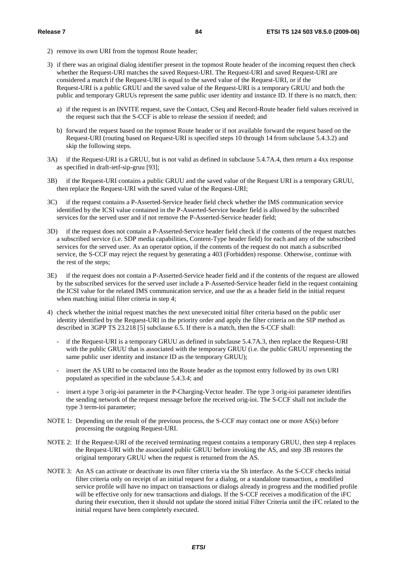- 2) remove its own URI from the topmost Route header;
- 3) if there was an original dialog identifier present in the topmost Route header of the incoming request then check whether the Request-URI matches the saved Request-URI. The Request-URI and saved Request-URI are considered a match if the Request-URI is equal to the saved value of the Request-URI, or if the Request-URI is a public GRUU and the saved value of the Request-URI is a temporary GRUU and both the public and temporary GRUUs represent the same public user identity and instance ID. If there is no match, then:
	- a) if the request is an INVITE request, save the Contact, CSeq and Record-Route header field values received in the request such that the S-CCF is able to release the session if needed; and
	- b) forward the request based on the topmost Route header or if not available forward the request based on the Request-URI (routing based on Request-URI is specified steps 10 through 14 from subclause 5.4.3.2) and skip the following steps.
- 3A) if the Request-URI is a GRUU, but is not valid as defined in subclause 5.4.7A.4, then return a 4xx response as specified in draft-ietf-sip-gruu [93];
- 3B) if the Request-URI contains a public GRUU and the saved value of the Request URI is a temporary GRUU, then replace the Request-URI with the saved value of the Request-URI;
- 3C) if the request contains a P-Asserted-Service header field check whether the IMS communication service identified by the ICSI value contained in the P-Asserted-Service header field is allowed by the subscribed services for the served user and if not remove the P-Asserted-Service header field;
- 3D) if the request does not contain a P-Asserted-Service header field check if the contents of the request matches a subscribed service (i.e. SDP media capabilities, Content-Type header field) for each and any of the subscribed services for the served user. As an operator option, if the contents of the request do not match a subscribed service, the S-CCF may reject the request by generating a 403 (Forbidden) response. Otherwise, continue with the rest of the steps;
- 3E) if the request does not contain a P-Asserted-Service header field and if the contents of the request are allowed by the subscribed services for the served user include a P-Asserted-Service header field in the request containing the ICSI value for the related IMS communication service, and use the as a header field in the initial request when matching initial filter criteria in step 4;
- 4) check whether the initial request matches the next unexecuted initial filter criteria based on the public user identity identified by the Request-URI in the priority order and apply the filter criteria on the SIP method as described in 3GPP TS 23.218 [5] subclause 6.5. If there is a match, then the S-CCF shall:
	- if the Request-URI is a temporary GRUU as defined in subclause 5.4.7A.3, then replace the Request-URI with the public GRUU that is associated with the temporary GRUU (i.e. the public GRUU representing the same public user identity and instance ID as the temporary GRUU);
	- insert the AS URI to be contacted into the Route header as the topmost entry followed by its own URI populated as specified in the subclause 5.4.3.4; and
	- insert a type 3 orig-ioi parameter in the P-Charging-Vector header. The type 3 orig-ioi parameter identifies the sending network of the request message before the received orig-ioi. The S-CCF shall not include the type 3 term-ioi parameter;
- NOTE 1: Depending on the result of the previous process, the S-CCF may contact one or more AS(s) before processing the outgoing Request-URI.
- NOTE 2: If the Request-URI of the received terminating request contains a temporary GRUU, then step 4 replaces the Request-URI with the associated public GRUU before invoking the AS, and step 3B restores the original temporary GRUU when the request is returned from the AS.
- NOTE 3: An AS can activate or deactivate its own filter criteria via the Sh interface. As the S-CCF checks initial filter criteria only on receipt of an initial request for a dialog, or a standalone transaction, a modified service profile will have no impact on transactions or dialogs already in progress and the modified profile will be effective only for new transactions and dialogs. If the S-CCF receives a modification of the iFC during their execution, then it should not update the stored initial Filter Criteria until the iFC related to the initial request have been completely executed.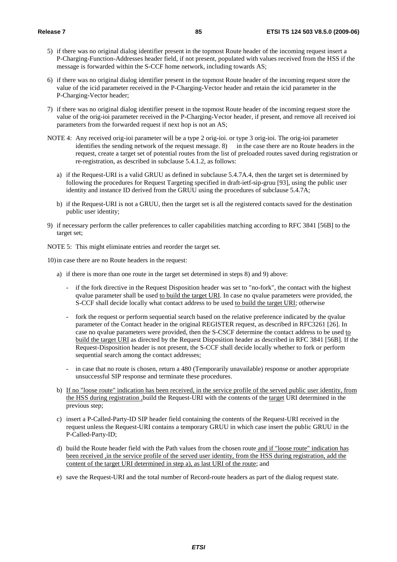- 5) if there was no original dialog identifier present in the topmost Route header of the incoming request insert a P-Charging-Function-Addresses header field, if not present, populated with values received from the HSS if the message is forwarded within the S-CCF home network, including towards AS;
- 6) if there was no original dialog identifier present in the topmost Route header of the incoming request store the value of the icid parameter received in the P-Charging-Vector header and retain the icid parameter in the P-Charging-Vector header;
- 7) if there was no original dialog identifier present in the topmost Route header of the incoming request store the value of the orig-ioi parameter received in the P-Charging-Vector header, if present, and remove all received ioi parameters from the forwarded request if next hop is not an AS;
- NOTE 4: Any received orig-ioi parameter will be a type 2 orig-ioi. or type 3 orig-ioi. The orig-ioi parameter identifies the sending network of the request message. 8) in the case there are no Route headers in the request, create a target set of potential routes from the list of preloaded routes saved during registration or re-registration, as described in subclause 5.4.1.2, as follows:
	- a) if the Request-URI is a valid GRUU as defined in subclause 5.4.7A.4, then the target set is determined by following the procedures for Request Targeting specified in draft-ietf-sip-gruu [93], using the public user identity and instance ID derived from the GRUU using the procedures of subclause 5.4.7A;
	- b) if the Request-URI is not a GRUU, then the target set is all the registered contacts saved for the destination public user identity;
- 9) if necessary perform the caller preferences to caller capabilities matching according to RFC 3841 [56B] to the target set;

NOTE 5: This might eliminate entries and reorder the target set.

10) in case there are no Route headers in the request:

- a) if there is more than one route in the target set determined in steps 8) and 9) above:
	- if the fork directive in the Request Disposition header was set to "no-fork", the contact with the highest qvalue parameter shall be used to build the target URI. In case no qvalue parameters were provided, the S-CCF shall decide locally what contact address to be used to build the target URI; otherwise
	- fork the request or perform sequential search based on the relative preference indicated by the qvalue parameter of the Contact header in the original REGISTER request, as described in RFC3261 [26]. In case no qvalue parameters were provided, then the S-CSCF determine the contact address to be used to build the target URI as directed by the Request Disposition header as described in RFC 3841 [56B]. If the Request-Disposition header is not present, the S-CCF shall decide locally whether to fork or perform sequential search among the contact addresses;
	- in case that no route is chosen, return a 480 (Temporarily unavailable) response or another appropriate unsuccessful SIP response and terminate these procedures.
- b) If no "loose route" indication has been received, in the service profile of the served public user identity, from the HSS during registration ,build the Request-URI with the contents of the target URI determined in the previous step;
- c) insert a P-Called-Party-ID SIP header field containing the contents of the Request-URI received in the request unless the Request-URI contains a temporary GRUU in which case insert the public GRUU in the P-Called-Party-ID;
- d) build the Route header field with the Path values from the chosen route and if "loose route" indication has been received ,in the service profile of the served user identity, from the HSS during registration, add the content of the target URI determined in step a), as last URI of the route; and
- e) save the Request-URI and the total number of Record-route headers as part of the dialog request state.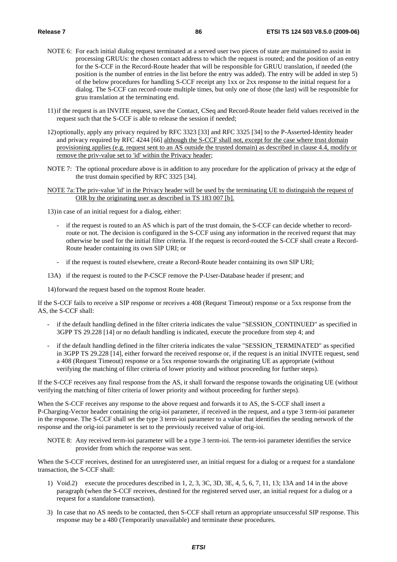- NOTE 6: For each initial dialog request terminated at a served user two pieces of state are maintained to assist in processing GRUUs: the chosen contact address to which the request is routed; and the position of an entry for the S-CCF in the Record-Route header that will be responsible for GRUU translation, if needed (the position is the number of entries in the list before the entry was added). The entry will be added in step 5) of the below procedures for handling S-CCF receipt any 1xx or 2xx response to the initial request for a dialog. The S-CCF can record-route multiple times, but only one of those (the last) will be responsible for gruu translation at the terminating end.
- 11) if the request is an INVITE request, save the Contact, CSeq and Record-Route header field values received in the request such that the S-CCF is able to release the session if needed;
- 12) optionally, apply any privacy required by RFC 3323 [33] and RFC 3325 [34] to the P-Asserted-Identity header and privacy required by RFC 4244 [66] although the S-CCF shall not, except for the case where trust domain provisioning applies (e.g. request sent to an AS outside the trusted domain) as described in clause 4.4, modify or remove the priv-value set to 'id' within the Privacy header;
- NOTE 7: The optional procedure above is in addition to any procedure for the application of privacy at the edge of the trust domain specified by RFC 3325 [34].
- NOTE 7a: The priv-value 'id' in the Privacy header will be used by the terminating UE to distinguish the request of OIR by the originating user as described in TS 183 007 [b].

13) in case of an initial request for a dialog, either:

- if the request is routed to an AS which is part of the trust domain, the S-CCF can decide whether to recordroute or not. The decision is configured in the S-CCF using any information in the received request that may otherwise be used for the initial filter criteria. If the request is record-routed the S-CCF shall create a Record-Route header containing its own SIP URI; or
- if the request is routed elsewhere, create a Record-Route header containing its own SIP URI;
- 13A) if the request is routed to the P-CSCF remove the P-User-Database header if present; and

14) forward the request based on the topmost Route header.

If the S-CCF fails to receive a SIP response or receives a 408 (Request Timeout) response or a 5xx response from the AS, the S-CCF shall:

- if the default handling defined in the filter criteria indicates the value "SESSION\_CONTINUED" as specified in 3GPP TS 29.228 [14] or no default handling is indicated, execute the procedure from step 4; and
- if the default handling defined in the filter criteria indicates the value "SESSION\_TERMINATED" as specified in 3GPP TS 29.228 [14], either forward the received response or, if the request is an initial INVITE request, send a 408 (Request Timeout) response or a 5xx response towards the originating UE as appropriate (without verifying the matching of filter criteria of lower priority and without proceeding for further steps).

If the S-CCF receives any final response from the AS, it shall forward the response towards the originating UE (without verifying the matching of filter criteria of lower priority and without proceeding for further steps).

When the S-CCF receives any response to the above request and forwards it to AS, the S-CCF shall insert a P-Charging-Vector header containing the orig-ioi parameter, if received in the request, and a type 3 term-ioi parameter in the response. The S-CCF shall set the type 3 term-ioi parameter to a value that identifies the sending network of the response and the orig-ioi parameter is set to the previously received value of orig-ioi.

NOTE 8: Any received term-ioi parameter will be a type 3 term-ioi. The term-ioi parameter identifies the service provider from which the response was sent.

When the S-CCF receives, destined for an unregistered user, an initial request for a dialog or a request for a standalone transaction, the S-CCF shall:

- 1) Void.2) execute the procedures described in 1, 2, 3, 3C, 3D, 3E, 4, 5, 6, 7, 11, 13; 13A and 14 in the above paragraph (when the S-CCF receives, destined for the registered served user, an initial request for a dialog or a request for a standalone transaction).
- 3) In case that no AS needs to be contacted, then S-CCF shall return an appropriate unsuccessful SIP response. This response may be a 480 (Temporarily unavailable) and terminate these procedures.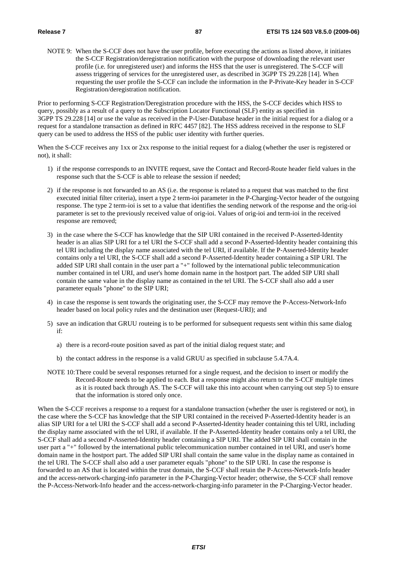NOTE 9: When the S-CCF does not have the user profile, before executing the actions as listed above, it initiates the S-CCF Registration/deregistration notification with the purpose of downloading the relevant user profile (i.e. for unregistered user) and informs the HSS that the user is unregistered. The S-CCF will assess triggering of services for the unregistered user, as described in 3GPP TS 29.228 [14]. When requesting the user profile the S-CCF can include the information in the P-Private-Key header in S-CCF Registration/deregistration notification.

Prior to performing S-CCF Registration/Deregistration procedure with the HSS, the S-CCF decides which HSS to query, possibly as a result of a query to the Subscription Locator Functional (SLF) entity as specified in 3GPP TS 29.228 [14] or use the value as received in the P-User-Database header in the initial request for a dialog or a request for a standalone transaction as defined in RFC 4457 [82]. The HSS address received in the response to SLF query can be used to address the HSS of the public user identity with further queries.

When the S-CCF receives any 1xx or 2xx response to the initial request for a dialog (whether the user is registered or not), it shall:

- 1) if the response corresponds to an INVITE request, save the Contact and Record-Route header field values in the response such that the S-CCF is able to release the session if needed;
- 2) if the response is not forwarded to an AS (i.e. the response is related to a request that was matched to the first executed initial filter criteria), insert a type 2 term-ioi parameter in the P-Charging-Vector header of the outgoing response. The type 2 term-ioi is set to a value that identifies the sending network of the response and the orig-ioi parameter is set to the previously received value of orig-ioi. Values of orig-ioi and term-ioi in the received response are removed;
- 3) in the case where the S-CCF has knowledge that the SIP URI contained in the received P-Asserted-Identity header is an alias SIP URI for a tel URI the S-CCF shall add a second P-Asserted-Identity header containing this tel URI including the display name associated with the tel URI, if available. If the P-Asserted-Identity header contains only a tel URI, the S-CCF shall add a second P-Asserted-Identity header containing a SIP URI. The added SIP URI shall contain in the user part a "+" followed by the international public telecommunication number contained in tel URI, and user's home domain name in the hostport part. The added SIP URI shall contain the same value in the display name as contained in the tel URI. The S-CCF shall also add a user parameter equals "phone" to the SIP URI;
- 4) in case the response is sent towards the originating user, the S-CCF may remove the P-Access-Network-Info header based on local policy rules and the destination user (Request-URI); and
- 5) save an indication that GRUU routeing is to be performed for subsequent requests sent within this same dialog if:
	- a) there is a record-route position saved as part of the initial dialog request state; and
	- b) the contact address in the response is a valid GRUU as specified in subclause 5.4.7A.4.
- NOTE 10: There could be several responses returned for a single request, and the decision to insert or modify the Record-Route needs to be applied to each. But a response might also return to the S-CCF multiple times as it is routed back through AS. The S-CCF will take this into account when carrying out step 5) to ensure that the information is stored only once.

When the S-CCF receives a response to a request for a standalone transaction (whether the user is registered or not), in the case where the S-CCF has knowledge that the SIP URI contained in the received P-Asserted-Identity header is an alias SIP URI for a tel URI the S-CCF shall add a second P-Asserted-Identity header containing this tel URI, including the display name associated with the tel URI, if available. If the P-Asserted-Identity header contains only a tel URI, the S-CCF shall add a second P-Asserted-Identity header containing a SIP URI. The added SIP URI shall contain in the user part a "+" followed by the international public telecommunication number contained in tel URI, and user's home domain name in the hostport part. The added SIP URI shall contain the same value in the display name as contained in the tel URI. The S-CCF shall also add a user parameter equals "phone" to the SIP URI. In case the response is forwarded to an AS that is located within the trust domain, the S-CCF shall retain the P-Access-Network-Info header and the access-network-charging-info parameter in the P-Charging-Vector header; otherwise, the S-CCF shall remove the P-Access-Network-Info header and the access-network-charging-info parameter in the P-Charging-Vector header.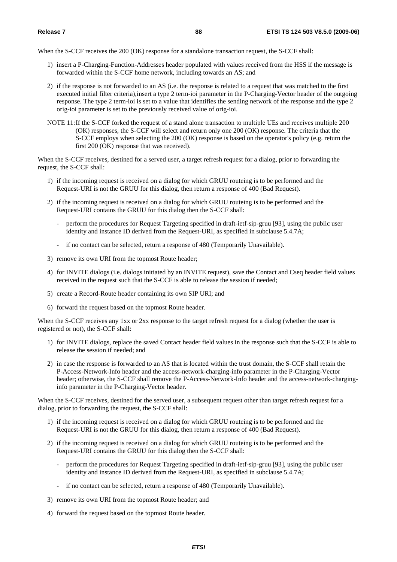When the S-CCF receives the 200 (OK) response for a standalone transaction request, the S-CCF shall:

- 1) insert a P-Charging-Function-Addresses header populated with values received from the HSS if the message is forwarded within the S-CCF home network, including towards an AS; and
- 2) if the response is not forwarded to an AS (i.e. the response is related to a request that was matched to the first executed initial filter criteria),insert a type 2 term-ioi parameter in the P-Charging-Vector header of the outgoing response. The type 2 term-ioi is set to a value that identifies the sending network of the response and the type 2 orig-ioi parameter is set to the previously received value of orig-ioi.
- NOTE 11: If the S-CCF forked the request of a stand alone transaction to multiple UEs and receives multiple 200 (OK) responses, the S-CCF will select and return only one 200 (OK) response. The criteria that the S-CCF employs when selecting the 200 (OK) response is based on the operator's policy (e.g. return the first 200 (OK) response that was received).

When the S-CCF receives, destined for a served user, a target refresh request for a dialog, prior to forwarding the request, the S-CCF shall:

- 1) if the incoming request is received on a dialog for which GRUU routeing is to be performed and the Request-URI is not the GRUU for this dialog, then return a response of 400 (Bad Request).
- 2) if the incoming request is received on a dialog for which GRUU routeing is to be performed and the Request-URI contains the GRUU for this dialog then the S-CCF shall:
	- perform the procedures for Request Targeting specified in draft-ietf-sip-gruu [93], using the public user identity and instance ID derived from the Request-URI, as specified in subclause 5.4.7A;
	- if no contact can be selected, return a response of 480 (Temporarily Unavailable).
- 3) remove its own URI from the topmost Route header;
- 4) for INVITE dialogs (i.e. dialogs initiated by an INVITE request), save the Contact and Cseq header field values received in the request such that the S-CCF is able to release the session if needed;
- 5) create a Record-Route header containing its own SIP URI; and
- 6) forward the request based on the topmost Route header.

When the S-CCF receives any 1xx or 2xx response to the target refresh request for a dialog (whether the user is registered or not), the S-CCF shall:

- 1) for INVITE dialogs, replace the saved Contact header field values in the response such that the S-CCF is able to release the session if needed; and
- 2) in case the response is forwarded to an AS that is located within the trust domain, the S-CCF shall retain the P-Access-Network-Info header and the access-network-charging-info parameter in the P-Charging-Vector header; otherwise, the S-CCF shall remove the P-Access-Network-Info header and the access-network-charginginfo parameter in the P-Charging-Vector header.

When the S-CCF receives, destined for the served user, a subsequent request other than target refresh request for a dialog, prior to forwarding the request, the S-CCF shall:

- 1) if the incoming request is received on a dialog for which GRUU routeing is to be performed and the Request-URI is not the GRUU for this dialog, then return a response of 400 (Bad Request).
- 2) if the incoming request is received on a dialog for which GRUU routeing is to be performed and the Request-URI contains the GRUU for this dialog then the S-CCF shall:
	- perform the procedures for Request Targeting specified in draft-ietf-sip-gruu [93], using the public user identity and instance ID derived from the Request-URI, as specified in subclause 5.4.7A;
	- if no contact can be selected, return a response of 480 (Temporarily Unavailable).
- 3) remove its own URI from the topmost Route header; and
- 4) forward the request based on the topmost Route header.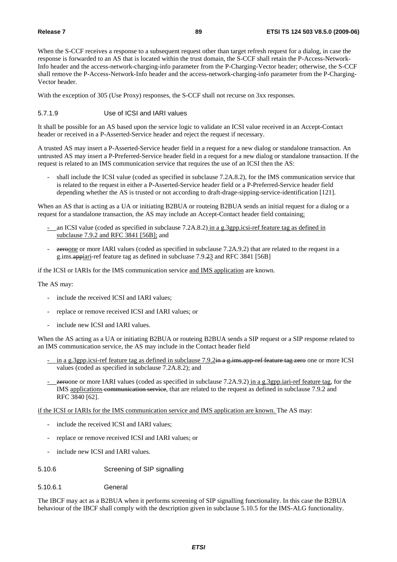When the S-CCF receives a response to a subsequent request other than target refresh request for a dialog, in case the response is forwarded to an AS that is located within the trust domain, the S-CCF shall retain the P-Access-Network-Info header and the access-network-charging-info parameter from the P-Charging-Vector header; otherwise, the S-CCF shall remove the P-Access-Network-Info header and the access-network-charging-info parameter from the P-Charging-Vector header.

With the exception of 305 (Use Proxy) responses, the S-CCF shall not recurse on 3xx responses.

## 5.7.1.9 Use of ICSI and IARI values

It shall be possible for an AS based upon the service logic to validate an ICSI value received in an Accept-Contact header or received in a P-Asserted-Service header and reject the request if necessary.

A trusted AS may insert a P-Asserted-Service header field in a request for a new dialog or standalone transaction. An untrusted AS may insert a P-Preferred-Service header field in a request for a new dialog or standalone transaction. If the request is related to an IMS communication service that requires the use of an ICSI then the AS:

shall include the ICSI value (coded as specified in subclause 7.2A.8.2), for the IMS communication service that is related to the request in either a P-Asserted-Service header field or a P-Preferred-Service header field depending whether the AS is trusted or not according to draft-drage-sipping-service-identification [121].

When an AS that is acting as a UA or initiating B2BUA or routeing B2BUA sends an initial request for a dialog or a request for a standalone transaction, the AS may include an Accept-Contact header field containing:

- an ICSI value (coded as specified in subclause 7.2A.8.2) in a g.3gpp.icsi-ref feature tag as defined in subclause 7.9.2 and RFC 3841 [56B]; and
- **zeroone** or more IARI values (coded as specified in subclause 7.2A.9.2) that are related to the request in a g.ims.appiari-ref feature tag as defined in subcluase 7.9.23 and RFC 3841 [56B]

if the ICSI or IARIs for the IMS communication service and IMS application are known.

The AS may:

- include the received ICSI and IARI values;
- replace or remove received ICSI and IARI values; or
- include new ICSI and IARI values.

When the AS acting as a UA or initiating B2BUA or routeing B2BUA sends a SIP request or a SIP response related to an IMS communication service, the AS may include in the Contact header field

- in a g.3gpp.icsi-ref feature tag as defined in subclause 7.9.2in a g.ims.app-ref feature tag zero one or more ICSI values (coded as specified in subclause 7.2A.8.2); and
- **zeroone** or more IARI values (coded as specified in subclause 7.2A.9.2) in a g.3gpp.iari-ref feature tag, for the IMS applications communication service, that are related to the request as defined in subclause 7.9.2 and RFC 3840 [62].

if the ICSI or IARIs for the IMS communication service and IMS application are known. The AS may:

- include the received ICSI and IARI values;
- replace or remove received ICSI and IARI values; or
- include new ICSI and IARI values.
- 5.10.6 Screening of SIP signalling
- 5.10.6.1 General

The IBCF may act as a B2BUA when it performs screening of SIP signalling functionality. In this case the B2BUA behaviour of the IBCF shall comply with the description given in subclause 5.10.5 for the IMS-ALG functionality.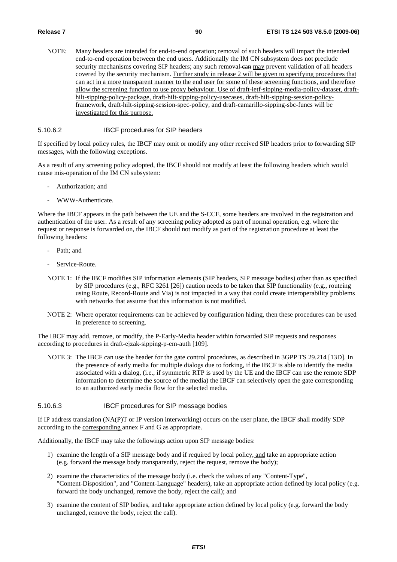NOTE: Many headers are intended for end-to-end operation; removal of such headers will impact the intended end-to-end operation between the end users. Additionally the IM CN subsystem does not preclude security mechanisms covering SIP headers; any such removal can may prevent validation of all headers covered by the security mechanism. Further study in release 2 will be given to specifying procedures that can act in a more transparent manner to the end user for some of these screening functions, and therefore allow the screening function to use proxy behaviour. Use of draft-ietf-sipping-media-policy-dataset, drafthilt-sipping-policy-package, draft-hilt-sipping-policy-usecases, draft-hilt-sipping-session-policyframework, draft-hilt-sipping-session-spec-policy, and draft-camarillo-sipping-sbc-funcs will be investigated for this purpose.

#### 5.10.6.2 IBCF procedures for SIP headers

If specified by local policy rules, the IBCF may omit or modify any other received SIP headers prior to forwarding SIP messages, with the following exceptions.

As a result of any screening policy adopted, the IBCF should not modify at least the following headers which would cause mis-operation of the IM CN subsystem:

- Authorization; and
- WWW-Authenticate.

Where the IBCF appears in the path between the UE and the S-CCF, some headers are involved in the registration and authentication of the user. As a result of any screening policy adopted as part of normal operation, e.g. where the request or response is forwarded on, the IBCF should not modify as part of the registration procedure at least the following headers:

- Path: and
- Service-Route.
- NOTE 1: If the IBCF modifies SIP information elements (SIP headers, SIP message bodies) other than as specified by SIP procedures (e.g., RFC 3261 [26]) caution needs to be taken that SIP functionality (e.g., routeing using Route, Record-Route and Via) is not impacted in a way that could create interoperability problems with networks that assume that this information is not modified.
- NOTE 2: Where operator requirements can be achieved by configuration hiding, then these procedures can be used in preference to screening.

The IBCF may add, remove, or modify, the P-Early-Media header within forwarded SIP requests and responses according to procedures in draft-ejzak-sipping-p-em-auth [109].

NOTE 3: The IBCF can use the header for the gate control procedures, as described in 3GPP TS 29.214 [13D]. In the presence of early media for multiple dialogs due to forking, if the IBCF is able to identify the media associated with a dialog, (i.e., if symmetric RTP is used by the UE and the IBCF can use the remote SDP information to determine the source of the media) the IBCF can selectively open the gate corresponding to an authorized early media flow for the selected media.

### 5.10.6.3 IBCF procedures for SIP message bodies

If IP address translation (NA(P)T or IP version interworking) occurs on the user plane, the IBCF shall modify SDP according to the corresponding annex F and G as appropriate.

Additionally, the IBCF may take the followings action upon SIP message bodies:

- 1) examine the length of a SIP message body and if required by local policy, and take an appropriate action (e.g. forward the message body transparently, reject the request, remove the body);
- 2) examine the characteristics of the message body (i.e. check the values of any "Content-Type", "Content-Disposition", and "Content-Language" headers), take an appropriate action defined by local policy (e.g. forward the body unchanged, remove the body, reject the call); and
- 3) examine the content of SIP bodies, and take appropriate action defined by local policy (e.g. forward the body unchanged, remove the body, reject the call).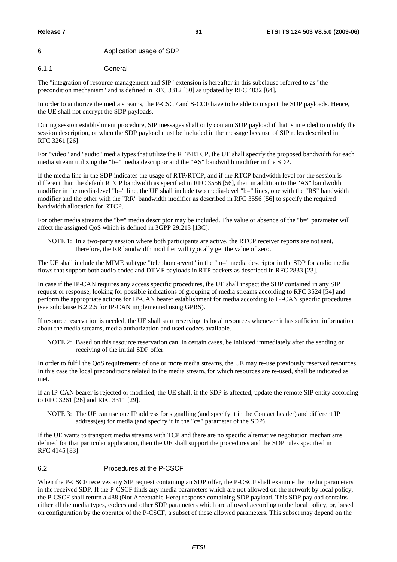### 6 Application usage of SDP

### 6.1.1 General

The "integration of resource management and SIP" extension is hereafter in this subclause referred to as "the precondition mechanism" and is defined in RFC 3312 [30] as updated by RFC 4032 [64].

In order to authorize the media streams, the P-CSCF and S-CCF have to be able to inspect the SDP payloads. Hence, the UE shall not encrypt the SDP payloads.

During session establishment procedure, SIP messages shall only contain SDP payload if that is intended to modify the session description, or when the SDP payload must be included in the message because of SIP rules described in RFC 3261 [26].

For "video" and "audio" media types that utilize the RTP/RTCP, the UE shall specify the proposed bandwidth for each media stream utilizing the "b=" media descriptor and the "AS" bandwidth modifier in the SDP.

If the media line in the SDP indicates the usage of RTP/RTCP, and if the RTCP bandwidth level for the session is different than the default RTCP bandwidth as specified in RFC 3556 [56], then in addition to the "AS" bandwidth modifier in the media-level "b=" line, the UE shall include two media-level "b=" lines, one with the "RS" bandwidth modifier and the other with the "RR" bandwidth modifier as described in RFC 3556 [56] to specify the required bandwidth allocation for RTCP.

For other media streams the "b=" media descriptor may be included. The value or absence of the "b=" parameter will affect the assigned QoS which is defined in 3GPP 29.213 [13C].

NOTE 1: In a two-party session where both participants are active, the RTCP receiver reports are not sent, therefore, the RR bandwidth modifier will typically get the value of zero.

The UE shall include the MIME subtype "telephone-event" in the "m=" media descriptor in the SDP for audio media flows that support both audio codec and DTMF payloads in RTP packets as described in RFC 2833 [23].

In case if the IP-CAN requires any access specific procedures, the UE shall inspect the SDP contained in any SIP request or response, looking for possible indications of grouping of media streams according to RFC 3524 [54] and perform the appropriate actions for IP-CAN bearer establishment for media according to IP-CAN specific procedures (see subclause B.2.2.5 for IP-CAN implemented using GPRS).

If resource reservation is needed, the UE shall start reserving its local resources whenever it has sufficient information about the media streams, media authorization and used codecs available.

NOTE 2: Based on this resource reservation can, in certain cases, be initiated immediately after the sending or receiving of the initial SDP offer.

In order to fulfil the QoS requirements of one or more media streams, the UE may re-use previously reserved resources. In this case the local preconditions related to the media stream, for which resources are re-used, shall be indicated as met.

If an IP-CAN bearer is rejected or modified, the UE shall, if the SDP is affected, update the remote SIP entity according to RFC 3261 [26] and RFC 3311 [29].

NOTE 3: The UE can use one IP address for signalling (and specify it in the Contact header) and different IP address(es) for media (and specify it in the "c=" parameter of the SDP).

If the UE wants to transport media streams with TCP and there are no specific alternative negotiation mechanisms defined for that particular application, then the UE shall support the procedures and the SDP rules specified in RFC 4145 [83].

### 6.2 Procedures at the P-CSCF

When the P-CSCF receives any SIP request containing an SDP offer, the P-CSCF shall examine the media parameters in the received SDP. If the P-CSCF finds any media parameters which are not allowed on the network by local policy, the P-CSCF shall return a 488 (Not Acceptable Here) response containing SDP payload. This SDP payload contains either all the media types, codecs and other SDP parameters which are allowed according to the local policy, or, based on configuration by the operator of the P-CSCF, a subset of these allowed parameters. This subset may depend on the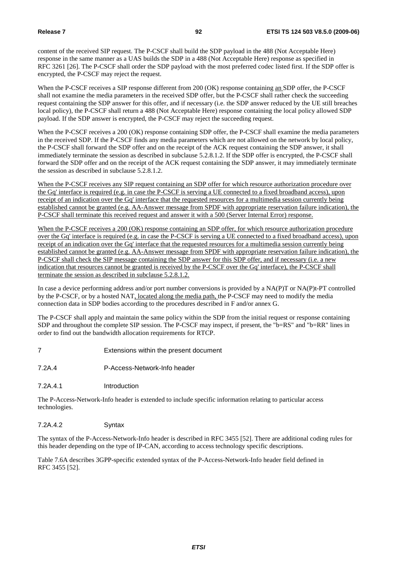content of the received SIP request. The P-CSCF shall build the SDP payload in the 488 (Not Acceptable Here) response in the same manner as a UAS builds the SDP in a 488 (Not Acceptable Here) response as specified in RFC 3261 [26]. The P-CSCF shall order the SDP payload with the most preferred codec listed first. If the SDP offer is encrypted, the P-CSCF may reject the request.

When the P-CSCF receives a SIP response different from 200 (OK) response containing an SDP offer, the P-CSCF shall not examine the media parameters in the received SDP offer, but the P-CSCF shall rather check the succeeding request containing the SDP answer for this offer, and if necessary (i.e. the SDP answer reduced by the UE still breaches local policy), the P-CSCF shall return a 488 (Not Acceptable Here) response containing the local policy allowed SDP payload. If the SDP answer is encrypted, the P-CSCF may reject the succeeding request.

When the P-CSCF receives a 200 (OK) response containing SDP offer, the P-CSCF shall examine the media parameters in the received SDP. If the P-CSCF finds any media parameters which are not allowed on the network by local policy, the P-CSCF shall forward the SDP offer and on the receipt of the ACK request containing the SDP answer, it shall immediately terminate the session as described in subclause 5.2.8.1.2. If the SDP offer is encrypted, the P-CSCF shall forward the SDP offer and on the receipt of the ACK request containing the SDP answer, it may immediately terminate the session as described in subclause 5.2.8.1.2.

When the P-CSCF receives any SIP request containing an SDP offer for which resource authorization procedure over the Gq' interface is required (e.g. in case the P-CSCF is serving a UE connected to a fixed broadband access), upon receipt of an indication over the Gq' interface that the requested resources for a multimedia session currently being established cannot be granted (e.g. AA-Answer message from SPDF with appropriate reservation failure indication), the P-CSCF shall terminate this received request and answer it with a 500 (Server Internal Error) response.

When the P-CSCF receives a 200 (OK) response containing an SDP offer, for which resource authorization procedure over the Gq' interface is required (e.g. in case the P-CSCF is serving a UE connected to a fixed broadband access), upon receipt of an indication over the Gq' interface that the requested resources for a multimedia session currently being established cannot be granted (e.g. AA-Answer message from SPDF with appropriate reservation failure indication), the P-CSCF shall check the SIP message containing the SDP answer for this SDP offer, and if necessary (i.e. a new indication that resources cannot be granted is received by the P-CSCF over the Gq' interface), the P-CSCF shall terminate the session as described in subclause 5.2.8.1.2.

In case a device performing address and/or port number conversions is provided by a NA(P)T or NA(P)t-PT controlled by the P-CSCF, or by a hosted NAT, located along the media path, the P-CSCF may need to modify the media connection data in SDP bodies according to the procedures described in F and/or annex G.

The P-CSCF shall apply and maintain the same policy within the SDP from the initial request or response containing SDP and throughout the complete SIP session. The P-CSCF may inspect, if present, the "b=RS" and "b=RR" lines in order to find out the bandwidth allocation requirements for RTCP.

- 7 Extensions within the present document
- 7.2A.4 P-Access-Network-Info header
- 7.2A.4.1 Introduction

The P-Access-Network-Info header is extended to include specific information relating to particular access technologies.

### 7.2A.4.2 Syntax

The syntax of the P-Access-Network-Info header is described in RFC 3455 [52]. There are additional coding rules for this header depending on the type of IP-CAN, according to access technology specific descriptions.

Table 7.6A describes 3GPP-specific extended syntax of the P-Access-Network-Info header field defined in RFC 3455 [52].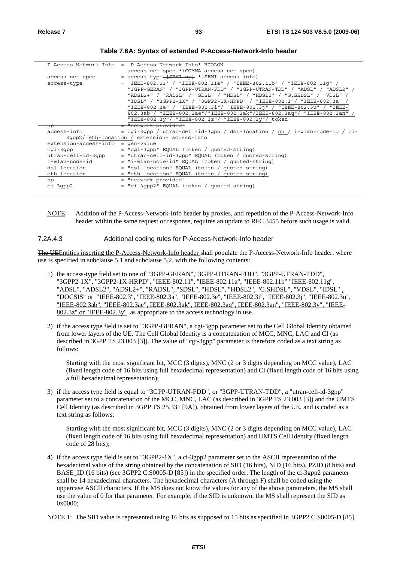|                                     | $P-Access-Network-Info = P-Access-Network-Info' HCOLON$                    |
|-------------------------------------|----------------------------------------------------------------------------|
|                                     | access-net-spec * (COMMA access-net-spec)                                  |
|                                     |                                                                            |
| access-net-spec                     | = access-type [SEMI np] * (SEMI access-info)                               |
| access-type                         | $=$ 'IEEE-802.11' / "IEEE-802.11a" / "IEEE-802.11b" / "IEEE-802.11q" /     |
|                                     | "3GPP-GERAN" / "3GPP-UTRAN-FDD" / "3GPP-UTRAN-TDD" / "ADSL" / "ADSL2" /    |
|                                     | "ADSL2+" / "RADSL" / "SDSL" / "HDSL" / "HDSL2" / "G.SHDSL" / "VDSL" /      |
|                                     | "IDSL" / "3GPP2-1X" / "3GPP2-1X-HRPD" / "IEEE-802.3"/ "IEEE-802.3a"        |
|                                     | "IEEE-802.3e" / "IEEE-802.3i"/ "IEEE-802.3j" / "IEEE-802.3u" / "IEEE-      |
|                                     | 802.3ab"/ "IEEE-802.3ae"/"IEEE-802.3ak"/IEEE-802.3aq"/ "IEEE-802.3an"      |
|                                     | "IEEE-802.3y"/ "IEEE-802.3z"/ "IEEE-802.3y"/ token                         |
| np                                  | = "network-provided"                                                       |
| access-info                         | = cqi-3qpp / utran-cell-id-3qpp / dsl-location / np / i-wlan-node-id / ci- |
|                                     | 3gpp2/ eth-location / extension- access-info                               |
| $extension-access-info = gen-value$ |                                                                            |
| cqi-3qpp                            | = "cqi-3qpp" EQUAL (token / quoted-string)                                 |
| utran-cell-id-3qpp                  | $=$ "utran-cell-id-3qpp" EOUAL (token / quoted-string)                     |
| i-wlan-node-id                      | = "i-wlan-node-id" EQUAL (token / quoted-string)                           |
| dsl-location                        | = "dsl-location" EQUAL (token / quoted-string)                             |
| eth-location                        | = "eth-location" EQUAL (token / quoted-string)                             |
| np                                  | = "network-provided"                                                       |
| $ci-3qpp2$                          | = "ci-3qpp2" EQUAL (token / quoted-string)                                 |
|                                     |                                                                            |

**Table 7.6A: Syntax of extended P-Access-Network-Info header** 

NOTE: Addition of the P-Access-Network-Info header by proxies, and repetition of the P-Access-Network-Info header within the same request or response, requires an update to RFC 3455 before such usage is valid.

#### 7.2A.4.3 Additional coding rules for P-Access-Network-Info header

The UEEntities inserting the P-Access-Network-Info header shall populate the P-Access-Network-Info header, where use is specified in subclause 5.1 and subclause 5.2, with the following contents:

- 1) the access-type field set to one of "3GPP-GERAN","3GPP-UTRAN-FDD", "3GPP-UTRAN-TDD", "3GPP2-1X", "3GPP2-1X-HRPD", "IEEE-802.11", "IEEE-802.11a", "IEEE-802.11b" "IEEE-802.11g", "ADSL", "ADSL2", "ADSL2+", "RADSL", "SDSL", "HDSL", "HDSL2", "G.SHDSL", "VDSL", "IDSL" , "DOCSIS" or "IEEE-802.3", "IEEE-802.3a", "IEEE-802.3e", "IEEE-802.3i", "IEEE-802.3j", "IEEE-802.3u", "IEEE-802.3ab", "IEEE-802.3ae", IEEE-802.3ak", IEEE-802.3aq", IEEE-802.3an", "IEEE-802.3y", "IEEE-802.3z" or "IEEE-802.3y" as appropriate to the access technology in use.
- 2) if the access type field is set to "3GPP-GERAN", a cgi-3gpp parameter set to the Cell Global Identity obtained from lower layers of the UE. The Cell Global Identity is a concatenation of MCC, MNC, LAC and CI (as described in 3GPP TS 23.003 [3]). The value of "cgi-3gpp" parameter is therefore coded as a text string as follows:

Starting with the most significant bit, MCC (3 digits), MNC (2 or 3 digits depending on MCC value), LAC (fixed length code of 16 bits using full hexadecimal representation) and CI (fixed length code of 16 bits using a full hexadecimal representation);

3) if the access type field is equal to "3GPP-UTRAN-FDD", or "3GPP-UTRAN-TDD", a "utran-cell-id-3gpp" parameter set to a concatenation of the MCC, MNC, LAC (as described in 3GPP TS 23.003 [3]) and the UMTS Cell Identity (as described in 3GPP TS 25.331 [9A]), obtained from lower layers of the UE, and is coded as a text string as follows:

Starting with the most significant bit, MCC (3 digits), MNC (2 or 3 digits depending on MCC value), LAC (fixed length code of 16 bits using full hexadecimal representation) and UMTS Cell Identity (fixed length code of 28 bits);

4) if the access type field is set to "3GPP2-1X", a ci-3gpp2 parameter set to the ASCII representation of the hexadecimal value of the string obtained by the concatenation of SID (16 bits), NID (16 bits), PZID (8 bits) and BASE\_ID (16 bits) (see 3GPP2 C.S0005-D [85]) in the specified order. The length of the ci-3gpp2 parameter shall be 14 hexadecimal characters. The hexadecimal characters (A through F) shall be coded using the uppercase ASCII characters. If the MS does not know the values for any of the above parameters, the MS shall use the value of 0 for that parameter. For example, if the SID is unknown, the MS shall represent the SID as 0x0000;

NOTE 1: The SID value is represented using 16 bits as supposed to 15 bits as specified in 3GPP2 C.S0005-D [85].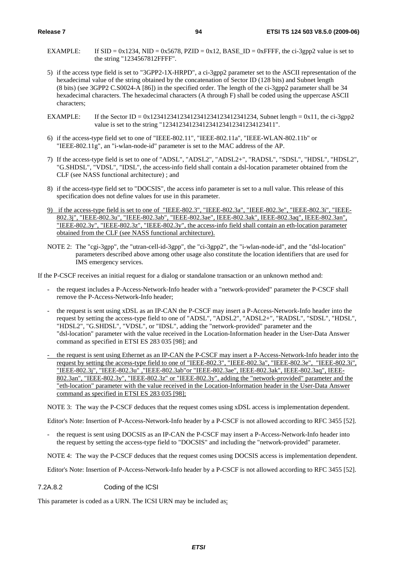- EXAMPLE: If  $SID = 0x1234$ ,  $NID = 0x5678$ ,  $PZID = 0x12$ , BASE  $ID = 0xFFFF$ , the ci-3gpp2 value is set to the string "1234567812FFFF".
- 5) if the access type field is set to "3GPP2-1X-HRPD", a ci-3gpp2 parameter set to the ASCII representation of the hexadecimal value of the string obtained by the concatenation of Sector ID (128 bits) and Subnet length (8 bits) (see 3GPP2 C.S0024-A [86]) in the specified order. The length of the ci-3gpp2 parameter shall be 34 hexadecimal characters. The hexadecimal characters (A through F) shall be coded using the uppercase ASCII characters;
- EXAMPLE: If the Sector ID = 0x12341234123412341234123412341234, Subnet length = 0x11, the ci-3gpp2 value is set to the string "1234123412341234123412341234123411".
- 6) if the access-type field set to one of "IEEE-802.11", "IEEE-802.11a", "IEEE-WLAN-802.11b" or "IEEE-802.11g", an "i-wlan-node-id" parameter is set to the MAC address of the AP.
- 7) If the access-type field is set to one of "ADSL", "ADSL2", "ADSL2+", "RADSL", "SDSL", "HDSL", "HDSL2", "G.SHDSL", "VDSL", "IDSL", the access-info field shall contain a dsl-location parameter obtained from the CLF (see NASS functional architecture) ; and
- 8) if the access-type field set to "DOCSIS", the access info parameter is set to a null value. This release of this specification does not define values for use in this parameter.
- 9) if the access-type field is set to one of "IEEE-802.3", "IEEE-802.3a", "IEEE-802.3e", "IEEE-802.3i", "IEEE-802.3j", "IEEE-802.3u", "IEEE-802.3ab", "IEEE-802.3ae", IEEE-802.3ak", IEEE-802.3aq", IEEE-802.3an", "IEEE-802.3y", "IEEE-802.3z", "IEEE-802.3y", the access-info field shall contain an eth-location parameter obtained from the CLF (see NASS functional architecture).
- NOTE 2: The "cgi-3gpp", the "utran-cell-id-3gpp", the "ci-3gpp2", the "i-wlan-node-id", and the "dsl-location" parameters described above among other usage also constitute the location identifiers that are used for IMS emergency services.

If the P-CSCF receives an initial request for a dialog or standalone transaction or an unknown method and:

- the request includes a P-Access-Network-Info header with a "network-provided" parameter the P-CSCF shall remove the P-Access-Network-Info header;
- the request is sent using xDSL as an IP-CAN the P-CSCF may insert a P-Access-Network-Info header into the request by setting the access-type field to one of "ADSL", "ADSL2", "ADSL2+", "RADSL", "SDSL", "HDSL", "HDSL2", "G.SHDSL", "VDSL", or "IDSL", adding the "network-provided" parameter and the "dsl-location" parameter with the value received in the Location-Information header in the User-Data Answer command as specified in ETSI ES 283 035 [98]; and
- the request is sent using Ethernet as an IP-CAN the P-CSCF may insert a P-Access-Network-Info header into the request by setting the access-type field to one of "IEEE-802.3", "IEEE-802.3a", "IEEE-802.3e", "IEEE-802.3i", "IEEE-802.3j", "IEEE-802.3u" ,"IEEE-802.3ab"or "IEEE-802.3ae", IEEE-802.3ak", IEEE-802.3aq", IEEE-802.3an", "IEEE-802.3y", "IEEE-802.3z" or "IEEE-802.3y", adding the "network-provided" parameter and the "eth-location" parameter with the value received in the Location-Information header in the User-Data Answer command as specified in ETSI ES 283 035 [98];

NOTE 3: The way the P-CSCF deduces that the request comes using xDSL access is implementation dependent.

Editor's Note: Insertion of P-Access-Network-Info header by a P-CSCF is not allowed according to RFC 3455 [52].

the request is sent using DOCSIS as an IP-CAN the P-CSCF may insert a P-Access-Network-Info header into the request by setting the access-type field to "DOCSIS" and including the "network-provided" parameter.

NOTE 4: The way the P-CSCF deduces that the request comes using DOCSIS access is implementation dependent.

Editor's Note: Insertion of P-Access-Network-Info header by a P-CSCF is not allowed according to RFC 3455 [52].

#### 7.2A.8.2 Coding of the ICSI

This parameter is coded as a URN. The ICSI URN may be included as: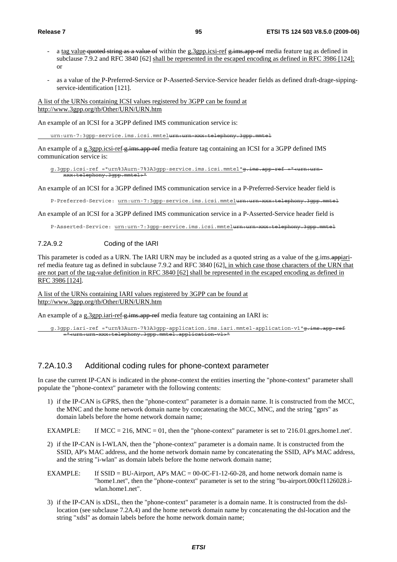- a tag value quoted string as a value of within the g.3gpp.icsi-ref g.ims.app-ref media feature tag as defined in subclause 7.9.2 and RFC 3840 [62] shall be represented in the escaped encoding as defined in RFC 3986 [124]; or
- as a value of the P-Preferred-Service or P-Asserted-Service-Service header fields as defined draft-drage-sippingservice-identification [121].

A list of the URNs containing ICSI values registered by 3GPP can be found at http://www.3gpp.org/tb/Other/URN/URN.htm

An example of an ICSI for a 3GPP defined IMS communication service is:

urn:urn-7:3gpp-service.ims.icsi.mmtel<del>urn:urn-xxx:telephony.3gpp.mmt</del>

An example of a g.3gpp.icsi-ref-g.ims.app-ref media feature tag containing an ICSI for a 3GPP defined IMS communication service is:

g.3gpp.icsi-ref ="urn%3Aurn-7%3A3gpp-service.ims.icsi.mmtel"g.ims.app-ref ="<urn:urnxxx:telephony.3gpp.mmtel>"

An example of an ICSI for a 3GPP defined IMS communication service in a P-Preferred-Service header field is

P-Preferred-Service: urn:urn-7:3gpp-service.ims.icsi.mmtelurn:urn-xxx:telephony.3gpp.mmtel

An example of an ICSI for a 3GPP defined IMS communication service in a P-Asserted-Service header field is

P-Asserted-Service: urn:urn-7:3gpp-service.ims.icsi.mmtelurn:urn-xxx:telephony.3gpp.mmtel

#### 7.2A.9.2 Coding of the IARI

This parameter is coded as a URN. The IARI URN may be included as a quoted string as a value of the g.ims.appiariref media feature tag as defined in subclause 7.9.2 and RFC 3840 [62], in which case those characters of the URN that are not part of the tag-value definition in RFC 3840 [62] shall be represented in the escaped encoding as defined in RFC 3986 [124].

A list of the URNs containing IARI values registered by 3GPP can be found at http://www.3gpp.org/tb/Other/URN/URN.htm

An example of a g.3gpp.iari-ref  $\frac{1}{2}$  ims.app-ref media feature tag containing an IARI is:

 g.3gpp.iari-ref ="urn%3Aurn-7%3A3gpp-application.ims.iari.mmtel-application-v1"g.ims.app-ref ="<urn:urn-xxx:telephony.3gpp.mmtel.application-v1>"

## 7.2A.10.3 Additional coding rules for phone-context parameter

In case the current IP-CAN is indicated in the phone-context the entities inserting the "phone-context" parameter shall populate the "phone-context" parameter with the following contents:

1) if the IP-CAN is GPRS, then the "phone-context" parameter is a domain name. It is constructed from the MCC, the MNC and the home network domain name by concatenating the MCC, MNC, and the string "gprs" as domain labels before the home network domain name;

EXAMPLE: If MCC = 216, MNC = 01, then the "phone-context" parameter is set to '216.01.gprs.home1.net'.

- 2) if the IP-CAN is I-WLAN, then the "phone-context" parameter is a domain name. It is constructed from the SSID, AP's MAC address, and the home network domain name by concatenating the SSID, AP's MAC address, and the string "i-wlan" as domain labels before the home network domain name;
- EXAMPLE: If  $SSID = BU-Airport$ ,  $AP's MAC = 00-0C-F1-12-60-28$ , and home network domain name is "home1.net", then the "phone-context" parameter is set to the string "bu-airport.000cf1126028.iwlan.home1.net".
- 3) if the IP-CAN is xDSL, then the "phone-context" parameter is a domain name. It is constructed from the dsllocation (see subclause 7.2A.4) and the home network domain name by concatenating the dsl-location and the string "xdsl" as domain labels before the home network domain name;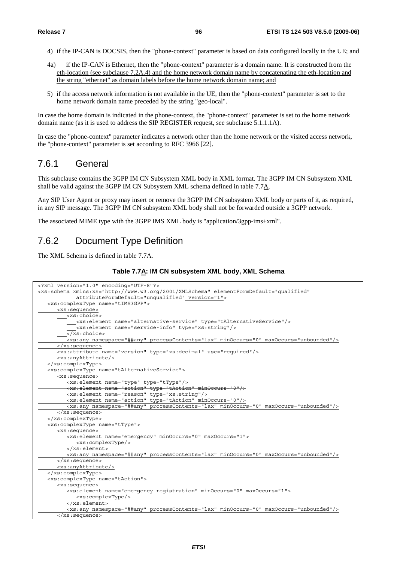- 4) if the IP-CAN is DOCSIS, then the "phone-context" parameter is based on data configured locally in the UE; and
- 4a) if the IP-CAN is Ethernet, then the "phone-context" parameter is a domain name. It is constructed from the eth-location (see subclause 7.2A.4) and the home network domain name by concatenating the eth-location and the string "ethernet" as domain labels before the home network domain name; and
- 5) if the access network information is not available in the UE, then the "phone-context" parameter is set to the home network domain name preceded by the string "geo-local".

In case the home domain is indicated in the phone-context, the "phone-context" parameter is set to the home network domain name (as it is used to address the SIP REGISTER request, see subclause 5.1.1.1A).

In case the "phone-context" parameter indicates a network other than the home network or the visited access network, the "phone-context" parameter is set according to RFC 3966 [22].

# 7.6.1 General

This subclause contains the 3GPP IM CN Subsystem XML body in XML format. The 3GPP IM CN Subsystem XML shall be valid against the 3GPP IM CN Subsystem XML schema defined in table  $7.7\underline{A}$ .

Any SIP User Agent or proxy may insert or remove the 3GPP IM CN subsystem XML body or parts of it, as required, in any SIP message. The 3GPP IM CN subsystem XML body shall not be forwarded outside a 3GPP network.

The associated MIME type with the 3GPP IMS XML body is "application/3gpp-ims+xml".

# 7.6.2 Document Type Definition

The XML Schema is defined in table 7.7A.

#### **Table 7.7A: IM CN subsystem XML body, XML Schema**

```
<?xml version="1.0" encoding="UTF-8"?> 
<xs:schema xmlns:xs="http://www.w3.org/2001/XMLSchema" elementFormDefault="qualified" 
            attributeFormDefault="unqualified" version="1"> 
    <xs:complexType name="tIMS3GPP"> 
       <xs:sequence>
       <xs:choice> 
            <xs:element name="alternative-service" type="tAlternativeService"/> 
             <xs:element name="service-info" type="xs:string"/> 
         \sqrt{x}s:choice>
          <xs:any namespace="##any" processContents="lax" minOccurs="0" maxOccurs="unbounded"/>
       </xs:sequence>
       <xs:attribute name="version" type="xs:decimal" use="required"/>
       <xs:anyAttribute/>
    </xs:complexType> 
    <xs:complexType name="tAlternativeService"> 
       <xs:sequence> 
          <xs:element name="type" type="tType"/> 
           xs:element name="action" type="tAction
          <xs:element name="reason" type="xs:string"/> 
          <xs:element name="action" type="tAction" minOccurs="0"/>
          <xs:any namespace="##any" processContents="lax" minOccurs="0" maxOccurs="unbounded"/>
       </xs:sequence> 
    </xs:complexType> 
    <xs:complexType name="tType"> 
       <xs:sequence> 
          <xs:element name="emergency" minOccurs="0" maxOccurs="1"> 
             <xs:complexType/> 
          </xs:element> 
          <xs:any namespace="##any" processContents="lax" minOccurs="0" maxOccurs="unbounded"/>
       </xs:sequence> 
       <xs:anyAttribute/>
    </xs:complexType> 
    <xs:complexType name="tAction"> 
       <xs:sequence> 
          <xs:element name="emergency-registration" minOccurs="0" maxOccurs="1"> 
             <xs:complexType/> 
          </xs:element> 
          <xs:any namespace="##any" processContents="lax" minOccurs="0" maxOccurs="unbounded"/>
       </xs:sequence>
```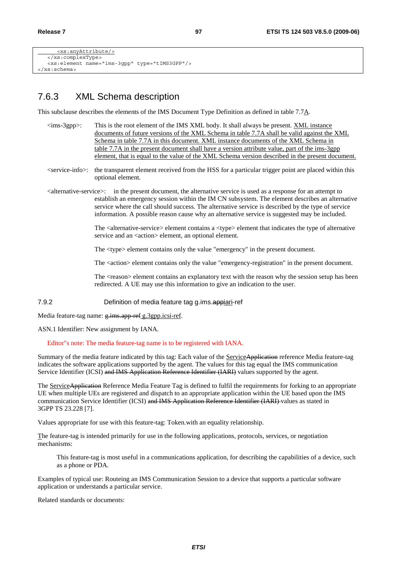```
 <xs:anyAttribute/>
    </xs:complexType> 
    <xs:element name="ims-3gpp" type="tIMS3GPP"/> 
</xs:schema>
```
# 7.6.3 XML Schema description

This subclause describes the elements of the IMS Document Type Definition as defined in table 7.7A.

- $\langle$ ims-3gpp $>\rangle$ : This is the root element of the IMS XML body. It shall always be present. XML instance documents of future versions of the XML Schema in table 7.7A shall be valid against the XML Schema in table 7.7A in this document. XML instance documents of the XML Schema in table 7.7A in the present document shall have a version attribute value, part of the ims-3gpp element, that is equal to the value of the XML Schema version described in the present document.
- <service-info>: the transparent element received from the HSS for a particular trigger point are placed within this optional element.
- <alternative-service>: in the present document, the alternative service is used as a response for an attempt to establish an emergency session within the IM CN subsystem. The element describes an alternative service where the call should success. The alternative service is described by the type of service information. A possible reason cause why an alternative service is suggested may be included.

The  $\alpha$ -service element contains a  $\alpha$ -type element that indicates the type of alternative service and an  $\langle$ action $\rangle$  element, an optional element.

The <type> element contains only the value "emergency" in the present document.

The <action> element contains only the value "emergency-registration" in the present document.

The <reason> element contains an explanatory text with the reason why the session setup has been redirected. A UE may use this information to give an indication to the user.

7.9.2 Definition of media feature tag g.ims.appiari-ref

Media feature-tag name:  $g$ -ims.app-ref g.3gpp.icsi-ref.

ASN.1 Identifier: New assignment by IANA.

Editor"s note: The media feature-tag name is to be registered with IANA.

Summary of the media feature indicated by this tag: Each value of the ServiceApplication reference Media feature-tag indicates the software applications supported by the agent. The values for this tag equal the IMS communication Service Identifier (ICSI) and IMS Application Reference Identifier (IARI) values supported by the agent.

The Service Application Reference Media Feature Tag is defined to fulfil the requirements for forking to an appropriate UE when multiple UEs are registered and dispatch to an appropriate application within the UE based upon the IMS communication Service Identifier (ICSI) and IMS Application Reference Identifier (IARI) values as stated in 3GPP TS 23.228 [7].

Values appropriate for use with this feature-tag: Token.with an equality relationship.

The feature-tag is intended primarily for use in the following applications, protocols, services, or negotiation mechanisms:

This feature-tag is most useful in a communications application, for describing the capabilities of a device, such as a phone or PDA.

Examples of typical use: Routeing an IMS Communication Session to a device that supports a particular software application or understands a particular service.

Related standards or documents: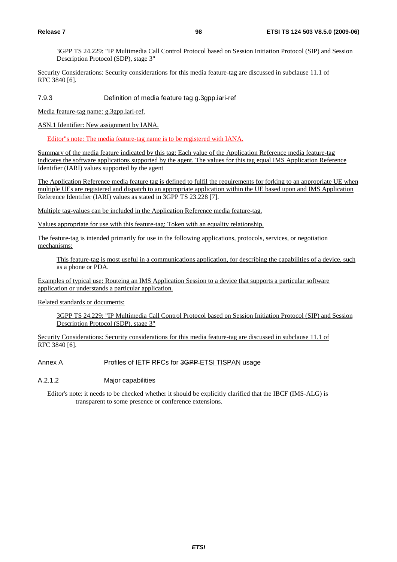3GPP TS 24.229: "IP Multimedia Call Control Protocol based on Session Initiation Protocol (SIP) and Session Description Protocol (SDP), stage 3"

Security Considerations: Security considerations for this media feature-tag are discussed in subclause 11.1 of RFC 3840 [6].

7.9.3 Definition of media feature tag g.3gpp.iari-ref

Media feature-tag name: g.3gpp.iari-ref.

ASN.1 Identifier: New assignment by IANA.

Editor"s note: The media feature-tag name is to be registered with IANA.

Summary of the media feature indicated by this tag: Each value of the Application Reference media feature-tag indicates the software applications supported by the agent. The values for this tag equal IMS Application Reference Identifier (IARI) values supported by the agent

The Application Reference media feature tag is defined to fulfil the requirements for forking to an appropriate UE when multiple UEs are registered and dispatch to an appropriate application within the UE based upon and IMS Application Reference Identifier (IARI) values as stated in 3GPP TS 23.228 [7].

Multiple tag-values can be included in the Application Reference media feature-tag.

Values appropriate for use with this feature-tag: Token with an equality relationship.

The feature-tag is intended primarily for use in the following applications, protocols, services, or negotiation mechanisms:

This feature-tag is most useful in a communications application, for describing the capabilities of a device, such as a phone or PDA.

Examples of typical use: Routeing an IMS Application Session to a device that supports a particular software application or understands a particular application.

Related standards or documents:

3GPP TS 24.229: "IP Multimedia Call Control Protocol based on Session Initiation Protocol (SIP) and Session Description Protocol (SDP), stage 3"

Security Considerations: Security considerations for this media feature-tag are discussed in subclause 11.1 of RFC 3840 [6].

Annex A Profiles of IETF RFCs for 3GPP ETSI TISPAN usage

A.2.1.2 Major capabilities

Editor's note: it needs to be checked whether it should be explicitly clarified that the IBCF (IMS-ALG) is transparent to some presence or conference extensions.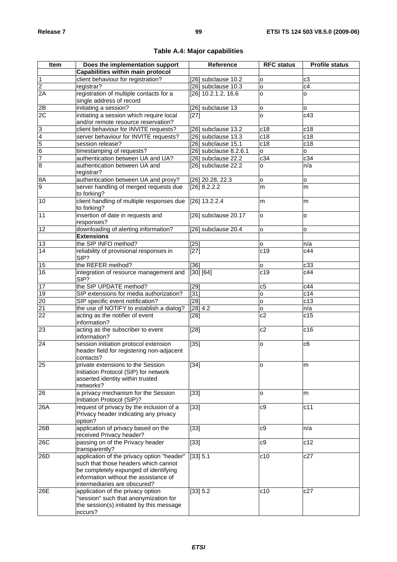| <b>Item</b>     | Does the implementation support             | Reference              | <b>RFC status</b> | <b>Profile status</b> |
|-----------------|---------------------------------------------|------------------------|-------------------|-----------------------|
|                 | Capabilities within main protocol           |                        |                   |                       |
| $\mathbf 1$     | client behaviour for registration?          | [26] subclause 10.2    | o                 | c <sub>3</sub>        |
| $\overline{2}$  | registrar?                                  | [26] subclause 10.3    | o                 | c4                    |
| 2A              | registration of multiple contacts for a     | $[26]$ 10.2.1.2, 16.6  | o                 | o                     |
|                 | single address of record                    |                        |                   |                       |
| 2B              | initiating a session?                       | [26] subclause 13      | $\mathsf{o}$      |                       |
| 2C              | initiating a session which require local    |                        | <b>o</b>          | о<br>c43              |
|                 | and/or remote resource reservation?         | $[27]$                 |                   |                       |
|                 |                                             |                        |                   |                       |
| $\overline{3}$  | client behaviour for INVITE requests?       | [26] subclause 13.2    | c18               | c18                   |
| $\frac{4}{5}$   | server behaviour for INVITE requests?       | [26] subclause 13.3    | c18               | c18                   |
|                 | session release?                            | [26] subclause 15.1    | c18               | c18                   |
|                 | timestamping of requests?                   | [26] subclause 8.2.6.1 | o                 | o                     |
| $\overline{7}$  | authentication between UA and UA?           | [26] subclause 22.2    | c34               | c34                   |
| $\overline{8}$  | authentication between UA and<br>registrar? | [26] subclause 22.2    | o                 | n/a                   |
| 8A              | authentication between UA and proxy?        | [26] 20.28, 22.3       | o                 | o                     |
| 9               | server handling of merged requests due      | [26] 8.2.2.2           | m                 | m                     |
|                 | to forking?                                 |                        |                   |                       |
| 10              | client handling of multiple responses due   | $[26]$ 13.2.2.4        | m                 | m                     |
|                 | to forking?                                 |                        |                   |                       |
| 11              | insertion of date in requests and           | [26] subclause 20.17   | $\circ$           | o                     |
|                 | responses?                                  |                        |                   |                       |
| 12              | downloading of alerting information?        | [26] subclause 20.4    | $\circ$           | o                     |
|                 | <b>Extensions</b>                           |                        |                   |                       |
| 13              | the SIP INFO method?                        | $[25]$                 | о                 | n/a                   |
| $\overline{14}$ | reliability of provisional responses in     | $[27]$                 | c19               | c44                   |
|                 | SIP?                                        |                        |                   |                       |
| 15              | the REFER method?                           | $[36]$                 | o                 | c33                   |
| 16              | integration of resource management and      | [30] [64]              | c19               | c44                   |
|                 | SIP?                                        |                        |                   |                       |
| 17              | the SIP UPDATE method?                      | $\overline{[29]}$      | c5                | c44                   |
| 19              | SIP extensions for media authorization?     | $\overline{[31]}$      | $\mathsf{o}$      | c14                   |
| $\overline{20}$ | SIP specific event notification?            | [28]                   | $\circ$           | c13                   |
| 21              | the use of NOTIFY to establish a dialog?    | $[28]$ 4.2             | o                 | n/a                   |
| $\overline{22}$ | acting as the notifier of event             | [28]                   | c2                | $\overline{c}$ 15     |
|                 | information?                                |                        |                   |                       |
| 23              | acting as the subscriber to event           | $[28]$                 | c2                | c16                   |
|                 | information?                                |                        |                   |                       |
| 24              | session initiation protocol extension       | $[35]$                 | o                 | c6                    |
|                 | header field for registering non-adjacent   |                        |                   |                       |
|                 | contacts?                                   |                        |                   |                       |
| 25              | private extensions to the Session           | $[34]$                 | o                 | m                     |
|                 | Initiation Protocol (SIP) for network       |                        |                   |                       |
|                 | asserted identity within trusted            |                        |                   |                       |
|                 | networks?                                   |                        |                   |                       |
| 26              | a privacy mechanism for the Session         | $[33]$                 | 0                 | m                     |
|                 | Initiation Protocol (SIP)?                  |                        |                   |                       |
| 26A             | request of privacy by the inclusion of a    | $[33]$                 | c9                | c11                   |
|                 | Privacy header indicating any privacy       |                        |                   |                       |
|                 | option?                                     |                        |                   |                       |
| 26B             | application of privacy based on the         | $[33]$                 | c9                | n/a                   |
|                 | received Privacy header?                    |                        |                   |                       |
| 26C             | passing on of the Privacy header            | $[33]$                 | c9                | c12                   |
|                 | transparently?                              |                        |                   |                       |
| 26D             | application of the privacy option "header"  | [33] 5.1               | c10               | c27                   |
|                 | such that those headers which cannot        |                        |                   |                       |
|                 | be completely expunged of identifying       |                        |                   |                       |
|                 | information without the assistance of       |                        |                   |                       |
|                 | intermediaries are obscured?                |                        |                   |                       |
| 26E             | application of the privacy option           | [33] 5.2               | c10               | c27                   |
|                 | "session" such that anonymization for       |                        |                   |                       |
|                 | the session(s) initiated by this message    |                        |                   |                       |
|                 | occurs?                                     |                        |                   |                       |

# **Table A.4: Major capabilities**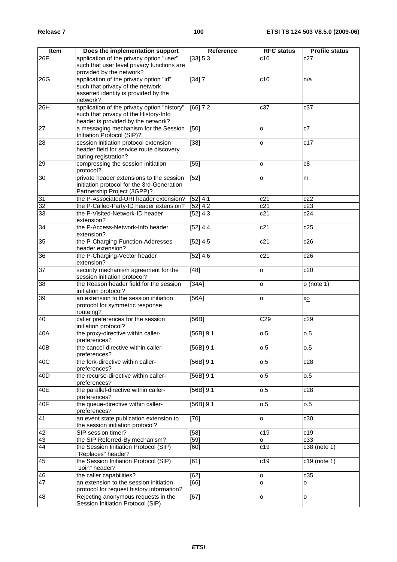| <b>Item</b>     | Does the implementation support                                          | Reference              | <b>RFC</b> status | <b>Profile status</b> |
|-----------------|--------------------------------------------------------------------------|------------------------|-------------------|-----------------------|
| 26F             | application of the privacy option "user"                                 | [33] 5.3               | c10               | c27                   |
|                 | such that user level privacy functions are                               |                        |                   |                       |
|                 | provided by the network?                                                 |                        |                   |                       |
| 26G             | application of the privacy option "id"                                   | [34]7                  | c10               | n/a                   |
|                 | such that privacy of the network<br>asserted identity is provided by the |                        |                   |                       |
|                 | network?                                                                 |                        |                   |                       |
| 26H             | application of the privacy option "history"                              | [66] 7.2               | c37               | c37                   |
|                 | such that privacy of the History-Info                                    |                        |                   |                       |
|                 | header is provided by the network?                                       |                        |                   |                       |
| $\overline{27}$ | a messaging mechanism for the Session                                    | $\overline{[50]}$      | o                 | $\overline{c7}$       |
|                 | Initiation Protocol (SIP)?                                               |                        |                   |                       |
| $\overline{28}$ | session initiation protocol extension                                    | $\overline{[38]}$      | o                 | c17                   |
|                 | header field for service route discovery                                 |                        |                   |                       |
| 29              | during registration?<br>compressing the session initiation               | $[55]$                 |                   | c8                    |
|                 | protocol?                                                                |                        | o                 |                       |
| 30              | private header extensions to the session                                 | $[52]$                 | o                 | m                     |
|                 | initiation protocol for the 3rd-Generation                               |                        |                   |                       |
|                 | Partnership Project (3GPP)?                                              |                        |                   |                       |
| $\overline{31}$ | the P-Associated-URI header extension?                                   | [52] 4.1               | c21               | c22                   |
| 32              | the P-Called-Party-ID header extension?                                  | [52] 4.2               | c21               | c23                   |
| 33              | the P-Visited-Network-ID header                                          | [52] 4.3               | c21               | c24                   |
|                 | extension?                                                               |                        |                   |                       |
| 34              | the P-Access-Network-Info header                                         | [52] 4.4               | c21               | c25                   |
| 35              | extension?<br>the P-Charging-Function-Addresses                          | [52] 4.5               | c21               | c26                   |
|                 | header extension?                                                        |                        |                   |                       |
| 36              | the P-Charging-Vector header                                             | [52] 4.6               | c21               | c26                   |
|                 | extension?                                                               |                        |                   |                       |
| 37              | security mechanism agreement for the                                     | $[48]$                 | 0                 | c20                   |
|                 | session initiation protocol?                                             |                        |                   |                       |
| 38              | the Reason header field for the session                                  | [34A]                  | o                 | $o$ (note 1)          |
|                 | initiation protocol?                                                     |                        |                   |                       |
| 39              | an extension to the session initiation                                   | [56A]                  | o                 | XQ                    |
|                 | protocol for symmetric response<br>routeing?                             |                        |                   |                       |
| 40              | caller preferences for the session                                       | [56B]                  | C29               | c29                   |
|                 | initiation protocol?                                                     |                        |                   |                       |
| 40A             | the proxy-directive within caller-                                       | $\overline{[56B]}$ 9.1 | 0.5               | 0.5                   |
|                 | preferences?                                                             |                        |                   |                       |
| 40B             | the cancel-directive within caller-                                      | $[56B]$ 9.1            | 0.5               | 0.5                   |
|                 | preferences?                                                             |                        |                   |                       |
| 40C             | the fork-directive within caller-                                        | $[56B]$ 9.1            | 0.5               | c28                   |
|                 | preferences?<br>the recurse-directive within caller-                     | $[56B]$ 9.1            |                   | 0.5                   |
| 40D             | preferences?                                                             |                        | 0.5               |                       |
| 40E             | the parallel-directive within caller-                                    | $[56B]$ 9.1            | 0.5               | c28                   |
|                 | preferences?                                                             |                        |                   |                       |
| 40F             | the queue-directive within caller-                                       | $[56B]$ 9.1            | 0.5               | 0.5                   |
|                 | preferences?                                                             |                        |                   |                       |
| 41              | an event state publication extension to                                  | $[70]$                 | $\circ$           | c30                   |
|                 | the session initiation protocol?                                         |                        |                   |                       |
| 42              | SIP session timer?                                                       | [58]                   | c19               | c19                   |
| 43              | the SIP Referred-By mechanism?                                           | [59]                   | $\circ$           | c33                   |
| 44              | the Session Initiation Protocol (SIP)<br>"Replaces" header?              | [60]                   | c19               | $c38$ (note 1)        |
| 45              | the Session Initiation Protocol (SIP)                                    | $\overline{[}61]$      | c19               | c19 (note 1)          |
|                 | "Join" header?                                                           |                        |                   |                       |
| 46              | the caller capabilities?                                                 | [62]                   | O                 | c35                   |
| $\overline{47}$ | an extension to the session initiation                                   | [66]                   | o                 | О                     |
|                 | protocol for request history information?                                |                        |                   |                       |
| 48              | Rejecting anonymous requests in the                                      | [67]                   | $\circ$           | o                     |
|                 | Session Initiation Protocol (SIP)                                        |                        |                   |                       |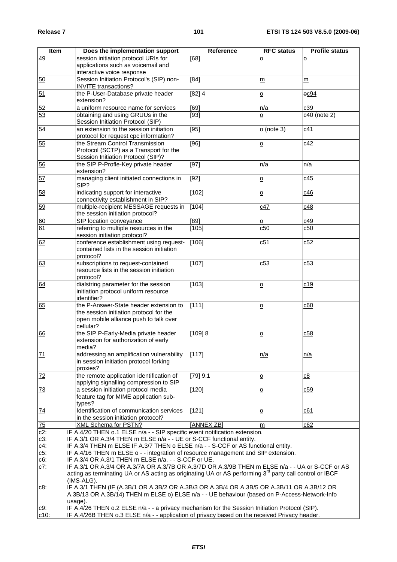| Item           | Does the implementation support                                                                                     | Reference         | <b>RFC</b> status       | <b>Profile status</b> |
|----------------|---------------------------------------------------------------------------------------------------------------------|-------------------|-------------------------|-----------------------|
| 49             | session initiation protocol URIs for                                                                                | [68]              | o                       | O                     |
|                | applications such as voicemail and                                                                                  |                   |                         |                       |
|                | interactive voice response                                                                                          |                   |                         |                       |
| 50             | Session Initiation Protocol's (SIP) non-                                                                            | $\overline{[84]}$ | m                       | m                     |
|                | <b>INVITE</b> transactions?                                                                                         |                   |                         |                       |
| 51             | the P-User-Database private header                                                                                  | $[82]$ 4          | $\overline{o}$          | $-0.094$              |
|                | extension?                                                                                                          |                   |                         |                       |
| 52             | a uniform resource name for services                                                                                | [69]              | n/a                     | c39                   |
| 53             | obtaining and using GRUUs in the                                                                                    | $[93]$            | <u>0</u>                | c40 (note 2)          |
|                | Session Initiation Protocol (SIP)                                                                                   |                   |                         |                       |
| 54             | an extension to the session initiation                                                                              | [95]              | $o$ (note 3)            | c41                   |
|                | protocol for request cpc information?                                                                               |                   |                         |                       |
| 55             | the Stream Control Transmission                                                                                     | [96]              | $\overline{\mathsf{o}}$ | c42                   |
|                | Protocol (SCTP) as a Transport for the                                                                              |                   |                         |                       |
|                | Session Initiation Protocol (SIP)?                                                                                  |                   |                         |                       |
| 56             | the SIP P-Profle-Key private header                                                                                 | $[97]$            | n/a                     | n/a                   |
|                | extension?                                                                                                          |                   |                         |                       |
| 57             | managing client initiated connections in                                                                            | $[92]$            | $\overline{\mathsf{o}}$ | c45                   |
|                | SIP?                                                                                                                |                   |                         |                       |
| 58             | indicating support for interactive                                                                                  | [102]             | $\overline{\mathsf{o}}$ | c46                   |
|                | connectivity establishment in SIP?                                                                                  |                   |                         |                       |
| 59             | multiple-recipient MESSAGE requests in                                                                              | [104]             | c47                     | c48                   |
|                | the session initiation protocol?                                                                                    |                   |                         |                       |
| 60             | SIP location conveyance                                                                                             | [89]              | o                       | c49                   |
| 61             | referring to multiple resources in the                                                                              | [105]             | c50                     | c50                   |
|                | session initiation protocol?                                                                                        |                   |                         |                       |
| 62             | conference establishment using request-                                                                             | [106]             | c51                     | c52                   |
|                | contained lists in the session initiation                                                                           |                   |                         |                       |
|                | protocol?                                                                                                           |                   |                         |                       |
| 63             | subscriptions to request-contained                                                                                  | [107]             | c53                     | c53                   |
|                | resource lists in the session initiation                                                                            |                   |                         |                       |
|                | protocol?                                                                                                           |                   |                         |                       |
| 64             | dialstring parameter for the session                                                                                | [103]             | $\mathsf{o}$            | c19                   |
|                | initiation protocol uniform resource                                                                                |                   |                         |                       |
|                | identifier?                                                                                                         |                   |                         |                       |
| 65             | the P-Answer-State header extension to                                                                              | [111]             | $\overline{\mathsf{o}}$ | c60                   |
|                | the session initiation protocol for the                                                                             |                   |                         |                       |
|                | open mobile alliance push to talk over<br>cellular?                                                                 |                   |                         |                       |
| 66             | the SIP P-Early-Media private header                                                                                | [109] 8           |                         | c58                   |
|                | extension for authorization of early                                                                                |                   | $\overline{\mathsf{o}}$ |                       |
|                | media?                                                                                                              |                   |                         |                       |
| 71             | addressing an amplification vulnerability                                                                           | [117]             | n/a                     | <u>n/a</u>            |
|                | in session initiation protocol forking                                                                              |                   |                         |                       |
|                | proxies?                                                                                                            |                   |                         |                       |
| 72             | the remote application identification of                                                                            | [79] 9.1          | $\overline{\mathsf{o}}$ | c8                    |
|                | applying signalling compression to SIP                                                                              |                   |                         |                       |
| <u>73</u>      | a session initiation protocol media                                                                                 | [120]             | $\overline{\mathsf{o}}$ | c59                   |
|                | feature tag for MIME application sub-                                                                               |                   |                         |                       |
|                | types?                                                                                                              |                   |                         |                       |
| 74             | Identification of communication services                                                                            | $[121]$           | $\mathsf{o}$            | c61                   |
|                | in the session initiation protocol?                                                                                 |                   |                         |                       |
| $\frac{75}{2}$ | <b>XML Schema for PSTN?</b>                                                                                         | [ANNEX ZB]        | m                       | c62                   |
| $c2$ :         | IF A.4/20 THEN o.1 ELSE n/a - - SIP specific event notification extension.                                          |                   |                         |                       |
| $c3$ :         | IF A.3/1 OR A.3/4 THEN m ELSE n/a - - UE or S-CCF functional entity.                                                |                   |                         |                       |
| $c4$ :         | IF A.3/4 THEN m ELSE IF A.3/7 THEN o ELSE n/a - - S-CCF or AS functional entity.                                    |                   |                         |                       |
| $c5$ :         | IF A.4/16 THEN m ELSE o - - integration of resource management and SIP extension.                                   |                   |                         |                       |
| c6:            | IF A.3/4 OR A.3/1 THEN m ELSE n/a. - - S-CCF or UE.                                                                 |                   |                         |                       |
| $c7$ :         | IF A.3/1 OR A.3/4 OR A.3/7A OR A.3/7B OR A.3/7D OR A.3/9B THEN m ELSE n/a - - UA or S-CCF or AS                     |                   |                         |                       |
|                | acting as terminating UA or AS acting as originating UA or AS performing 3 <sup>rd</sup> party call control or IBCF |                   |                         |                       |
|                | (IMS-ALG).                                                                                                          |                   |                         |                       |
| c8:            | IF A.3/1 THEN (IF (A.3B/1 OR A.3B/2 OR A.3B/3 OR A.3B/4 OR A.3B/5 OR A.3B/11 OR A.3B/12 OR                          |                   |                         |                       |
|                | A.3B/13 OR A.3B/14) THEN m ELSE o) ELSE n/a - - UE behaviour (based on P-Access-Network-Info                        |                   |                         |                       |
|                | usage).<br>IF A.4/26 THEN o.2 ELSE n/a - - a privacy mechanism for the Session Initiation Protocol (SIP).           |                   |                         |                       |
| c9:<br>$c10$ : | IF A.4/26B THEN o.3 ELSE n/a - - application of privacy based on the received Privacy header.                       |                   |                         |                       |
|                |                                                                                                                     |                   |                         |                       |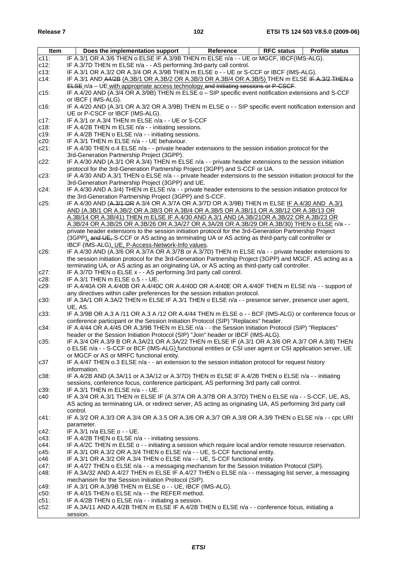| Item    | <b>Profile status</b><br>Does the implementation support<br><b>RFC status</b><br>Reference                   |
|---------|--------------------------------------------------------------------------------------------------------------|
| $c11$ : | IF A.3/1 OR A.3/6 THEN o ELSE IF A.3/9B THEN m ELSE n/a - - UE or MGCF, IBCF(IMS-ALG).                       |
| $c12$ : | IF A.3/7D THEN m ELSE n/a - - AS performing 3rd-party call control.                                          |
| $c13$ : | IF A.3/1 OR A.3/2 OR A.3/4 OR A.3/9B THEN m ELSE o - - UE or S-CCF or IBCF (IMS-ALG).                        |
| $c14$ : | IF A.3/1 AND A4/2B (A.3B/1 OR A.3B/2 OR A.3B/3 OR A.3B/4 OR A.3B/5) THEN m ELSE IF A.3/2 THEN o              |
|         |                                                                                                              |
|         | ELSE n/a - UE with appropriate access technology and initiating sessions or P-CSCF.                          |
| $c15$ : | IF A.4/20 AND (A.3/4 OR A.3/9B) THEN m ELSE o - SIP specific event notification extensions and S-CCF         |
|         | or IBCF (IMS-ALG).                                                                                           |
| $c16$ : | IF A.4/20 AND (A.3/1 OR A.3/2 OR A.3/9B) THEN m ELSE o - - SIP specific event notification extension and     |
|         | UE or P-CSCF or IBCF (IMS-ALG).                                                                              |
| $c17$ : | IF A.3/1 or A.3/4 THEN m ELSE n/a - - UE or S-CCF                                                            |
| $c18$ : | IF A.4/2B THEN m ELSE n/a - - initiating sessions.                                                           |
| c19:    | IF A.4/2B THEN o ELSE n/a - - initiating sessions.                                                           |
| $c20$ : | IF A.3/1 THEN m ELSE n/a - - UE behaviour.                                                                   |
| $c21$ : | IF A.4/30 THEN o.4 ELSE n/a - - private header extensions to the session initiation protocol for the         |
|         | 3rd-Generation Partnership Project (3GPP).                                                                   |
| $c22$ : | IF A.4/30 AND (A.3/1 OR A.3/4) THEN m ELSE n/a - - private header extensions to the session initiation       |
|         | protocol for the 3rd-Generation Partnership Project (3GPP) and S-CCF or UA.                                  |
| $c23$ : | IF A.4/30 AND A.3/1 THEN o ELSE n/a - - private header extensions to the session initiation protocol for the |
|         | 3rd-Generation Partnership Project (3GPP) and UE.                                                            |
| $c24$ : | IF A.4/30 AND A.3/4) THEN m ELSE n/a - - private header extensions to the session initiation protocol for    |
|         | the 3rd-Generation Partnership Project (3GPP) and S-CCF.                                                     |
| $c25$ : | IF A.4/30 AND (A.3/1 OR A.3/4 OR A.3/7A OR A.3/7D OR A.3/9B) THEN m ELSE IF A.4/30 AND A.3/1                 |
|         |                                                                                                              |
|         | AND (A.3B/1 OR A.3B/2 OR A.3B/3 OR A.3B/4 OR A.3B/5 OR A.3B/11 OR A.3B/12 OR A.3B/13 OR                      |
|         | A.3B/14 OR A.3B/41) THEN m ELSE IF A.4/30 AND A.3/1 AND (A.3B/21OR A.3B/22 OR A.3B/23 OR                     |
|         | A.3B/24 OR A.3B/25 OR A.3B/26 OR A.3A/27 OR A.3A/28 OR A.3B/29 OR A.3B/30) THEN o ELSE n/a - -               |
|         | private header extensions to the session initiation protocol for the 3rd-Generation Partnership Project      |
|         | (3GPP), and UE, S-CCF or AS acting as terminating UA or AS acting as third-party call controller or          |
|         | IBCF (IMS-ALG), UE, P-Access-Network-Info values.                                                            |
| $c26$ : | IF A.4/30 AND (A.3/6 OR A.3/7A OR A.3/7B or A.3/7D) THEN m ELSE n/a - - private header extensions to         |
|         | the session initiation protocol for the 3rd-Generation Partnership Project (3GPP) and MGCF, AS acting as a   |
|         | terminating UA, or AS acting as an originating UA, or AS acting as third-party call controller.              |
| c27.    | IF A.3/7D THEN o ELSE x - - AS performing 3rd party call control.                                            |
| $c28$ : | IF A.3/1 THEN m ELSE o.5 - - UE.                                                                             |
| c29:    | IF A.4/40A OR A.4/40B OR A.4/40C OR A.4/40D OR A.4/40E OR A.4/40F THEN m ELSE n/a - - support of             |
|         | any directives within caller preferences for the session initiation protocol.                                |
| c30:    | IF A.3A/1 OR A.3A/2 THEN m ELSE IF A.3/1 THEN o ELSE n/a - - presence server, presence user agent,           |
|         | UE, AS.                                                                                                      |
| $c33$ : | IF A.3/9B OR A.3 A /11 OR A.3 A /12 OR A.4/44 THEN m ELSE o - - BCF (IMS-ALG) or conference focus or         |
|         | conference participant or the Session Initiation Protocol (SIP) "Replaces" header.                           |
| c34:    | IF A.4/44 OR A.4/45 OR A.3/9B THEN m ELSE n/a - - the Session Initiation Protocol (SIP) "Replaces"           |
|         | header or the Session Initiation Protocol (SIP) "Join" header or IBCF (IMS-ALG).                             |
| c35:    | IF A.3/4 OR A.3/9 B OR A.3A/21 OR A.3A/22 THEN m ELSE IF (A.3/1 OR A.3/6 OR A.3/7 OR A.3/8) THEN             |
|         | o ELSE n/a - - S-CCF or BCF (IMS-ALG) functional entities or CSI user agent or CSI application server, UE    |
|         | or MGCF or AS or MRFC functional entity.                                                                     |
| c37     | IF A.4/47 THEN o.3 ELSE n/a - - an extension to the session initiation protocol for request history          |
|         | information.                                                                                                 |
| c38:    | IF A.4/2B AND (A.3A/11 or A.3A/12 or A.3/7D) THEN m ELSE IF A.4/2B THEN o ELSE n/a - - initiating            |
|         | sessions, conference focus, conference participant, AS performing 3rd party call control.                    |
|         |                                                                                                              |
| c39:    | IF A.3/1 THEN m ELSE n/a - - UE.                                                                             |
| c40     | IF A.3/4 OR A.3/1 THEN m ELSE IF (A.3/7A OR A.3/7B OR A.3/7D) THEN o ELSE n/a - - S-CCF, UE, AS,             |
|         | AS acting as terminating UA, or redirect server, AS acting as originating UA, AS performing 3rd party call   |
|         | control.                                                                                                     |
| $c41$ : | IF A.3/2 OR A.3/3 OR A.3/4 OR A.3.5 OR A.3/6 OR A.3/7 OR A.3/8 OR A.3/9 THEN o ELSE n/a - - cpc URI          |
|         | parameter.                                                                                                   |
| $c42$ : | IF A.3/1 n/a ELSE o - - UE.                                                                                  |
| $c43$ : | IF A.4/2B THEN o ELSE n/a - - initiating sessions.                                                           |
| c44:    | IF A.4/2C THEN m ELSE o - - initiating a session which require local and/or remote resource reservation.     |
| $c45$ : | IF A.3/1 OR A.3/2 OR A.3/4 THEN o ELSE n/a - - UE, S-CCF functional entity.                                  |
| c46     | IF A.3/1 OR A.3/2 OR A.3/4 THEN o ELSE n/a - - UE, S-CCF functional entity.                                  |
| c47:    | IF A.4/27 THEN o ELSE n/a - - a messaging mechanism for the Session Initiation Protocol (SIP).               |
| c48:    | IF A.3A/32 AND A.4/27 THEN m ELSE IF A.4/27 THEN o ELSE n/a - - messaging list server, a messaging           |
|         | mechanism for the Session Initiation Protocol (SIP).                                                         |
| c49:    | IF A.3/1 OR A.3/9B THEN m ELSE o - - UE, IBCF (IMS-ALG).                                                     |
| $c50$ : | IF A.4/15 THEN o ELSE n/a - - the REFER method.                                                              |
| $c51$ : | IF A.4/2B THEN o ELSE n/a - - initiating a session.                                                          |
| $c52$ : | IF A.3A/11 AND A.4/2B THEN m ELSE IF A.4/2B THEN o ELSE n/a - - conference focus, initiating a               |
|         | session.                                                                                                     |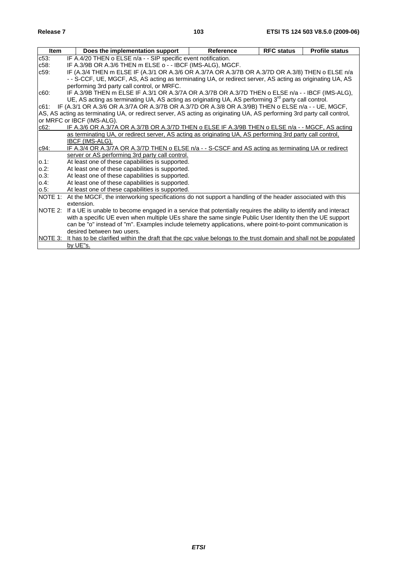| <b>Item</b> | Does the implementation support                                                                                           | <b>Reference</b> | <b>RFC status</b> | <b>Profile status</b> |  |  |  |  |  |
|-------------|---------------------------------------------------------------------------------------------------------------------------|------------------|-------------------|-----------------------|--|--|--|--|--|
| $c53$ :     | IF A.4/20 THEN o ELSE n/a - - SIP specific event notification.                                                            |                  |                   |                       |  |  |  |  |  |
| $c58$ :     | IF A.3/9B OR A.3/6 THEN m ELSE o - - IBCF (IMS-ALG), MGCF.                                                                |                  |                   |                       |  |  |  |  |  |
| $c59$ :     | IF (A.3/4 THEN m ELSE IF (A.3/1 OR A.3/6 OR A.3/7A OR A.3/7B OR A.3/7D OR A.3/8) THEN o ELSE n/a                          |                  |                   |                       |  |  |  |  |  |
|             | -- S-CCF, UE, MGCF, AS, AS acting as terminating UA, or redirect server, AS acting as originating UA, AS                  |                  |                   |                       |  |  |  |  |  |
|             | performing 3rd party call control, or MRFC.                                                                               |                  |                   |                       |  |  |  |  |  |
| c60:        | IF A.3/9B THEN m ELSE IF A.3/1 OR A.3/7A OR A.3/7B OR A.3/7D THEN o ELSE n/a - - IBCF (IMS-ALG),                          |                  |                   |                       |  |  |  |  |  |
|             | UE, AS acting as terminating UA, AS acting as originating UA, AS performing $3rd$ party call control.                     |                  |                   |                       |  |  |  |  |  |
| c61:        | IF (A.3/1 OR A.3/6 OR A.3/7A OR A.3/7B OR A.3/7D OR A.3/8 OR A.3/9B) THEN o ELSE n/a - - UE, MGCF,                        |                  |                   |                       |  |  |  |  |  |
|             | AS, AS acting as terminating UA, or redirect server, AS acting as originating UA, AS performing 3rd party call control,   |                  |                   |                       |  |  |  |  |  |
|             | or MRFC or IBCF (IMS-ALG).                                                                                                |                  |                   |                       |  |  |  |  |  |
| c62:        | IF A.3/6 OR A.3/7A OR A.3/7B OR A.3/7D THEN o ELSE IF A.3/9B THEN o ELSE n/a - - MGCF, AS acting                          |                  |                   |                       |  |  |  |  |  |
|             | as terminating UA, or redirect server, AS acting as originating UA, AS performing 3rd party call control,                 |                  |                   |                       |  |  |  |  |  |
|             | IBCF (IMS-ALG).                                                                                                           |                  |                   |                       |  |  |  |  |  |
| c94:        | IF A.3/4 OR A.3/7A OR A.3/7D THEN o ELSE n/a - - S-CSCF and AS acting as terminating UA or redirect                       |                  |                   |                       |  |  |  |  |  |
|             | server or AS performing 3rd party call control.                                                                           |                  |                   |                       |  |  |  |  |  |
| $0.1$ :     | At least one of these capabilities is supported.                                                                          |                  |                   |                       |  |  |  |  |  |
| $0.2$ :     | At least one of these capabilities is supported.                                                                          |                  |                   |                       |  |  |  |  |  |
| $0.3$ :     | At least one of these capabilities is supported.                                                                          |                  |                   |                       |  |  |  |  |  |
| $0.4$ :     | At least one of these capabilities is supported.                                                                          |                  |                   |                       |  |  |  |  |  |
| $0.5$ :     | At least one of these capabilities is supported.                                                                          |                  |                   |                       |  |  |  |  |  |
| NOTE 1:     | At the MGCF, the interworking specifications do not support a handling of the header associated with this                 |                  |                   |                       |  |  |  |  |  |
|             | extension.                                                                                                                |                  |                   |                       |  |  |  |  |  |
|             | NOTE 2: If a UE is unable to become engaged in a service that potentially requires the ability to identify and interact   |                  |                   |                       |  |  |  |  |  |
|             | with a specific UE even when multiple UEs share the same single Public User Identity then the UE support                  |                  |                   |                       |  |  |  |  |  |
|             | can be "o" instead of "m". Examples include telemetry applications, where point-to-point communication is                 |                  |                   |                       |  |  |  |  |  |
|             | desired between two users.                                                                                                |                  |                   |                       |  |  |  |  |  |
|             | NOTE 3: It has to be clarified within the draft that the cpc value belongs to the trust domain and shall not be populated |                  |                   |                       |  |  |  |  |  |
|             | by UE"s.                                                                                                                  |                  |                   |                       |  |  |  |  |  |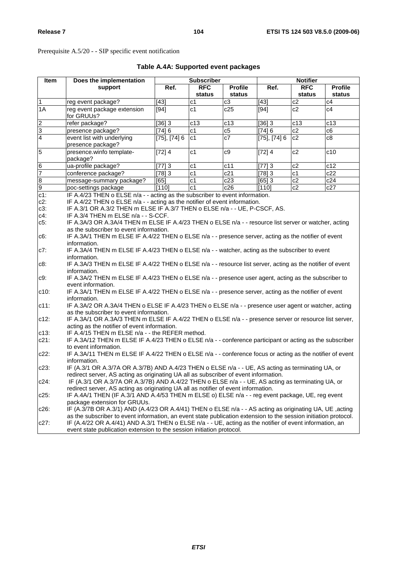Prerequisite A.5/20 - - SIP specific event notification

| Item           | Does the implementation                                                                                                                                                                                                     |                   | <b>Subscriber</b> |                 |                   | <b>Notifier</b> |                |  |
|----------------|-----------------------------------------------------------------------------------------------------------------------------------------------------------------------------------------------------------------------------|-------------------|-------------------|-----------------|-------------------|-----------------|----------------|--|
|                | support                                                                                                                                                                                                                     | Ref.              | <b>RFC</b>        | <b>Profile</b>  | Ref.              | <b>RFC</b>      | <b>Profile</b> |  |
|                |                                                                                                                                                                                                                             |                   | status            | status          |                   | status          | <b>status</b>  |  |
| $\overline{1}$ | reg event package?                                                                                                                                                                                                          | $[43]$            | c <sub>1</sub>    | c3              | $[43]$            | c2              | c4             |  |
| 1A             | reg event package extension<br>for GRUUs?                                                                                                                                                                                   | $[94]$            | c <sub>1</sub>    | c25             | $[94]$            | c2              | C <sub>4</sub> |  |
|                | refer package?                                                                                                                                                                                                              | [36]3             | c13               | c13             | [36]3             | c13             | c13            |  |
|                | presence package?                                                                                                                                                                                                           | [74] 6            | c1                | c5              | [74] 6            | c2              | c6             |  |
| $\frac{2}{3}$  | event list with underlying<br>presence package?                                                                                                                                                                             | $[75]$ , $[74]$ 6 | c <sub>1</sub>    | $\overline{c7}$ | $[75]$ , $[74]$ 6 | c2              | c8             |  |
| $\overline{5}$ | presence.winfo template-<br>package?                                                                                                                                                                                        | [72] 4            | c <sub>1</sub>    | c9              | [72] 4            | c2              | c10            |  |
|                | ua-profile package?                                                                                                                                                                                                         | [77]3             | c <sub>1</sub>    | c11             | [77]3             | c2              | c12            |  |
| $\frac{6}{7}$  | conference package?                                                                                                                                                                                                         | [78]3             | c <sub>1</sub>    | c21             | [78]3             | c <sub>1</sub>  | c22            |  |
|                | message-summary package?                                                                                                                                                                                                    | [65]              | c <sub>1</sub>    | c23             | [65]3             | c2              | c24            |  |
| $\frac{8}{9}$  | poc-settings package                                                                                                                                                                                                        | [110]             | c <sub>1</sub>    | c26             | [110]             | c2              | c27            |  |
| $c1$ :         | IF A.4/23 THEN o ELSE n/a - - acting as the subscriber to event information.                                                                                                                                                |                   |                   |                 |                   |                 |                |  |
| $c2$ :         | IF A.4/22 THEN o ELSE n/a - - acting as the notifier of event information.                                                                                                                                                  |                   |                   |                 |                   |                 |                |  |
| $c3$ :         | IF A.3/1 OR A.3/2 THEN m ELSE IF A.3/7 THEN o ELSE n/a - - UE, P-CSCF, AS.                                                                                                                                                  |                   |                   |                 |                   |                 |                |  |
| $c4$ :         | IF A.3/4 THEN m ELSE n/a - - S-CCF.                                                                                                                                                                                         |                   |                   |                 |                   |                 |                |  |
| c5.            | IF A.3A/3 OR A.3A/4 THEN m ELSE IF A.4/23 THEN o ELSE n/a - - resource list server or watcher, acting<br>as the subscriber to event information.                                                                            |                   |                   |                 |                   |                 |                |  |
| $c6$ :         | IF A.3A/1 THEN m ELSE IF A.4/22 THEN o ELSE n/a - - presence server, acting as the notifier of event                                                                                                                        |                   |                   |                 |                   |                 |                |  |
|                | information.<br>IF A.3A/4 THEN m ELSE IF A.4/23 THEN o ELSE n/a - - watcher, acting as the subscriber to event                                                                                                              |                   |                   |                 |                   |                 |                |  |
| c7:            |                                                                                                                                                                                                                             |                   |                   |                 |                   |                 |                |  |
| $c8$ :         | information.<br>IF A.3A/3 THEN m ELSE IF A.4/22 THEN o ELSE n/a - - resource list server, acting as the notifier of event                                                                                                   |                   |                   |                 |                   |                 |                |  |
|                | information.                                                                                                                                                                                                                |                   |                   |                 |                   |                 |                |  |
| c9:            | IF A.3A/2 THEN m ELSE IF A.4/23 THEN o ELSE n/a - - presence user agent, acting as the subscriber to<br>event information.                                                                                                  |                   |                   |                 |                   |                 |                |  |
| $c10$ :        | IF A.3A/1 THEN m ELSE IF A.4/22 THEN o ELSE n/a - - presence server, acting as the notifier of event<br>information.                                                                                                        |                   |                   |                 |                   |                 |                |  |
| $c11$ :        | IF A.3A/2 OR A.3A/4 THEN o ELSE IF A.4/23 THEN o ELSE n/a - - presence user agent or watcher, acting<br>as the subscriber to event information.                                                                             |                   |                   |                 |                   |                 |                |  |
| $c12$ :        | IF A.3A/1 OR A.3A/3 THEN m ELSE IF A.4/22 THEN o ELSE n/a - - presence server or resource list server,<br>acting as the notifier of event information.                                                                      |                   |                   |                 |                   |                 |                |  |
| $c13$ :        | IF A.4/15 THEN m ELSE n/a - - the REFER method.                                                                                                                                                                             |                   |                   |                 |                   |                 |                |  |
| $c21$ :        | IF A.3A/12 THEN m ELSE IF A.4/23 THEN o ELSE n/a - - conference participant or acting as the subscriber                                                                                                                     |                   |                   |                 |                   |                 |                |  |
|                | to event information.                                                                                                                                                                                                       |                   |                   |                 |                   |                 |                |  |
| $c22$ :        | IF A.3A/11 THEN m ELSE IF A.4/22 THEN o ELSE n/a - - conference focus or acting as the notifier of event<br>information.                                                                                                    |                   |                   |                 |                   |                 |                |  |
| c23:           | IF (A.3/1 OR A.3/7A OR A.3/7B) AND A.4/23 THEN o ELSE n/a - - UE, AS acting as terminating UA, or<br>redirect server, AS acting as originating UA all as subscriber of event information.                                   |                   |                   |                 |                   |                 |                |  |
| $c24$ :        | IF (A.3/1 OR A.3/7A OR A.3/7B) AND A.4/22 THEN o ELSE n/a - - UE, AS acting as terminating UA, or                                                                                                                           |                   |                   |                 |                   |                 |                |  |
| $c25$ :        | redirect server, AS acting as originating UA all as notifier of event information.<br>IF A.4A/1 THEN (IF A.3/1 AND A.4/53 THEN m ELSE o) ELSE n/a - - reg event package, UE, reg event                                      |                   |                   |                 |                   |                 |                |  |
|                | package extension for GRUUs.                                                                                                                                                                                                |                   |                   |                 |                   |                 |                |  |
| $c26$ :        | IF (A.3/7B OR A.3/1) AND (A.4/23 OR A.4/41) THEN o ELSE n/a - - AS acting as originating UA, UE , acting                                                                                                                    |                   |                   |                 |                   |                 |                |  |
|                | as the subscriber to event information, an event state publication extension to the session initiation protocol.<br>IF (A.4/22 OR A.4/41) AND A.3/1 THEN o ELSE n/a - - UE, acting as the notifier of event information, an |                   |                   |                 |                   |                 |                |  |
| $c27$ :        | event state publication extension to the session initiation protocol.                                                                                                                                                       |                   |                   |                 |                   |                 |                |  |

# **Table A.4A: Supported event packages**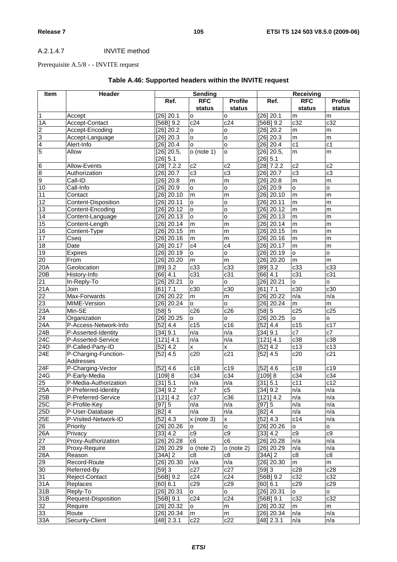# A.2.1.4.7 INVITE method

# Prerequisite A.5/8 - - INVITE request

| <b>Item</b>      | Header                            | <b>Sending</b> |                | Receiving      |                         |                 |                 |
|------------------|-----------------------------------|----------------|----------------|----------------|-------------------------|-----------------|-----------------|
|                  |                                   | Ref.           | <b>RFC</b>     | <b>Profile</b> | Ref.                    | <b>RFC</b>      | <b>Profile</b>  |
|                  |                                   |                | status         | status         |                         | status          | status          |
| $\mathbf{1}$     | Accept                            | $[26]$ 20.1    | o              | o              | $[26]$ 20.1             | m               | m               |
| 1A               | Accept-Contact                    | $[56B]$ 9.2    | c24            | c24            | $[56B]$ 9.2             | c32             | c32             |
| 2                | Accept-Encoding                   | [26] 20.2      | $\circ$        | $\circ$        | $[26]$ 20.2             | ${\sf m}$       | m               |
| 3                | Accept-Language                   | $[26]$ 20.3    | $\circ$        | $\circ$        | $[26]$ 20.3             | ${\sf m}$       | m               |
| 4                | Alert-Info                        | [26] 20.4      | $\circ$        | $\circ$        | [26] 20.4               | $\overline{c1}$ | $\overline{c1}$ |
| 5                | Allow                             | $[26]$ 20.5,   | $o$ (note 1)   | $\circ$        | $[26]$ 20.5,            | m               | m               |
|                  |                                   | [26] 5.1       |                |                | [26] 5.1                |                 |                 |
| 6                | Allow-Events                      | $[28]$ 7.2.2   | c2             | c2             | $\overline{[28] 7.2.2}$ | c2              | c2              |
| 8                | Authorization                     | [26] 20.7      | c3             | c3             | $[26]$ 20.7             | c3              | c3              |
| 9                | Call-ID                           | $[26]$ 20.8    | m              | m              | $[26]$ 20.8             | m               | m               |
| 10               | Call-Info                         | $[26]$ 20.9    | o              | $\circ$        | $[26]$ 20.9             | o               | $\mathsf{o}$    |
| 11               | Contact                           | $[26]$ 20.10   | m              | m              | $[26]$ 20.10            | ${\sf m}$       | m               |
| 12               | Content-Disposition               | $[26]$ 20.11   | $\circ$        | o              | $[26]$ 20.11            | m               | m               |
| 13               | Content-Encoding                  | $[26]$ 20.12   | o              | $\circ$        | $[26]$ 20.12            | m               | m               |
| 14               | Content-Language                  | $[26]$ 20.13   | o              | $\circ$        | $[26]$ 20.13            | m               | m               |
| 15               | Content-Length                    | $[26]$ 20.14   | m              | m              | $[26]$ 20.14            | m               | m               |
| 16               | Content-Type                      | $[26]$ 20.15   | m              | m              | $[26]$ 20.15            | ${\sf m}$       | m               |
| 17               | Cseq                              | $[26]$ 20.16   | m              | m              | $[26]$ 20.16            | m               | m               |
| 18               | Date                              | $[26]$ 20.17   | c4             | c4             | $[26]$ 20.17            | m               | m               |
| 19               | Expires                           | [26] 20.19     | O              | $\circ$        | [26] 20.19              | $\circ$         | $\circ$         |
| 20               | From                              | [26] 20.20     | m              | m              | $[26]$ 20.20            | m               | ${\sf m}$       |
| 20A              | Geolocation                       | $[89]$ 3.2     | c33            | c33            | $[89]$ 3.2              | c33             | c33             |
| 20B              | History-Info                      | $[66]$ 4.1     | c31            | c31            | $[66]$ 4.1              | c31             | c31             |
| 21               | In-Reply-To                       | $[26]$ 20.21   | $\circ$        | $\circ$        | $[26]$ 20.21            | $\circ$         | $\circ$         |
| 21A              | Join                              | [61]<br>7.1    | c30            | c30            | [61] 7.1                | c30             | c30             |
| 22               | Max-Forwards                      | $[26]$ 20.22   | m              | ${\sf m}$      | $[26]$ 20.22            | n/a             | n/a             |
| 23               | MIME-Version                      | [26] 20.24     | o              | $\circ$        | $[26]$ 20.24            | m               | ${\sf m}$       |
| 23A              | Min-SE                            | [58] 5         | c26            | c26            | [58] 5                  | c25             | c25             |
| $\overline{24}$  | Organization                      | $[26]$ 20.25   | <b>o</b>       | $\circ$        | $[26]$ 20.25            | $\mathsf{o}$    | $\circ$         |
| 24A              | P-Access-Network-Info             | [52] 4.4       | c15            | c16            | [52] 4.4                | c15             | c17             |
| 24B              | P-Asserted-Identity               | [34] 9.1       | n/a            | n/a            | [34] 9.1                | c7              | c7              |
| $\overline{24C}$ | P-Asserted-Service                | [121] 4.1      | n/a            | n/a            | [121] 4.1               | c38             | c38             |
| 24D              | P-Called-Party-ID                 | [52] 4.2       | X              | X              | [52] 4.2                | c13             | c13             |
| 24E              | P-Charging-Function-<br>Addresses | [52] 4.5       | c20            | c21            | $[52]$ 4.5              | c20             | c21             |
| 24F              | P-Charging-Vector                 | [52] 4.6       | c18            | c19            | [52] 4.6                | c18             | c19             |
| 24G              | P-Early-Media                     | [109] 8        | c34            | c34            | $[109]$ 8               | c34             | c34             |
| 25               | P-Media-Authorization             | [31] 5.1       | n/a            | n/a            | [31] 5.1                | c11             | c12             |
| 25A              | P-Preferred-Identity              | [34] 9.2       | c7             | c5             | (34)9.2                 | n/a             | n/a             |
| 25B              | P-Preferred-Service               | [121] 4.2      | c37            | c36            | [121] 4.2               | n/a             | n/a             |
| 25C              | P-Profile-Key                     | [97] 5         | n/a            | n/a            | [97] 5                  | n/a             | n/a             |
| 25D              | P-User-Database                   | $[82]$ 4       | n/a            | n/a            | $[82]$ 4                | n/a             | n/a             |
| 25E              | P-Visited-Network-ID              | [52] 4.3       | x (note 3)     | X              | [52] 4.3                | c14             | n/a             |
| 26               | Priority                          | $[26]$ 20.26   | o              | o              | $[26]$ 20.26            | $\mathsf{o}$    | $\circ$         |
| 26A              | Privacy                           | [33] 4.2       | c9             | c9             | [33] 4.2                | c9              | c9              |
| 27               | Proxy-Authorization               | $[26]$ 20.28   | c <sub>6</sub> | c <sub>6</sub> | $[26]$ 20.28            | n/a             | n/a             |
| 28               | Proxy-Require                     | [26] 20.29     | $o$ (note 2)   | $o$ (note 2)   | [26] 20.29              | n/a             | n/a             |
| 28A              | Reason                            | [34A]2         | c8             | c8             | $[34A]$ 2               | c8              | $\overline{c8}$ |
| 29               | Record-Route                      | $[26]$ 20.30   | n/a            | n/a            | $[26]$ 20.30            | ${\sf m}$       | m               |
| 30               | Referred-By                       | [59]3          | c27            | c27            | [59]3                   | c28             | c28             |
| 31               | Reject-Contact                    | [56B] 9.2      | c24            | c24            | $[56B]$ 9.2             | c32             | c32             |
| 31A              | Replaces                          | [60] 6.1       | c29            | c29            | [60] 6.1                | c29             | c29             |
| 31B              | Reply-To                          | $[26]$ 20.31   | $\circ$        | $\mathsf{o}$   | $[26]$ 20.31            | $\mathsf{o}$    | $\mathsf{o}$    |
| 31B              | Request-Disposition               | $[56B]$ 9.1    | c24            | c24            | $[56B]$ 9.1             | c32             | c32             |
| 32               | Require                           | [26] 20.32     | o              | m              | $[26]$ 20.32            | m               | m               |
| 33               | Route                             | [26] 20.34     | m              | m              | $[26]$ 20.34            | n/a             | n/a             |
| 33A              | Security-Client                   | $[48]$ 2.3.1   | c22            | c22            | $[48]$ 2.3.1            | n/a             | n/a             |

# **Table A.46: Supported headers within the INVITE request**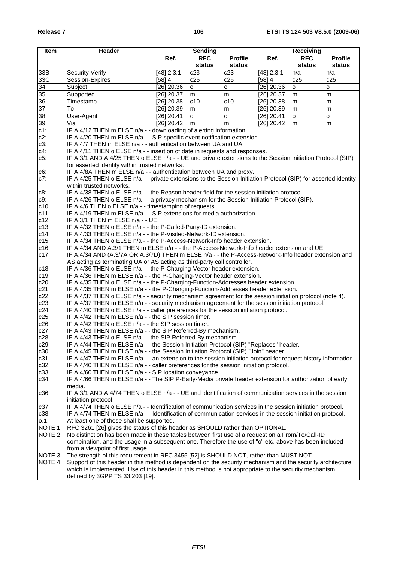| Item       | Header                                                                                                                                                                                                      | <b>Sending</b> |            | <b>Receiving</b> |              |            |                |
|------------|-------------------------------------------------------------------------------------------------------------------------------------------------------------------------------------------------------------|----------------|------------|------------------|--------------|------------|----------------|
|            |                                                                                                                                                                                                             | Ref.           | <b>RFC</b> | <b>Profile</b>   | Ref.         | <b>RFC</b> | <b>Profile</b> |
|            |                                                                                                                                                                                                             |                | status     | status           |              | status     | status         |
| 33B        | Security-Verify                                                                                                                                                                                             | [48] 2.3.1     | c23        | c23              | [48] 2.3.1   | n/a        | n/a            |
| 33C        | Session-Expires                                                                                                                                                                                             | [58] 4         | c25        | c25              | [58] 4       | c25        | c25            |
| 34         | Subject                                                                                                                                                                                                     | [26] 20.36     | о          | 0                | [26] 20.36   | o          | o              |
| 35         | Supported                                                                                                                                                                                                   | [26] 20.37     | m          | m                | [26] 20.37   | m          | m              |
| 36         | Timestamp                                                                                                                                                                                                   | [26] 20.38     | c10        | c10              | $[26]$ 20.38 | m          | m              |
| 37         | To                                                                                                                                                                                                          | [26] 20.39     | m          | m                | $[26]$ 20.39 | m          | m              |
| 38         | User-Agent                                                                                                                                                                                                  | [26] 20.41     | o          | o                | [26] 20.41   | o          | o              |
| 39         | Via                                                                                                                                                                                                         | $[26]$ 20.42   | m          | m                | [26] 20.42   | m          | m              |
| $c1$ :     | IF A.4/12 THEN m ELSE n/a - - downloading of alerting information.                                                                                                                                          |                |            |                  |              |            |                |
| $c2$ :     | IF A.4/20 THEN m ELSE n/a - - SIP specific event notification extension.                                                                                                                                    |                |            |                  |              |            |                |
| $c3$ :     | IF A.4/7 THEN m ELSE n/a - - authentication between UA and UA.                                                                                                                                              |                |            |                  |              |            |                |
| c4:        | IF A.4/11 THEN o ELSE n/a - - insertion of date in requests and responses.                                                                                                                                  |                |            |                  |              |            |                |
| $c5$ :     | IF A.3/1 AND A.4/25 THEN o ELSE n/a - - UE and private extensions to the Session Initiation Protocol (SIP)                                                                                                  |                |            |                  |              |            |                |
|            | for asserted identity within trusted networks.                                                                                                                                                              |                |            |                  |              |            |                |
|            | IF A.4/8A THEN m ELSE n/a - - authentication between UA and proxy.                                                                                                                                          |                |            |                  |              |            |                |
| c6:<br>c7: | IF A.4/25 THEN o ELSE n/a - - private extensions to the Session Initiation Protocol (SIP) for asserted identity                                                                                             |                |            |                  |              |            |                |
|            | within trusted networks.                                                                                                                                                                                    |                |            |                  |              |            |                |
| c8:        | IF A.4/38 THEN o ELSE n/a - - the Reason header field for the session initiation protocol.                                                                                                                  |                |            |                  |              |            |                |
| c9:        | IF A.4/26 THEN o ELSE n/a - - a privacy mechanism for the Session Initiation Protocol (SIP).                                                                                                                |                |            |                  |              |            |                |
| $c10$ :    | IF A.4/6 THEN o ELSE n/a - - timestamping of requests.                                                                                                                                                      |                |            |                  |              |            |                |
| $c11$ :    | IF A.4/19 THEN m ELSE n/a - - SIP extensions for media authorization.                                                                                                                                       |                |            |                  |              |            |                |
| $c12$ :    | IF A.3/1 THEN m ELSE n/a - - UE.                                                                                                                                                                            |                |            |                  |              |            |                |
| $c13$ :    | IF A.4/32 THEN o ELSE n/a - - the P-Called-Party-ID extension.                                                                                                                                              |                |            |                  |              |            |                |
| $c14$ :    | IF A.4/33 THEN o ELSE n/a - - the P-Visited-Network-ID extension.                                                                                                                                           |                |            |                  |              |            |                |
| $c15$ :    | IF A.4/34 THEN o ELSE n/a - - the P-Access-Network-Info header extension.                                                                                                                                   |                |            |                  |              |            |                |
| $c16$ :    | IF A.4/34 AND A.3/1 THEN m ELSE n/a - - the P-Access-Network-Info header extension and UE.                                                                                                                  |                |            |                  |              |            |                |
| $c17$ :    | IF A.4/34 AND (A.3/7A OR A.3/7D) THEN m ELSE n/a - - the P-Access-Network-Info header extension and                                                                                                         |                |            |                  |              |            |                |
|            | AS acting as terminating UA or AS acting as third-party call controller.                                                                                                                                    |                |            |                  |              |            |                |
| $c18$ :    | IF A.4/36 THEN o ELSE n/a - - the P-Charging-Vector header extension.                                                                                                                                       |                |            |                  |              |            |                |
| c19:       | IF A.4/36 THEN m ELSE n/a - - the P-Charging-Vector header extension.                                                                                                                                       |                |            |                  |              |            |                |
| c20:       | IF A.4/35 THEN o ELSE n/a - - the P-Charging-Function-Addresses header extension.                                                                                                                           |                |            |                  |              |            |                |
| $c21$ :    |                                                                                                                                                                                                             |                |            |                  |              |            |                |
| $c22$ :    | IF A.4/35 THEN m ELSE n/a - - the P-Charging-Function-Addresses header extension.                                                                                                                           |                |            |                  |              |            |                |
| $c23$ :    | IF A.4/37 THEN o ELSE n/a - - security mechanism agreement for the session initiation protocol (note 4).<br>IF A.4/37 THEN m ELSE n/a - - security mechanism agreement for the session initiation protocol. |                |            |                  |              |            |                |
| c24:       | IF A.4/40 THEN o ELSE n/a - - caller preferences for the session initiation protocol.                                                                                                                       |                |            |                  |              |            |                |
| $c25$ :    |                                                                                                                                                                                                             |                |            |                  |              |            |                |
| $c26$ :    | IF A.4/42 THEN m ELSE n/a - - the SIP session timer.<br>IF A.4/42 THEN o ELSE n/a - - the SIP session timer.                                                                                                |                |            |                  |              |            |                |
| $c27$ :    | IF A.4/43 THEN m ELSE n/a - - the SIP Referred-By mechanism.                                                                                                                                                |                |            |                  |              |            |                |
| c28:       | IF A.4/43 THEN o ELSE n/a - - the SIP Referred-By mechanism.                                                                                                                                                |                |            |                  |              |            |                |
| $c29$ :    | IF A.4/44 THEN m ELSE n/a - - the Session Initiation Protocol (SIP) "Replaces" header.                                                                                                                      |                |            |                  |              |            |                |
| c30:       | IF A.4/45 THEN m ELSE n/a - - the Session Initiation Protocol (SIP) "Join" header.                                                                                                                          |                |            |                  |              |            |                |
| $c31$ :    | IF A.4/47 THEN m ELSE n/a - - an extension to the session initiation protocol for request history information.                                                                                              |                |            |                  |              |            |                |
| $c32$ :    | IF A.4/40 THEN m ELSE n/a - - caller preferences for the session initiation protocol.                                                                                                                       |                |            |                  |              |            |                |
| $c33$ :    | IF A.4/60 THEN m ELSE n/a - - SIP location conveyance.                                                                                                                                                      |                |            |                  |              |            |                |
| $c34$ :    | IF A.4/66 THEN m ELSE n/a - - The SIP P-Early-Media private header extension for authorization of early                                                                                                     |                |            |                  |              |            |                |
|            | media.                                                                                                                                                                                                      |                |            |                  |              |            |                |
| $c36$ :    | IF A.3/1 AND A.4/74 THEN o ELSE n/a - - UE and identification of communication services in the session                                                                                                      |                |            |                  |              |            |                |
|            | initiation protocol.                                                                                                                                                                                        |                |            |                  |              |            |                |
| c37:       | IF A.4/74 THEN o ELSE n/a - - Identification of communication services in the session initiation protocol.                                                                                                  |                |            |                  |              |            |                |
| c38:       | IF A.4/74 THEN m ELSE n/a - - Identification of communication services in the session initiation protocol.                                                                                                  |                |            |                  |              |            |                |
| 0.1:       | At least one of these shall be supported.                                                                                                                                                                   |                |            |                  |              |            |                |
|            | RFC 3261 [26] gives the status of this header as SHOULD rather than OPTIONAL.                                                                                                                               |                |            |                  |              |            |                |
| NOTE 1:    |                                                                                                                                                                                                             |                |            |                  |              |            |                |
| NOTE 2:    | No distinction has been made in these tables between first use of a request on a From/To/Call-ID                                                                                                            |                |            |                  |              |            |                |
|            | combination, and the usage in a subsequent one. Therefore the use of "o" etc. above has been included                                                                                                       |                |            |                  |              |            |                |
|            | from a viewpoint of first usage.                                                                                                                                                                            |                |            |                  |              |            |                |
| NOTE 3:    | The strength of this requirement in RFC 3455 [52] is SHOULD NOT, rather than MUST NOT.                                                                                                                      |                |            |                  |              |            |                |
|            | NOTE 4: Support of this header in this method is dependent on the security mechanism and the security architecture                                                                                          |                |            |                  |              |            |                |
|            | which is implemented. Use of this header in this method is not appropriate to the security mechanism                                                                                                        |                |            |                  |              |            |                |
|            | defined by 3GPP TS 33.203 [19].                                                                                                                                                                             |                |            |                  |              |            |                |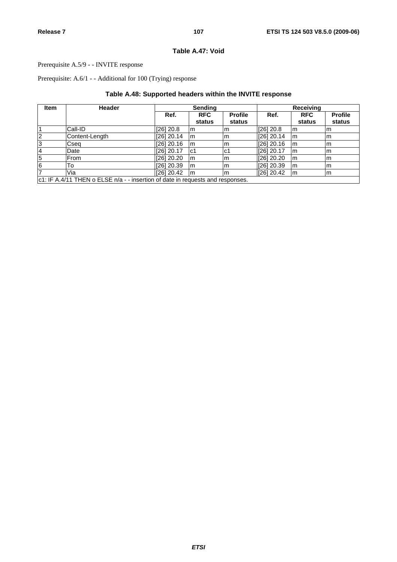## **Table A.47: Void**

## Prerequisite A.5/9 - - INVITE response

Prerequisite: A.6/1 - - Additional for 100 (Trying) response

## **Table A.48: Supported headers within the INVITE response**

| <b>Item</b>             | <b>Header</b>                                                                  | <b>Sending</b> |                      |                          |              | Receiving            |                          |
|-------------------------|--------------------------------------------------------------------------------|----------------|----------------------|--------------------------|--------------|----------------------|--------------------------|
|                         |                                                                                | Ref.           | <b>RFC</b><br>status | <b>Profile</b><br>status | Ref.         | <b>RFC</b><br>status | <b>Profile</b><br>status |
| $\overline{1}$          | Call-ID                                                                        | $[26]$ 20.8    | l m                  | Im                       | [26] 20.8    | l m                  | m                        |
| $\overline{2}$          | Content-Length                                                                 | $[26]$ 20.14   | l <sub>m</sub>       | Im                       | [26] 20.14   | l m                  | Im                       |
| 3                       | Cseq                                                                           | $[26]$ 20.16   | lm                   | lm                       | [26] 20.16   | l m                  | m                        |
| $\overline{\mathbf{r}}$ | Date                                                                           | $[26]$ 20.17   | lc1                  | lc1                      | [26] 20.17   | l m                  | m                        |
| $\overline{5}$          | From                                                                           | [26] 20.20     | lm                   | Im                       | $[26]$ 20.20 | l m                  | Im                       |
| $6\overline{6}$         | То                                                                             | $[26]$ 20.39   | m                    | lm                       | [26] 20.39   | l m                  | m                        |
| $\overline{7}$          | Via                                                                            | [26] 20.42     | Im                   | Im                       | [26] 20.42   | m                    | m                        |
|                         | c1: IF A.4/11 THEN o ELSE n/a - - insertion of date in requests and responses. |                |                      |                          |              |                      |                          |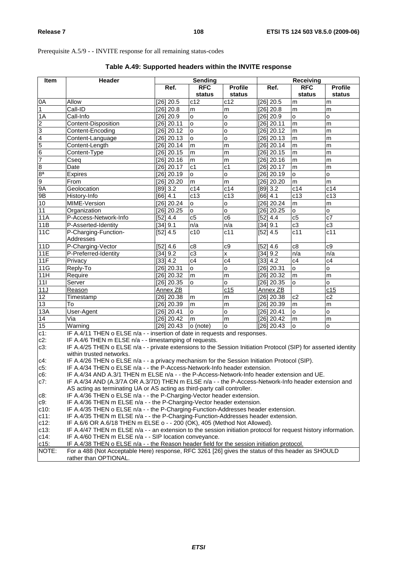Prerequisite A.5/9 - - INVITE response for all remaining status-codes

| Item                                                    | <b>Header</b>                                                                                                                                                                                     | Sending             |            |                         | Receiving           |                 |                |  |
|---------------------------------------------------------|---------------------------------------------------------------------------------------------------------------------------------------------------------------------------------------------------|---------------------|------------|-------------------------|---------------------|-----------------|----------------|--|
|                                                         |                                                                                                                                                                                                   | Ref.                | <b>RFC</b> | <b>Profile</b>          | Ref.                | <b>RFC</b>      | <b>Profile</b> |  |
|                                                         |                                                                                                                                                                                                   |                     | status     | status                  |                     | status          | status         |  |
|                                                         | Allow                                                                                                                                                                                             | [26] 20.5           | c12        | c12                     | [26] 20.5           | m               | m              |  |
| $\frac{0A}{1}$                                          | Call-ID                                                                                                                                                                                           | [26] 20.8           | m          | m                       | $[26]$ 20.8         | m               | m              |  |
| 1A                                                      | Call-Info                                                                                                                                                                                         | [26] 20.9           | $\circ$    | o                       | [26] 20.9           | o               | $\circ$        |  |
|                                                         | Content-Disposition                                                                                                                                                                               | [26] 20.11          | $\circ$    | o                       | [26] 20.11          | m               | m              |  |
|                                                         | Content-Encoding                                                                                                                                                                                  | [26] 20.12          | lo.        | O                       | [26] 20.12          | m               | m              |  |
|                                                         | Content-Language                                                                                                                                                                                  | [26] 20.13          | $\circ$    | o                       | [26] 20.13          | m               | m              |  |
|                                                         | Content-Length                                                                                                                                                                                    | [26] 20.14          | m          | m                       | [26] 20.14          | m               | m              |  |
| $\frac{2}{3}$ $\frac{3}{4}$ $\frac{4}{5}$ $\frac{6}{7}$ | Content-Type                                                                                                                                                                                      | $[26]$ 20.15        | ${\sf m}$  | m                       | $[26]$ 20.15        | m               | m              |  |
|                                                         | Cseq                                                                                                                                                                                              | [26] 20.16          | m          | m                       | [26] 20.16          | m               | m              |  |
|                                                         | Date                                                                                                                                                                                              | [26] 20.17          | c1         | c1                      | [26] 20.17          | m               | m              |  |
|                                                         | <b>Expires</b>                                                                                                                                                                                    | [26] 20.19          | o          | $\mathsf{o}$            | [26] 20.19          | o               | $\circ$        |  |
| $\frac{1}{\infty}$                                      | From                                                                                                                                                                                              | [26] 20.20          | m          | m                       | [26] 20.20          | m               | m              |  |
| 9A                                                      | Geolocation                                                                                                                                                                                       | [89] 3.2            | c14        | c14                     | [89] 3.2            | c14             | c14            |  |
| 9B                                                      | History-Info                                                                                                                                                                                      | [66] 4.1            | c13        | c13                     | [66] 4.1            | c13             | c13            |  |
| 10                                                      | MIME-Version                                                                                                                                                                                      | [26] 20.24          | o          | o                       | [26] 20.24          | ${\sf m}$       | m              |  |
| 11                                                      | Organization                                                                                                                                                                                      | [26] 20.25          | o          | $\mathsf{o}$            | [26] 20.25          | o               | $\circ$        |  |
| 11A                                                     | P-Access-Network-Info                                                                                                                                                                             | $[52]$ 4.4          | c5         | c6                      | [52] 4.4            | $\overline{c5}$ | c7             |  |
| 11B                                                     | P-Asserted-Identity                                                                                                                                                                               | [34] 9.1            | n/a        | n/a                     | [34] 9.1            | c3              | c3             |  |
| $\overline{11}C$                                        | P-Charging-Function-                                                                                                                                                                              | [52] 4.5            | c10        | c11                     | [52] 4.5            | c11             | c11            |  |
|                                                         | Addresses                                                                                                                                                                                         |                     |            |                         |                     |                 |                |  |
| 11D                                                     | P-Charging-Vector                                                                                                                                                                                 | [52] 4.6            | c8         | c9                      | [52] 4.6            | c8              | c9             |  |
| 11E                                                     | P-Preferred-Identity                                                                                                                                                                              | [34] 9.2            | c3         | $\overline{\mathbf{x}}$ | [34] 9.2            | n/a             | n/a            |  |
| 11F                                                     | Privacy                                                                                                                                                                                           | [33] 4.2            | c4         | c4                      | [33] 4.2            | c4              | c4             |  |
| $\overline{11G}$                                        | Reply-To                                                                                                                                                                                          | [26] 20.31          | o          | o                       | [26] 20.31          | <b>o</b>        | $\circ$        |  |
| $\overline{11}H$                                        | Require                                                                                                                                                                                           | [26] 20.32          | m          | m                       | [26] 20.32          | m               | m              |  |
| 111                                                     | Server                                                                                                                                                                                            | [26] 20.35          | o          | o                       | [26] 20.35          | $\circ$         | o              |  |
| $\overline{111}$                                        | Reason                                                                                                                                                                                            | Annex <sub>ZB</sub> |            | c15                     | Annex <sub>ZB</sub> |                 | c15            |  |
| 12                                                      | Timestamp                                                                                                                                                                                         | [26] 20.38          | m          | m                       | [26] 20.38          | c2              | c2             |  |
| 13                                                      | To                                                                                                                                                                                                | [26] 20.39          | m          | m                       | $[26]$ 20.39        | m               | m              |  |
| 13A                                                     | User-Agent                                                                                                                                                                                        | [26] 20.41          | $\circ$    | o                       | [26] 20.41          | o               | o              |  |
| 14                                                      | Via                                                                                                                                                                                               | [26] 20.42          | m          | m                       | [26] 20.42          | m               | m              |  |
| 15                                                      | Warning                                                                                                                                                                                           | $[26]$ 20.43        | o (note)   | $\mathsf{o}$            | [26] 20.43          | $\Omega$        | o              |  |
| $c1$ :                                                  | IF A.4/11 THEN o ELSE n/a - - insertion of date in requests and responses.                                                                                                                        |                     |            |                         |                     |                 |                |  |
| $c2$ :                                                  | IF A.4/6 THEN m ELSE n/a - - timestamping of requests.                                                                                                                                            |                     |            |                         |                     |                 |                |  |
| $c3$ :                                                  | IF A.4/25 THEN o ELSE n/a - - private extensions to the Session Initiation Protocol (SIP) for asserted identity                                                                                   |                     |            |                         |                     |                 |                |  |
|                                                         | within trusted networks.                                                                                                                                                                          |                     |            |                         |                     |                 |                |  |
| c4:                                                     | IF A.4/26 THEN o ELSE n/a - - a privacy mechanism for the Session Initiation Protocol (SIP).                                                                                                      |                     |            |                         |                     |                 |                |  |
| $c5$ :                                                  | IF A.4/34 THEN o ELSE n/a - - the P-Access-Network-Info header extension.                                                                                                                         |                     |            |                         |                     |                 |                |  |
| c6:<br>$c7$ :                                           | IF A.4/34 AND A.3/1 THEN m ELSE n/a - - the P-Access-Network-Info header extension and UE.<br>IF A.4/34 AND (A.3/7A OR A.3/7D) THEN m ELSE n/a - - the P-Access-Network-Info header extension and |                     |            |                         |                     |                 |                |  |
|                                                         | AS acting as terminating UA or AS acting as third-party call controller.                                                                                                                          |                     |            |                         |                     |                 |                |  |
| $c8$ :                                                  | IF A.4/36 THEN o ELSE n/a - - the P-Charging-Vector header extension.                                                                                                                             |                     |            |                         |                     |                 |                |  |
| c9:                                                     | IF A.4/36 THEN m ELSE n/a - - the P-Charging-Vector header extension.                                                                                                                             |                     |            |                         |                     |                 |                |  |
| $c10$ :                                                 | IF A.4/35 THEN o ELSE n/a - - the P-Charging-Function-Addresses header extension.                                                                                                                 |                     |            |                         |                     |                 |                |  |
| $c11$ :                                                 | IF A.4/35 THEN m ELSE n/a - - the P-Charging-Function-Addresses header extension.                                                                                                                 |                     |            |                         |                     |                 |                |  |
| $c12$ :                                                 | IF A.6/6 OR A.6/18 THEN m ELSE o - - 200 (OK), 405 (Method Not Allowed).                                                                                                                          |                     |            |                         |                     |                 |                |  |
| $c13$ :                                                 | IF A.4/47 THEN m ELSE n/a - - an extension to the session initiation protocol for request history information.                                                                                    |                     |            |                         |                     |                 |                |  |
| $c14$ :                                                 | IF A.4/60 THEN m ELSE n/a - - SIP location conveyance.                                                                                                                                            |                     |            |                         |                     |                 |                |  |
| $c15$ :                                                 | IF A.4/38 THEN o ELSE n/a - - the Reason header field for the session initiation protocol.                                                                                                        |                     |            |                         |                     |                 |                |  |
| NOTE:                                                   | For a 488 (Not Acceptable Here) response, RFC 3261 [26] gives the status of this header as SHOULD                                                                                                 |                     |            |                         |                     |                 |                |  |
|                                                         | rather than OPTIONAL.                                                                                                                                                                             |                     |            |                         |                     |                 |                |  |

# **Table A.49: Supported headers within the INVITE response**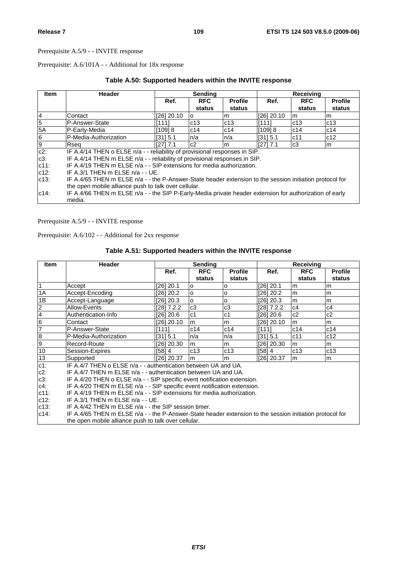Prerequisite: A.6/101A - - Additional for 18x response

| <b>Item</b>    | Header                                                                                                            | Sending      |            |                | Receiving  |                |                |
|----------------|-------------------------------------------------------------------------------------------------------------------|--------------|------------|----------------|------------|----------------|----------------|
|                |                                                                                                                   | Ref.         | <b>RFC</b> | <b>Profile</b> | Ref.       | <b>RFC</b>     | <b>Profile</b> |
|                |                                                                                                                   |              | status     | status         |            | status         | status         |
| 4              | Contact                                                                                                           | $[26]$ 20.10 |            | m              | [26] 20.10 | l m            | m              |
| $\overline{5}$ | IP-Answer-State                                                                                                   | [111]        | c13        | c13            | [1111]     | c13            | c13            |
| 5A             | P-Early-Media                                                                                                     | [109] 8      | c14        | c14            | [109] 8    | c14            | c14            |
| 6              | P-Media-Authorization                                                                                             | [31] 5.1     | ln/a       | ln/a           | [31] 5.1   | c11            | c12            |
| 9              | Rseq                                                                                                              | [27] 7.1     | c2         | lm.            | [27] 7.1   | c <sub>3</sub> | lm.            |
| $c2$ :         | IF A.4/14 THEN o ELSE n/a - - reliability of provisional responses in SIP.                                        |              |            |                |            |                |                |
| $c3$ :         | IF A.4/14 THEN m ELSE n/a - - reliability of provisional responses in SIP.                                        |              |            |                |            |                |                |
| $c11$ :        | IF A.4/19 THEN m ELSE n/a - - SIP extensions for media authorization.                                             |              |            |                |            |                |                |
| $c12$ :        | IF A.3/1 THEN m ELSE n/a - - UE.                                                                                  |              |            |                |            |                |                |
| $c13$ :        | IF A.4/65 THEN m ELSE n/a - - the P-Answer-State header extension to the session initiation protocol for          |              |            |                |            |                |                |
|                | the open mobile alliance push to talk over cellular.                                                              |              |            |                |            |                |                |
| $c14$ :        | IF A.4/66 THEN m ELSE n/a - - the SIP P-Early-Media private header extension for authorization of early<br>media. |              |            |                |            |                |                |

Prerequisite A.5/9 - - INVITE response

Prerequisite: A.6/102 - - Additional for 2xx response

# **Table A.51: Supported headers within the INVITE response**

| Item           | <b>Header</b>                                                                                            |            | <b>Sending</b> |                |            | Receiving  |                |
|----------------|----------------------------------------------------------------------------------------------------------|------------|----------------|----------------|------------|------------|----------------|
|                |                                                                                                          | Ref.       | <b>RFC</b>     | <b>Profile</b> | Ref.       | <b>RFC</b> | <b>Profile</b> |
|                |                                                                                                          |            | status         | status         |            | status     | status         |
| $\vert$ 1      | Accept                                                                                                   | [26] 20.1  | O              | о              | [26] 20.1  | m          | m              |
| 1A             | Accept-Encoding                                                                                          | [26] 20.2  | o              | o              | [26] 20.2  | m          | m              |
| 1B             | Accept-Language                                                                                          | [26] 20.3  | lo.            | 0              | [26] 20.3  | m          | m              |
| $\frac{2}{4}$  | Allow-Events                                                                                             | [28] 7.2.2 | c3             | c3             | [28] 7.2.2 | c4         | c4             |
|                | Authentication-Info                                                                                      | [26] 20.6  | c <sub>1</sub> | c <sub>1</sub> | [26] 20.6  | c2         | c2             |
| $\frac{6}{7}$  | Contact                                                                                                  | [26] 20.10 | m              | m              | [26] 20.10 | m          | m              |
|                | P-Answer-State                                                                                           | [111]      | c14            | c14            | [111]      | c14        | c14            |
| $\overline{8}$ | P-Media-Authorization                                                                                    | I3115.1    | n/a            | n/a            | [31] 5.1   | c11        | c12            |
| $\overline{9}$ | Record-Route                                                                                             | [26] 20.30 | m              | m              | [26] 20.30 | m          | lm.            |
| 10             | Session-Expires                                                                                          | [58] 4     | c13            | c13            | [58] 4     | c13        | c13            |
| 13             | Supported                                                                                                | [26] 20.37 | l m            | m              | [26] 20.37 | l m        | m              |
| $c1$ :         | IF A.4/7 THEN o ELSE n/a - - authentication between UA and UA.                                           |            |                |                |            |            |                |
| $c2$ :         | IF A.4/7 THEN m ELSE n/a - - authentication between UA and UA.                                           |            |                |                |            |            |                |
| $c3$ :         | IF A.4/20 THEN o ELSE n/a - - SIP specific event notification extension.                                 |            |                |                |            |            |                |
| $c4$ :         | IF A.4/20 THEN m ELSE n/a - - SIP specific event notification extension.                                 |            |                |                |            |            |                |
| $c11$ :        | IF A.4/19 THEN m ELSE n/a - - SIP extensions for media authorization.                                    |            |                |                |            |            |                |
| $c12$ :        | IF A.3/1 THEN $m$ ELSE $n/a - UE$ .                                                                      |            |                |                |            |            |                |
| $c13$ :        | IF A.4/42 THEN m ELSE n/a - - the SIP session timer.                                                     |            |                |                |            |            |                |
| $c14$ :        | IF A.4/65 THEN m ELSE n/a - - the P-Answer-State header extension to the session initiation protocol for |            |                |                |            |            |                |
|                | the open mobile alliance push to talk over cellular.                                                     |            |                |                |            |            |                |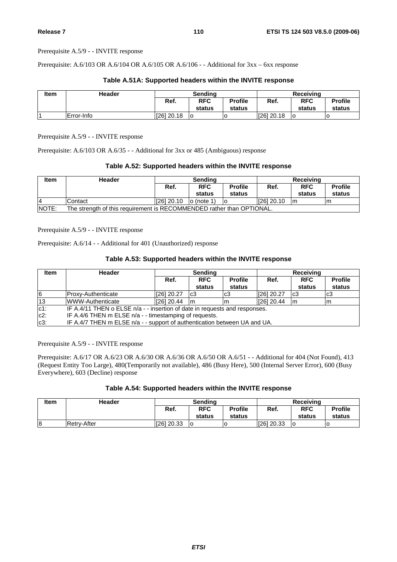Prerequisite: A.6/103 OR A.6/104 OR A.6/105 OR A.6/106 - - Additional for 3xx – 6xx response

| Item | <b>Header</b> | Sending      |                      |                          | Receiving  |                      |                          |  |
|------|---------------|--------------|----------------------|--------------------------|------------|----------------------|--------------------------|--|
|      |               | Ref.         | <b>RFC</b><br>status | <b>Profile</b><br>status | Ref.       | <b>RFC</b><br>status | <b>Profile</b><br>status |  |
|      | Error-Info    | $[26]$ 20.18 | ١o                   | ١o                       | [26] 20.18 | ١o                   | O                        |  |

### **Table A.51A: Supported headers within the INVITE response**

Prerequisite A.5/9 - - INVITE response

Prerequisite: A.6/103 OR A.6/35 - - Additional for 3xx or 485 (Ambiguous) response

## **Table A.52: Supported headers within the INVITE response**

| Item          | Header                                                                | Sendina    |                      |                          | Receiving  |                      |                          |  |
|---------------|-----------------------------------------------------------------------|------------|----------------------|--------------------------|------------|----------------------|--------------------------|--|
|               |                                                                       | Ref.       | <b>RFC</b><br>status | <b>Profile</b><br>status | Ref.       | <b>RFC</b><br>status | <b>Profile</b><br>status |  |
| 4             | Contact                                                               | [26] 20.10 | $\vert$ o (note 1)   | ١O                       | [26] 20.10 | Im                   | m                        |  |
| <b>INOTE:</b> | The strength of this requirement is RECOMMENDED rather than OPTIONAL. |            |                      |                          |            |                      |                          |  |

Prerequisite A.5/9 - - INVITE response

Prerequisite: A.6/14 - - Additional for 401 (Unauthorized) response

## **Table A.53: Supported headers within the INVITE response**

| <b>Item</b> | <b>Header</b>                                                              | <b>Sending</b> |                      |                          | <b>Receiving</b> |                      |                          |  |
|-------------|----------------------------------------------------------------------------|----------------|----------------------|--------------------------|------------------|----------------------|--------------------------|--|
|             |                                                                            | Ref.           | <b>RFC</b><br>status | <b>Profile</b><br>status | Ref.             | <b>RFC</b><br>status | <b>Profile</b><br>status |  |
| 6           | IProxv-Authenticate                                                        | [26] 20.27     | lc3                  | lc3                      | [26] 20.27       | c <sub>3</sub>       | c <sub>3</sub>           |  |
| 13          | WWW-Authenticate                                                           | [26] 20.44     | Im                   | ım                       | $[26]$ 20.44     | m                    | m                        |  |
| $c1$ :      | IF A.4/11 THEN o ELSE n/a - - insertion of date in requests and responses. |                |                      |                          |                  |                      |                          |  |
| $c2$ :      | IF A.4/6 THEN m ELSE n/a - - timestamping of requests.                     |                |                      |                          |                  |                      |                          |  |
| $c3$ :      | IF A.4/7 THEN m ELSE n/a - - support of authentication between UA and UA.  |                |                      |                          |                  |                      |                          |  |

Prerequisite A.5/9 - - INVITE response

Prerequisite: A.6/17 OR A.6/23 OR A.6/30 OR A.6/36 OR A.6/50 OR A.6/51 - - Additional for 404 (Not Found), 413 (Request Entity Too Large), 480(Temporarily not available), 486 (Busy Here), 500 (Internal Server Error), 600 (Busy Everywhere), 603 (Decline) response

|  |  | Table A.54: Supported headers within the INVITE response |  |  |
|--|--|----------------------------------------------------------|--|--|
|--|--|----------------------------------------------------------|--|--|

| <b>Item</b> | <b>Header</b> | Sendina    |            |                | Receivina  |            |                |
|-------------|---------------|------------|------------|----------------|------------|------------|----------------|
|             |               | Ref.       | <b>RFC</b> | <b>Profile</b> | Ref.       | <b>RFC</b> | <b>Profile</b> |
|             |               |            | status     | status         |            | status     | status         |
| 8           | Retrv-After   | 1261 20.33 | lo         |                | 1261 20.33 |            |                |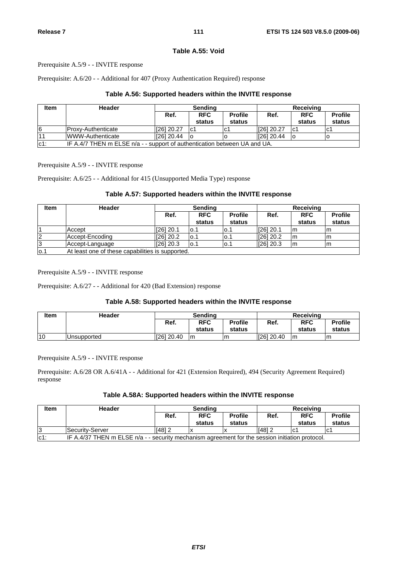### **Table A.55: Void**

Prerequisite A.5/9 - - INVITE response

Prerequisite: A.6/20 - - Additional for 407 (Proxy Authentication Required) response

## **Table A.56: Supported headers within the INVITE response**

| <b>Item</b> | Header                                                                    | <b>Sending</b> |                      |                          | Receiving   |                      |                          |  |  |
|-------------|---------------------------------------------------------------------------|----------------|----------------------|--------------------------|-------------|----------------------|--------------------------|--|--|
|             |                                                                           | Ref.           | <b>RFC</b><br>status | <b>Profile</b><br>status | Ref.        | <b>RFC</b><br>status | <b>Profile</b><br>status |  |  |
|             |                                                                           |                |                      |                          |             |                      |                          |  |  |
| 6           | IProxv-Authenticate                                                       | [26] 20.27     | lc1                  | lc1                      | [26] 20.27  | Ic1                  | lc1                      |  |  |
|             | WWW-Authenticate                                                          | [26] 20.44     | lo                   |                          | I[26] 20.44 |                      |                          |  |  |
| $c1$ :      | IF A.4/7 THEN m ELSE n/a - - support of authentication between UA and UA. |                |                      |                          |             |                      |                          |  |  |

Prerequisite A.5/9 - - INVITE response

Prerequisite: A.6/25 - - Additional for 415 (Unsupported Media Type) response

## **Table A.57: Supported headers within the INVITE response**

| <b>Item</b> | <b>Header</b>                                    | <b>Sending</b> |                      |                          |             | <b>Receiving</b>     |                          |  |  |
|-------------|--------------------------------------------------|----------------|----------------------|--------------------------|-------------|----------------------|--------------------------|--|--|
|             |                                                  | Ref.           | <b>RFC</b><br>status | <b>Profile</b><br>status | Ref.        | <b>RFC</b><br>status | <b>Profile</b><br>status |  |  |
|             | Accept                                           | [26] 20.1      | lo.1                 | lo.1                     | $[26]$ 20.1 | Im                   |                          |  |  |
| 2           | Accept-Encoding                                  | $[26]$ 20.2    | lo.1                 | lo.1                     | $[26]$ 20.2 | Im                   | m                        |  |  |
| 13          | Accept-Language                                  | $[26]$ 20.3    | lo.1                 | 0.1                      | $[26]$ 20.3 | Im                   | m                        |  |  |
| lo.1        | At least one of these capabilities is supported. |                |                      |                          |             |                      |                          |  |  |

Prerequisite A.5/9 - - INVITE response

Prerequisite: A.6/27 - - Additional for 420 (Bad Extension) response

## **Table A.58: Supported headers within the INVITE response**

| <b>Item</b> | Header              | Sendina    |            |                | Receiving  |            |                |
|-------------|---------------------|------------|------------|----------------|------------|------------|----------------|
|             |                     | Ref.       | <b>RFC</b> | <b>Profile</b> | Ref.       | <b>RFC</b> | <b>Profile</b> |
|             |                     |            | status     | status         |            | status     | status         |
| 110         | <b>IUnsupported</b> | [26] 20.40 | Im         | m              | [26] 20.40 | Im         | m              |

Prerequisite A.5/9 - - INVITE response

Prerequisite: A.6/28 OR A.6/41A - - Additional for 421 (Extension Required), 494 (Security Agreement Required) response

## **Table A.58A: Supported headers within the INVITE response**

| <b>Item</b> | <b>Header</b>                                                                                       | Sendina  |                      |                          | Receiving |                      |                          |  |
|-------------|-----------------------------------------------------------------------------------------------------|----------|----------------------|--------------------------|-----------|----------------------|--------------------------|--|
|             |                                                                                                     | Ref.     | <b>RFC</b><br>status | <b>Profile</b><br>status | Ref.      | <b>RFC</b><br>status | <b>Profile</b><br>status |  |
| 13          | Security-Server                                                                                     | $[48]$ 2 |                      |                          | $[48]$ 2  | lc1                  | lc1                      |  |
| $ c1$ :     | IF A.4/37 THEN $m$ ELSE $n/a$ - - security mechanism agreement for the session initiation protocol. |          |                      |                          |           |                      |                          |  |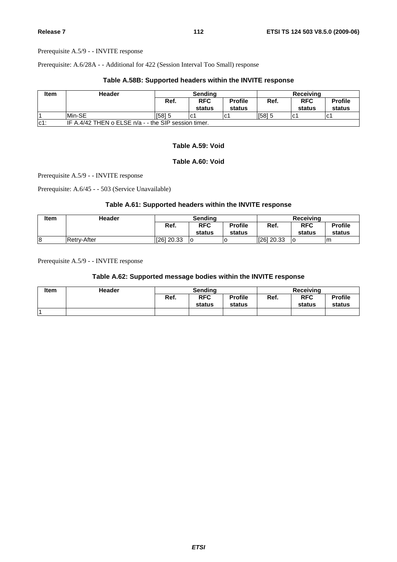Prerequisite: A.6/28A - - Additional for 422 (Session Interval Too Small) response

## **Table A.58B: Supported headers within the INVITE response**

| <b>Item</b> | Header                                               | Sendina |                      |                          | Receiving |                      |                          |  |  |  |
|-------------|------------------------------------------------------|---------|----------------------|--------------------------|-----------|----------------------|--------------------------|--|--|--|
|             |                                                      | Ref.    | <b>RFC</b><br>status | <b>Profile</b><br>status | Ref.      | <b>RFC</b><br>status | <b>Profile</b><br>status |  |  |  |
|             | Min-SE                                               | [58] 5  | lc1                  | lC.                      | $[58]$ 5  | l C                  | lc1                      |  |  |  |
| $ c1$ :     | IF A.4/42 THEN o ELSE $n/a -$ the SIP session timer. |         |                      |                          |           |                      |                          |  |  |  |

## **Table A.59: Void**

## **Table A.60: Void**

Prerequisite A.5/9 - - INVITE response

Prerequisite: A.6/45 - - 503 (Service Unavailable)

## **Table A.61: Supported headers within the INVITE response**

| <b>Item</b> | Header             | Sendina    |            |                | Receiving  |            |                |
|-------------|--------------------|------------|------------|----------------|------------|------------|----------------|
|             |                    | Ref.       | <b>RFC</b> | <b>Profile</b> | Ref.       | <b>RFC</b> | <b>Profile</b> |
|             |                    |            | status     | status         |            | status     | status         |
| 8           | <b>Retrv-After</b> | [26] 20.33 | ١o         |                | [26] 20.33 | ٥          | Im             |

Prerequisite A.5/9 - - INVITE response

## **Table A.62: Supported message bodies within the INVITE response**

| <b>Item</b> | <b>Header</b> | Sendina |            |                | <b>Receiving</b> |            |                |
|-------------|---------------|---------|------------|----------------|------------------|------------|----------------|
|             |               | Ref.    | <b>RFC</b> | <b>Profile</b> | Ref.             | <b>RFC</b> | <b>Profile</b> |
|             |               |         | status     | status         |                  | status     | status         |
|             |               |         |            |                |                  |            |                |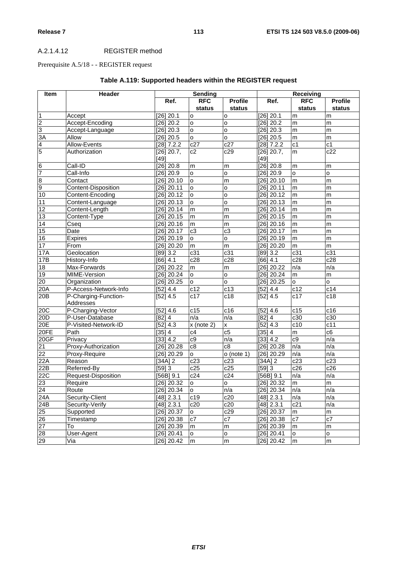## A.2.1.4.12 REGISTER method

# Prerequisite A.5/18 - - REGISTER request

| Item                    | Header                |                       | Sending          |                    |                       | Receiving      |                |
|-------------------------|-----------------------|-----------------------|------------------|--------------------|-----------------------|----------------|----------------|
|                         |                       | Ref.                  | <b>RFC</b>       | <b>Profile</b>     | Ref.                  | <b>RFC</b>     | <b>Profile</b> |
|                         |                       |                       | status           | status             |                       | status         | status         |
| $\overline{1}$          | Accept                | [26] 20.1             | o                | o                  | $[26]$ 20.1           | m              | m              |
| $\overline{c}$          | Accept-Encoding       | $[26]$ 20.2           | o                | o                  | $[26]$ 20.2           | m              | m              |
| 3                       | Accept-Language       | [26] 20.3             | <b>o</b>         | o                  | $[26]$ 20.3           | m              | m              |
| 3A                      | Allow                 | [26] 20.5             | $\circ$          | o                  | $[26]$ 20.5           | m              | m              |
| $\overline{\mathbf{4}}$ | Allow-Events          | [28] 7.2.2            | c27              | c27                | $[28]$ 7.2.2          | c <sub>1</sub> | c1             |
| 5                       | Authorization         | $[26]$ 20.7,          | $\overline{c2}$  | c29                | $[26]$ 20.7,          | m              | c22            |
|                         |                       | [49]                  |                  |                    | $[49]$                |                |                |
| $\overline{6}$          | Call-ID               | $[26]$ 20.8           | m                | m                  | [26] 20.8             | m              | m              |
| $\overline{7}$          | Call-Info             | [26] 20.9             | $\circ$          | o                  | $[26]$ 20.9           | o              | o              |
| $\overline{8}$          | Contact               | [26] 20.10            | $\circ$          | m                  | $[26]$ 20.10          | m              | m              |
| 9                       | Content-Disposition   | [26] 20.11            | $\circ$          | o                  | $[26]$ 20.11          | m              | m              |
| 10                      | Content-Encoding      | $[26]$ 20.12          | $\circ$          | $\circ$            | $[26]$ 20.12          | m              | m              |
| 11                      | Content-Language      | [26] 20.13            | <b>o</b>         | o                  | $[26]$ 20.13          | m              | m              |
| 12                      | Content-Length        | [26] 20.14            | m                | m                  | $[26]$ 20.14          | ${\sf m}$      | m              |
| $\overline{13}$         | Content-Type          | [26] 20.15            | m                | m                  | $[26]$ 20.15          | m              | m              |
| 14                      | Cseq                  | [26] 20.16            | m                | m                  | $[26]$ 20.16          | m              | m              |
| $\overline{15}$         | Date                  | [26] 20.17            | c3               | $\overline{c3}$    | $[26]$ 20.17          | m              | m              |
| 16                      | <b>Expires</b>        | [26] 20.19            | $\circ$          | o                  | $[26]$ 20.19          | m              | m              |
| $\overline{17}$         | From                  | [26] 20.20            | m                | $\overline{m}$     | $[26]$ 20.20          | m              | m              |
| 17A                     | Geolocation           | [89] 3.2              | c31              | c31                | $[89]$ 3.2            | c31            | c31            |
| 17B                     | History-Info          | [66] 4.1              | c28              | $\overline{c28}$   | [66] 4.1              | c28            | c28            |
| 18                      | Max-Forwards          | [26] 20.22            | m                | m                  | $[26]$ 20.22          | n/a            | n/a            |
| 19                      | MIME-Version          | $[26]$ 20.24          | $\mathsf{o}$     | $\overline{\circ}$ | $[26]$ 20.24          | m              | ${\sf m}$      |
| 20                      | Organization          | [26] 20.25            | $\circ$          | $\overline{\circ}$ | $[26]$ 20.25          | $\mathsf{o}$   | $\mathsf{o}$   |
| 20A                     | P-Access-Network-Info | [52] 4.4              | c12              | c13                | [52] 4.4              | c12            | c14            |
| 20B                     | P-Charging-Function-  | $[52] 4.\overline{5}$ | $\overline{c17}$ | $\overline{c18}$   | $[52]$ 4.5            | c17            | c18            |
|                         | Addresses             |                       |                  |                    |                       |                |                |
| 20C                     | P-Charging-Vector     | [52] 4.6              | c15              | c16                | $\overline{[52]}$ 4.6 | c15            | c16            |
| 20D                     | P-User-Database       | [82] 4                | n/a              | n/a                | $[82]$ 4              | c30            | c30            |
| 20E                     | P-Visited-Network-ID  | [52] 4.3              | x (note 2)       | X                  | [52] 4.3              | c10            | c11            |
| 20FE                    | Path                  | $[35]$ 4              | c4               | $\overline{c5}$    | $[35]$ 4              | ${\sf m}$      | c6             |
| 20GF                    | Privacy               | [33] 4.2              | c9               | n/a                | $[33]$ 4.2            | c9             | n/a            |
| 21                      | Proxy-Authorization   | $[26]$ 20.28          | c8               | $\overline{c8}$    | $[26]$ 20.28          | n/a            | n/a            |
| $\overline{22}$         | Proxy-Require         | [26] 20.29            | $\circ$          | $o$ (note 1)       | $[26]$ 20.29          | n/a            | n/a            |
| 22A                     | Reason                | [34A] $2$             | c23              | c23                | $[34A]$ 2             | c23            | c23            |
| 22B                     | Referred-By           | [59]3                 | c25              | c25                | $[59]$ 3              | c26            | c26            |
| 22C                     | Request-Disposition   | $[56B]$ 9.1           | c24              | c24                | $[56B]$ 9.1           | n/a            | n/a            |
| 23                      | Require               | [26] 20.32            | $\mathsf{o}$     | $\mathsf{o}$       | $[26]$ 20.32          | m              | m              |
| 24                      | Route                 | [26] 20.34            | o                | n/a                | $[26]$ 20.34          | n/a            | n/a            |
| 24A                     | Security-Client       | [48] 2.3.1            | c19              | c20                | $[48]$ 2.3.1          | n/a            | n/a            |
| 24B                     | Security-Verify       | [48] 2.3.1            | c20              | c20                | $[48]$ 2.3.1          | c21            | n/a            |
| 25                      | Supported             | [26] 20.37            | $\mathsf{o}$     | c29                | $[26]$ 20.37          | m              | ${\sf m}$      |
| 26                      | Timestamp             | $[26]$ 20.38          | c7               | c7                 | $[26]$ 20.38          | c7             | c7             |
| $\overline{27}$         | To                    | [26] 20.39            | ${\sf m}$        | m                  | $[26]$ 20.39          | m              | m              |
| 28                      | User-Agent            | [26] 20.41            | $\mathsf{o}$     | o                  | [26] 20.41            | o              | o              |
| 29                      | Via                   | [26] 20.42            | ${\sf m}$        | ${\sf m}$          | $[26]$ 20.42          | m              | m              |

# **Table A.119: Supported headers within the REGISTER request**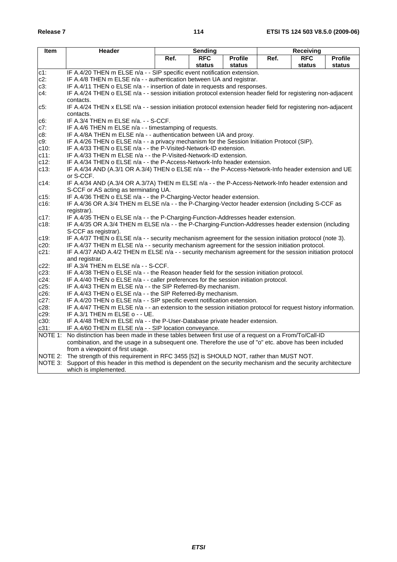| <b>Item</b>   | Header                                                                                                                                                            |      | Sending    |                |      | Receiving  |                |  |  |  |
|---------------|-------------------------------------------------------------------------------------------------------------------------------------------------------------------|------|------------|----------------|------|------------|----------------|--|--|--|
|               |                                                                                                                                                                   | Ref. | <b>RFC</b> | <b>Profile</b> | Ref. | <b>RFC</b> | <b>Profile</b> |  |  |  |
|               |                                                                                                                                                                   |      | status     | status         |      | status     | status         |  |  |  |
| c1:           | IF A.4/20 THEN m ELSE n/a - - SIP specific event notification extension.                                                                                          |      |            |                |      |            |                |  |  |  |
| $c2$ :        | IF A.4/8 THEN m ELSE n/a - - authentication between UA and registrar.                                                                                             |      |            |                |      |            |                |  |  |  |
| c3:           | IF A.4/11 THEN o ELSE n/a - - insertion of date in requests and responses.                                                                                        |      |            |                |      |            |                |  |  |  |
| c4:           | IF A.4/24 THEN o ELSE n/a - - session initiation protocol extension header field for registering non-adjacent                                                     |      |            |                |      |            |                |  |  |  |
|               | contacts.                                                                                                                                                         |      |            |                |      |            |                |  |  |  |
| c5:           | IF A.4/24 THEN x ELSE n/a - - session initiation protocol extension header field for registering non-adjacent                                                     |      |            |                |      |            |                |  |  |  |
|               | contacts.                                                                                                                                                         |      |            |                |      |            |                |  |  |  |
| c6:<br>$c7$ : | IF A.3/4 THEN m ELSE n/a. - - S-CCF.<br>IF A.4/6 THEN m ELSE n/a - - timestamping of requests.                                                                    |      |            |                |      |            |                |  |  |  |
| c8:           | IF A.4/8A THEN m ELSE n/a - - authentication between UA and proxy.                                                                                                |      |            |                |      |            |                |  |  |  |
| c9:           |                                                                                                                                                                   |      |            |                |      |            |                |  |  |  |
| $c10$ :       | IF A.4/26 THEN o ELSE n/a - - a privacy mechanism for the Session Initiation Protocol (SIP).<br>IF A.4/33 THEN o ELSE n/a - - the P-Visited-Network-ID extension. |      |            |                |      |            |                |  |  |  |
| $c11$ :       | IF A.4/33 THEN m ELSE n/a - - the P-Visited-Network-ID extension.                                                                                                 |      |            |                |      |            |                |  |  |  |
| $c12$ :       | IF A.4/34 THEN o ELSE n/a - - the P-Access-Network-Info header extension.                                                                                         |      |            |                |      |            |                |  |  |  |
| $c13$ :       | IF A.4/34 AND (A.3/1 OR A.3/4) THEN o ELSE n/a - - the P-Access-Network-Info header extension and UE                                                              |      |            |                |      |            |                |  |  |  |
|               | or S-CCF.                                                                                                                                                         |      |            |                |      |            |                |  |  |  |
| $c14$ :       | IF A.4/34 AND (A.3/4 OR A.3/7A) THEN m ELSE n/a - - the P-Access-Network-Info header extension and                                                                |      |            |                |      |            |                |  |  |  |
|               | S-CCF or AS acting as terminating UA.                                                                                                                             |      |            |                |      |            |                |  |  |  |
| $c15$ :       | IF A.4/36 THEN o ELSE n/a - - the P-Charging-Vector header extension.                                                                                             |      |            |                |      |            |                |  |  |  |
| $c16$ :       | IF A.4/36 OR A.3/4 THEN m ELSE n/a - - the P-Charging-Vector header extension (including S-CCF as                                                                 |      |            |                |      |            |                |  |  |  |
|               | registrar).                                                                                                                                                       |      |            |                |      |            |                |  |  |  |
| c17:          | IF A.4/35 THEN o ELSE n/a - - the P-Charging-Function-Addresses header extension.                                                                                 |      |            |                |      |            |                |  |  |  |
| $c18$ :       | IF A.4/35 OR A.3/4 THEN m ELSE n/a - - the P-Charging-Function-Addresses header extension (including                                                              |      |            |                |      |            |                |  |  |  |
|               | S-CCF as registrar).                                                                                                                                              |      |            |                |      |            |                |  |  |  |
| c19:          | IF A.4/37 THEN o ELSE n/a - - security mechanism agreement for the session initiation protocol (note 3).                                                          |      |            |                |      |            |                |  |  |  |
| $c20$ :       | IF A.4/37 THEN m ELSE n/a - - security mechanism agreement for the session initiation protocol.                                                                   |      |            |                |      |            |                |  |  |  |
| $c21$ :       | IF A.4/37 AND A.4/2 THEN m ELSE n/a - - security mechanism agreement for the session initiation protocol                                                          |      |            |                |      |            |                |  |  |  |
| c22:          | and registrar.<br>IF A.3/4 THEN m ELSE n/a - - S-CCF.                                                                                                             |      |            |                |      |            |                |  |  |  |
| $c23$ :       | IF A.4/38 THEN o ELSE n/a - - the Reason header field for the session initiation protocol.                                                                        |      |            |                |      |            |                |  |  |  |
| c24:          | IF A.4/40 THEN o ELSE n/a - - caller preferences for the session initiation protocol.                                                                             |      |            |                |      |            |                |  |  |  |
| $c25$ :       | IF A.4/43 THEN m ELSE n/a - - the SIP Referred-By mechanism.                                                                                                      |      |            |                |      |            |                |  |  |  |
| $c26$ :       | IF A.4/43 THEN o ELSE n/a - - the SIP Referred-By mechanism.                                                                                                      |      |            |                |      |            |                |  |  |  |
| c27:          | IF A.4/20 THEN o ELSE n/a - - SIP specific event notification extension.                                                                                          |      |            |                |      |            |                |  |  |  |
| $c28$ :       | IF A.4/47 THEN m ELSE n/a - - an extension to the session initiation protocol for request history information.                                                    |      |            |                |      |            |                |  |  |  |
| $c29$ :       | IF A.3/1 THEN m ELSE o - - UE.                                                                                                                                    |      |            |                |      |            |                |  |  |  |
| $c30$ :       | IF A.4/48 THEN m ELSE n/a - - the P-User-Database private header extension.                                                                                       |      |            |                |      |            |                |  |  |  |
| $c31$ :       | IF A.4/60 THEN m ELSE n/a - - SIP location conveyance.                                                                                                            |      |            |                |      |            |                |  |  |  |
| NOTE 1:       | No distinction has been made in these tables between first use of a request on a From/To/Call-ID                                                                  |      |            |                |      |            |                |  |  |  |
|               | combination, and the usage in a subsequent one. Therefore the use of "o" etc. above has been included                                                             |      |            |                |      |            |                |  |  |  |
|               | from a viewpoint of first usage.                                                                                                                                  |      |            |                |      |            |                |  |  |  |
| NOTE 2:       | The strength of this requirement in RFC 3455 [52] is SHOULD NOT, rather than MUST NOT.                                                                            |      |            |                |      |            |                |  |  |  |
| NOTE 3:       | Support of this header in this method is dependent on the security mechanism and the security architecture                                                        |      |            |                |      |            |                |  |  |  |
|               | which is implemented.                                                                                                                                             |      |            |                |      |            |                |  |  |  |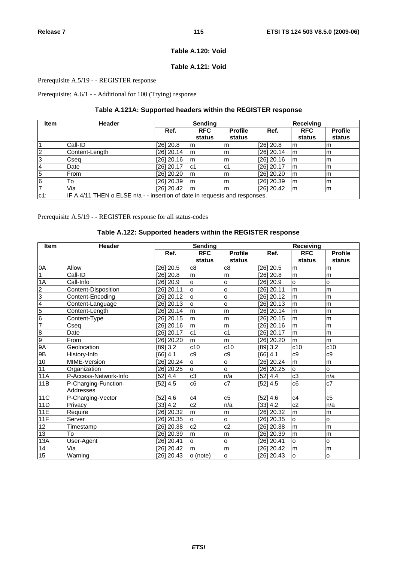## **Table A.120: Void**

# **Table A.121: Void**

## Prerequisite A.5/19 - - REGISTER response

Prerequisite: A.6/1 - - Additional for 100 (Trying) response

# **Table A.121A: Supported headers within the REGISTER response**

| Item            | <b>Header</b>                                                              | Sending      |            |                | <b>Receiving</b> |            |                |  |
|-----------------|----------------------------------------------------------------------------|--------------|------------|----------------|------------------|------------|----------------|--|
|                 |                                                                            | Ref.         | <b>RFC</b> | <b>Profile</b> | Ref.             | <b>RFC</b> | <b>Profile</b> |  |
|                 |                                                                            |              | status     | status         |                  | status     | status         |  |
|                 | Call-ID                                                                    | [26] 20.8    | m          | m              | [26] 20.8        | l m        | m              |  |
| $\overline{2}$  | Content-Length                                                             | [26] 20.14   | <b>m</b>   | m              | $[26]$ 20.14     | l m        | m              |  |
| $\overline{3}$  | Cseq                                                                       | $[26]$ 20.16 | Im         | m              | $[26]$ 20.16     | l m        | m              |  |
| $\overline{4}$  | Date                                                                       | $[26]$ 20.17 | lc1        | lc1            | $[26]$ 20.17     | m          | m              |  |
| 5               | From                                                                       | [26] 20.20   | Im         | m              | [26] 20.20       | m          | m              |  |
| $6\overline{6}$ | То                                                                         | [26] 20.39   | Im         | m              | [26] 20.39       | l m        | m              |  |
| $\overline{7}$  | Via                                                                        | [26] 20.42   | Im         | m              | $[26]$ 20.42     | m          | m              |  |
| $c1$ :          | IF A.4/11 THEN o ELSE n/a - - insertion of date in requests and responses. |              |            |                |                  |            |                |  |

Prerequisite A.5/19 - - REGISTER response for all status-codes

# **Table A.122: Supported headers within the REGISTER response**

| <b>Item</b>     | <b>Header</b>         |              | <b>Sending</b> |                |              | Receiving      |                |
|-----------------|-----------------------|--------------|----------------|----------------|--------------|----------------|----------------|
|                 |                       | Ref.         | <b>RFC</b>     | <b>Profile</b> | Ref.         | <b>RFC</b>     | <b>Profile</b> |
|                 |                       |              | status         | status         |              | status         | status         |
| 0A              | Allow                 | [26] 20.5    | c8             | c8             | [26] 20.5    | m              | m              |
| 1               | Call-ID               | [26] 20.8    | m              | m              | $[26]$ 20.8  | m              | m              |
| 1A              | Call-Info             | [26] 20.9    | O              | o              | [26] 20.9    | lo.            | o              |
| 2               | Content-Disposition   | [26] 20.11   | <b>l</b> o     | o              | $[26]$ 20.11 | m              | m              |
| 3               | Content-Encoding      | [26] 20.12   | lo             | o              | [26] 20.12   | m              | m              |
| $\overline{4}$  | Content-Language      | [26] 20.13   | <b>l</b> o     | o              | $[26]$ 20.13 | m              | m              |
| $rac{5}{6}$     | Content-Length        | [26] 20.14   | m              | m              | [26] 20.14   | m              | m              |
|                 | Content-Type          | $[26]$ 20.15 | m              | m              | $[26]$ 20.15 | m              | m              |
| 7               | Cseq                  | [26] 20.16   | m              | m              | $[26]$ 20.16 | m              | m              |
| $\overline{8}$  | Date                  | [26] 20.17   | c <sub>1</sub> | c <sub>1</sub> | $[26]$ 20.17 | m              | m              |
| $\frac{9}{9A}$  | From                  | [26] 20.20   | m              | m              | [26] 20.20   | m              | m              |
|                 | Geolocation           | [89] 3.2     | c10            | c10            | $[89]$ 3.2   | c10            | c10            |
| 9B              | History-Info          | [66] 4.1     | c9             | c9             | [66] 4.1     | c9             | c <sub>9</sub> |
| 10              | MIME-Version          | [26] 20.24   | <b>l</b> o     | o              | $[26]$ 20.24 | m              | m              |
| 11              | Organization          | [26] 20.25   | lo.            | $\circ$        | [26] 20.25   | $\Omega$       | $\circ$        |
| <b>11A</b>      | P-Access-Network-Info | [52] 4.4     | c3             | n/a            | [52] 4.4     | c <sub>3</sub> | n/a            |
| 11B             | P-Charging-Function-  | [52] 4.5     | c6             | c7             | [52] 4.5     | c6             | c7             |
|                 | Addresses             |              |                |                |              |                |                |
| <b>11C</b>      | P-Charging-Vector     | [52] 4.6     | c4             | c5             | [52] 4.6     | c4             | c5             |
| 11D             | Privacy               | [33] 4.2     | c2             | n/a            | [33] 4.2     | c2             | n/a            |
| 11E             | Require               | [26] 20.32   | m              | m              | [26] 20.32   | m              | m              |
| 11F             | Server                | [26] 20.35   | O              | o              | [26] 20.35   | $\Omega$       | o              |
| 12              | Timestamp             | [26] 20.38   | c2             | c2             | $[26]$ 20.38 | m              | m              |
| $\overline{13}$ | To                    | [26] 20.39   | m              | m              | [26] 20.39   | m              | m              |
| 13A             | User-Agent            | [26] 20.41   | <b>l</b> o     | o              | [26] 20.41   | lo.            | o              |
| $\overline{14}$ | Via                   | [26] 20.42   | m              | m              | [26] 20.42   | m              | m              |
| 15              | Warning               | [26] 20.43   | o (note)       | o              | [26] 20.43   | lo.            | o              |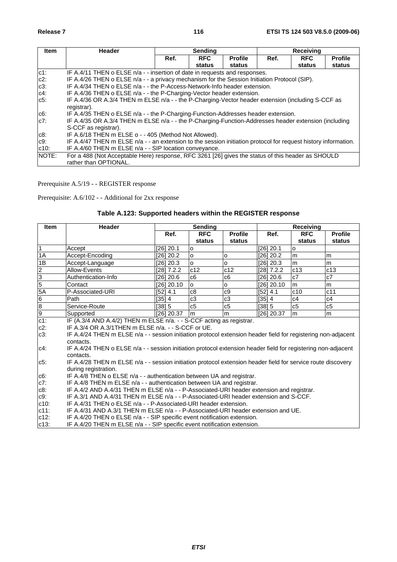| <b>Item</b>  | Header                                                                                                         |      | Sending    |                |      | <b>Receiving</b> |                |  |
|--------------|----------------------------------------------------------------------------------------------------------------|------|------------|----------------|------|------------------|----------------|--|
|              |                                                                                                                | Ref. | <b>RFC</b> | <b>Profile</b> | Ref. | <b>RFC</b>       | <b>Profile</b> |  |
|              |                                                                                                                |      | status     | status         |      | status           | status         |  |
| $c1$ :       | IF A.4/11 THEN o ELSE n/a - - insertion of date in requests and responses.                                     |      |            |                |      |                  |                |  |
| $c2$ :       | IF A.4/26 THEN o ELSE n/a - - a privacy mechanism for the Session Initiation Protocol (SIP).                   |      |            |                |      |                  |                |  |
| $c3$ :       | IF A.4/34 THEN o ELSE n/a - - the P-Access-Network-Info header extension.                                      |      |            |                |      |                  |                |  |
| $c4$ :       | IF A.4/36 THEN o ELSE $n/a$ - - the P-Charging-Vector header extension.                                        |      |            |                |      |                  |                |  |
| $c5$ :       | IF A.4/36 OR A.3/4 THEN m ELSE n/a - - the P-Charging-Vector header extension (including S-CCF as              |      |            |                |      |                  |                |  |
|              | registrar).                                                                                                    |      |            |                |      |                  |                |  |
| c6:          | IF A.4/35 THEN o ELSE n/a - - the P-Charging-Function-Addresses header extension.                              |      |            |                |      |                  |                |  |
| $c7$ :       | IF A.4/35 OR A.3/4 THEN m ELSE n/a - - the P-Charging-Function-Addresses header extension (including           |      |            |                |      |                  |                |  |
|              | S-CCF as registrar).                                                                                           |      |            |                |      |                  |                |  |
| $c8$ :       | IF A.6/18 THEN m ELSE o - - 405 (Method Not Allowed).                                                          |      |            |                |      |                  |                |  |
| $C9$ :       | IF A.4/47 THEN m ELSE n/a - - an extension to the session initiation protocol for request history information. |      |            |                |      |                  |                |  |
| $c10$ :      | IF A.4/60 THEN m ELSE n/a - - SIP location conveyance.                                                         |      |            |                |      |                  |                |  |
| <b>NOTE:</b> | For a 488 (Not Acceptable Here) response, RFC 3261 [26] gives the status of this header as SHOULD              |      |            |                |      |                  |                |  |
|              | rather than OPTIONAL.                                                                                          |      |            |                |      |                  |                |  |

Prerequisite A.5/19 - - REGISTER response

Prerequisite: A.6/102 - - Additional for 2xx response

|  | Table A.123: Supported headers within the REGISTER response |
|--|-------------------------------------------------------------|
|  |                                                             |

| <b>Item</b>    | <b>Header</b>                                                                                                 |            | <b>Sending</b> |                |             | Receiving  |                |  |  |
|----------------|---------------------------------------------------------------------------------------------------------------|------------|----------------|----------------|-------------|------------|----------------|--|--|
|                |                                                                                                               | Ref.       | <b>RFC</b>     | <b>Profile</b> | Ref.        | <b>RFC</b> | <b>Profile</b> |  |  |
|                |                                                                                                               |            | status         | status         |             | status     | status         |  |  |
| $\vert$ 1      | Accept                                                                                                        | [26] 20.1  | o              |                | [26] 20.1   | O          |                |  |  |
| 1A             | Accept-Encoding                                                                                               | [26] 20.2  | $\Omega$       | O              | [26] 20.2   | m          | m              |  |  |
| 1B             | Accept-Language                                                                                               | [26] 20.3  | $\Omega$       | $\circ$        | $[26]$ 20.3 | m          | m              |  |  |
| $\frac{2}{3}$  | Allow-Events                                                                                                  | [28] 7.2.2 | c12            | c12            | [28] 7.2.2  | c13        | c13            |  |  |
|                | Authentication-Info                                                                                           | [26] 20.6  | c6             | c6             | [26] 20.6   | c7         | c7             |  |  |
| $\overline{5}$ | Contact                                                                                                       | [26] 20.10 | lo.            | lo.            | [26] 20.10  | m          | m              |  |  |
| 5A             | P-Associated-URI                                                                                              | [52] 4.1   | c8             | c <sub>9</sub> | [52] 4.1    | c10        | c11            |  |  |
|                | Path                                                                                                          | [35] 4     | c3             | c <sub>3</sub> | $[35] 4$    | c4         | c4             |  |  |
| $\frac{6}{9}$  | Service-Route                                                                                                 | [38] 5     | c5             | c5             | [38] 5      | c5         | c5             |  |  |
|                | Supported                                                                                                     | [26] 20.37 | lm             | lm             | [26] 20.37  | m          | m              |  |  |
| $c1$ :         | IF (A.3/4 AND A.4/2) THEN m ELSE n/a. - - S-CCF acting as registrar.                                          |            |                |                |             |            |                |  |  |
| $c2$ :         | IF A.3/4 OR A.3/1THEN m ELSE n/a. - - S-CCF or UE.                                                            |            |                |                |             |            |                |  |  |
| $c3$ :         | IF A.4/24 THEN m ELSE n/a - - session initiation protocol extension header field for registering non-adjacent |            |                |                |             |            |                |  |  |
|                | contacts.                                                                                                     |            |                |                |             |            |                |  |  |
| c4:            | IF A.4/24 THEN o ELSE n/a - - session initiation protocol extension header field for registering non-adjacent |            |                |                |             |            |                |  |  |
|                | contacts.                                                                                                     |            |                |                |             |            |                |  |  |
| $c5$ :         | IF A.4/28 THEN m ELSE n/a - - session initiation protocol extension header field for service route discovery  |            |                |                |             |            |                |  |  |
|                | during registration.                                                                                          |            |                |                |             |            |                |  |  |
| $c6$ :         | IF A.4/8 THEN o ELSE n/a - - authentication between UA and registrar.                                         |            |                |                |             |            |                |  |  |
| $c7$ :         | IF A.4/8 THEN m ELSE n/a - - authentication between UA and registrar.                                         |            |                |                |             |            |                |  |  |
| c8:            | IF A.4/2 AND A.4/31 THEN m ELSE n/a - - P-Associated-URI header extension and registrar.                      |            |                |                |             |            |                |  |  |
| c9:            | IF A.3/1 AND A.4/31 THEN m ELSE n/a - - P-Associated-URI header extension and S-CCF.                          |            |                |                |             |            |                |  |  |
| $c10$ :        | IF A.4/31 THEN o ELSE n/a - - P-Associated-URI header extension.                                              |            |                |                |             |            |                |  |  |
| $c11$ :        | IF A.4/31 AND A.3/1 THEN m ELSE n/a - - P-Associated-URI header extension and UE.                             |            |                |                |             |            |                |  |  |
| $c12$ :        | IF A.4/20 THEN o ELSE n/a - - SIP specific event notification extension.                                      |            |                |                |             |            |                |  |  |
| $c13$ :        | IF A.4/20 THEN m ELSE n/a - - SIP specific event notification extension.                                      |            |                |                |             |            |                |  |  |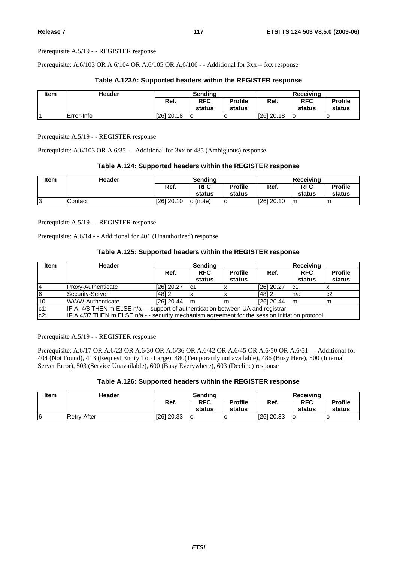Prerequisite A.5/19 - - REGISTER response

Prerequisite: A.6/103 OR A.6/104 OR A.6/105 OR A.6/106 - - Additional for 3xx – 6xx response

## **Table A.123A: Supported headers within the REGISTER response**

| <b>Item</b> | <b>Header</b>      | Sending    |            |                | Receiving    |            |                |  |
|-------------|--------------------|------------|------------|----------------|--------------|------------|----------------|--|
|             |                    | Ref.       | <b>RFC</b> | <b>Profile</b> | Ref.         | <b>RFC</b> | <b>Profile</b> |  |
|             |                    |            | status     | status         |              | status     | status         |  |
|             | <b>IError-Info</b> | [26] 20.18 | lO         |                | $[26]$ 20.18 |            | u              |  |

Prerequisite A.5/19 - - REGISTER response

Prerequisite: A.6/103 OR A.6/35 - - Additional for 3xx or 485 (Ambiguous) response

#### **Table A.124: Supported headers within the REGISTER response**

| <b>Item</b> | <b>Header</b> | Sendina                                                  |              |      | Receivina            |                          |   |
|-------------|---------------|----------------------------------------------------------|--------------|------|----------------------|--------------------------|---|
|             |               | <b>RFC</b><br>Ref.<br><b>Profile</b><br>status<br>status |              | Ref. | <b>RFC</b><br>status | <b>Profile</b><br>status |   |
| 3           | Contact       | 1261 20.10                                               | (note)<br>lo |      | [26] 20.10           | l m                      | m |

Prerequisite A.5/19 - - REGISTER response

Prerequisite: A.6/14 - - Additional for 401 (Unauthorized) response

## **Table A.125: Supported headers within the REGISTER response**

| <b>Item</b> | Header                                                                                          | <b>Sending</b> |                      |                          | <b>Receiving</b> |                      |                          |  |
|-------------|-------------------------------------------------------------------------------------------------|----------------|----------------------|--------------------------|------------------|----------------------|--------------------------|--|
|             |                                                                                                 | Ref.           | <b>RFC</b><br>status | <b>Profile</b><br>status | Ref.             | <b>RFC</b><br>status | <b>Profile</b><br>status |  |
| 14          | Proxy-Authenticate                                                                              | [26] 20.27     | lc1                  |                          | $[26]$ 20.27     | lc1                  |                          |  |
| 6           | Security-Server                                                                                 | $[48]$ 2       |                      |                          | $[48]$ 2         | n/a                  | c2                       |  |
| 10          | WWW-Authenticate                                                                                | [26] 20.44     | Im                   | m                        | [26] 20.44       | Im                   | m                        |  |
| $c1$ :      | IF A. 4/8 THEN m ELSE n/a - - support of authentication between UA and registrar.               |                |                      |                          |                  |                      |                          |  |
| $c2$ :      | IF A.4/37 THEN m ELSE n/a - - security mechanism agreement for the session initiation protocol. |                |                      |                          |                  |                      |                          |  |

Prerequisite A.5/19 - - REGISTER response

Prerequisite: A.6/17 OR A.6/23 OR A.6/30 OR A.6/36 OR A.6/42 OR A.6/45 OR A.6/50 OR A.6/51 - - Additional for 404 (Not Found), 413 (Request Entity Too Large), 480(Temporarily not available), 486 (Busy Here), 500 (Internal Server Error), 503 (Service Unavailable), 600 (Busy Everywhere), 603 (Decline) response

## **Table A.126: Supported headers within the REGISTER response**

| <b>Item</b> | Header      | Sendina                              |        |        | Receiving  |                |        |
|-------------|-------------|--------------------------------------|--------|--------|------------|----------------|--------|
|             |             | <b>Profile</b><br><b>RFC</b><br>Ref. |        | Ref.   | <b>RFC</b> | <b>Profile</b> |        |
|             |             |                                      | status | status |            | status         | status |
| 6           | Retrv-After | [26] 20.33                           | lO     |        | [26] 20.33 | ۱O             |        |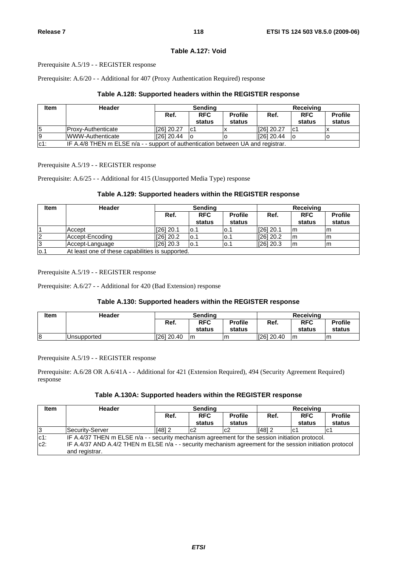## **Table A.127: Void**

Prerequisite A.5/19 - - REGISTER response

Prerequisite: A.6/20 - - Additional for 407 (Proxy Authentication Required) response

## **Table A.128: Supported headers within the REGISTER response**

| <b>Item</b> | Header                                                                           | <b>Sending</b> |                      | Receiving                |            |                      |                          |
|-------------|----------------------------------------------------------------------------------|----------------|----------------------|--------------------------|------------|----------------------|--------------------------|
|             |                                                                                  | Ref.           | <b>RFC</b><br>status | <b>Profile</b><br>status | Ref.       | <b>RFC</b><br>status | <b>Profile</b><br>status |
|             |                                                                                  |                |                      |                          |            |                      |                          |
| 5           | IProxv-Authenticate                                                              | [26] 20.27     | lc1                  |                          | [26] 20.27 | lc1                  |                          |
| 19          | WWW-Authenticate                                                                 | [26] 20.44     | lo                   |                          | [26] 20.44 |                      |                          |
| $c1$ :      | IF A.4/8 THEN m ELSE n/a - - support of authentication between UA and registrar. |                |                      |                          |            |                      |                          |

Prerequisite A.5/19 - - REGISTER response

Prerequisite: A.6/25 - - Additional for 415 (Unsupported Media Type) response

## **Table A.129: Supported headers within the REGISTER response**

| <b>Item</b>    | Header                                           | <b>Sending</b> |                      |                          |             | Receiving            |                          |  |  |
|----------------|--------------------------------------------------|----------------|----------------------|--------------------------|-------------|----------------------|--------------------------|--|--|
|                |                                                  | Ref.           | <b>RFC</b><br>status | <b>Profile</b><br>status | Ref.        | <b>RFC</b><br>status | <b>Profile</b><br>status |  |  |
|                | Accept                                           | [26] 20.1      | lo.1                 | IO.1                     | $[26]$ 20.1 | Im                   | m                        |  |  |
| $\overline{2}$ | Accept-Encoding                                  | $[26]$ 20.2    | lo.1                 | lo.1                     | $[26]$ 20.2 | m                    | lm                       |  |  |
| 3              | Accept-Language                                  | $[26]$ 20.3    | lo.1                 | lo.1                     | $[26]$ 20.3 | Im                   | m                        |  |  |
| 0.1            | At least one of these capabilities is supported. |                |                      |                          |             |                      |                          |  |  |

Prerequisite A.5/19 - - REGISTER response

Prerequisite: A.6/27 - - Additional for 420 (Bad Extension) response

## **Table A.130: Supported headers within the REGISTER response**

| <b>Item</b> | <b>Header</b> | Sendina                              |        | Receiving |            |                |        |
|-------------|---------------|--------------------------------------|--------|-----------|------------|----------------|--------|
|             |               | <b>Profile</b><br><b>RFC</b><br>Ref. |        | Ref.      | <b>RFC</b> | <b>Profile</b> |        |
|             |               |                                      | status | status    |            | status         | status |
| 8           | Unsupported   | $[26]$ 20.40                         | Im     | m         | [26] 20.40 | Im             | m      |

Prerequisite A.5/19 - - REGISTER response

Prerequisite: A.6/28 OR A.6/41A - - Additional for 421 (Extension Required), 494 (Security Agreement Required) response

#### **Table A.130A: Supported headers within the REGISTER response**

| <b>Item</b> | <b>Header</b>                                                                                                              | Sending  |                      | Receiving                |        |                      |                          |
|-------------|----------------------------------------------------------------------------------------------------------------------------|----------|----------------------|--------------------------|--------|----------------------|--------------------------|
|             |                                                                                                                            | Ref.     | <b>RFC</b><br>status | <b>Profile</b><br>status | Ref.   | <b>RFC</b><br>status | <b>Profile</b><br>status |
| 13          | Security-Server                                                                                                            | $[48]$ 2 | c <sub>2</sub>       | lc2                      | [48] 2 | lc1                  | lc1                      |
| $c1$ :      | IF A.4/37 THEN $m$ ELSE $n/a$ - - security mechanism agreement for the session initiation protocol.                        |          |                      |                          |        |                      |                          |
| $c2$ :      | IF A.4/37 AND A.4/2 THEN m ELSE n/a - - security mechanism agreement for the session initiation protocol<br>and registrar. |          |                      |                          |        |                      |                          |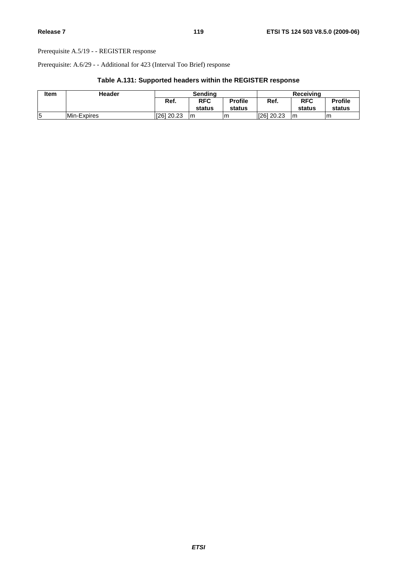Prerequisite A.5/19 - - REGISTER response

Prerequisite: A.6/29 - - Additional for 423 (Interval Too Brief) response

| Table A.131: Supported headers within the REGISTER response |  |  |
|-------------------------------------------------------------|--|--|
|-------------------------------------------------------------|--|--|

| Item | Header      | Sendina    |            |                | <b>Receiving</b> |            |                |
|------|-------------|------------|------------|----------------|------------------|------------|----------------|
|      |             | Ref.       | <b>RFC</b> | <b>Profile</b> | Ref.             | <b>RFC</b> | <b>Profile</b> |
|      |             |            | status     | status         |                  | status     | status         |
|      | Min-Expires | 1261 20.23 | Im         | Im             | I[26] 20.23      | Im         | Im             |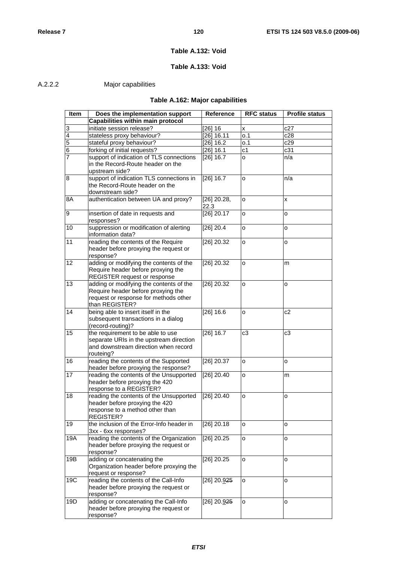## **Table A.132: Void**

# **Table A.133: Void**

# A.2.2.2 Major capabilities

# **Table A.162: Major capabilities**

| Item            | Does the implementation support                                                | Reference     | <b>RFC status</b> | <b>Profile status</b> |
|-----------------|--------------------------------------------------------------------------------|---------------|-------------------|-----------------------|
|                 | Capabilities within main protocol                                              |               |                   |                       |
| 3               | initiate session release?                                                      | $[26]$ 16     | X                 | c27                   |
| 4               | stateless proxy behaviour?                                                     | [26] 16.11    | o.1               | c28                   |
| 5               | stateful proxy behaviour?                                                      | $[26]$ 16.2   | o.1               | c29                   |
| 6               | forking of initial requests?                                                   | [26] 16.1     | c <sub>1</sub>    | c31                   |
| 7               | support of indication of TLS connections                                       | $[26]$ 16.7   | 0                 | n/a                   |
|                 | in the Record-Route header on the                                              |               |                   |                       |
|                 | upstream side?                                                                 |               |                   |                       |
| 8               | support of indication TLS connections in                                       | $[26]$ 16.7   | o                 | n/a                   |
|                 | the Record-Route header on the                                                 |               |                   |                       |
|                 | downstream side?                                                               |               |                   |                       |
| 8A              | authentication between UA and proxy?                                           | $[26]$ 20.28, | 0                 | X                     |
|                 |                                                                                | 22.3          |                   |                       |
| 9               | insertion of date in requests and                                              | $[26]$ 20.17  | o                 | o                     |
|                 | responses?                                                                     |               |                   |                       |
| 10              | suppression or modification of alerting                                        | $[26]$ 20.4   | 0                 | $\mathsf{o}$          |
|                 | information data?                                                              |               |                   |                       |
| 11              | reading the contents of the Require                                            | [26] 20.32    | o                 | o                     |
|                 | header before proxying the request or                                          |               |                   |                       |
|                 | response?                                                                      |               |                   |                       |
| 12 <sup>2</sup> | adding or modifying the contents of the                                        | $[26]$ 20.32  | o                 | m                     |
|                 | Require header before proxying the                                             |               |                   |                       |
|                 | <b>REGISTER request or response</b>                                            |               |                   |                       |
| 13              | adding or modifying the contents of the                                        | $[26]$ 20.32  | o                 | o                     |
|                 | Require header before proxying the                                             |               |                   |                       |
|                 | request or response for methods other                                          |               |                   |                       |
| 14              | than REGISTER?<br>being able to insert itself in the                           | [26] 16.6     |                   | c2                    |
|                 | subsequent transactions in a dialog                                            |               | o                 |                       |
|                 | (record-routing)?                                                              |               |                   |                       |
| 15              | the requirement to be able to use                                              | [26] 16.7     | c3                | c <sub>3</sub>        |
|                 | separate URIs in the upstream direction                                        |               |                   |                       |
|                 | and downstream direction when record                                           |               |                   |                       |
|                 | routeing?                                                                      |               |                   |                       |
| 16              | reading the contents of the Supported                                          | $[26]$ 20.37  | o                 | o                     |
|                 | header before proxying the response?                                           |               |                   |                       |
| 17              | reading the contents of the Unsupported                                        | $[26]$ 20.40  | o                 | m                     |
|                 | header before proxying the 420                                                 |               |                   |                       |
|                 | response to a REGISTER?                                                        |               |                   |                       |
| 18              | reading the contents of the Unsupported                                        | $[26]$ 20.40  | o                 | o                     |
|                 | header before proxying the 420                                                 |               |                   |                       |
|                 | response to a method other than                                                |               |                   |                       |
|                 | REGISTER?                                                                      |               |                   |                       |
| 19              | the inclusion of the Error-Info header in                                      | $[26]$ 20.18  | 0                 | o                     |
|                 | 3xx - 6xx responses?                                                           |               |                   |                       |
| 19A             | reading the contents of the Organization                                       | $[26]$ 20.25  | o                 | o                     |
|                 | header before proxying the request or                                          |               |                   |                       |
|                 | response?                                                                      |               |                   |                       |
| 19B             | adding or concatenating the                                                    | $[26]$ 20.25  | o                 | o                     |
|                 | Organization header before proxying the                                        |               |                   |                       |
| 19C             | request or response?                                                           |               |                   |                       |
|                 | reading the contents of the Call-Info<br>header before proxying the request or | $[26]$ 20.925 | o                 | o                     |
|                 | response?                                                                      |               |                   |                       |
| 19D             | adding or concatenating the Call-Info                                          | [26] 20.925   | o                 | o                     |
|                 | header before proxying the request or                                          |               |                   |                       |
|                 | response?                                                                      |               |                   |                       |
|                 |                                                                                |               |                   |                       |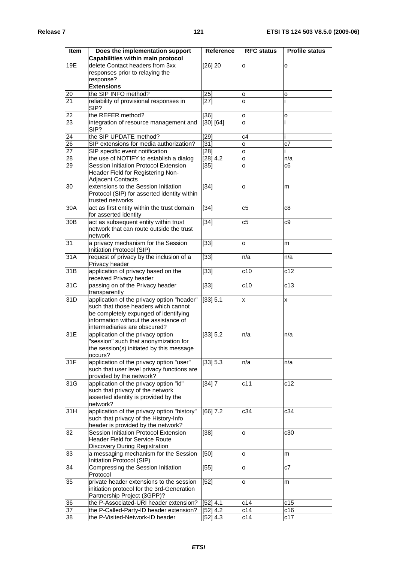| <b>Item</b>     | Does the implementation support<br>Capabilities within main protocol                                                                                                                                 | Reference          | <b>RFC status</b> | <b>Profile status</b> |
|-----------------|------------------------------------------------------------------------------------------------------------------------------------------------------------------------------------------------------|--------------------|-------------------|-----------------------|
| 19E             | delete Contact headers from 3xx<br>responses prior to relaying the<br>response?                                                                                                                      | $[26]$ 20          | о                 | o                     |
|                 | <b>Extensions</b>                                                                                                                                                                                    |                    |                   |                       |
| 20              | the SIP INFO method?                                                                                                                                                                                 | [25]               | о                 | 0                     |
| 21              | reliability of provisional responses in<br>SIP?                                                                                                                                                      | $[27]$             | o                 |                       |
| 22              | the REFER method?                                                                                                                                                                                    | [36]               | o                 | o                     |
| 23              | integration of resource management and<br>SIP?                                                                                                                                                       | [30] [64]          | o                 |                       |
| 24              | the SIP UPDATE method?                                                                                                                                                                               | [29]               | c4                |                       |
| $\overline{26}$ | SIP extensions for media authorization?                                                                                                                                                              | $[31]$             | o                 | c7                    |
| $\overline{27}$ | SIP specific event notification                                                                                                                                                                      | $\overline{1}28$ ] | o                 |                       |
| 28              | the use of NOTIFY to establish a dialog                                                                                                                                                              | [28] 4.2           | 0                 | n/a                   |
| 29              | Session Initiation Protocol Extension<br>Header Field for Registering Non-<br><b>Adjacent Contacts</b>                                                                                               | $[35]$             | o                 | c6                    |
| 30              | extensions to the Session Initiation<br>Protocol (SIP) for asserted identity within<br>trusted networks                                                                                              | $[34]$             | о                 | m                     |
| 30A             | act as first entity within the trust domain<br>for asserted identity                                                                                                                                 | $[34]$             | c <sub>5</sub>    | c8                    |
| 30B             | act as subsequent entity within trust<br>network that can route outside the trust<br>network                                                                                                         | $[34]$             | c5                | c9                    |
| 31              | a privacy mechanism for the Session<br>Initiation Protocol (SIP)                                                                                                                                     | $[33]$             | o                 | m                     |
| 31A             | request of privacy by the inclusion of a<br>Privacy header                                                                                                                                           | [33]               | n/a               | n/a                   |
| 31B             | application of privacy based on the<br>received Privacy header                                                                                                                                       | $[33]$             | c10               | c12                   |
| 31C             | passing on of the Privacy header<br>transparently                                                                                                                                                    | $[33]$             | c10               | c13                   |
| 31D             | application of the privacy option "header"<br>such that those headers which cannot<br>be completely expunged of identifying<br>information without the assistance of<br>intermediaries are obscured? | [33] 5.1           | X                 | X                     |
| 31E             | application of the privacy option<br>"session" such that anonymization for<br>the session(s) initiated by this message<br>occurs?                                                                    | [33] 5.2           | n/a               | n/a                   |
| 31F             | application of the privacy option "user"<br>such that user level privacy functions are<br>provided by the network?                                                                                   | [33] 5.3           | n/a               | n/a                   |
| 31G             | application of the privacy option "id"<br>such that privacy of the network<br>asserted identity is provided by the<br>network?                                                                       | [34] 7             | c11               | c12                   |
| 31H             | application of the privacy option "history"<br>such that privacy of the History-Info<br>header is provided by the network?                                                                           | [66] 7.2           | c34               | c34                   |
| 32              | Session Initiation Protocol Extension<br><b>Header Field for Service Route</b><br>Discovery During Registration                                                                                      | $[38]$             | 0                 | c30                   |
| 33              | a messaging mechanism for the Session<br>Initiation Protocol (SIP)                                                                                                                                   | [50]               | o                 | m                     |
| 34              | Compressing the Session Initiation<br>Protocol                                                                                                                                                       | $[55]$             | о                 | c7                    |
| 35              | private header extensions to the session<br>initiation protocol for the 3rd-Generation<br>Partnership Project (3GPP)?                                                                                | $[52]$             | o                 | m                     |
| 36              | the P-Associated-URI header extension?                                                                                                                                                               | [52] 4.1           | c14               | c15                   |
| 37              | the P-Called-Party-ID header extension?                                                                                                                                                              | [52] 4.2           | c14               | c16                   |
| 38              | the P-Visited-Network-ID header                                                                                                                                                                      | [52] 4.3           | c14               | c17                   |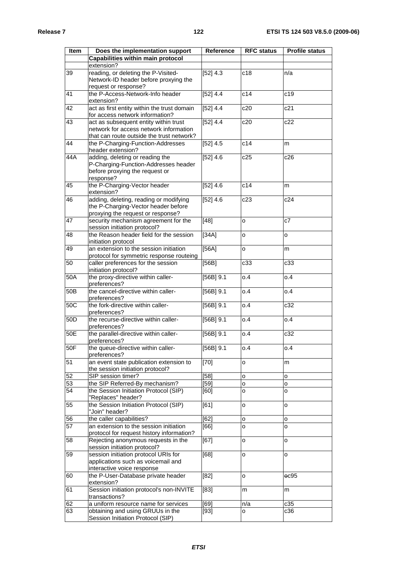| <b>Item</b>     | Does the implementation support                          | <b>Reference</b> | <b>RFC status</b> | <b>Profile status</b> |
|-----------------|----------------------------------------------------------|------------------|-------------------|-----------------------|
|                 | <b>Capabilities within main protocol</b>                 |                  |                   |                       |
|                 | extension?                                               |                  |                   |                       |
|                 |                                                          |                  |                   |                       |
| 39              | reading, or deleting the P-Visited-                      | [52] 4.3         | c18               | n/a                   |
|                 | Network-ID header before proxying the                    |                  |                   |                       |
|                 | request or response?<br>the P-Access-Network-Info header | [52] 4.4         |                   |                       |
| 41              |                                                          |                  | c14               | c19                   |
|                 | extension?                                               |                  |                   |                       |
| 42              | act as first entity within the trust domain              | [52] 4.4         | c20               | c21                   |
|                 | for access network information?                          |                  |                   |                       |
| 43              | act as subsequent entity within trust                    | [52] 4.4         | c20               | c22                   |
|                 | network for access network information                   |                  |                   |                       |
|                 | that can route outside the trust network?                |                  |                   |                       |
| 44              | the P-Charging-Function-Addresses                        | [52] 4.5         | c14               | m                     |
|                 | header extension?                                        |                  |                   |                       |
| 44A             | adding, deleting or reading the                          | [52] 4.6         | c25               | c26                   |
|                 | P-Charging-Function-Addresses header                     |                  |                   |                       |
|                 | before proxying the request or                           |                  |                   |                       |
|                 | response?                                                |                  |                   |                       |
| 45              | the P-Charging-Vector header                             | [52] 4.6         | c14               | m                     |
|                 | extension?                                               |                  |                   |                       |
| 46              | adding, deleting, reading or modifying                   | [52] 4.6         | c23               | c24                   |
|                 | the P-Charging-Vector header before                      |                  |                   |                       |
|                 | proxying the request or response?                        |                  |                   |                       |
| 47              | security mechanism agreement for the                     | $[48]$           | 0                 | c7                    |
|                 | session initiation protocol?                             |                  |                   |                       |
| 48              | the Reason header field for the session                  | $[34A]$          | 0                 | o                     |
|                 | initiation protocol                                      |                  |                   |                       |
| 49              | an extension to the session initiation                   | [56A]            | 0                 | m                     |
|                 | protocol for symmetric response routeing                 |                  |                   |                       |
| 50              | caller preferences for the session                       | [56B]            | c33               | c33                   |
|                 | initiation protocol?                                     |                  |                   |                       |
| 50A             | the proxy-directive within caller-                       | $[56B]$ 9.1      | 0.4               | 0.4                   |
|                 | preferences?                                             |                  |                   |                       |
| 50B             | the cancel-directive within caller-                      | $[56B]$ 9.1      | 0.4               | 0.4                   |
|                 | preferences?                                             |                  |                   |                       |
| 50C             | the fork-directive within caller-                        | $[56B]$ 9.1      | 0.4               | c32                   |
|                 | preferences?                                             |                  |                   |                       |
| 50 <sub>D</sub> | the recurse-directive within caller-                     | $[56B]$ 9.1      | 0.4               | 0.4                   |
|                 | preferences?                                             |                  |                   |                       |
| 50E             | the parallel-directive within caller-                    | $[56B]$ 9.1      | o.4               | c32                   |
|                 | preferences?                                             |                  |                   |                       |
| 50F             |                                                          |                  |                   |                       |
|                 | the queue-directive within caller-<br>preferences?       | $[56B]$ 9.1      | 0.4               | 0.4                   |
|                 |                                                          |                  |                   |                       |
| 51              | an event state publication extension to                  | $[70]$           | 0                 | m                     |
|                 | the session initiation protocol?                         |                  |                   |                       |
| $5\overline{2}$ | SIP session timer?                                       | [58]             | o                 | o                     |
| 53              | the SIP Referred-By mechanism?                           | [59]             | 0                 | o                     |
| 54              | the Session Initiation Protocol (SIP)                    | [60]             | o                 | o                     |
|                 | "Replaces" header?                                       |                  |                   |                       |
| 55              | the Session Initiation Protocol (SIP)                    | [61]             | O                 | o                     |
|                 | "Join" header?                                           |                  |                   |                       |
| 56              | the caller capabilities?                                 | [62]             | O                 | $\mathsf{o}$          |
| 57              | an extension to the session initiation                   | [66]             | o                 | lo.                   |
|                 | protocol for request history information?                |                  |                   |                       |
| 58              | Rejecting anonymous requests in the                      | [67]             | 0                 | o                     |
|                 | session initiation protocol?                             |                  |                   |                       |
| 59              | session initiation protocol URIs for                     | [68]             | o                 | o                     |
|                 | applications such as voicemail and                       |                  |                   |                       |
|                 | interactive voice response                               |                  |                   |                       |
| 60              | the P-User-Database private header                       | [82]             | O                 | $_{\rm 0C95}$         |
|                 | extension?                                               |                  |                   |                       |
| 61              | Session initiation protocol's non-INVITE                 | $[83]$           | m                 | m                     |
|                 | transactions?                                            |                  |                   |                       |
| 62              | a uniform resource name for services                     | [69]             | n/a               | c35                   |
| 63              | obtaining and using GRUUs in the                         | $[93]$           | о                 | c36                   |
|                 | Session Initiation Protocol (SIP)                        |                  |                   |                       |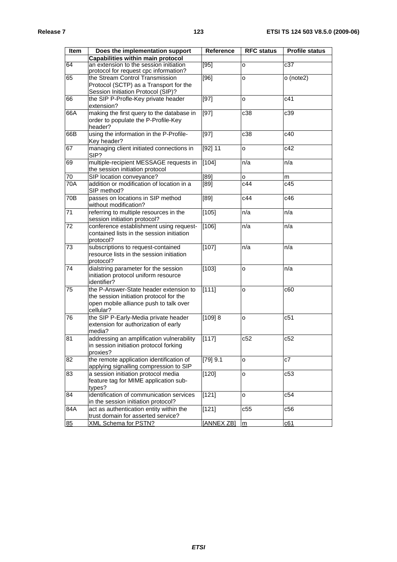| <b>Item</b> | Does the implementation support                                                                                                          | <b>Reference</b> | <b>RFC status</b> | <b>Profile status</b> |
|-------------|------------------------------------------------------------------------------------------------------------------------------------------|------------------|-------------------|-----------------------|
|             | Capabilities within main protocol                                                                                                        |                  |                   |                       |
| 64          | an extension to the session initiation<br>protocol for request cpc information?                                                          | [95]             | o                 | c37                   |
| 65          | the Stream Control Transmission<br>Protocol (SCTP) as a Transport for the<br>Session Initiation Protocol (SIP)?                          | [96]             | o                 | o (note2)             |
| 66          | the SIP P-Profle-Key private header<br>extension?                                                                                        | $[97]$           | o                 | c41                   |
| 66A         | making the first query to the database in<br>order to populate the P-Profile-Key<br>header?                                              | $[97]$           | c38               | c39                   |
| 66B         | using the information in the P-Profile-<br>Key header?                                                                                   | $[97]$           | c38               | c40                   |
| 67          | managing client initiated connections in<br>SIP?                                                                                         | [92] 11          | o                 | c42                   |
| 69          | multiple-recipient MESSAGE requests in<br>the session initiation protocol                                                                | [104]            | n/a               | n/a                   |
| 70          | SIP location conveyance?                                                                                                                 | [89]             | о                 | m                     |
| 70A         | addition or modification of location in a<br>SIP method?                                                                                 | [89]             | c44               | c45                   |
| 70B         | passes on locations in SIP method<br>without modification?                                                                               | [89]             | c44               | c46                   |
| 71          | referring to multiple resources in the<br>session initiation protocol?                                                                   | [105]            | n/a               | n/a                   |
| 72          | conference establishment using request-<br>contained lists in the session initiation<br>protocol?                                        | [106]            | n/a               | n/a                   |
| 73          | subscriptions to request-contained<br>resource lists in the session initiation<br>protocol?                                              | [107]            | n/a               | n/a                   |
| 74          | dialstring parameter for the session<br>initiation protocol uniform resource<br>identifier?                                              | [103]            | 0                 | n/a                   |
| 75          | the P-Answer-State header extension to<br>the session initiation protocol for the<br>open mobile alliance push to talk over<br>cellular? | [111]            | 0                 | c60                   |
| 76          | the SIP P-Early-Media private header<br>extension for authorization of early<br>media?                                                   | [109] 8          | 0                 | c51                   |
| 81          | addressing an amplification vulnerability<br>in session initiation protocol forking<br>proxies?                                          | [117]            | c52               | c52                   |
| 82          | the remote application identification of<br>applying signalling compression to SIP                                                       | [79] 9.1         | o                 | c7                    |
| 83          | a session initiation protocol media<br>feature tag for MIME application sub-<br>types?                                                   | [120]            | o                 | c53                   |
| 84          | identification of communication services<br>in the session initiation protocol?                                                          | $[121]$          | о                 | c54                   |
| 84A         | act as authentication entity within the<br>trust domain for asserted service?                                                            | [121]            | c55               | c56                   |
| 85          | XML Schema for PSTN?                                                                                                                     | [ANNEX ZB]       | m                 | c61                   |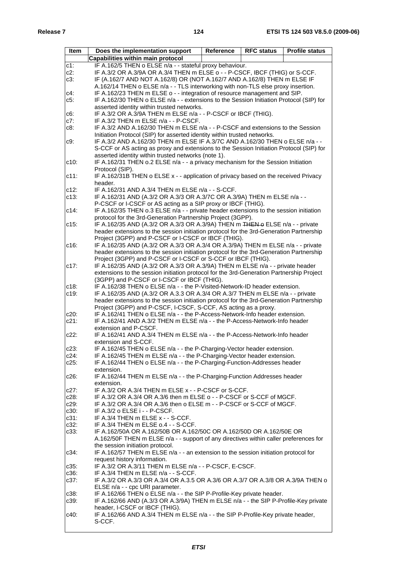| Item               | Does the implementation support                                                                                                                            | Reference | <b>RFC status</b> | <b>Profile status</b> |  |  |  |  |  |
|--------------------|------------------------------------------------------------------------------------------------------------------------------------------------------------|-----------|-------------------|-----------------------|--|--|--|--|--|
|                    | Capabilities within main protocol                                                                                                                          |           |                   |                       |  |  |  |  |  |
| $c1$ :             | IF A.162/5 THEN o ELSE n/a - - stateful proxy behaviour.                                                                                                   |           |                   |                       |  |  |  |  |  |
| $c2$ :             | IF A.3/2 OR A.3/9A OR A.3/4 THEN m ELSE o - - P-CSCF, IBCF (THIG) or S-CCF.                                                                                |           |                   |                       |  |  |  |  |  |
| $c3$ :             | IF (A.162/7 AND NOT A.162/8) OR (NOT A.162/7 AND A.162/8) THEN m ELSE IF                                                                                   |           |                   |                       |  |  |  |  |  |
|                    | A.162/14 THEN o ELSE n/a - - TLS interworking with non-TLS else proxy insertion.                                                                           |           |                   |                       |  |  |  |  |  |
| c4:                | IF A.162/23 THEN m ELSE o - - integration of resource management and SIP.                                                                                  |           |                   |                       |  |  |  |  |  |
| c5:                | IF A.162/30 THEN o ELSE n/a - - extensions to the Session Initiation Protocol (SIP) for<br>asserted identity within trusted networks.                      |           |                   |                       |  |  |  |  |  |
| c6:                | IF A.3/2 OR A.3/9A THEN m ELSE n/a - - P-CSCF or IBCF (THIG).                                                                                              |           |                   |                       |  |  |  |  |  |
| $c7$ :             | IF A.3/2 THEN m ELSE n/a - - P-CSCF.                                                                                                                       |           |                   |                       |  |  |  |  |  |
| $c8$ :             | IF A.3/2 AND A.162/30 THEN m ELSE n/a - - P-CSCF and extensions to the Session                                                                             |           |                   |                       |  |  |  |  |  |
|                    | Initiation Protocol (SIP) for asserted identity within trusted networks.                                                                                   |           |                   |                       |  |  |  |  |  |
| c9.                | IF A.3/2 AND A.162/30 THEN m ELSE IF A.3/7C AND A.162/30 THEN o ELSE n/a - -                                                                               |           |                   |                       |  |  |  |  |  |
|                    | S-CCF or AS acting as proxy and extensions to the Session Initiation Protocol (SIP) for<br>asserted identity within trusted networks (note 1).             |           |                   |                       |  |  |  |  |  |
| c10:               | IF A.162/31 THEN o.2 ELSE n/a - - a privacy mechanism for the Session Initiation                                                                           |           |                   |                       |  |  |  |  |  |
|                    | Protocol (SIP).                                                                                                                                            |           |                   |                       |  |  |  |  |  |
| $c11$ :            | IF A.162/31B THEN o ELSE x - - application of privacy based on the received Privacy                                                                        |           |                   |                       |  |  |  |  |  |
|                    | header.                                                                                                                                                    |           |                   |                       |  |  |  |  |  |
| $c12$ :            | IF A.162/31 AND A.3/4 THEN m ELSE n/a - - S-CCF.                                                                                                           |           |                   |                       |  |  |  |  |  |
| $c13$ :            | IF A.162/31 AND (A.3/2 OR A.3/3 OR A.3/7C OR A.3/9A) THEN m ELSE n/a - -                                                                                   |           |                   |                       |  |  |  |  |  |
| c14:               | P-CSCF or I-CSCF or AS acting as a SIP proxy or IBCF (THIG).<br>IF A.162/35 THEN o.3 ELSE n/a - - private header extensions to the session initiation      |           |                   |                       |  |  |  |  |  |
|                    | protocol for the 3rd-Generation Partnership Project (3GPP).                                                                                                |           |                   |                       |  |  |  |  |  |
| c15:               | IF A.162/35 AND (A.3/2 OR A.3/3 OR A.3/9A) THEN m THEN & ELSE n/a - - private                                                                              |           |                   |                       |  |  |  |  |  |
|                    | header extensions to the session initiation protocol for the 3rd-Generation Partnership                                                                    |           |                   |                       |  |  |  |  |  |
|                    | Project (3GPP) and P-CSCF or I-CSCF or IBCF (THIG).                                                                                                        |           |                   |                       |  |  |  |  |  |
| $c16$ :            | IF A.162/35 AND (A.3/2 OR A.3/3 OR A.3/4 OR A.3/9A) THEN m ELSE n/a - - private                                                                            |           |                   |                       |  |  |  |  |  |
|                    | header extensions to the session initiation protocol for the 3rd-Generation Partnership<br>Project (3GPP) and P-CSCF or I-CSCF or S-CCF or IBCF (THIG).    |           |                   |                       |  |  |  |  |  |
| c17:               | IF A.162/35 AND (A.3/2 OR A.3/3 OR A.3/9A) THEN m ELSE n/a - - private header                                                                              |           |                   |                       |  |  |  |  |  |
|                    | extensions to the session initiation protocol for the 3rd-Generation Partnership Project                                                                   |           |                   |                       |  |  |  |  |  |
|                    | (3GPP) and P-CSCF or I-CSCF or IBCF (THIG).                                                                                                                |           |                   |                       |  |  |  |  |  |
| $c18$ :            | IF A.162/38 THEN o ELSE n/a - - the P-Visited-Network-ID header extension.                                                                                 |           |                   |                       |  |  |  |  |  |
| c19.               | IF A.162/35 AND (A.3/2 OR A.3.3 OR A.3/4 OR A.3/7 THEN m ELSE n/a - - private                                                                              |           |                   |                       |  |  |  |  |  |
|                    | header extensions to the session initiation protocol for the 3rd-Generation Partnership<br>Project (3GPP) and P-CSCF, I-CSCF, S-CCF, AS acting as a proxy. |           |                   |                       |  |  |  |  |  |
| c20:               | IF A.162/41 THEN o ELSE n/a - - the P-Access-Network-Info header extension.                                                                                |           |                   |                       |  |  |  |  |  |
| $c21$ :            | IF A.162/41 AND A.3/2 THEN m ELSE n/a - - the P-Access-Network-Info header                                                                                 |           |                   |                       |  |  |  |  |  |
|                    | extension and P-CSCF.                                                                                                                                      |           |                   |                       |  |  |  |  |  |
| $c22$ :            | IF A.162/41 AND A.3/4 THEN m ELSE n/a - - the P-Access-Network-Info header                                                                                 |           |                   |                       |  |  |  |  |  |
| c23:               | extension and S-CCF.<br>IF A.162/45 THEN o ELSE n/a - - the P-Charging-Vector header extension.                                                            |           |                   |                       |  |  |  |  |  |
| c24:               | IF A.162/45 THEN m ELSE n/a - - the P-Charging-Vector header extension.                                                                                    |           |                   |                       |  |  |  |  |  |
| $c25$ :            | IF A.162/44 THEN o ELSE n/a - - the P-Charging-Function-Addresses header                                                                                   |           |                   |                       |  |  |  |  |  |
|                    | extension.                                                                                                                                                 |           |                   |                       |  |  |  |  |  |
| $c26$ :            | IF A.162/44 THEN m ELSE n/a - - the P-Charging-Function Addresses header                                                                                   |           |                   |                       |  |  |  |  |  |
|                    | extension.<br>IF A.3/2 OR A.3/4 THEN m ELSE x - - P-CSCF or S-CCF.                                                                                         |           |                   |                       |  |  |  |  |  |
| $c27$ :<br>$c28$ : | IF A.3/2 OR A.3/4 OR A.3/6 then m ELSE o - - P-CSCF or S-CCF of MGCF.                                                                                      |           |                   |                       |  |  |  |  |  |
| c29:               | IF A.3/2 OR A.3/4 OR A.3/6 then o ELSE m - - P-CSCF or S-CCF of MGCF.                                                                                      |           |                   |                       |  |  |  |  |  |
| c30:               | IF A.3/2 o ELSE i - - P-CSCF.                                                                                                                              |           |                   |                       |  |  |  |  |  |
| c31:               | IF A.3/4 THEN m ELSE x - - S-CCF.                                                                                                                          |           |                   |                       |  |  |  |  |  |
| $c32$ :            | IF A.3/4 THEN m ELSE o.4 - - S-CCF.                                                                                                                        |           |                   |                       |  |  |  |  |  |
| $c33$ :            | IF A.162/50A OR A.162/50B OR A.162/50C OR A.162/50D OR A.162/50E OR                                                                                        |           |                   |                       |  |  |  |  |  |
|                    | A.162/50F THEN m ELSE n/a - - support of any directives within caller preferences for<br>the session initiation protocol.                                  |           |                   |                       |  |  |  |  |  |
| c34:               | IF A.162/57 THEN m ELSE n/a - - an extension to the session initiation protocol for                                                                        |           |                   |                       |  |  |  |  |  |
|                    | request history information.                                                                                                                               |           |                   |                       |  |  |  |  |  |
| c35.               | IF A.3/2 OR A.3/11 THEN m ELSE n/a - - P-CSCF, E-CSCF.                                                                                                     |           |                   |                       |  |  |  |  |  |
| $c36$ :            | IF A.3/4 THEN m ELSE n/a - - S-CCF.                                                                                                                        |           |                   |                       |  |  |  |  |  |
| $c37$ :            | IF A.3/2 OR A.3/3 OR A.3/4 OR A.3.5 OR A.3/6 OR A.3/7 OR A.3/8 OR A.3/9A THEN o                                                                            |           |                   |                       |  |  |  |  |  |
| $c38$ :            | ELSE n/a - - cpc URI parameter.<br>IF A.162/66 THEN o ELSE n/a - - the SIP P-Profile-Key private header.                                                   |           |                   |                       |  |  |  |  |  |
| c39.               | IF A.162/66 AND (A.3/3 OR A.3/9A) THEN m ELSE n/a - - the SIP P-Profile-Key private                                                                        |           |                   |                       |  |  |  |  |  |
|                    | header, I-CSCF or IBCF (THIG).                                                                                                                             |           |                   |                       |  |  |  |  |  |
| c40:               | IF A.162/66 AND A.3/4 THEN m ELSE n/a - - the SIP P-Profile-Key private header,                                                                            |           |                   |                       |  |  |  |  |  |
|                    | S-CCF.                                                                                                                                                     |           |                   |                       |  |  |  |  |  |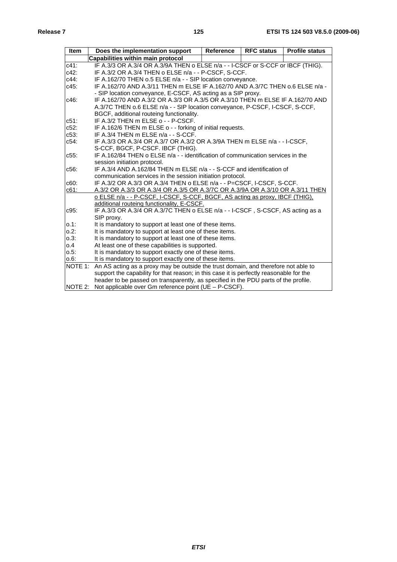| Item               | Does the implementation support                                                                                    | <b>Reference</b> | <b>RFC status</b> | <b>Profile status</b> |  |  |  |  |
|--------------------|--------------------------------------------------------------------------------------------------------------------|------------------|-------------------|-----------------------|--|--|--|--|
|                    | Capabilities within main protocol                                                                                  |                  |                   |                       |  |  |  |  |
| $c41$ :            | IF A.3/3 OR A.3/4 OR A.3/9A THEN o ELSE n/a - - I-CSCF or S-CCF or IBCF (THIG).                                    |                  |                   |                       |  |  |  |  |
| c42:               | IF A.3/2 OR A.3/4 THEN o ELSE n/a - - P-CSCF, S-CCF.                                                               |                  |                   |                       |  |  |  |  |
| c44:               | IF A.162/70 THEN o.5 ELSE n/a - - SIP location conveyance.                                                         |                  |                   |                       |  |  |  |  |
| c45:               | IF A.162/70 AND A.3/11 THEN m ELSE IF A.162/70 AND A.3/7C THEN 0.6 ELSE n/a -                                      |                  |                   |                       |  |  |  |  |
|                    | - SIP location conveyance, E-CSCF, AS acting as a SIP proxy.                                                       |                  |                   |                       |  |  |  |  |
| c46:               | IF A.162/70 AND A.3/2 OR A.3/3 OR A.3/5 OR A.3/10 THEN m ELSE IF A.162/70 AND                                      |                  |                   |                       |  |  |  |  |
|                    | A.3/7C THEN o.6 ELSE n/a - - SIP location conveyance, P-CSCF, I-CSCF, S-CCF,                                       |                  |                   |                       |  |  |  |  |
|                    | BGCF, additional routeing functionality.                                                                           |                  |                   |                       |  |  |  |  |
| $c51$ :            | IF A.3/2 THEN m ELSE o - - P-CSCF.                                                                                 |                  |                   |                       |  |  |  |  |
| $c52$ :            | IF A.162/6 THEN m ELSE o - - forking of initial requests.                                                          |                  |                   |                       |  |  |  |  |
| $c53$ :            | IF A.3/4 THEN m ELSE n/a - - S-CCF.                                                                                |                  |                   |                       |  |  |  |  |
| $c54$ :            | IF A.3/3 OR A.3/4 OR A.3/7 OR A.3/2 OR A.3/9A THEN m ELSE n/a - - I-CSCF,                                          |                  |                   |                       |  |  |  |  |
|                    | S-CCF, BGCF, P-CSCF, IBCF (THIG).                                                                                  |                  |                   |                       |  |  |  |  |
| $c55$ :            | IF A.162/84 THEN o ELSE n/a - - identification of communication services in the                                    |                  |                   |                       |  |  |  |  |
|                    | session initiation protocol.                                                                                       |                  |                   |                       |  |  |  |  |
| $c56$ :            | IF A.3/4 AND A.162/84 THEN m ELSE n/a - - S-CCF and identification of                                              |                  |                   |                       |  |  |  |  |
|                    | communication services in the session initiation protocol.                                                         |                  |                   |                       |  |  |  |  |
| c60:               | IF A.3/2 OR A.3/3 OR A.3/4 THEN o ELSE n/a - - P=CSCF, I-CSCF, S-CCF.                                              |                  |                   |                       |  |  |  |  |
| c61:               | A.3/2 OR A.3/3 OR A.3/4 OR A.3/5 OR A.3/7C OR A.3/9A OR A.3/10 OR A.3/11 THEN                                      |                  |                   |                       |  |  |  |  |
|                    | o ELSE n/a - - P-CSCF, I-CSCF, S-CCF, BGCF, AS acting as proxy, IBCF (THIG),                                       |                  |                   |                       |  |  |  |  |
|                    | additional routeing functionality, E-CSCF.                                                                         |                  |                   |                       |  |  |  |  |
| $c95$ :            | IF A.3/3 OR A.3/4 OR A.3/7C THEN o ELSE n/a - - I-CSCF, S-CSCF, AS acting as a                                     |                  |                   |                       |  |  |  |  |
|                    | SIP proxy.                                                                                                         |                  |                   |                       |  |  |  |  |
| $0.1$ :<br>$0.2$ : | It is mandatory to support at least one of these items.<br>It is mandatory to support at least one of these items. |                  |                   |                       |  |  |  |  |
| $0.3$ :            | It is mandatory to support at least one of these items.                                                            |                  |                   |                       |  |  |  |  |
| 0.4                | At least one of these capabilities is supported.                                                                   |                  |                   |                       |  |  |  |  |
| 0.5:               | It is mandatory to support exactly one of these items.                                                             |                  |                   |                       |  |  |  |  |
| $0.6$ :            | It is mandatory to support exactly one of these items.                                                             |                  |                   |                       |  |  |  |  |
| NOTE 1:            | An AS acting as a proxy may be outside the trust domain, and therefore not able to                                 |                  |                   |                       |  |  |  |  |
|                    | support the capability for that reason; in this case it is perfectly reasonable for the                            |                  |                   |                       |  |  |  |  |
|                    | header to be passed on transparently, as specified in the PDU parts of the profile.                                |                  |                   |                       |  |  |  |  |
| NOTE 2:            | Not applicable over Gm reference point ( $UE - P-CSCF$ ).                                                          |                  |                   |                       |  |  |  |  |
|                    |                                                                                                                    |                  |                   |                       |  |  |  |  |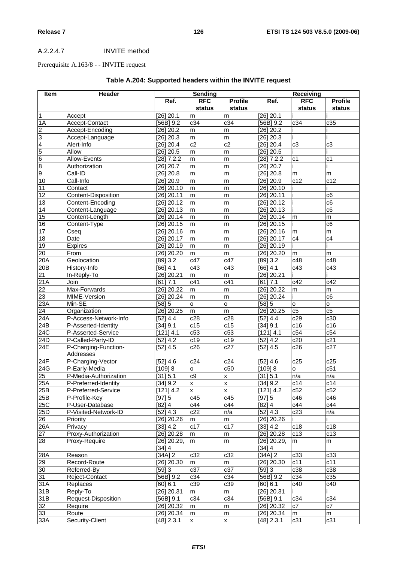# A.2.2.4.7 INVITE method

# Prerequisite A.163/8 - - INVITE request

| Item             | Header                            | Sending               |                      | <b>Receiving</b>         |                         |                      |                          |
|------------------|-----------------------------------|-----------------------|----------------------|--------------------------|-------------------------|----------------------|--------------------------|
|                  |                                   | Ref.                  | <b>RFC</b><br>status | <b>Profile</b><br>status | Ref.                    | <b>RFC</b><br>status | <b>Profile</b><br>status |
| $\overline{1}$   | Accept                            | [26] 20.1             | m                    | m                        | [26] 20.1               |                      |                          |
| 1A               | Accept-Contact                    | $[56B]$ 9.2           | c34                  | c34                      | $[56B]$ 9.2             | c34                  | c35                      |
| $\overline{c}$   | Accept-Encoding                   | [26] 20.2             | m                    | m                        | [26] 20.2               |                      |                          |
|                  | Accept-Language                   | [26] 20.3             | m                    | m                        | [26] 20.3               |                      |                          |
| $\frac{3}{4}$    | Alert-Info                        | [26] 20.4             | $\overline{c2}$      | c2                       | [26] 20.4               | c3                   | c3                       |
|                  | Allow                             | [26] 20.5             | m                    | m                        | [26] 20.5               |                      |                          |
| $\overline{6}$   | Allow-Events                      | $[28]$ 7.2.2          | m                    | m                        | $[28]$ 7.2.2            | c <sub>1</sub>       | c <sub>1</sub>           |
| $\frac{8}{9}$    | Authorization                     | [26] 20.7             | m                    | m                        | $[26]$ 20.7             |                      |                          |
|                  | Call-ID                           | [26] 20.8             | m                    | m                        | [26] 20.8               | m                    | m                        |
| 10               | Call-Info                         | [26] 20.9             | m                    | m                        | $[26]$ 20.9             | c12                  | c12                      |
| 11               | Contact                           | $[26]$ 20.10          | m                    | m                        | $[26]$ 20.10            |                      |                          |
| 12               | Content-Disposition               | $[26]$ 20.11          | m                    | m                        | $[26]$ 20.11            |                      | $\overline{c6}$          |
| $\overline{13}$  | Content-Encoding                  | $[26]$ 20.12          | m                    | m                        | $[26]$ 20.12            |                      | $\overline{c6}$          |
| 14               | Content-Language                  | [26] 20.13            | m                    | m                        | $[26]$ 20.13            |                      | c6                       |
| $\overline{15}$  | Content-Length                    | $[26]$ 20.14          | m                    | m                        | [26] 20.14              | m                    | m                        |
| $\overline{16}$  | Content-Type                      | $[26]$ 20.15          | m                    | m                        | $[26]$ 20.15            |                      | $\overline{c6}$          |
| 17               | Cseq                              | $[26]$ 20.16          | m                    | m                        | $[26]$ 20.16            | m                    | m                        |
| 18               | Date                              | $[26]$ 20.17          | m                    | m                        | $[26]$ 20.17            | c4                   | c4                       |
| 19               | Expires                           | $[26]$ 20.19          | m                    | m                        | [26] 20.19              |                      |                          |
| 20               | From                              | [26] 20.20            | m                    | m                        | [26] 20.20              | m                    | m                        |
| 20A              | Geolocation                       | [89] 3.2              | c47                  | c47                      | [89] 3.2                | c48                  | c48                      |
| 20B              | History-Info                      | $[66]$ 4.1            | c43                  | c43                      | [66] 4.1                | c43                  | $\overline{c43}$         |
| 21               | In-Reply-To                       | $[26]$ 20.21          | m                    | m                        | $[26]$ 20.21            |                      |                          |
| 21A              | Join                              | [61] 7.1              | c41                  | c41                      | 7.1<br>[61]             | c42                  | c42                      |
| 22               | Max-Forwards                      | 26] 20.22             | m                    | m                        | [26] 20.22              | m                    | m                        |
| 23               | MIME-Version                      | [26] 20.24            | m                    | m                        | [26] 20.24              |                      | $\overline{c6}$          |
| 23A              | Min-SE                            | [58] 5                | $\circ$              | o                        | [58] 5                  | $\mathsf{o}$         | $\overline{\mathbf{o}}$  |
| 24               | Organization                      | $[26]$ 20.25          | m                    | m                        | $[26]$ 20.25            | c5                   | c5                       |
| $\overline{24A}$ | P-Access-Network-Info             | [52] 4.4              | c28                  | c28                      | [52] 4.4                | c29                  | c30                      |
| $\overline{24B}$ | P-Asserted-Identity               | [34] 9.1              | c15                  | c15                      | [34] 9.1                | c16                  | c16                      |
| 24C              | P-Asserted-Service                | [121] 4.1             | c53                  | c53                      | [121] 4.1               | c54                  | c54                      |
| 24D              | P-Called-Party-ID                 | [52] 4.2              | c19                  | c19                      | [52] 4.2                | c20                  | c21                      |
| 24E              | P-Charging-Function-<br>Addresses | [52] 4.5              | c26                  | c27                      | [52] 4.5                | c26                  | c27                      |
| 24F              | P-Charging-Vector                 | [52] 4.6              | c24                  | c24                      | [52] 4.6                | c25                  | c25                      |
| 24G              | P-Early-Media                     | [109] 8               | 0                    | c50                      | [109] 8                 | $\mathsf{o}$         | c51                      |
| 25               | P-Media-Authorization             | [31] 5.1              | c9                   | X                        | [31] 5.1                | n/a                  | n/a                      |
| 25A              | P-Preferred-Identity              | [34] 9.2              | $\mathsf{x}$         | $\overline{\mathsf{x}}$  | [34] 9.2                | c14                  | c14                      |
| 25B              | P-Preferred-Service               | $[121]$ 4.2           | x                    | X                        | [121] 4.2               | c52                  | c52                      |
| 25B              | P-Profile-Key                     | [97] 5                | c45                  | c45                      | [97] 5                  | c46                  | c46                      |
| <b>25C</b>       | P-User-Database                   | [82] 4                | c44                  | c44                      | $[82]$ 4                | c44                  | c44                      |
| 25D              | P-Visited-Network-ID              | [52] 4.3              | c22                  | n/a                      | [52] 4.3                | c23                  | n/a                      |
| 26               | Priority                          | [26] 20.26            | m                    | m                        | $[26]$ 20.26            |                      |                          |
| 26A              | Privacy                           | [33] 4.2              | c17                  | c17                      | [33] 4.2                | c18                  | c18                      |
| $\overline{27}$  | Proxy-Authorization               | $[26]$ 20.28          | m                    | m                        | [26] 20.28              | c13                  | c13                      |
| 28               | Proxy-Require                     | [26] 20.29,<br>[34] 4 | m                    | m                        | $[26]$ 20.29,<br>[34] 4 | m                    | m                        |
| 28A              | Reason                            | $[34A]$ 2             | c32                  | c32                      | $[34A]$ 2               | c33                  | c33                      |
| $\overline{29}$  | Record-Route                      | [26] 20.30            | m                    | m                        | $[26]$ 20.30            | c11                  | c11                      |
| $\overline{30}$  | Referred-By                       | [59] 3                | c37                  | c37                      | [59] 3                  | c38                  | c38                      |
| 31               | Reject-Contact                    | [56B] 9.2             | c34                  | c34                      | [56B] 9.2               | c34                  | c35                      |
| 31A              | Replaces                          | [60] 6.1              | c39                  | c39                      | [60] 6.1                | c40                  | c40                      |
| 31B              | Reply-To                          | [26] 20.31            | m                    | m                        | $[26]$ 20.31            |                      |                          |
| 31B              | Request-Disposition               | [56B] 9.1             | c34                  | c34                      | $[56B]$ 9.1             | c34                  | c34                      |
| 32               | Require                           | [26] 20.32            | m                    | m                        | $[26]$ 20.32            | c7                   | c7                       |
| 33               | Route                             | $[26]$ 20.34          | m                    | m                        | $[26]$ 20.34            | m                    | m                        |
| 33A              | Security-Client                   | [48] 2.3.1            | X                    | $\mathsf{x}$             | $[48]$ 2.3.1            | c31                  | c31                      |

# **Table A.204: Supported headers within the INVITE request**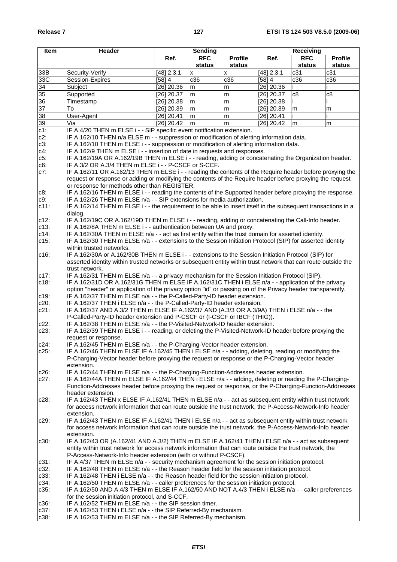| Item    | Header                                                                                                                                                  | <b>Sending</b> |            | Receiving      |              |            |                |
|---------|---------------------------------------------------------------------------------------------------------------------------------------------------------|----------------|------------|----------------|--------------|------------|----------------|
|         |                                                                                                                                                         | Ref.           | <b>RFC</b> | <b>Profile</b> | Ref.         | <b>RFC</b> | <b>Profile</b> |
|         |                                                                                                                                                         |                | status     | status         |              | status     | status         |
| 33B     | Security-Verify                                                                                                                                         | [48] 2.3.1     | X          | x              | [48] 2.3.1   | c31        | c31            |
| 33C     | Session-Expires                                                                                                                                         | [58] 4         | c36        | c36            | [58] 4       | c36        | c36            |
| 34      | Subject                                                                                                                                                 | [26] 20.36     | m          | m              | [26] 20.36   |            |                |
| 35      | Supported                                                                                                                                               | [26] 20.37     | m          | m              | $[26]$ 20.37 | c8         | c8             |
| 36      | Timestamp                                                                                                                                               | [26] 20.38     | m          | m              | [26] 20.38   |            |                |
| 37      | To                                                                                                                                                      | [26] 20.39     | m          | m              | $[26]$ 20.39 | m          | m              |
| 38      | User-Agent                                                                                                                                              | [26] 20.41     | m          | m              | $[26]$ 20.41 |            |                |
| 39      | Via                                                                                                                                                     | $[26]$ 20.42   | m          | m              | [26] 20.42   | m          | m              |
| $c1$ :  | IF A.4/20 THEN m ELSE i - - SIP specific event notification extension.                                                                                  |                |            |                |              |            |                |
| $c2$ :  | IF A.162/10 THEN n/a ELSE m - - suppression or modification of alerting information data.                                                               |                |            |                |              |            |                |
| $c3$ :  | IF A.162/10 THEN m ELSE i - - suppression or modification of alerting information data.                                                                 |                |            |                |              |            |                |
| c4:     | IF A.162/9 THEN m ELSE i - - insertion of date in requests and responses.                                                                               |                |            |                |              |            |                |
| $c5$ :  | IF A.162/19A OR A.162/19B THEN m ELSE i - - reading, adding or concatenating the Organization header.                                                   |                |            |                |              |            |                |
| $c6$ :  | IF A.3/2 OR A.3/4 THEN m ELSE i - - P-CSCF or S-CCF.                                                                                                    |                |            |                |              |            |                |
| $c7$ :  | IF A.162/11 OR A.162/13 THEN m ELSE i - - reading the contents of the Require header before proxying the                                                |                |            |                |              |            |                |
|         | request or response or adding or modifying the contents of the Require header before proxying the request                                               |                |            |                |              |            |                |
|         | or response for methods other than REGISTER.                                                                                                            |                |            |                |              |            |                |
| $c8$ :  | IF A.162/16 THEN m ELSE i - - reading the contents of the Supported header before proxying the response.                                                |                |            |                |              |            |                |
| c9:     | IF A.162/26 THEN m ELSE n/a - - SIP extensions for media authorization.                                                                                 |                |            |                |              |            |                |
| $c11$ : | IF A.162/14 THEN m ELSE i - - the requirement to be able to insert itself in the subsequent transactions in a                                           |                |            |                |              |            |                |
|         | dialog.                                                                                                                                                 |                |            |                |              |            |                |
| $c12$ : | IF A.162/19C OR A.162/19D THEN m ELSE i - - reading, adding or concatenating the Call-Info header.                                                      |                |            |                |              |            |                |
| $c13$ : | IF A.162/8A THEN m ELSE i - - authentication between UA and proxy.                                                                                      |                |            |                |              |            |                |
| $c14$ : | IF A.162/30A THEN m ELSE n/a - - act as first entity within the trust domain for asserted identity.                                                     |                |            |                |              |            |                |
| $c15$ : | IF A.162/30 THEN m ELSE n/a - - extensions to the Session Initiation Protocol (SIP) for asserted identity                                               |                |            |                |              |            |                |
|         | within trusted networks.                                                                                                                                |                |            |                |              |            |                |
| $c16$ : | IF A.162/30A or A.162/30B THEN m ELSE i - - extensions to the Session Initiation Protocol (SIP) for                                                     |                |            |                |              |            |                |
|         | asserted identity within trusted networks or subsequent entity within trust network that can route outside the                                          |                |            |                |              |            |                |
|         | trust network.                                                                                                                                          |                |            |                |              |            |                |
| $c17$ : | IF A.162/31 THEN m ELSE n/a - - a privacy mechanism for the Session Initiation Protocol (SIP).                                                          |                |            |                |              |            |                |
| $c18$ : | IF A.162/31D OR A.162/31G THEN m ELSE IF A.162/31C THEN i ELSE n/a - - application of the privacy                                                       |                |            |                |              |            |                |
|         | option "header" or application of the privacy option "id" or passing on of the Privacy header transparently.                                            |                |            |                |              |            |                |
| c19:    | IF A.162/37 THEN m ELSE n/a - - the P-Called-Party-ID header extension.                                                                                 |                |            |                |              |            |                |
| $c20$ : | IF A.162/37 THEN i ELSE n/a - - the P-Called-Party-ID header extension.                                                                                 |                |            |                |              |            |                |
| $c21$ : | IF A.162/37 AND A.3/2 THEN m ELSE IF A.162/37 AND (A.3/3 OR A.3/9A) THEN i ELSE n/a - - the                                                             |                |            |                |              |            |                |
| $c22$ : | P-Called-Party-ID header extension and P-CSCF or (I-CSCF or IBCF (THIG)).<br>IF A.162/38 THEN m ELSE n/a - - the P-Visited-Network-ID header extension. |                |            |                |              |            |                |
| $c23$ : | IF A.162/39 THEN m ELSE i - - reading, or deleting the P-Visited-Network-ID header before proxying the                                                  |                |            |                |              |            |                |
|         | request or response.                                                                                                                                    |                |            |                |              |            |                |
| $c24$ : | IF A.162/45 THEN m ELSE n/a - - the P-Charging-Vector header extension.                                                                                 |                |            |                |              |            |                |
| $c25$ : | IF A.162/46 THEN m ELSE IF A.162/45 THEN i ELSE n/a - - adding, deleting, reading or modifying the                                                      |                |            |                |              |            |                |
|         | P-Charging-Vector header before proxying the request or response or the P-Charging-Vector header                                                        |                |            |                |              |            |                |
|         | extension.                                                                                                                                              |                |            |                |              |            |                |
| $c26$ : | IF A.162/44 THEN m ELSE n/a - - the P-Charging-Function-Addresses header extension.                                                                     |                |            |                |              |            |                |
| $c27$ : | IF A.162/44A THEN m ELSE IF A.162/44 THEN i ELSE n/a - - adding, deleting or reading the P-Charging-                                                    |                |            |                |              |            |                |
|         | Function-Addresses header before proxying the request or response, or the P-Charging-Function-Addresses                                                 |                |            |                |              |            |                |
|         | header extension.                                                                                                                                       |                |            |                |              |            |                |
| $c28$ : | IF A.162/43 THEN x ELSE IF A.162/41 THEN m ELSE n/a - - act as subsequent entity within trust network                                                   |                |            |                |              |            |                |
|         | for access network information that can route outside the trust network, the P-Access-Network-Info header                                               |                |            |                |              |            |                |
|         | extension.                                                                                                                                              |                |            |                |              |            |                |
| $c29$ : | IF A.162/43 THEN m ELSE IF A.162/41 THEN i ELSE n/a - - act as subsequent entity within trust network                                                   |                |            |                |              |            |                |
|         | for access network information that can route outside the trust network, the P-Access-Network-Info header                                               |                |            |                |              |            |                |
|         | extension.                                                                                                                                              |                |            |                |              |            |                |
| $c30$ : | IF A.162/43 OR (A.162/41 AND A.3/2) THEN m ELSE IF A.162/41 THEN i ELSE n/a - - act as subsequent                                                       |                |            |                |              |            |                |
|         | entity within trust network for access network information that can route outside the trust network, the                                                |                |            |                |              |            |                |
|         | P-Access-Network-Info header extension (with or without P-CSCF).                                                                                        |                |            |                |              |            |                |
| c31:    | IF A.4/37 THEN m ELSE n/a - - security mechanism agreement for the session initiation protocol.                                                         |                |            |                |              |            |                |
| $c32$ : | IF A.162/48 THEN m ELSE n/a - - the Reason header field for the session initiation protocol.                                                            |                |            |                |              |            |                |
| $c33$ : | IF A.162/48 THEN i ELSE n/a - - the Reason header field for the session initiation protocol.                                                            |                |            |                |              |            |                |
| c34:    | IF A.162/50 THEN m ELSE n/a - - caller preferences for the session initiation protocol.                                                                 |                |            |                |              |            |                |
| $c35$ : | IF A.162/50 AND A.4/3 THEN m ELSE IF A.162/50 AND NOT A.4/3 THEN i ELSE n/a - - caller preferences                                                      |                |            |                |              |            |                |
|         | for the session initiation protocol, and S-CCF.                                                                                                         |                |            |                |              |            |                |
| c36:    | IF A.162/52 THEN m ELSE n/a - - the SIP session timer.                                                                                                  |                |            |                |              |            |                |
| $c37$ : | IF A.162/53 THEN i ELSE n/a - - the SIP Referred-By mechanism.                                                                                          |                |            |                |              |            |                |
| c38:    | IF A.162/53 THEN m ELSE n/a - - the SIP Referred-By mechanism.                                                                                          |                |            |                |              |            |                |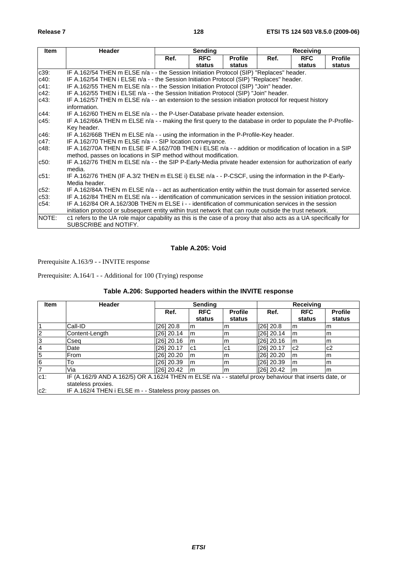| <b>Item</b> | <b>Header</b>                                                                                                    |      | <b>Sending</b> |                |      | Receiving  |                |
|-------------|------------------------------------------------------------------------------------------------------------------|------|----------------|----------------|------|------------|----------------|
|             |                                                                                                                  | Ref. | <b>RFC</b>     | <b>Profile</b> | Ref. | <b>RFC</b> | <b>Profile</b> |
|             |                                                                                                                  |      | status         | status         |      | status     | status         |
| c39:        | IF A.162/54 THEN m ELSE n/a - - the Session Initiation Protocol (SIP) "Replaces" header.                         |      |                |                |      |            |                |
| c40:        | IF A.162/54 THEN i ELSE n/a - - the Session Initiation Protocol (SIP) "Replaces" header.                         |      |                |                |      |            |                |
| $c41$ :     | IF A.162/55 THEN m ELSE n/a - - the Session Initiation Protocol (SIP) "Join" header.                             |      |                |                |      |            |                |
| $c42$ :     | IF A.162/55 THEN i ELSE n/a - - the Session Initiation Protocol (SIP) "Join" header.                             |      |                |                |      |            |                |
| c43:        | IF A.162/57 THEN m ELSE n/a - - an extension to the session initiation protocol for request history              |      |                |                |      |            |                |
|             | information.                                                                                                     |      |                |                |      |            |                |
| c44:        | IF A.162/60 THEN m ELSE n/a - - the P-User-Database private header extension.                                    |      |                |                |      |            |                |
| $c45$ :     | IF A.162/66A THEN m ELSE n/a - - making the first query to the database in order to populate the P-Profile-      |      |                |                |      |            |                |
|             | Key header.                                                                                                      |      |                |                |      |            |                |
| $c46$ :     | IF A.162/66B THEN m ELSE n/a - - using the information in the P-Profile-Key header.                              |      |                |                |      |            |                |
| $c47$ :     | IF A.162/70 THEN m ELSE n/a - - SIP location conveyance.                                                         |      |                |                |      |            |                |
| c48:        | IF A.162/70A THEN m ELSE IF A.162/70B THEN i ELSE n/a - - addition or modification of location in a SIP          |      |                |                |      |            |                |
|             | method, passes on locations in SIP method without modification.                                                  |      |                |                |      |            |                |
| c50:        | IF A.162/76 THEN m ELSE n/a - - the SIP P-Early-Media private header extension for authorization of early        |      |                |                |      |            |                |
|             | media.                                                                                                           |      |                |                |      |            |                |
| $c51$ :     | IF A.162/76 THEN (IF A.3/2 THEN m ELSE i) ELSE n/a - - P-CSCF, using the information in the P-Early-             |      |                |                |      |            |                |
|             | Media header.                                                                                                    |      |                |                |      |            |                |
| $c52$ :     | IF A.162/84A THEN m ELSE n/a - - act as authentication entity within the trust domain for asserted service.      |      |                |                |      |            |                |
| c53:        | IF A.162/84 THEN m ELSE n/a - - identification of communication services in the session initiation protocol.     |      |                |                |      |            |                |
| $c54$ :     | IF A.162/84 OR A.162/30B THEN m ELSE i - - identification of communication services in the session               |      |                |                |      |            |                |
|             | initiation protocol or subsequent entity within trust network that can route outside the trust network.          |      |                |                |      |            |                |
| NOTE:       | c1 refers to the UA role major capability as this is the case of a proxy that also acts as a UA specifically for |      |                |                |      |            |                |
|             | SUBSCRIBE and NOTIFY.                                                                                            |      |                |                |      |            |                |

## **Table A.205: Void**

Prerequisite A.163/9 - - INVITE response

Prerequisite: A.164/1 - - Additional for 100 (Trying) response

| <b>Item</b>     | <b>Header</b>                                                                                                                | Sending      |                      |                          |              | Receiving            |                          |
|-----------------|------------------------------------------------------------------------------------------------------------------------------|--------------|----------------------|--------------------------|--------------|----------------------|--------------------------|
|                 |                                                                                                                              | Ref.         | <b>RFC</b><br>status | <b>Profile</b><br>status | Ref.         | <b>RFC</b><br>status | <b>Profile</b><br>status |
| $\overline{1}$  | Call-ID                                                                                                                      | [26] 20.8    | l m                  | m                        | [26] 20.8    | m                    | m                        |
| $\frac{2}{3}$   | Content-Length                                                                                                               | $[26]$ 20.14 | m                    | l <sub>m</sub>           | $[26]$ 20.14 | m                    | m                        |
|                 | Cseq                                                                                                                         | $[26]$ 20.16 | lm.                  | m                        | $[26]$ 20.16 | m                    | m                        |
| $\overline{A}$  | Date                                                                                                                         | [26] 20.17   | lc1                  | lc1                      | $[26]$ 20.17 | c2                   | c2                       |
| $\overline{5}$  | From                                                                                                                         | [26] 20.20   | m                    | m                        | [26] 20.20   | m                    | m                        |
| $6\overline{6}$ | To                                                                                                                           | [26] 20.39   | m                    | m                        | [26] 20.39   | m                    | m                        |
| $\overline{7}$  | Via                                                                                                                          | [26] 20.42   | Im                   | m                        | $[26]$ 20.42 | m                    | m                        |
| $c1$ :          | IF (A.162/9 AND A.162/5) OR A.162/4 THEN m ELSE n/a - - stateful proxy behaviour that inserts date, or<br>stateless proxies. |              |                      |                          |              |                      |                          |
| $c2$ :          | IF A.162/4 THEN i ELSE m - - Stateless proxy passes on.                                                                      |              |                      |                          |              |                      |                          |

# **Table A.206: Supported headers within the INVITE response**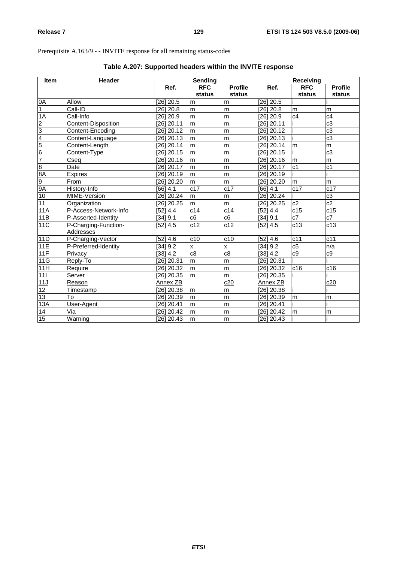# Prerequisite A.163/9 - - INVITE response for all remaining status-codes

| Item                                                                                                                                                                                                                                                                                                                | <b>Header</b>                     |              | Sending        |                |                 | Receiving        |                  |
|---------------------------------------------------------------------------------------------------------------------------------------------------------------------------------------------------------------------------------------------------------------------------------------------------------------------|-----------------------------------|--------------|----------------|----------------|-----------------|------------------|------------------|
|                                                                                                                                                                                                                                                                                                                     |                                   | Ref.         | <b>RFC</b>     | <b>Profile</b> | Ref.            | <b>RFC</b>       | <b>Profile</b>   |
|                                                                                                                                                                                                                                                                                                                     |                                   |              | status         | status         |                 | status           | status           |
| A0                                                                                                                                                                                                                                                                                                                  | Allow                             | [26] 20.5    | m              | m              | $[26]$ 20.5     |                  |                  |
| $\overline{1}$                                                                                                                                                                                                                                                                                                      | Call-ID                           | $[26]$ 20.8  | m              | m              | $[26]$ 20.8     | m                | m                |
| 1A                                                                                                                                                                                                                                                                                                                  | Call-Info                         | [26] 20.9    | m              | m              | $[26]$ 20.9     | c4               | c4               |
|                                                                                                                                                                                                                                                                                                                     | Content-Disposition               | [26] 20.11   | $\overline{m}$ | m              | $[26]$ 20.11    |                  | $\overline{c3}$  |
|                                                                                                                                                                                                                                                                                                                     | Content-Encoding                  | [26] 20.12   | m              | m              | $[26]$ 20.12    |                  | c3               |
|                                                                                                                                                                                                                                                                                                                     | Content-Language                  | [26] 20.13   | m              | m              | $[26]$ 20.13    |                  | $\overline{c3}$  |
|                                                                                                                                                                                                                                                                                                                     | Content-Length                    | [26] 20.14   | m              | m              | $[26]$ 20.14    | m                | m                |
|                                                                                                                                                                                                                                                                                                                     | Content-Type                      | $[26]$ 20.15 | m              | m              | $[26]$ 20.15    |                  | $\overline{c3}$  |
|                                                                                                                                                                                                                                                                                                                     | Cseq                              | [26] 20.16   | $\overline{m}$ | m              | $[26]$ 20.16    | m                | m                |
|                                                                                                                                                                                                                                                                                                                     | Date                              | [26] 20.17   | m              | m              | $[26]$ 20.17    | $\overline{c1}$  | c <sub>1</sub>   |
| $\frac{2}{3}$ $\frac{3}{4}$ $\frac{4}{5}$ $\frac{6}{8}$ $\frac{7}{8}$ $\frac{8}{8}$ $\frac{8}{9}$ $\frac{8}{9}$ $\frac{8}{9}$ $\frac{8}{9}$ $\frac{8}{9}$ $\frac{8}{9}$ $\frac{8}{9}$ $\frac{8}{9}$ $\frac{8}{9}$ $\frac{8}{9}$ $\frac{8}{9}$ $\frac{8}{9}$ $\frac{8}{9}$ $\frac{8}{9}$ $\frac{8}{9}$ $\frac{8}{9}$ | Expires                           | [26] 20.19   | m              | m              | $[26]$ 20.19    |                  |                  |
|                                                                                                                                                                                                                                                                                                                     | From                              | [26] 20.20   | m              | m              | $[26]$ 20.20    | m                | m                |
|                                                                                                                                                                                                                                                                                                                     | History-Info                      | [66] 4.1     | c17            | c17            | [66] 4.1        | $\overline{c17}$ | $\overline{c17}$ |
| 10                                                                                                                                                                                                                                                                                                                  | MIME-Version                      | [26] 20.24   | m              | m              | $[26]$ 20.24    |                  | $\overline{c3}$  |
| 11                                                                                                                                                                                                                                                                                                                  | Organization                      | [26] 20.25   | m              | m              | $[26]$ 20.25    | c2               | c2               |
| 11A                                                                                                                                                                                                                                                                                                                 | P-Access-Network-Info             | [52] 4.4     | c14            | c14            | [52] 4.4        | c15              | c15              |
| 11B                                                                                                                                                                                                                                                                                                                 | P-Asserted-Identity               | [34] 9.1     | c6             | c6             | [34] 9.1        | $\overline{c7}$  | $c\overline{7}$  |
| 11C                                                                                                                                                                                                                                                                                                                 | P-Charging-Function-<br>Addresses | [52] 4.5     | c12            | c12            | [52] 4.5        | $\overline{c13}$ | c13              |
| 11D                                                                                                                                                                                                                                                                                                                 | P-Charging-Vector                 | [52] 4.6     | c10            | c10            | [52] 4.6        | $\overline{c11}$ | c11              |
| 11E                                                                                                                                                                                                                                                                                                                 | P-Preferred-Identity              | [34] 9.2     | X              | X              | [34] 9.2        | c5               | n/a              |
| 11F                                                                                                                                                                                                                                                                                                                 | Privacy                           | [33] 4.2     | c8             | c8             | [33] 4.2        | c9               | c9               |
| 11G                                                                                                                                                                                                                                                                                                                 | Reply-To                          | [26] 20.31   | m              | m              | $[26]$ 20.31    |                  |                  |
| 11H                                                                                                                                                                                                                                                                                                                 | Require                           | [26] 20.32   | m              | m              | $[26]$ 20.32    | c16              | c16              |
| 111                                                                                                                                                                                                                                                                                                                 | Server                            | [26] 20.35   | m              | m              | $[26]$ 20.35    |                  |                  |
| 11J                                                                                                                                                                                                                                                                                                                 | Reason                            | Annex ZB     |                | c20            | <b>Annex ZB</b> |                  | c20              |
| $\overline{12}$                                                                                                                                                                                                                                                                                                     | Timestamp                         | [26] 20.38   | m              | m              | $[26]$ 20.38    |                  |                  |
| 13                                                                                                                                                                                                                                                                                                                  | To                                | [26] 20.39   | m              | m              | $[26]$ 20.39    | m                | m                |
| 13A                                                                                                                                                                                                                                                                                                                 | User-Agent                        | [26] 20.41   | m              | m              | $[26]$ 20.41    |                  |                  |
| 14                                                                                                                                                                                                                                                                                                                  | Via                               | $[26]$ 20.42 | m              | m              | $[26]$ 20.42    | m                | m                |
| 15                                                                                                                                                                                                                                                                                                                  | Warning                           | [26] 20.43   | m              | m              | $[26]$ 20.43    |                  |                  |

# **Table A.207: Supported headers within the INVITE response**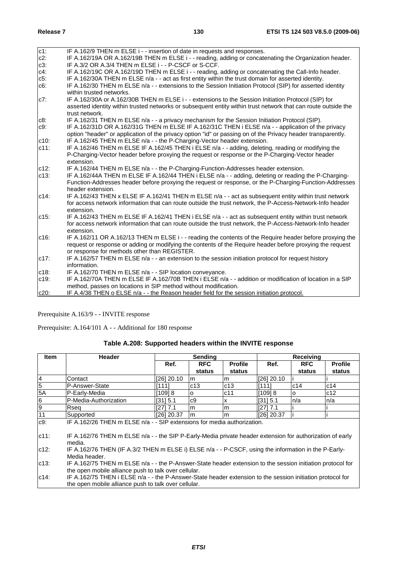| $c1$ :  | IF A.162/9 THEN m ELSE i - - insertion of date in requests and responses.                                      |
|---------|----------------------------------------------------------------------------------------------------------------|
| $c2$ :  | IF A.162/19A OR A.162/19B THEN m ELSE i - - reading, adding or concatenating the Organization header.          |
| $c3$ :  | IF A.3/2 OR A.3/4 THEN m ELSE i - - P-CSCF or S-CCF.                                                           |
| $c4$ :  | IF A.162/19C OR A.162/19D THEN m ELSE i - - reading, adding or concatenating the Call-Info header.             |
| $c5$ :  | IF A.162/30A THEN m ELSE n/a - - act as first entity within the trust domain for asserted identity.            |
| $c6$ :  | IF A.162/30 THEN m ELSE n/a - - extensions to the Session Initiation Protocol (SIP) for asserted identity      |
|         | within trusted networks.                                                                                       |
| $c7$ :  | IF A.162/30A or A.162/30B THEN m ELSE i - - extensions to the Session Initiation Protocol (SIP) for            |
|         | asserted identity within trusted networks or subsequent entity within trust network that can route outside the |
|         | trust network.                                                                                                 |
| c8:     | IF A.162/31 THEN m ELSE n/a - - a privacy mechanism for the Session Initiation Protocol (SIP).                 |
| $c9$ :  | IF A.162/31D OR A.162/31G THEN m ELSE IF A.162/31C THEN i ELSE n/a - - application of the privacy              |
|         | option "header" or application of the privacy option "id" or passing on of the Privacy header transparently.   |
| $c10$ : | IF A.162/45 THEN m ELSE n/a - - the P-Charging-Vector header extension.                                        |
| $c11$ : | IF A.162/46 THEN m ELSE IF A.162/45 THEN i ELSE n/a - - adding, deleting, reading or modifying the             |
|         | P-Charging-Vector header before proxying the request or response or the P-Charging-Vector header               |
|         | extension.                                                                                                     |
| $c12$ : | IF A.162/44 THEN m ELSE n/a - - the P-Charging-Function-Addresses header extension.                            |
| c13:    | IF A.162/44A THEN m ELSE IF A.162/44 THEN i ELSE n/a - - adding, deleting or reading the P-Charging-           |
|         | Function-Addresses header before proxying the request or response, or the P-Charging-Function-Addresses        |
|         | header extension.                                                                                              |
| $c14$ : | IF A.162/43 THEN x ELSE IF A.162/41 THEN m ELSE n/a - - act as subsequent entity within trust network          |
|         | for access network information that can route outside the trust network, the P-Access-Network-Info header      |
|         | extension.                                                                                                     |
| $c15$ : | IF A.162/43 THEN m ELSE IF A.162/41 THEN i ELSE n/a - - act as subsequent entity within trust network          |
|         | for access network information that can route outside the trust network, the P-Access-Network-Info header      |
|         | extension.                                                                                                     |
| c16:    | IF A.162/11 OR A.162/13 THEN m ELSE i - - reading the contents of the Require header before proxying the       |
|         | request or response or adding or modifying the contents of the Require header before proxying the request      |
|         | or response for methods other than REGISTER.                                                                   |
| $c17$ : | IF A.162/57 THEN m ELSE n/a - - an extension to the session initiation protocol for request history            |
|         | information.                                                                                                   |
| c18:    | IF A.162/70 THEN m ELSE n/a - - SIP location conveyance.                                                       |
| c19.    | IF A.162/70A THEN m ELSE IF A.162/70B THEN i ELSE n/a - - addition or modification of location in a SIP        |
|         | method, passes on locations in SIP method without modification.                                                |
| c20:    | IF A.4/38 THEN o ELSE n/a - - the Reason header field for the session initiation protocol.                     |

Prerequisite: A.164/101 A - - Additional for 180 response

| Table A.208: Supported headers within the INVITE response |  |
|-----------------------------------------------------------|--|
|-----------------------------------------------------------|--|

| <b>Item</b>    | <b>Header</b>                                                                                                                                                      | Sending    |                | <b>Receiving</b> |              |            |                |
|----------------|--------------------------------------------------------------------------------------------------------------------------------------------------------------------|------------|----------------|------------------|--------------|------------|----------------|
|                |                                                                                                                                                                    | Ref.       | <b>RFC</b>     | <b>Profile</b>   | Ref.         | <b>RFC</b> | <b>Profile</b> |
|                |                                                                                                                                                                    |            | status         | status           |              | status     | status         |
| 4              | Contact                                                                                                                                                            | [26] 20.10 | lm.            | m                | $[26]$ 20.10 |            |                |
| $\overline{5}$ | P-Answer-State                                                                                                                                                     | [111]      | c13            | c13              | [111]        | c14        | c14            |
| 5A             | P-Early-Media                                                                                                                                                      | [109] 8    | $\Omega$       | c11              | [109] 8      | O          | c12            |
| 6              | P-Media-Authorization                                                                                                                                              | [31] 5.1   | c9             | x                | [31] 5.1     | ln/a       | n/a            |
| $\overline{9}$ | Rsea                                                                                                                                                               | [27] 7.1   | m              | m                | [27] 7.1     |            |                |
| 11             | Supported                                                                                                                                                          | [26] 20.37 | l <sub>m</sub> | m                | [26] 20.37   |            |                |
| $c9$ :         | IF A.162/26 THEN m ELSE n/a - - SIP extensions for media authorization.                                                                                            |            |                |                  |              |            |                |
| $c11$ :        | IF A.162/76 THEN m ELSE n/a - - the SIP P-Early-Media private header extension for authorization of early<br>media.                                                |            |                |                  |              |            |                |
| $c12$ :        | IF A.162/76 THEN (IF A.3/2 THEN m ELSE i) ELSE n/a - - P-CSCF, using the information in the P-Early-<br>Media header.                                              |            |                |                  |              |            |                |
| c13:           | IF A.162/75 THEN m ELSE n/a - - the P-Answer-State header extension to the session initiation protocol for<br>the open mobile alliance push to talk over cellular. |            |                |                  |              |            |                |
| $c14$ :        | IF A.162/75 THEN i ELSE n/a - - the P-Answer-State header extension to the session initiation protocol for<br>the open mobile alliance push to talk over cellular. |            |                |                  |              |            |                |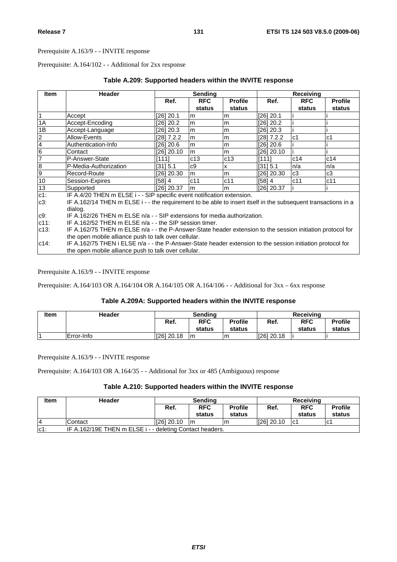Prerequisite: A.164/102 - - Additional for 2xx response

| <b>Item</b>    | <b>Header</b>                                                                                                 |              | <b>Sending</b> |                |            | Receiving      |                |
|----------------|---------------------------------------------------------------------------------------------------------------|--------------|----------------|----------------|------------|----------------|----------------|
|                |                                                                                                               | Ref.         | <b>RFC</b>     | <b>Profile</b> | Ref.       | <b>RFC</b>     | <b>Profile</b> |
|                |                                                                                                               |              | status         | status         |            | status         | status         |
| $\overline{1}$ | Accept                                                                                                        | [26] 20.1    | m              | m              | [26] 20.1  |                |                |
| 1A             | Accept-Encoding                                                                                               | [26] 20.2    | m              | m              | [26] 20.2  |                |                |
| 1B             | Accept-Language                                                                                               | [26] 20.3    | m              | m              | [26] 20.3  |                |                |
| $\overline{2}$ | Allow-Events                                                                                                  | [28] 7.2.2   | m              | m              | [28] 7.2.2 | c <sub>1</sub> | c1             |
| $\overline{4}$ | Authentication-Info                                                                                           | [26] 20.6    | m              | m              | [26] 20.6  |                |                |
| $\overline{6}$ | Contact                                                                                                       | [26] 20.10   | lm.            | m              | [26] 20.10 |                |                |
| 7              | P-Answer-State                                                                                                | [111]        | c13            | c13            | [111]      | c14            | c14            |
| $\overline{8}$ | P-Media-Authorization                                                                                         | [31] 5.1     | c9             | x              | [31] 5.1   | n/a            | n/a            |
| 9              | Record-Route                                                                                                  | [26] 20.30   | m              | m              | [26] 20.30 | c3             | c3             |
| 10             | Session-Expires                                                                                               | [58] 4       | c11            | c11            | [58] 4     | c11            | c11            |
| 13             | Supported                                                                                                     | $[26]$ 20.37 | lm.            | m              | [26] 20.37 |                |                |
| $c1$ :         | IF A.4/20 THEN m ELSE i - - SIP specific event notification extension.                                        |              |                |                |            |                |                |
| $c3$ :         | IF A.162/14 THEN m ELSE i - - the requirement to be able to insert itself in the subsequent transactions in a |              |                |                |            |                |                |
|                | dialog.                                                                                                       |              |                |                |            |                |                |
| c9.            | IF A.162/26 THEN m ELSE n/a - - SIP extensions for media authorization.                                       |              |                |                |            |                |                |
| $c11$ :        | IF A.162/52 THEN m ELSE n/a - - the SIP session timer.                                                        |              |                |                |            |                |                |
| $c13$ :        | IF A.162/75 THEN m ELSE n/a - - the P-Answer-State header extension to the session initiation protocol for    |              |                |                |            |                |                |
|                | the open mobile alliance push to talk over cellular.                                                          |              |                |                |            |                |                |
| $c14$ :        | IF A.162/75 THEN i ELSE n/a - - the P-Answer-State header extension to the session initiation protocol for    |              |                |                |            |                |                |
|                | the open mobile alliance push to talk over cellular.                                                          |              |                |                |            |                |                |

## **Table A.209: Supported headers within the INVITE response**

Prerequisite A.163/9 - - INVITE response

Prerequisite: A.164/103 OR A.164/104 OR A.164/105 OR A.164/106 - - Additional for 3xx – 6xx response

## **Table A.209A: Supported headers within the INVITE response**

| <b>Item</b> | <b>Header</b> | Sendina    |                      |                          | <b>Receiving</b> |                      |                          |
|-------------|---------------|------------|----------------------|--------------------------|------------------|----------------------|--------------------------|
|             |               | Ref.       | <b>RFC</b><br>status | <b>Profile</b><br>status | Ref.             | <b>RFC</b><br>status | <b>Profile</b><br>status |
|             |               |            |                      |                          |                  |                      |                          |
|             | Error-Info    | [26] 20.18 | Im                   | Im                       | $[26]$ 20.18     |                      |                          |

Prerequisite A.163/9 - - INVITE response

Prerequisite: A.164/103 OR A.164/35 - - Additional for 3xx or 485 (Ambiguous) response

## **Table A.210: Supported headers within the INVITE response**

| Item   | Header                                                   | <b>Sending</b> |                      |                          | <b>Receiving</b> |                      |                          |
|--------|----------------------------------------------------------|----------------|----------------------|--------------------------|------------------|----------------------|--------------------------|
|        |                                                          | Ref.           | <b>RFC</b><br>status | <b>Profile</b><br>status | Ref.             | <b>RFC</b><br>status | <b>Profile</b><br>status |
| 4      | Contact                                                  | IZ6120.10      | Im.                  | ım                       | 1261 20.10       | lc1                  | lc1                      |
| $c1$ : | IF A.162/19E THEN m ELSE i - - deleting Contact headers. |                |                      |                          |                  |                      |                          |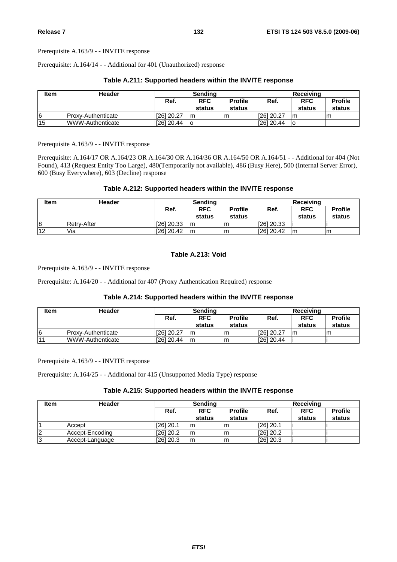Prerequisite: A.164/14 - - Additional for 401 (Unauthorized) response

| <b>Item</b> | Header                  | Sending      |                      |                          | Receiving  |                      |                          |
|-------------|-------------------------|--------------|----------------------|--------------------------|------------|----------------------|--------------------------|
|             |                         | Ref.         | <b>RFC</b><br>status | <b>Profile</b><br>status | Ref.       | <b>RFC</b><br>status | <b>Profile</b><br>status |
|             | IProxv-Authenticate     | [26] 20.27   | Im                   |                          | 1261 20.27 | m                    | m                        |
| 15          | <b>WWW-Authenticate</b> | $[26]$ 20.44 | lo                   |                          | [26] 20.44 | ١o                   |                          |

#### **Table A.211: Supported headers within the INVITE response**

Prerequisite A.163/9 - - INVITE response

Prerequisite: A.164/17 OR A.164/23 OR A.164/30 OR A.164/36 OR A.164/50 OR A.164/51 - - Additional for 404 (Not Found), 413 (Request Entity Too Large), 480(Temporarily not available), 486 (Busy Here), 500 (Internal Server Error), 600 (Busy Everywhere), 603 (Decline) response

## **Table A.212: Supported headers within the INVITE response**

| <b>Item</b> | Header             | Sendina    |                      |                          | Receiving  |                      |                          |
|-------------|--------------------|------------|----------------------|--------------------------|------------|----------------------|--------------------------|
|             |                    | Ref.       | <b>RFC</b><br>status | <b>Profile</b><br>status | Ref.       | <b>RFC</b><br>status | <b>Profile</b><br>status |
| 8           | <b>Retry-After</b> | [26] 20.33 | Im                   | ım                       | [26] 20.33 |                      |                          |
| 12          | Via                | [26] 20.42 | Im                   | Im                       | [26] 20.42 | l m                  | m                        |

## **Table A.213: Void**

Prerequisite A.163/9 - - INVITE response

Prerequisite: A.164/20 - - Additional for 407 (Proxy Authentication Required) response

## **Table A.214: Supported headers within the INVITE response**

| <b>Item</b>    | Header                  | Sendina      |                      |                          | Receiving  |                      |                          |  |
|----------------|-------------------------|--------------|----------------------|--------------------------|------------|----------------------|--------------------------|--|
|                |                         | Ref.         | <b>RFC</b><br>status | <b>Profile</b><br>status | Ref.       | <b>RFC</b><br>status | <b>Profile</b><br>status |  |
| 16             | IProxv-Authenticate     | [26] 20.27   | m                    | Im                       | [26] 20.27 | Im                   | m                        |  |
| $\overline{4}$ | <b>WWW-Authenticate</b> | $[26]$ 20.44 | Im                   | Im                       | 1261 20.44 |                      |                          |  |

Prerequisite A.163/9 - - INVITE response

Prerequisite: A.164/25 - - Additional for 415 (Unsupported Media Type) response

## **Table A.215: Supported headers within the INVITE response**

| <b>Item</b> | <b>Header</b>   | Sending                              |        |        | Receiving   |            |                |  |
|-------------|-----------------|--------------------------------------|--------|--------|-------------|------------|----------------|--|
|             |                 | <b>RFC</b><br><b>Profile</b><br>Ref. |        |        | Ref.        | <b>RFC</b> | <b>Profile</b> |  |
|             |                 |                                      | status | status |             | status     | status         |  |
|             | Accept          | [26] 20.1                            | Im     | Im.    | $[26]$ 20.1 |            |                |  |
| 12          | Accept-Encodina | [26] 20.2                            | Im     | m      | $[26]$ 20.2 |            |                |  |
| l3          | Accept-Language | [26] 20.3                            | Im     | m      | $[26]$ 20.3 |            |                |  |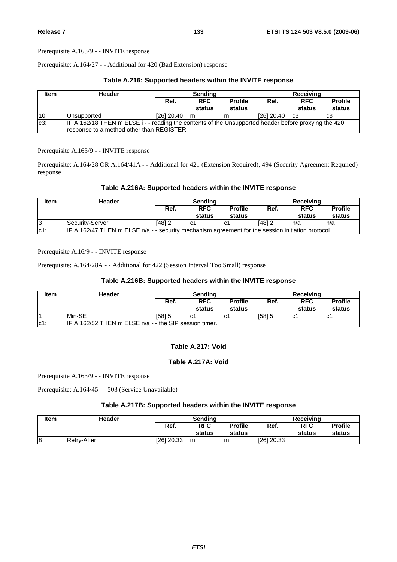Prerequisite: A.164/27 - - Additional for 420 (Bad Extension) response

## **Table A.216: Supported headers within the INVITE response**

| <b>Item</b> | Header                                                                                                                                            | <b>Sending</b> |                      |                          | <b>Receiving</b> |                      |                          |  |
|-------------|---------------------------------------------------------------------------------------------------------------------------------------------------|----------------|----------------------|--------------------------|------------------|----------------------|--------------------------|--|
|             |                                                                                                                                                   | Ref.           | <b>RFC</b><br>status | <b>Profile</b><br>status | Ref.             | <b>RFC</b><br>status | <b>Profile</b><br>status |  |
| 10          | <b>Unsupported</b>                                                                                                                                | [26] 20.40     | -Im                  |                          | 1261 20.40       | Ic3                  | c3                       |  |
| $c3$ :      | IF A.162/18 THEN m ELSE i - - reading the contents of the Unsupported header before proxying the 420<br>response to a method other than REGISTER. |                |                      |                          |                  |                      |                          |  |

Prerequisite A.163/9 - - INVITE response

Prerequisite: A.164/28 OR A.164/41A - - Additional for 421 (Extension Required), 494 (Security Agreement Required) response

## **Table A.216A: Supported headers within the INVITE response**

| <b>Item</b> | Header                                                                                            | Sendina |                      |                          | Receiving |                      |                          |
|-------------|---------------------------------------------------------------------------------------------------|---------|----------------------|--------------------------|-----------|----------------------|--------------------------|
|             |                                                                                                   | Ref.    | <b>RFC</b><br>status | <b>Profile</b><br>status | Ref.      | <b>RFC</b><br>status | <b>Profile</b><br>status |
| 13          | Security-Server                                                                                   | [48] 2  |                      |                          | [48] 2    | n/a                  | n/a                      |
| $ c1$ :     | IF A.162/47 THEN m ELSE n/a - - security mechanism agreement for the session initiation protocol. |         |                      |                          |           |                      |                          |

Prerequisite A.16/9 - - INVITE response

Prerequisite: A.164/28A - - Additional for 422 (Session Interval Too Small) response

## **Table A.216B: Supported headers within the INVITE response**

| Item   | Header                                                 | Sendina |                      |                          | Receiving |                      |                          |
|--------|--------------------------------------------------------|---------|----------------------|--------------------------|-----------|----------------------|--------------------------|
|        |                                                        | Ref.    | <b>RFC</b><br>status | <b>Profile</b><br>status | Ref.      | <b>RFC</b><br>status | <b>Profile</b><br>status |
|        | Min-SE                                                 | [58] 5  | lC.                  | lC.                      | [58] 5    | lC1                  | lc1                      |
| $c1$ : | IF A.162/52 THEN m ELSE n/a - - the SIP session timer. |         |                      |                          |           |                      |                          |

## **Table A.217: Void**

## **Table A.217A: Void**

Prerequisite A.163/9 - - INVITE response

Prerequisite: A.164/45 - - 503 (Service Unavailable)

## **Table A.217B: Supported headers within the INVITE response**

| Item | Header             | Sendina      |            |                | Receiving  |            |                |
|------|--------------------|--------------|------------|----------------|------------|------------|----------------|
|      |                    | Ref.         | <b>RFC</b> | <b>Profile</b> | Ref.       | <b>RFC</b> | <b>Profile</b> |
|      |                    |              | status     | status         |            | status     | status         |
| 18   | <b>Retry-After</b> | $[26]$ 20.33 | Im         |                | [26] 20.33 |            |                |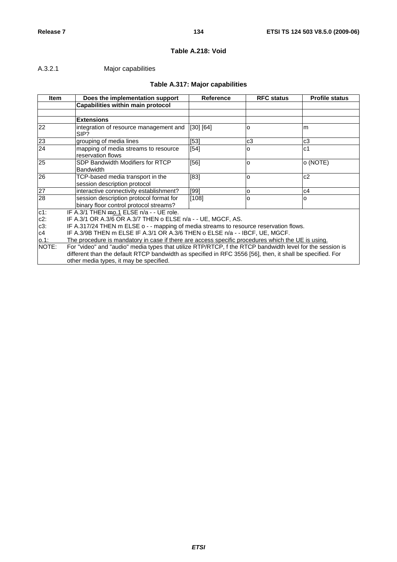# **Table A.218: Void**

# A.3.2.1 Major capabilities

# **Table A.317: Major capabilities**

| <b>Item</b>     | Does the implementation support                                                                                                                                                                                                                                  | Reference | <b>RFC status</b> | <b>Profile status</b> |  |  |  |  |
|-----------------|------------------------------------------------------------------------------------------------------------------------------------------------------------------------------------------------------------------------------------------------------------------|-----------|-------------------|-----------------------|--|--|--|--|
|                 | Capabilities within main protocol                                                                                                                                                                                                                                |           |                   |                       |  |  |  |  |
|                 |                                                                                                                                                                                                                                                                  |           |                   |                       |  |  |  |  |
|                 | <b>Extensions</b>                                                                                                                                                                                                                                                |           |                   |                       |  |  |  |  |
| 22              | integration of resource management and<br>SIP?                                                                                                                                                                                                                   | [30] [64] | O                 | m                     |  |  |  |  |
| 23              | grouping of media lines                                                                                                                                                                                                                                          | [53]      | c3                | c <sub>3</sub>        |  |  |  |  |
| 24              | mapping of media streams to resource<br>reservation flows                                                                                                                                                                                                        | $[54]$    | O                 | c <sub>1</sub>        |  |  |  |  |
| 25              | SDP Bandwidth Modifiers for RTCP<br><b>Bandwidth</b>                                                                                                                                                                                                             | $[56]$    | l0                | o (NOTE)              |  |  |  |  |
| $\overline{26}$ | TCP-based media transport in the<br>session description protocol                                                                                                                                                                                                 | $[83]$    | O                 | c2                    |  |  |  |  |
| 27              | interactive connectivity establishment?                                                                                                                                                                                                                          | [99]      | O                 | c4                    |  |  |  |  |
| 28              | session description protocol format for<br>binary floor control protocol streams?                                                                                                                                                                                | [108]     | O                 | o                     |  |  |  |  |
| $c1$ :          | IF A.3/1 THEN mo.1 ELSE n/a - - UE role.                                                                                                                                                                                                                         |           |                   |                       |  |  |  |  |
| $c2$ :          | IF A.3/1 OR A.3/6 OR A.3/7 THEN o ELSE n/a - - UE, MGCF, AS.                                                                                                                                                                                                     |           |                   |                       |  |  |  |  |
| $c3$ :          | IF A.317/24 THEN m ELSE o - - mapping of media streams to resource reservation flows.                                                                                                                                                                            |           |                   |                       |  |  |  |  |
| c4              | IF A.3/9B THEN m ELSE IF A.3/1 OR A.3/6 THEN o ELSE n/a - - IBCF, UE, MGCF.                                                                                                                                                                                      |           |                   |                       |  |  |  |  |
| 0.1:            | The procedure is mandatory in case if there are access specific procedures which the UE is using.                                                                                                                                                                |           |                   |                       |  |  |  |  |
| NOTE:           | For "video" and "audio" media types that utilize RTP/RTCP, f the RTCP bandwidth level for the session is<br>different than the default RTCP bandwidth as specified in RFC 3556 [56], then, it shall be specified. For<br>other media types, it may be specified. |           |                   |                       |  |  |  |  |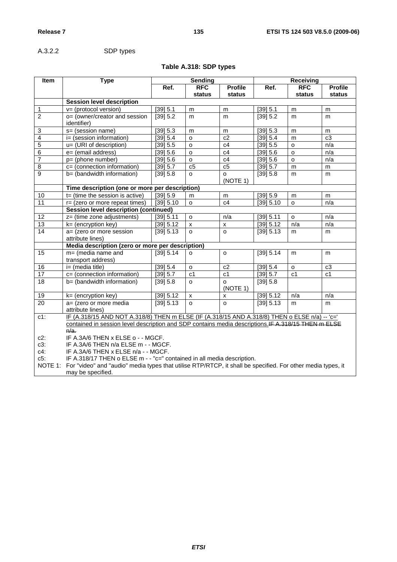A.3.2.2 SDP types

# **Table A.318: SDP types**

| Item            | <b>Type</b>                                                                                                                                                                                   |           | <b>Sending</b>     |                |                 | <b>Receiving</b> |                |  |
|-----------------|-----------------------------------------------------------------------------------------------------------------------------------------------------------------------------------------------|-----------|--------------------|----------------|-----------------|------------------|----------------|--|
|                 |                                                                                                                                                                                               | Ref.      | <b>RFC</b>         | <b>Profile</b> | Ref.            | <b>RFC</b>       | <b>Profile</b> |  |
|                 |                                                                                                                                                                                               |           | status             | status         |                 | status           | status         |  |
|                 | <b>Session level description</b>                                                                                                                                                              |           |                    |                |                 |                  |                |  |
| $\mathbf{1}$    | $v = (protocol version)$                                                                                                                                                                      | [39] 5.1  | m                  | m              | [39] 5.1        | m                | m              |  |
| $\overline{2}$  | o= (owner/creator and session                                                                                                                                                                 | [39] 5.2  | m                  | m              | [39] 5.2        | m                | m              |  |
|                 | <i>identifier</i> )                                                                                                                                                                           |           |                    |                |                 |                  |                |  |
| 3               | s= (session name)                                                                                                                                                                             | [39] 5.3  | m                  | m              | [39] 5.3        | m                | m              |  |
| 4               | i= (session information)                                                                                                                                                                      | [39] 5.4  | $\circ$            | c2             | [39] 5.4        | m                | c3             |  |
| $\overline{5}$  | u= (URI of description)                                                                                                                                                                       | [39] 5.5  | $\circ$            | c4             | [39] 5.5        | $\mathsf{o}$     | n/a            |  |
| 6               | e= (email address)                                                                                                                                                                            | [39] 5.6  | o                  | c4             | [39] 5.6        | $\mathsf{o}$     | n/a            |  |
| 7               | p= (phone number)                                                                                                                                                                             | [39] 5.6  | $\mathsf{o}$       | c4             | [39] 5.6        | $\circ$          | n/a            |  |
| 8               | c= (connection information)                                                                                                                                                                   | [39] 5.7  | c5                 | c5             | $\sqrt{39}$ 5.7 | m                | m              |  |
| 9               | b= (bandwidth information)                                                                                                                                                                    | [39] 5.8  | O                  | o              | [39] 5.8        | m                | m              |  |
|                 |                                                                                                                                                                                               |           |                    | (NOTE 1)       |                 |                  |                |  |
|                 | Time description (one or more per description)                                                                                                                                                |           |                    |                |                 |                  |                |  |
| $10$            | $t =$ (time the session is active)                                                                                                                                                            | [39] 5.9  | m                  | m              | [39] 5.9        | m                | m              |  |
| $\overline{11}$ | r= (zero or more repeat times)                                                                                                                                                                | [39] 5.10 | $\circ$            | c4             | [39] 5.10       | $\mathsf{o}$     | n/a            |  |
|                 | <b>Session level description (continued)</b>                                                                                                                                                  |           |                    |                |                 |                  |                |  |
| $\overline{12}$ | z= (time zone adjustments)                                                                                                                                                                    | [39] 5.11 | $\Omega$           | n/a            | [39] 5.11       | $\circ$          | n/a            |  |
| 13              | $k = (encryption key)$                                                                                                                                                                        | [39] 5.12 | $\pmb{\mathsf{X}}$ | X              | [39] 5.12       | n/a              | n/a            |  |
| $\overline{14}$ | a= (zero or more session                                                                                                                                                                      | [39] 5.13 | $\Omega$           | $\Omega$       | [39] 5.13       | m                | m              |  |
|                 | attribute lines)                                                                                                                                                                              |           |                    |                |                 |                  |                |  |
|                 | Media description (zero or more per description)                                                                                                                                              |           |                    |                |                 |                  |                |  |
| $\overline{15}$ | $m=$ (media name and                                                                                                                                                                          | [39] 5.14 | o                  | $\circ$        | [39] 5.14       | m                | m              |  |
|                 | transport address)                                                                                                                                                                            |           |                    |                |                 |                  |                |  |
| 16              | i= (media title)                                                                                                                                                                              | [39] 5.4  | o                  | c2             | [39] 5.4        | o                | c3             |  |
| 17              | c= (connection information)                                                                                                                                                                   | [39] 5.7  | c <sub>1</sub>     | c <sub>1</sub> | [39] 5.7        | c <sub>1</sub>   | c <sub>1</sub> |  |
| $\overline{18}$ | b= (bandwidth information)                                                                                                                                                                    | [39] 5.8  | $\Omega$           | $\Omega$       | [39] 5.8        |                  |                |  |
|                 |                                                                                                                                                                                               |           |                    | (NOTE 1)       |                 |                  |                |  |
| 19              | k= (encryption key)                                                                                                                                                                           | [39] 5.12 | $\pmb{\times}$     | $\pmb{\times}$ | [39] 5.12       | n/a              | n/a            |  |
| $\overline{20}$ | a= (zero or more media                                                                                                                                                                        | [39] 5.13 | $\circ$            | o              | [39] 5.13       | m                | m              |  |
|                 | attribute lines)                                                                                                                                                                              |           |                    |                |                 |                  |                |  |
| $c1$ :          | IF (A.318/15 AND NOT A.318/8) THEN m ELSE (IF (A.318/15 AND A.318/8) THEN o ELSE n/a) -- 'c='                                                                                                 |           |                    |                |                 |                  |                |  |
|                 | contained in session level description and SDP contains media descriptions. IF A.318/15 THEN m ELSE                                                                                           |           |                    |                |                 |                  |                |  |
|                 | $n/a$ .                                                                                                                                                                                       |           |                    |                |                 |                  |                |  |
| $c2$ :          | IF A.3A/6 THEN x ELSE o - - MGCF.                                                                                                                                                             |           |                    |                |                 |                  |                |  |
| $c3$ :          | IF A.3A/6 THEN n/a ELSE m - - MGCF.                                                                                                                                                           |           |                    |                |                 |                  |                |  |
| $c4$ :          | IF A.3A/6 THEN x ELSE n/a - - MGCF.                                                                                                                                                           |           |                    |                |                 |                  |                |  |
| $c5$ :          | IF A.318/17 THEN o ELSE m - - "c=" contained in all media description.<br>NOTE 1: For "video" and "audio" media types that utilise RTP/RTCP, it shall be specified. For other media types, it |           |                    |                |                 |                  |                |  |
|                 |                                                                                                                                                                                               |           |                    |                |                 |                  |                |  |
|                 | may be specified.                                                                                                                                                                             |           |                    |                |                 |                  |                |  |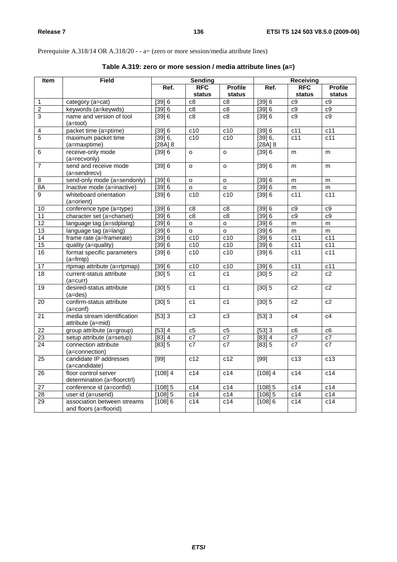# Prerequisite A.318/14 OR A.318/20 - - a= (zero or more session/media attribute lines)

| Item            | <b>Field</b>                | Sending        |                     |                     | <b>Receiving</b>    |                  |                 |
|-----------------|-----------------------------|----------------|---------------------|---------------------|---------------------|------------------|-----------------|
|                 |                             | Ref.           | <b>RFC</b>          | <b>Profile</b>      | Ref.                | <b>RFC</b>       | <b>Profile</b>  |
|                 |                             |                | status              | status              |                     | status           | <b>status</b>   |
| 1               | category (a=cat)            | [39] 6         | c8                  | c8                  | [39] 6              | c9               | c9              |
| $\overline{2}$  | keywords (a=keywds)         | [39] 6         | c8                  | c8                  | [39] 6              | c9               | c9              |
| $\overline{3}$  | name and version of tool    | [39] 6         | c8                  | c8                  | [39] 6              | c9               | c9              |
|                 | $(a = tool)$                |                |                     |                     |                     |                  |                 |
| 4               | packet time (a=ptime)       | [39] 6         | c10                 | c10                 | [39] 6              | $\overline{c11}$ | c11             |
| $\overline{5}$  | maximum packet time         | [39] 6,        | $\overline{c10}$    | $\overline{c10}$    | [39] 6,             | $\overline{c11}$ | c11             |
|                 | (a=maxptime)                | $[28A]$ $8$    |                     |                     | $[28A]$ $8$         |                  |                 |
| $\overline{6}$  | receive-only mode           | [39] 6         | $\circ$             | $\circ$             | [39] 6              | m                | m               |
|                 | (a=recvonly)                |                |                     |                     |                     |                  |                 |
| $\overline{7}$  | send and receive mode       | [39] 6         | $\mathsf{o}\xspace$ | $\mathsf{o}\xspace$ | [39] 6              | m                | m               |
|                 | (a=sendrecv)                |                |                     |                     |                     |                  |                 |
| $\overline{8}$  | send-only mode (a=sendonly) | [39] 6         | $\circ$             | $\circ$             | [39] 6              | m                | m               |
| 8A              | Inactive mode (a=inactive)  | [39] 6         | 0                   | $\circ$             | [39] 6              | m                | m               |
| $\overline{9}$  | whiteboard orientation      | [39] 6         | c10                 | c10                 | [39] 6              | c11              | c11             |
|                 | (a=orient)                  |                |                     |                     |                     |                  |                 |
| 10              | conference type (a=type)    | [39] 6         | $\overline{c8}$     | $\overline{c8}$     | [39] 6              | c9               | c9              |
| $\overline{11}$ | character set (a=charset)   | [39] 6         | $\overline{c8}$     | c8                  | [39] 6              | c9               | c9              |
| $\overline{12}$ | language tag (a=sdplang)    | [39] 6         | $\circ$             | $\circ$             | [39] 6              | m                | m               |
| 13              | language tag (a=lang)       | [39] 6         | $\circ$             | $\circ$             | $\sqrt{39}6$        | m                | m               |
| 14              | frame rate (a=framerate)    | [39] 6         | c10                 | c10                 | [39] 6              | $\overline{c11}$ | c11             |
| 15              | quality (a=quality)         | [39] 6         | c10                 | c10                 | [39] 6              | c11              | c11             |
| $\overline{16}$ | format specific parameters  | [39] 6         | $\overline{c10}$    | c10                 | [39] 6              | c11              | c11             |
|                 | $(a=fmtp)$                  |                |                     |                     |                     |                  |                 |
| $\overline{17}$ | rtpmap attribute (a=rtpmap) | [39] 6         | c10                 | c10                 | $\overline{[39]}$ 6 | c11              | c11             |
| 18              | current-status attribute    | $[30]$ 5       | c <sub>1</sub>      | c <sub>1</sub>      | $[30]$ 5            | c2               | c2              |
|                 | $(a=curr)$                  |                |                     |                     |                     |                  |                 |
| 19              | desired-status attribute    | $[30]$ 5       | c <sub>1</sub>      | c <sub>1</sub>      | $[30]$ 5            | c2               | c2              |
|                 | $(a = des)$                 |                |                     |                     |                     |                  |                 |
| 20              | confirm-status attribute    | $[30]$ 5       | c1                  | c1                  | $[30]$ 5            | c2               | c2              |
|                 | $(a=conf)$                  |                |                     |                     |                     |                  |                 |
| $\overline{21}$ | media stream identification | [53]3          | c3                  | c3                  | [53]3               | c4               | c4              |
|                 | attribute (a=mid)           |                |                     |                     |                     |                  |                 |
| $\overline{22}$ | group attribute (a=group)   | [53] 4         | c5                  | c5                  | $\overline{[53]}3$  | $\overline{c6}$  | c6              |
| 23              | setup attribute (a=setup)   | [83] 4         | c7                  | $\overline{c7}$     | $[83]$ 4            | c7               | $\overline{c7}$ |
| $\overline{24}$ | connection attribute        | $\sqrt{[83]}5$ | c7                  | $\overline{c7}$     | [83] 5              | c7               | c7              |
|                 | (a=connection)              |                |                     |                     |                     |                  |                 |
| $\overline{25}$ | candidate IP addresses      | [99]           | c12                 | c12                 | $[99]$              | $\overline{c13}$ | c13             |
|                 | (a=candidate)               |                |                     |                     |                     |                  |                 |
| 26              | floor control server        | $[108]$ 4      | c14                 | c14                 | $[108]$ 4           | c14              | c14             |
|                 | determination (a=floorctrl) |                |                     |                     |                     |                  |                 |
| $\overline{27}$ | conference id (a=confid)    | $[108]$ 5      | c14                 | c14                 | $[108]$ 5           | c14              | c14             |
| $\overline{28}$ | user id (a=userid)          | $[108]$ 5      | c14                 | c14                 | $[108]$ 5           | c14              | c14             |
| 29              | association between streams | [108] 6        | c14                 | c14                 | [108] 6             | c14              | c14             |
|                 | and floors (a=floorid)      |                |                     |                     |                     |                  |                 |

# **Table A.319: zero or more session / media attribute lines (a=)**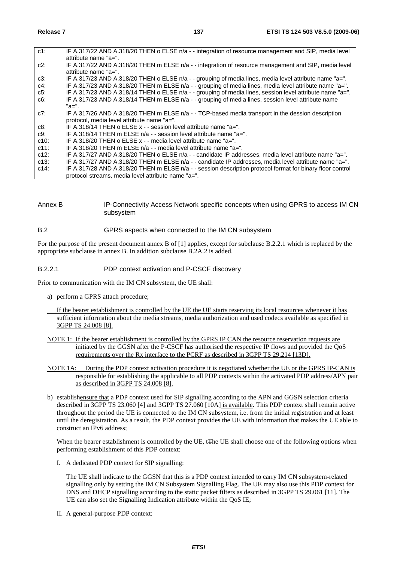| $c1$ :  | IF A.317/22 AND A.318/20 THEN o ELSE n/a - - integration of resource management and SIP, media level      |
|---------|-----------------------------------------------------------------------------------------------------------|
|         | attribute name "a=".                                                                                      |
| $c2$ :  | IF A.317/22 AND A.318/20 THEN m ELSE n/a - - integration of resource management and SIP, media level      |
|         | attribute name "a=".                                                                                      |
| $c3$ :  | IF A.317/23 AND A.318/20 THEN o ELSE n/a - - grouping of media lines, media level attribute name "a=".    |
| $c4$ :  | IF A.317/23 AND A.318/20 THEN m ELSE n/a - - grouping of media lines, media level attribute name "a=".    |
| c5:     | IF A.317/23 AND A.318/14 THEN o ELSE n/a - - grouping of media lines, session level attribute name "a=".  |
| c6:     | IF A.317/23 AND A.318/14 THEN m ELSE n/a - - grouping of media lines, session level attribute name        |
|         | "а=".                                                                                                     |
| c7:     | IF A.317/26 AND A.318/20 THEN m ELSE n/a - - TCP-based media transport in the dession description         |
|         | protocol, media level attribute name "a=".                                                                |
| c8:     | IF A.318/14 THEN o ELSE $x - 5$ session level attribute name "a=".                                        |
| c9:     | IF A.318/14 THEN m ELSE $n/a$ - - session level attribute name "a=".                                      |
| c10:    | IF A.318/20 THEN o ELSE $x -$ - media level attribute name "a=".                                          |
| c11:    | IF A.318/20 THEN m ELSE $n/a$ - - media level attribute name "a=".                                        |
| c12:    | IF A.317/27 AND A.318/20 THEN o ELSE n/a - - candidate IP addresses, media level attribute name "a=".     |
| $c13$ : | IF A.317/27 AND A.318/20 THEN m ELSE n/a - - candidate IP addresses, media level attribute name "a=".     |
| $c14$ : | IF A.317/28 AND A.318/20 THEN m ELSE n/a - - session description protocol format for binary floor control |
|         | protocol streams, media level attribute name "a=".                                                        |

Annex B IP-Connectivity Access Network specific concepts when using GPRS to access IM CN subsystem

#### B.2 GPRS aspects when connected to the IM CN subsystem

For the purpose of the present document annex B of [1] applies, except for subclause B.2.2.1 which is replaced by the appropriate subclause in annex B. In addition subclause B.2A.2 is added.

#### B.2.2.1 PDP context activation and P-CSCF discovery

Prior to communication with the IM CN subsystem, the UE shall:

- a) perform a GPRS attach procedure;
- If the bearer establishment is controlled by the UE the UE starts reserving its local resources whenever it has sufficient information about the media streams, media authorization and used codecs available as specified in 3GPP TS 24.008 [8].
- NOTE 1: If the bearer establishment is controlled by the GPRS IP CAN the resource reservation requests are initiated by the GGSN after the P-CSCF has authorised the respective IP flows and provided the QoS requirements over the Rx interface to the PCRF as described in 3GPP TS 29.214 [13D].
- NOTE 1A: During the PDP context activation procedure it is negotiated whether the UE or the GPRS IP-CAN is responsible for establishing the applicable to all PDP contexts within the activated PDP address/APN pair as described in 3GPP TS 24.008 [8].
- b) establishensure that a PDP context used for SIP signalling according to the APN and GGSN selection criteria described in 3GPP TS 23.060 [4] and 3GPP TS 27.060 [10A] is available. This PDP context shall remain active throughout the period the UE is connected to the IM CN subsystem, i.e. from the initial registration and at least until the deregistration. As a result, the PDP context provides the UE with information that makes the UE able to construct an IPv6 address;

When the bearer establishment is controlled by the UE, t<sub>the</sub> UE shall choose one of the following options when performing establishment of this PDP context:

I. A dedicated PDP context for SIP signalling:

The UE shall indicate to the GGSN that this is a PDP context intended to carry IM CN subsystem-related signalling only by setting the IM CN Subsystem Signalling Flag. The UE may also use this PDP context for DNS and DHCP signalling according to the static packet filters as described in 3GPP TS 29.061 [11]. The UE can also set the Signalling Indication attribute within the QoS IE;

II. A general-purpose PDP context: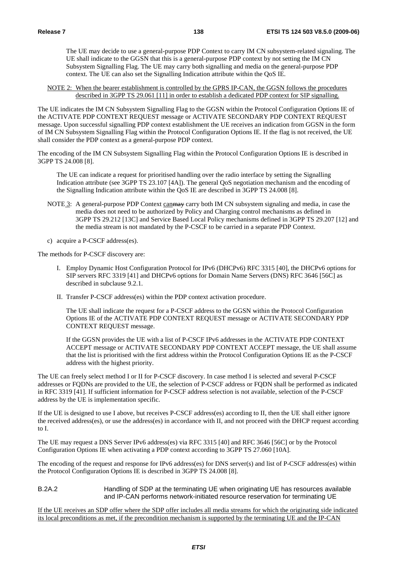The UE may decide to use a general-purpose PDP Context to carry IM CN subsystem-related signaling. The UE shall indicate to the GGSN that this is a general-purpose PDP context by not setting the IM CN Subsystem Signalling Flag. The UE may carry both signalling and media on the general-purpose PDP context. The UE can also set the Signalling Indication attribute within the QoS IE.

NOTE 2: When the bearer establishment is controlled by the GPRS IP-CAN, the GGSN follows the procedures described in 3GPP TS 29.061 [11] in order to establish a dedicated PDP context for SIP signalling.

The UE indicates the IM CN Subsystem Signalling Flag to the GGSN within the Protocol Configuration Options IE of the ACTIVATE PDP CONTEXT REQUEST message or ACTIVATE SECONDARY PDP CONTEXT REQUEST message. Upon successful signalling PDP context establishment the UE receives an indication from GGSN in the form of IM CN Subsystem Signalling Flag within the Protocol Configuration Options IE. If the flag is not received, the UE shall consider the PDP context as a general-purpose PDP context.

The encoding of the IM CN Subsystem Signalling Flag within the Protocol Configuration Options IE is described in 3GPP TS 24.008 [8].

 The UE can indicate a request for prioritised handling over the radio interface by setting the Signalling Indication attribute (see 3GPP TS 23.107 [4A]). The general QoS negotiation mechanism and the encoding of the Signalling Indication attribute within the QoS IE are described in 3GPP TS 24.008 [8].

- NOTE 3: A general-purpose PDP Context can<del>may</del> carry both IM CN subsystem signaling and media, in case the media does not need to be authorized by Policy and Charging control mechanisms as defined in 3GPP TS 29.212 [13C] and Service Based Local Policy mechanisms defined in 3GPP TS 29.207 [12] and the media stream is not mandated by the P-CSCF to be carried in a separate PDP Context.
- c) acquire a P-CSCF address(es).

The methods for P-CSCF discovery are:

- I. Employ Dynamic Host Configuration Protocol for IPv6 (DHCPv6) RFC 3315 [40], the DHCPv6 options for SIP servers RFC 3319 [41] and DHCPv6 options for Domain Name Servers (DNS) RFC 3646 [56C] as described in subclause 9.2.1.
- II. Transfer P-CSCF address(es) within the PDP context activation procedure.

 The UE shall indicate the request for a P-CSCF address to the GGSN within the Protocol Configuration Options IE of the ACTIVATE PDP CONTEXT REQUEST message or ACTIVATE SECONDARY PDP CONTEXT REQUEST message.

 If the GGSN provides the UE with a list of P-CSCF IPv6 addresses in the ACTIVATE PDP CONTEXT ACCEPT message or ACTIVATE SECONDARY PDP CONTEXT ACCEPT message, the UE shall assume that the list is prioritised with the first address within the Protocol Configuration Options IE as the P-CSCF address with the highest priority.

The UE can freely select method I or II for P-CSCF discovery. In case method I is selected and several P-CSCF addresses or FQDNs are provided to the UE, the selection of P-CSCF address or FQDN shall be performed as indicated in RFC 3319 [41]. If sufficient information for P-CSCF address selection is not available, selection of the P-CSCF address by the UE is implementation specific.

If the UE is designed to use I above, but receives P-CSCF address(es) according to II, then the UE shall either ignore the received address(es), or use the address(es) in accordance with II, and not proceed with the DHCP request according to I.

The UE may request a DNS Server IPv6 address(es) via RFC 3315 [40] and RFC 3646 [56C] or by the Protocol Configuration Options IE when activating a PDP context according to 3GPP TS 27.060 [10A].

The encoding of the request and response for IPv6 address(es) for DNS server(s) and list of P-CSCF address(es) within the Protocol Configuration Options IE is described in 3GPP TS 24.008 [8].

B.2A.2 Handling of SDP at the terminating UE when originating UE has resources available and IP-CAN performs network-initiated resource reservation for terminating UE

If the UE receives an SDP offer where the SDP offer includes all media streams for which the originating side indicated its local preconditions as met, if the precondition mechanism is supported by the terminating UE and the IP-CAN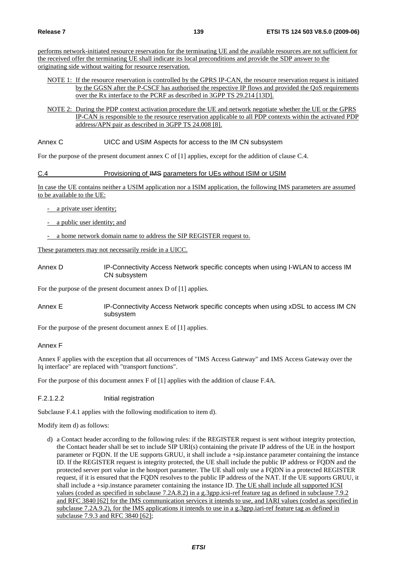performs network-initiated resource reservation for the terminating UE and the available resources are not sufficient for the received offer the terminating UE shall indicate its local preconditions and provide the SDP answer to the originating side without waiting for resource reservation.

- NOTE 1: If the resource reservation is controlled by the GPRS IP-CAN, the resource reservation request is initiated by the GGSN after the P-CSCF has authorised the respective IP flows and provided the QoS requirements over the Rx interface to the PCRF as described in 3GPP TS 29.214 [13D].
- NOTE 2: During the PDP context activation procedure the UE and network negotiate whether the UE or the GPRS IP-CAN is responsible to the resource reservation applicable to all PDP contexts within the activated PDP address/APN pair as described in 3GPP TS 24.008 [8].

Annex C UICC and USIM Aspects for access to the IM CN subsystem

For the purpose of the present document annex C of [1] applies, except for the addition of clause C.4.

## C.4 Provisioning of IMS parameters for UEs without ISIM or USIM

In case the UE contains neither a USIM application nor a ISIM application, the following IMS parameters are assumed to be available to the UE:

- a private user identity;
- a public user identity; and

- a home network domain name to address the SIP REGISTER request to.

These parameters may not necessarily reside in a UICC.

Annex D **IP-Connectivity Access Network specific concepts when using I-WLAN to access IM** CN subsystem

For the purpose of the present document annex D of [1] applies.

Annex E IP-Connectivity Access Network specific concepts when using xDSL to access IM CN subsystem

For the purpose of the present document annex E of [1] applies.

Annex F

Annex F applies with the exception that all occurrences of "IMS Access Gateway" and IMS Access Gateway over the Iq interface" are replaced with "transport functions".

For the purpose of this document annex F of [1] applies with the addition of clause F.4A.

F.2.1.2.2 Initial registration

Subclause F.4.1 applies with the following modification to item d).

Modify item d) as follows:

d) a Contact header according to the following rules: if the REGISTER request is sent without integrity protection, the Contact header shall be set to include SIP URI(s) containing the private IP address of the UE in the hostport parameter or FQDN. If the UE supports GRUU, it shall include a +sip.instance parameter containing the instance ID. If the REGISTER request is integrity protected, the UE shall include the public IP address or FQDN and the protected server port value in the hostport parameter. The UE shall only use a FQDN in a protected REGISTER request, if it is ensured that the FQDN resolves to the public IP address of the NAT. If the UE supports GRUU, it shall include a +sip.instance parameter containing the instance ID. The UE shall include all supported ICSI values (coded as specified in subclause 7.2A.8.2) in a g.3gpp.icsi-ref feature tag as defined in subclause 7.9.2 and RFC 3840 [62] for the IMS communication services it intends to use, and IARI values (coded as specified in subclause 7.2A.9.2), for the IMS applications it intends to use in a g.3gpp.iari-ref feature tag as defined in subclause 7.9.3 and RFC 3840 [62];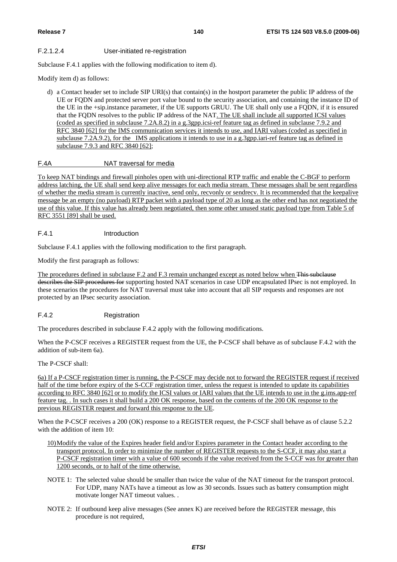## F.2.1.2.4 User-initiated re-registration

Subclause F.4.1 applies with the following modification to item d).

Modify item d) as follows:

d) a Contact header set to include SIP URI(s) that contain(s) in the hostport parameter the public IP address of the UE or FQDN and protected server port value bound to the security association, and containing the instance ID of the UE in the +sip.instance parameter, if the UE supports GRUU. The UE shall only use a FQDN, if it is ensured that the FQDN resolves to the public IP address of the NAT. The UE shall include all supported ICSI values (coded as specified in subclause 7.2A.8.2) in a g.3gpp.icsi-ref feature tag as defined in subclause 7.9.2 and RFC 3840 [62] for the IMS communication services it intends to use, and IARI values (coded as specified in subclause 7.2A.9.2), for the IMS applications it intends to use in a g.3gpp.iari-ref feature tag as defined in subclause 7.9.3 and RFC 3840 [62];

## F.4A NAT traversal for media

To keep NAT bindings and firewall pinholes open with uni-directional RTP traffic and enable the C-BGF to perform address latching, the UE shall send keep alive messages for each media stream. These messages shall be sent regardless of whether the media stream is currently inactive, send only, recvonly or sendrecv. It is recommended that the keepalive message be an empty (no payload) RTP packet with a payload type of 20 as long as the other end has not negotiated the use of this value. If this value has already been negotiated, then some other unused static payload type from Table 5 of RFC 3551 [89] shall be used.

## F.4.1 Introduction

Subclause F.4.1 applies with the following modification to the first paragraph.

Modify the first paragraph as follows:

The procedures defined in subclause F.2 and F.3 remain unchanged except as noted below when This subclause describes the SIP procedures for supporting hosted NAT scenarios in case UDP encapsulated IPsec is not employed. In these scenarios the procedures for NAT traversal must take into account that all SIP requests and responses are not protected by an IPsec security association.

## F.4.2 Registration

The procedures described in subclause F.4.2 apply with the following modifications.

When the P-CSCF receives a REGISTER request from the UE, the P-CSCF shall behave as of subclause F.4.2 with the addition of sub-item 6a).

The P-CSCF shall:

6a) If a P-CSCF registration timer is running, the P-CSCF may decide not to forward the REGISTER request if received half of the time before expiry of the S-CCF registration timer, unless the request is intended to update its capabilities according to RFC 3840 [62] or to modify the ICSI values or IARI values that the UE intends to use in the g.ims.app-ref feature tag. . In such cases it shall build a 200 OK response, based on the contents of the 200 OK response to the previous REGISTER request and forward this response to the UE.

When the P-CSCF receives a 200 (OK) response to a REGISTER request, the P-CSCF shall behave as of clause 5.2.2 with the addition of item 10:

- 10) Modify the value of the Expires header field and/or Expires parameter in the Contact header according to the transport protocol. In order to minimize the number of REGISTER requests to the S-CCF, it may also start a P-CSCF registration timer with a value of 600 seconds if the value received from the S-CCF was for greater than 1200 seconds, or to half of the time otherwise.
- NOTE 1: The selected value should be smaller than twice the value of the NAT timeout for the transport protocol. For UDP, many NATs have a timeout as low as 30 seconds. Issues such as battery consumption might motivate longer NAT timeout values. .
- NOTE 2: If outbound keep alive messages (See annex K) are received before the REGISTER message, this procedure is not required,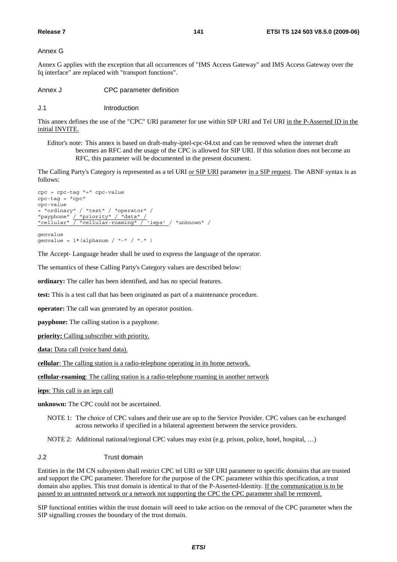Annex G

Annex G applies with the exception that all occurrences of "IMS Access Gateway" and IMS Access Gateway over the Iq interface" are replaced with "transport functions".

Annex J CPC parameter definition

J.1 Introduction

This annex defines the use of the "CPC" URI parameter for use within SIP URI and Tel URI in the P-Asserted ID in the initial INVITE.

Editor's note: This annex is based on draft-mahy-iptel-cpc-04.txt and can be removed when the internet draft becomes an RFC and the usage of the CPC is allowed for SIP URI. If this solution does not become an RFC, this parameter will be documented in the present document.

The Calling Party's Category is represented as a tel URI or SIP URI parameter in a SIP request. The ABNF syntax is as follows:

```
cpc = cpc-tag "=" cpc-value 
cpc-tag = "cpc" 
cpc-value 
= "ordinary" / "test" / "operator" / 
"payphone" / "priority" / "data" / 
"cellular" / "cellular-roaming" / 'ieps' / "unknown" / 
genvalue
```
 $\text{genvalue} = 1*(\text{alphant} / \text{ " - " / " . " )})$ 

The Accept- Language header shall be used to express the language of the operator.

The semantics of these Calling Party's Category values are described below:

**ordinary:** The caller has been identified, and has no special features.

**test:** This is a test call that has been originated as part of a maintenance procedure.

**operator:** The call was generated by an operator position.

**payphone:** The calling station is a payphone.

**priority:** Calling subscriber with priority.

**data:** Data call (voice band data).

**cellular**: The calling station is a radio-telephone operating in its home network.

**cellular**-**roaming**: The calling station is a radio-telephone roaming in another network

**ieps**: This call is an ieps call

**unknown:** The CPC could not be ascertained.

NOTE 1: The choice of CPC values and their use are up to the Service Provider. CPC values can be exchanged across networks if specified in a bilateral agreement between the service providers.

NOTE 2: Additional national/regional CPC values may exist (e.g. prison, police, hotel, hospital, …)

#### J.2 Trust domain

Entities in the IM CN subsystem shall restrict CPC tel URI or SIP URI parameter to specific domains that are trusted and support the CPC parameter. Therefore for the purpose of the CPC parameter within this specification, a trust domain also applies. This trust domain is identical to that of the P-Asserted-Identity. If the communication is to be passed to an untrusted network or a network not supporting the CPC the CPC parameter shall be removed.

SIP functional entities within the trust domain will need to take action on the removal of the CPC parameter when the SIP signalling crosses the boundary of the trust domain.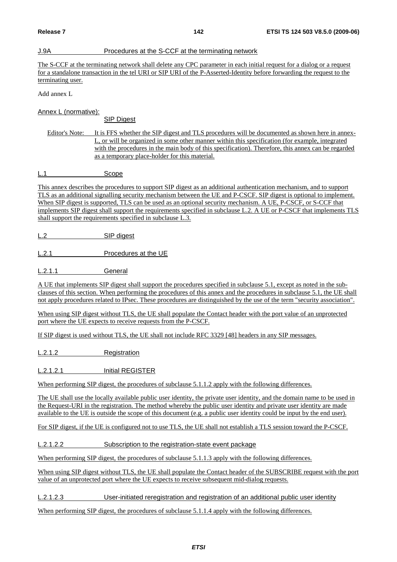## J.9A Procedures at the S-CCF at the terminating network

The S-CCF at the terminating network shall delete any CPC parameter in each initial request for a dialog or a request for a standalone transaction in the tel URI or SIP URI of the P-Asserted-Identity before forwarding the request to the terminating user.

Add annex L

Annex L (normative):

SIP Digest

Editor's Note: It is FFS whether the SIP digest and TLS procedures will be documented as shown here in annex-L, or will be organized in some other manner within this specification (for example, integrated with the procedures in the main body of this specification). Therefore, this annex can be regarded as a temporary place-holder for this material.

L.1 Scope

This annex describes the procedures to support SIP digest as an additional authentication mechanism, and to support TLS as an additional signalling security mechanism between the UE and P-CSCF. SIP digest is optional to implement. When SIP digest is supported. TLS can be used as an optional security mechanism. A UE, P-CSCF, or S-CCF that implements SIP digest shall support the requirements specified in subclause L.2. A UE or P-CSCF that implements TLS shall support the requirements specified in subclause L.3.

L.2 SIP digest

L.2.1 Procedures at the UE

L.2.1.1 General

A UE that implements SIP digest shall support the procedures specified in subclause 5.1, except as noted in the subclauses of this section. When performing the procedures of this annex and the procedures in subclause 5.1, the UE shall not apply procedures related to IPsec. These procedures are distinguished by the use of the term "security association".

When using SIP digest without TLS, the UE shall populate the Contact header with the port value of an unprotected port where the UE expects to receive requests from the P-CSCF.

If SIP digest is used without TLS, the UE shall not include RFC 3329 [48] headers in any SIP messages.

L.2.1.2 Registration

L.2.1.2.1 Initial REGISTER

When performing SIP digest, the procedures of subclause 5.1.1.2 apply with the following differences.

The UE shall use the locally available public user identity, the private user identity, and the domain name to be used in the Request-URI in the registration. The method whereby the public user identity and private user identity are made available to the UE is outside the scope of this document (e.g. a public user identity could be input by the end user).

For SIP digest, if the UE is configured not to use TLS, the UE shall not establish a TLS session toward the P-CSCF.

L.2.1.2.2 Subscription to the registration-state event package

When performing SIP digest, the procedures of subclause 5.1.1.3 apply with the following differences.

When using SIP digest without TLS, the UE shall populate the Contact header of the SUBSCRIBE request with the port value of an unprotected port where the UE expects to receive subsequent mid-dialog requests.

L.2.1.2.3 User-initiated reregistration and registration of an additional public user identity

When performing SIP digest, the procedures of subclause 5.1.1.4 apply with the following differences.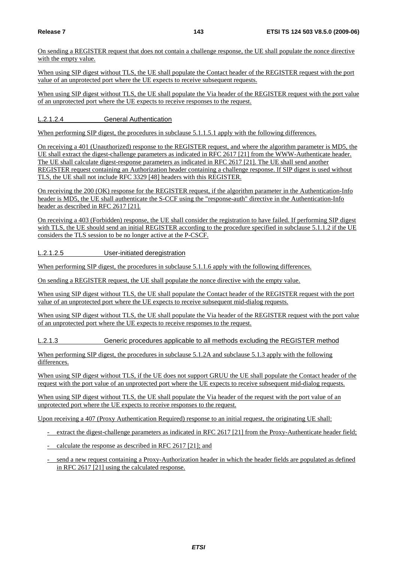On sending a REGISTER request that does not contain a challenge response, the UE shall populate the nonce directive with the empty value.

When using SIP digest without TLS, the UE shall populate the Contact header of the REGISTER request with the port value of an unprotected port where the UE expects to receive subsequent requests.

When using SIP digest without TLS, the UE shall populate the Via header of the REGISTER request with the port value of an unprotected port where the UE expects to receive responses to the request.

L.2.1.2.4 General Authentication

When performing SIP digest, the procedures in subclause 5.1.1.5.1 apply with the following differences.

On receiving a 401 (Unauthorized) response to the REGISTER request, and where the algorithm parameter is MD5, the UE shall extract the digest-challenge parameters as indicated in RFC 2617 [21] from the WWW-Authenticate header. The UE shall calculate digest-response parameters as indicated in RFC 2617 [21]. The UE shall send another REGISTER request containing an Authorization header containing a challenge response. If SIP digest is used without TLS, the UE shall not include RFC 3329 [48] headers with this REGISTER.

On receiving the 200 (OK) response for the REGISTER request, if the algorithm parameter in the Authentication-Info header is MD5, the UE shall authenticate the S-CCF using the "response-auth" directive in the Authentication-Info header as described in RFC 2617 [21].

On receiving a 403 (Forbidden) response, the UE shall consider the registration to have failed. If performing SIP digest with TLS, the UE should send an initial REGISTER according to the procedure specified in subclause 5.1.1.2 if the UE considers the TLS session to be no longer active at the P-CSCF.

L.2.1.2.5 User-initiated deregistration

When performing SIP digest, the procedures in subclause 5.1.1.6 apply with the following differences.

On sending a REGISTER request, the UE shall populate the nonce directive with the empty value.

When using SIP digest without TLS, the UE shall populate the Contact header of the REGISTER request with the port value of an unprotected port where the UE expects to receive subsequent mid-dialog requests.

When using SIP digest without TLS, the UE shall populate the Via header of the REGISTER request with the port value of an unprotected port where the UE expects to receive responses to the request.

L.2.1.3 Generic procedures applicable to all methods excluding the REGISTER method

When performing SIP digest, the procedures in subclause 5.1.2A and subclause 5.1.3 apply with the following differences.

When using SIP digest without TLS, if the UE does not support GRUU the UE shall populate the Contact header of the request with the port value of an unprotected port where the UE expects to receive subsequent mid-dialog requests.

When using SIP digest without TLS, the UE shall populate the Via header of the request with the port value of an unprotected port where the UE expects to receive responses to the request.

Upon receiving a 407 (Proxy Authentication Required) response to an initial request, the originating UE shall:

- extract the digest-challenge parameters as indicated in RFC 2617 [21] from the Proxy-Authenticate header field;
- calculate the response as described in RFC 2617 [21]; and
- send a new request containing a Proxy-Authorization header in which the header fields are populated as defined in RFC 2617 [21] using the calculated response.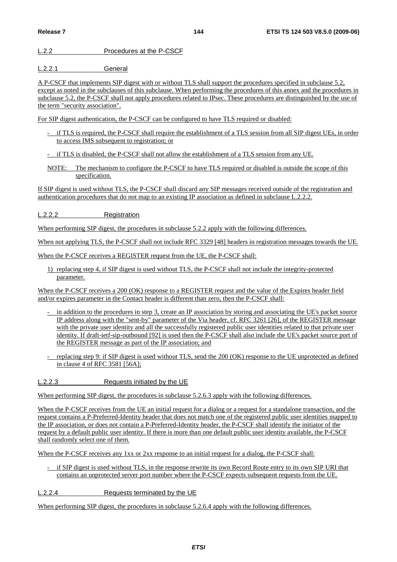## L.2.2 Procedures at the P-CSCF

L.2.2.1 General

A P-CSCF that implements SIP digest with or without TLS shall support the procedures specified in subclause 5.2, except as noted in the subclauses of this subclause. When performing the procedures of this annex and the procedures in subclause 5.2, the P-CSCF shall not apply procedures related to IPsec. These procedures are distinguished by the use of the term "security association".

For SIP digest authentication, the P-CSCF can be configured to have TLS required or disabled:

- if TLS is required, the P-CSCF shall require the establishment of a TLS session from all SIP digest UEs, in order to access IMS subsequent to registration; or
- if TLS is disabled, the P-CSCF shall not allow the establishment of a TLS session from any UE.
- NOTE: The mechanism to configure the P-CSCF to have TLS required or disabled is outside the scope of this specification.

If SIP digest is used without TLS, the P-CSCF shall discard any SIP messages received outside of the registration and authentication procedures that do not map to an existing IP association as defined in subclause L.2.2.2.

L.2.2.2 Registration

When performing SIP digest, the procedures in subclause 5.2.2 apply with the following differences.

When not applying TLS, the P-CSCF shall not include RFC 3329 [48] headers in registration messages towards the UE.

When the P-CSCF receives a REGISTER request from the UE, the P-CSCF shall:

1) replacing step 4, if SIP digest is used without TLS, the P-CSCF shall not include the integrity-protected parameter.

When the P-CSCF receives a 200 (OK) response to a REGISTER request and the value of the Expires header field and/or expires parameter in the Contact header is different than zero, then the P-CSCF shall:

- in addition to the procedures in step 3, create an IP association by storing and associating the UE's packet source IP address along with the "sent-by" parameter of the Via header, cf. RFC 3261 [26], of the REGISTER message with the private user identity and all the successfully registered public user identities related to that private user identity. If draft-ietf-sip-outbound [92] is used then the P-CSCF shall also include the UE's packet source port of the REGISTER message as part of the IP association; and
- replacing step 9: if SIP digest is used without TLS, send the 200 (OK) response to the UE unprotected as defined in clause 4 of RFC 3581 [56A];
- L.2.2.3 Requests initiated by the UE

When performing SIP digest, the procedures in subclause 5.2.6.3 apply with the following differences.

When the P-CSCF receives from the UE an initial request for a dialog or a request for a standalone transaction, and the request contains a P-Preferred-Identity header that does not match one of the registered public user identities mapped to the IP association, or does not contain a P-Preferred-Identity header, the P-CSCF shall identify the initiator of the request by a default public user identity. If there is more than one default public user identity available, the P-CSCF shall randomly select one of them.

When the P-CSCF receives any 1xx or 2xx response to an initial request for a dialog, the P-CSCF shall:

- if SIP digest is used without TLS, in the response rewrite its own Record Route entry to its own SIP URI that contains an unprotected server port number where the P-CSCF expects subsequent requests from the UE.
- L.2.2.4 Requests terminated by the UE

When performing SIP digest, the procedures in subclause 5.2.6.4 apply with the following differences.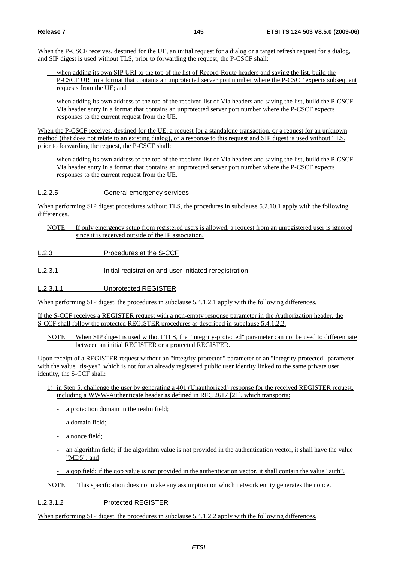When the P-CSCF receives, destined for the UE, an initial request for a dialog or a target refresh request for a dialog, and SIP digest is used without TLS, prior to forwarding the request, the P-CSCF shall:

- when adding its own SIP URI to the top of the list of Record-Route headers and saving the list, build the P-CSCF URI in a format that contains an unprotected server port number where the P-CSCF expects subsequent requests from the UE; and
- when adding its own address to the top of the received list of Via headers and saving the list, build the P-CSCF Via header entry in a format that contains an unprotected server port number where the P-CSCF expects responses to the current request from the UE.

When the P-CSCF receives, destined for the UE, a request for a standalone transaction, or a request for an unknown method (that does not relate to an existing dialog), or a response to this request and SIP digest is used without TLS, prior to forwarding the request, the P-CSCF shall:

when adding its own address to the top of the received list of Via headers and saving the list, build the P-CSCF Via header entry in a format that contains an unprotected server port number where the P-CSCF expects responses to the current request from the UE.

L.2.2.5 General emergency services

When performing SIP digest procedures without TLS, the procedures in subclause 5.2.10.1 apply with the following differences.

- NOTE: If only emergency setup from registered users is allowed, a request from an unregistered user is ignored since it is received outside of the IP association.
- L.2.3 Procedures at the S-CCF
- L.2.3.1 **Initial registration and user-initiated reregistration**
- L.2.3.1.1 Unprotected REGISTER

When performing SIP digest, the procedures in subclause 5.4.1.2.1 apply with the following differences.

If the S-CCF receives a REGISTER request with a non-empty response parameter in the Authorization header, the S-CCF shall follow the protected REGISTER procedures as described in subclause 5.4.1.2.2.

NOTE: When SIP digest is used without TLS, the "integrity-protected" parameter can not be used to differentiate between an initial REGISTER or a protected REGISTER.

Upon receipt of a REGISTER request without an "integrity-protected" parameter or an "integrity-protected" parameter with the value "tls-yes", which is not for an already registered public user identity linked to the same private user identity, the S-CCF shall:

- 1) in Step 5, challenge the user by generating a 401 (Unauthorized) response for the received REGISTER request, including a WWW-Authenticate header as defined in RFC 2617 [21], which transports:
	- a protection domain in the realm field;
	- a domain field;
	- a nonce field;
	- an algorithm field; if the algorithm value is not provided in the authentication vector, it shall have the value "MD5"; and
	- a qop field; if the qop value is not provided in the authentication vector, it shall contain the value "auth".

NOTE: This specification does not make any assumption on which network entity generates the nonce.

- L.2.3.1.2 Protected REGISTER
- When performing SIP digest, the procedures in subclause 5.4.1.2.2 apply with the following differences.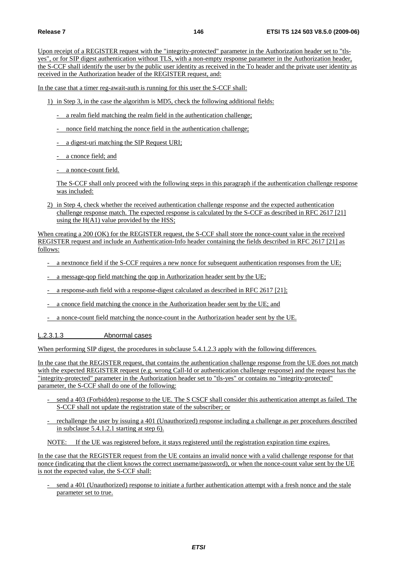Upon receipt of a REGISTER request with the "integrity-protected" parameter in the Authorization header set to "tlsyes", or for SIP digest authentication without TLS, with a non-empty response parameter in the Authorization header, the S-CCF shall identify the user by the public user identity as received in the To header and the private user identity as received in the Authorization header of the REGISTER request, and:

In the case that a timer reg-await-auth is running for this user the S-CCF shall:

1) in Step 3, in the case the algorithm is MD5, check the following additional fields:

- a realm field matching the realm field in the authentication challenge;
- nonce field matching the nonce field in the authentication challenge;
- a digest-uri matching the SIP Request URI;
- a cnonce field; and
- a nonce-count field.

 The S-CCF shall only proceed with the following steps in this paragraph if the authentication challenge response was included:

2) in Step 4, check whether the received authentication challenge response and the expected authentication challenge response match. The expected response is calculated by the S-CCF as described in RFC 2617 [21] using the  $H(A1)$  value provided by the HSS;

When creating a 200 (OK) for the REGISTER request, the S-CCF shall store the nonce-count value in the received REGISTER request and include an Authentication-Info header containing the fields described in RFC 2617 [21] as follows:

- a nextnonce field if the S-CCF requires a new nonce for subsequent authentication responses from the UE;
- a message-qop field matching the qop in Authorization header sent by the UE;
- a response-auth field with a response-digest calculated as described in RFC 2617 [21];
- a cnonce field matching the cnonce in the Authorization header sent by the UE; and
- a nonce-count field matching the nonce-count in the Authorization header sent by the UE.

#### L.2.3.1.3 Abnormal cases

When performing SIP digest, the procedures in subclause 5.4.1.2.3 apply with the following differences.

In the case that the REGISTER request, that contains the authentication challenge response from the UE does not match with the expected REGISTER request (e.g. wrong Call-Id or authentication challenge response) and the request has the "integrity-protected" parameter in the Authorization header set to "tls-yes" or contains no "integrity-protected" parameter, the S-CCF shall do one of the following:

- send a 403 (Forbidden) response to the UE. The S CSCF shall consider this authentication attempt as failed. The S-CCF shall not update the registration state of the subscriber; or
- rechallenge the user by issuing a 401 (Unauthorized) response including a challenge as per procedures described in subclause 5.4.1.2.1 starting at step 6).

NOTE: If the UE was registered before, it stays registered until the registration expiration time expires.

In the case that the REGISTER request from the UE contains an invalid nonce with a valid challenge response for that nonce (indicating that the client knows the correct username/password), or when the nonce-count value sent by the UE is not the expected value, the S-CCF shall:

send a 401 (Unauthorized) response to initiate a further authentication attempt with a fresh nonce and the stale parameter set to true.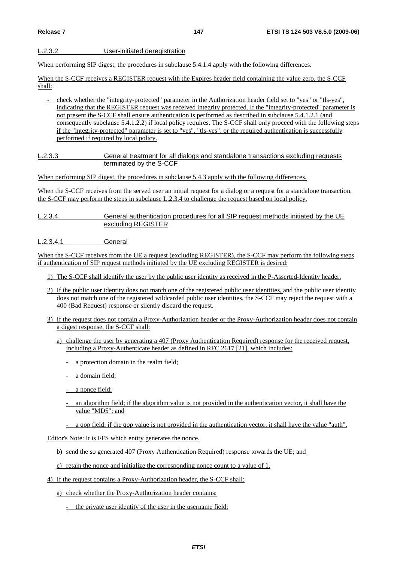### L.2.3.2 User-initiated deregistration

When performing SIP digest, the procedures in subclause 5.4.1.4 apply with the following differences.

When the S-CCF receives a REGISTER request with the Expires header field containing the value zero, the S-CCF shall:

- check whether the "integrity-protected" parameter in the Authorization header field set to "yes" or "tls-yes", indicating that the REGISTER request was received integrity protected. If the "integrity-protected" parameter is not present the S-CCF shall ensure authentication is performed as described in subclause 5.4.1.2.1 (and consequently subclause 5.4.1.2.2) if local policy requires. The S-CCF shall only proceed with the following steps if the "integrity-protected" parameter is set to "yes", "tls-yes", or the required authentication is successfully performed if required by local policy.

#### L.2.3.3 General treatment for all dialogs and standalone transactions excluding requests terminated by the S-CCF

When performing SIP digest, the procedures in subclause 5.4.3 apply with the following differences.

When the S-CCF receives from the served user an initial request for a dialog or a request for a standalone transaction, the S-CCF may perform the steps in subclause L.2.3.4 to challenge the request based on local policy.

L.2.3.4 General authentication procedures for all SIP request methods initiated by the UE excluding REGISTER

L.2.3.4.1 General

When the S-CCF receives from the UE a request (excluding REGISTER), the S-CCF may perform the following steps if authentication of SIP request methods initiated by the UE excluding REGISTER is desired:

1) The S-CCF shall identify the user by the public user identity as received in the P-Asserted-Identity header.

- 2) If the public user identity does not match one of the registered public user identities, and the public user identity does not match one of the registered wildcarded public user identities, the S-CCF may reject the request with a 400 (Bad Request) response or silently discard the request.
- 3) If the request does not contain a Proxy-Authorization header or the Proxy-Authorization header does not contain a digest response, the S-CCF shall:
	- a) challenge the user by generating a 407 (Proxy Authentication Required) response for the received request, including a Proxy-Authenticate header as defined in RFC 2617 [21], which includes:
		- a protection domain in the realm field;
		- a domain field;
		- a nonce field;
		- an algorithm field; if the algorithm value is not provided in the authentication vector, it shall have the value "MD5"; and
		- a gop field; if the gop value is not provided in the authentication vector, it shall have the value "auth".

Editor's Note: It is FFS which entity generates the nonce.

b) send the so generated 407 (Proxy Authentication Required) response towards the UE; and

- c) retain the nonce and initialize the corresponding nonce count to a value of 1.
- 4) If the request contains a Proxy-Authorization header, the S-CCF shall:

a) check whether the Proxy-Authorization header contains:

- the private user identity of the user in the username field;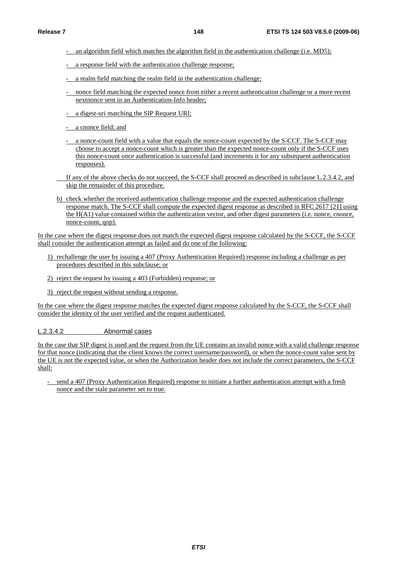- an algorithm field which matches the algorithm field in the authentication challenge (i.e. MD5);
- a response field with the authentication challenge response;
- a realm field matching the realm field in the authentication challenge;
- nonce field matching the expected nonce from either a recent authentication challenge or a more recent nextnonce sent in an Authentication-Info header;
- a digest-uri matching the SIP Request URI;
- a cnonce field; and
- a nonce-count field with a value that equals the nonce-count expected by the S-CCF. The S-CCF may choose to accept a nonce-count which is greater than the expected nonce-count only if the S-CCF uses this nonce-count once authentication is successful (and increments it for any subsequent authentication responses).
- If any of the above checks do not succeed, the S-CCF shall proceed as described in subclause L.2.3.4.2, and skip the remainder of this procedure.
- b) check whether the received authentication challenge response and the expected authentication challenge response match. The S-CCF shall compute the expected digest response as described in RFC 2617 [21] using the H(A1) value contained within the authentication vector, and other digest parameters (i.e. nonce, cnonce, nonce-count, qop).

In the case where the digest response does not match the expected digest response calculated by the S-CCF, the S-CCF shall consider the authentication attempt as failed and do one of the following:

- 1) rechallenge the user by issuing a 407 (Proxy Authentication Required) response including a challenge as per procedures described in this subclause; or
- 2) reject the request by issuing a 403 (Forbidden) response; or
- 3) reject the request without sending a response.

In the case where the digest response matches the expected digest response calculated by the S-CCF, the S-CCF shall consider the identity of the user verified and the request authenticated.

#### L.2.3.4.2 Abnormal cases

In the case that SIP digest is used and the request from the UE contains an invalid nonce with a valid challenge response for that nonce (indicating that the client knows the correct username/password), or when the nonce-count value sent by the UE is not the expected value, or when the Authorization header does not include the correct parameters, the S-CCF shall:

- send a 407 (Proxy Authentication Required) response to initiate a further authentication attempt with a fresh nonce and the stale parameter set to true.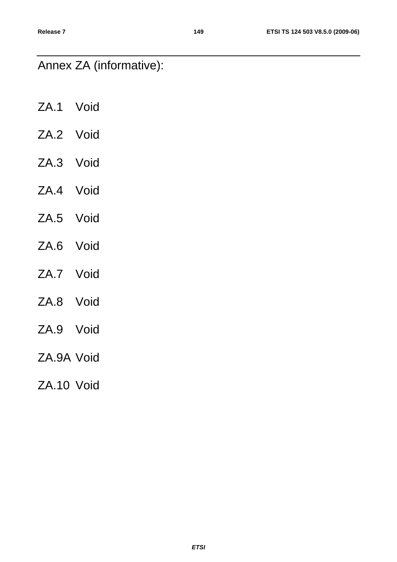# Annex ZA (informative):

- ZA.1 Void ZA.2 Void ZA.3 Void ZA.4 Void
- ZA.5 Void
- ZA.6 Void
- ZA.7 Void
- ZA.8 Void
- ZA.9 Void
- ZA.9A Void
- ZA.10 Void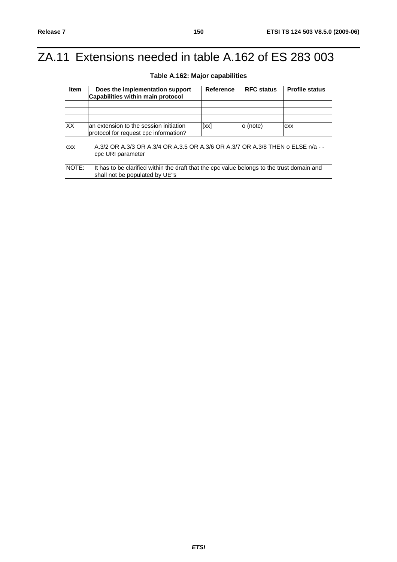# ZA.11 Extensions needed in table A.162 of ES 283 003

| <b>Item</b> | Does the implementation support                                                                                              | <b>Reference</b> | <b>RFC status</b> | <b>Profile status</b> |  |  |  |
|-------------|------------------------------------------------------------------------------------------------------------------------------|------------------|-------------------|-----------------------|--|--|--|
|             | Capabilities within main protocol                                                                                            |                  |                   |                       |  |  |  |
|             |                                                                                                                              |                  |                   |                       |  |  |  |
|             |                                                                                                                              |                  |                   |                       |  |  |  |
|             |                                                                                                                              |                  |                   |                       |  |  |  |
| <b>XX</b>   | an extension to the session initiation<br>protocol for request cpc information?                                              | [xx]             | o (note)          | <b>CXX</b>            |  |  |  |
| <b>CXX</b>  | A.3/2 OR A.3/3 OR A.3/4 OR A.3.5 OR A.3/6 OR A.3/7 OR A.3/8 THEN o ELSE n/a - -<br>cpc URI parameter                         |                  |                   |                       |  |  |  |
| NOTE:       | It has to be clarified within the draft that the cpc value belongs to the trust domain and<br>shall not be populated by UE"s |                  |                   |                       |  |  |  |

## **Table A.162: Major capabilities**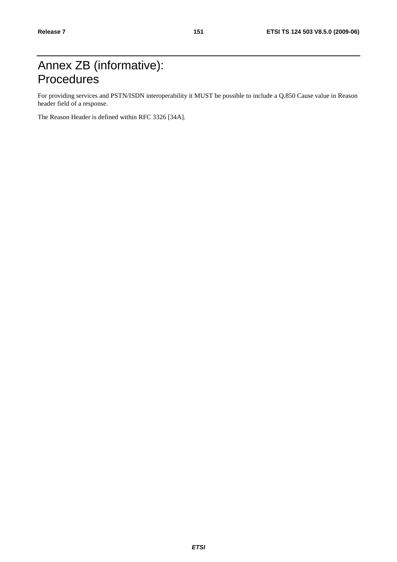# Annex ZB (informative): **Procedures**

For providing services and PSTN/ISDN interoperability it MUST be possible to include a Q.850 Cause value in Reason header field of a response.

The Reason Header is defined within RFC 3326 [34A].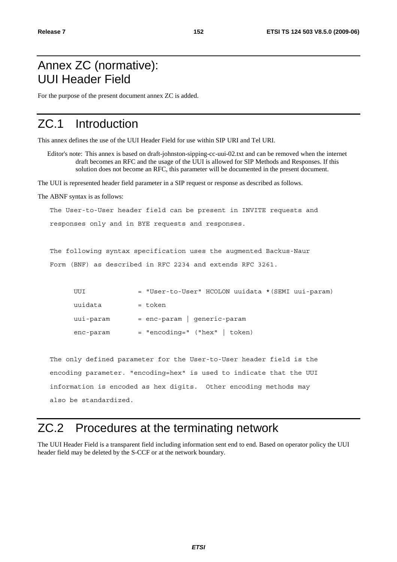## Annex ZC (normative): UUI Header Field

For the purpose of the present document annex ZC is added.

## ZC.1 Introduction

This annex defines the use of the UUI Header Field for use within SIP URI and Tel URI.

Editor's note: This annex is based on draft-johnston-sipping-cc-uui-02.txt and can be removed when the internet draft becomes an RFC and the usage of the UUI is allowed for SIP Methods and Responses. If this solution does not become an RFC, this parameter will be documented in the present document.

The UUI is represented header field parameter in a SIP request or response as described as follows.

The ABNF syntax is as follows:

The User-to-User header field can be present in INVITE requests and

responses only and in BYE requests and responses.

The following syntax specification uses the augmented Backus-Naur

Form (BNF) as described in RFC 2234 and extends RFC 3261.

| UUI       | = "User-to-User" HCOLON uuidata * (SEMI uui-param) |  |
|-----------|----------------------------------------------------|--|
| uuidata   | = token                                            |  |
| uui-param | $=$ enc-param   generic-param                      |  |
| enc-param | $=$ "encoding=" ("hex"   token)                    |  |

 The only defined parameter for the User-to-User header field is the encoding parameter. "encoding=hex" is used to indicate that the UUI information is encoded as hex digits. Other encoding methods may also be standardized.

## ZC.2 Procedures at the terminating network

The UUI Header Field is a transparent field including information sent end to end. Based on operator policy the UUI header field may be deleted by the S-CCF or at the network boundary.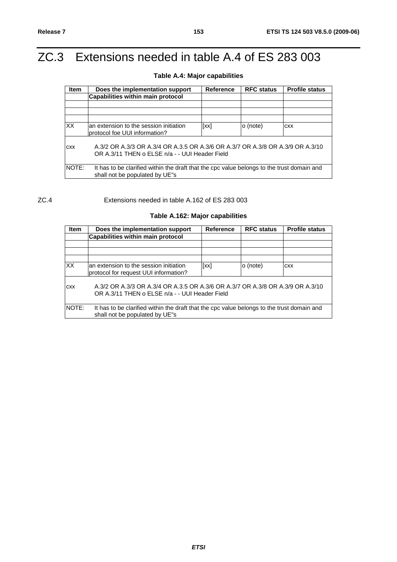# ZC.3 Extensions needed in table A.4 of ES 283 003

## **Table A.4: Major capabilities**

| <b>Item</b>     | Does the implementation support                                                                                                  | <b>Reference</b> | <b>RFC status</b> | <b>Profile status</b> |  |  |
|-----------------|----------------------------------------------------------------------------------------------------------------------------------|------------------|-------------------|-----------------------|--|--|
|                 | Capabilities within main protocol                                                                                                |                  |                   |                       |  |  |
|                 |                                                                                                                                  |                  |                   |                       |  |  |
|                 |                                                                                                                                  |                  |                   |                       |  |  |
|                 |                                                                                                                                  |                  |                   |                       |  |  |
| $\overline{XX}$ | an extension to the session initiation<br>protocol foe UUI information?                                                          | [xx]             | o (note)          | <b>CXX</b>            |  |  |
| <b>CXX</b>      | A.3/2 OR A.3/3 OR A.3/4 OR A.3.5 OR A.3/6 OR A.3/7 OR A.3/8 OR A.3/9 OR A.3/10<br>OR A.3/11 THEN o ELSE n/a - - UUI Header Field |                  |                   |                       |  |  |
| NOTE:           | It has to be clarified within the draft that the cpc value belongs to the trust domain and<br>shall not be populated by UE"s     |                  |                   |                       |  |  |

#### ZC.4 Extensions needed in table A.162 of ES 283 003

## **Table A.162: Major capabilities**

| <b>Item</b>  | Does the implementation support                                                                                                  | <b>Reference</b> | <b>RFC status</b> | <b>Profile status</b> |  |  |
|--------------|----------------------------------------------------------------------------------------------------------------------------------|------------------|-------------------|-----------------------|--|--|
|              | <b>Capabilities within main protocol</b>                                                                                         |                  |                   |                       |  |  |
|              |                                                                                                                                  |                  |                   |                       |  |  |
|              |                                                                                                                                  |                  |                   |                       |  |  |
|              |                                                                                                                                  |                  |                   |                       |  |  |
| <b>XX</b>    | lan extension to the session initiation<br>protocol for request UUI information?                                                 | [xx]             | o (note)          | <b>CXX</b>            |  |  |
| <b>CXX</b>   | A.3/2 OR A.3/3 OR A.3/4 OR A.3.5 OR A.3/6 OR A.3/7 OR A.3/8 OR A.3/9 OR A.3/10<br>OR A.3/11 THEN o ELSE n/a - - UUI Header Field |                  |                   |                       |  |  |
| <b>NOTE:</b> | It has to be clarified within the draft that the cpc value belongs to the trust domain and<br>shall not be populated by UE"s     |                  |                   |                       |  |  |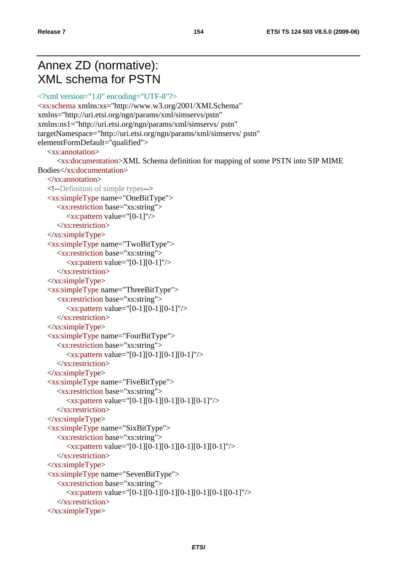## Annex ZD (normative): XML schema for PSTN

```
<?xml version="1.0" encoding="UTF-8"?>
<xs:schema xmlns:xs="http://www.w3.org/2001/XMLSchema" 
xmlns="http://uri.etsi.org/ngn/params/xml/simservs/pstn" 
xmlns:ns1="http://uri.etsi.org/ngn/params/xml/simservs/ pstn" 
targetNamespace="http://uri.etsi.org/ngn/params/xml/simservs/ pstn" 
elementFormDefault="qualified"> 
    <xs:annotation> 
        <xs:documentation>XML Schema definition for mapping of some PSTN into SIP MIME 
Bodies</xs:documentation> 
    </xs:annotation> 
    <!--Definition of simple types--> 
    <xs:simpleType name="OneBitType"> 
        <xs:restriction base="xs:string"> 
           <xs:pattern value="[0-1]"/> 
        </xs:restriction> 
   \langle x \rangles:simpleType\langle x \rangle <xs:simpleType name="TwoBitType"> 
        <xs:restriction base="xs:string"> 
          \langle x \rangle s: pattern value="[0-1][0-1]"/\rangle </xs:restriction> 
    </xs:simpleType> 
    <xs:simpleType name="ThreeBitType"> 
        <xs:restriction base="xs:string"> 
          \langle x \rangle =xs:pattern value="[0-1][0-1][0-1]"/>
        </xs:restriction> 
    </xs:simpleType> 
    <xs:simpleType name="FourBitType"> 
       <xs:restriction base="xs:string"> 
          \langle x \rangle =xs:pattern value="[0-1][0-1][0-1][0-1]"/>
        </xs:restriction> 
   \langle x \rangles:simpleType\langle x \rangle <xs:simpleType name="FiveBitType"> 
       <xs:restriction base="xs:string"> 
          \langle x \rangle =xs:pattern value="[0-1][0-1][0-1][0-1][0-1]"/>
       </xs:restriction> 
   \langle x \rangles:simpleType\langle x \rangle <xs:simpleType name="SixBitType"> 
        <xs:restriction base="xs:string"> 
           <xs:pattern value="[0-1][0-1][0-1][0-1][0-1][0-1]"/> 
        </xs:restriction> 
   \langle x \rangles:simpleType\langle x \rangle <xs:simpleType name="SevenBitType"> 
        <xs:restriction base="xs:string"> 
          \langlexs:pattern value="[0-1][0-1][0-1][0-1][0-1][0-1][0-1]"/>
        </xs:restriction> 
   \langle xs:simpleType\rangle
```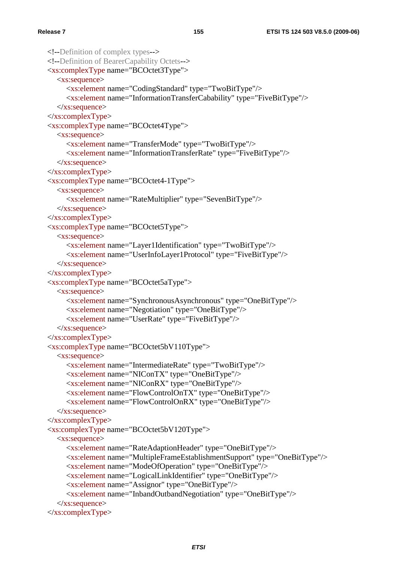```
 <!--Definition of complex types--> 
 <!--Definition of BearerCapability Octets--> 
 <xs:complexType name="BCOctet3Type"> 
    <xs:sequence> 
      <xs:element name="CodingStandard" type="TwoBitType"/> 
      <xs:element name="InformationTransferCabability" type="FiveBitType"/> 
    </xs:sequence> 
 </xs:complexType> 
 <xs:complexType name="BCOctet4Type"> 
    <xs:sequence> 
      <xs:element name="TransferMode" type="TwoBitType"/> 
      <xs:element name="InformationTransferRate" type="FiveBitType"/> 
   \langle x \ranglexs:sequence
\langle xs:complexType\rangle <xs:complexType name="BCOctet4-1Type"> 
    <xs:sequence> 
      <xs:element name="RateMultiplier" type="SevenBitType"/> 
   \langle x \ranglexs:sequence
 </xs:complexType> 
 <xs:complexType name="BCOctet5Type"> 
    <xs:sequence> 
      <xs:element name="Layer1Identification" type="TwoBitType"/> 
      <xs:element name="UserInfoLayer1Protocol" type="FiveBitType"/> 
   \langle x \ranglexs:sequence
 </xs:complexType> 
 <xs:complexType name="BCOctet5aType"> 
    <xs:sequence> 
      <xs:element name="SynchronousAsynchronous" type="OneBitType"/> 
      <xs:element name="Negotiation" type="OneBitType"/> 
      <xs:element name="UserRate" type="FiveBitType"/> 
    </xs:sequence> 
 </xs:complexType> 
 <xs:complexType name="BCOctet5bV110Type"> 
    <xs:sequence> 
      <xs:element name="IntermediateRate" type="TwoBitType"/> 
      <xs:element name="NIConTX" type="OneBitType"/> 
      <xs:element name="NIConRX" type="OneBitType"/> 
      <xs:element name="FlowControlOnTX" type="OneBitType"/> 
      <xs:element name="FlowControlOnRX" type="OneBitType"/> 
    </xs:sequence> 
 </xs:complexType> 
 <xs:complexType name="BCOctet5bV120Type"> 
    <xs:sequence> 
      <xs:element name="RateAdaptionHeader" type="OneBitType"/> 
      <xs:element name="MultipleFrameEstablishmentSupport" type="OneBitType"/> 
      <xs:element name="ModeOfOperation" type="OneBitType"/> 
      <xs:element name="LogicalLinkIdentifier" type="OneBitType"/> 
      <xs:element name="Assignor" type="OneBitType"/> 
      <xs:element name="InbandOutbandNegotiation" type="OneBitType"/> 
   \langle x \ranglexs:sequence
 </xs:complexType>
```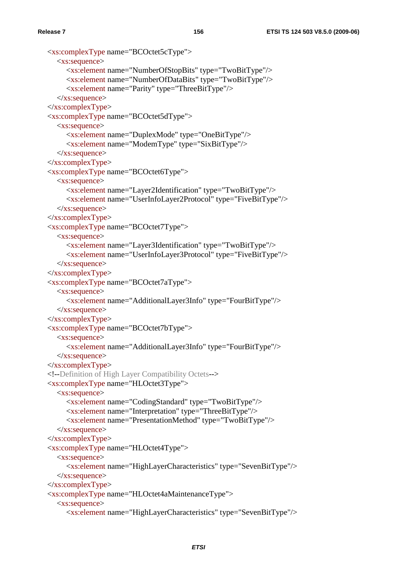```
 <xs:complexType name="BCOctet5cType"> 
    <xs:sequence> 
       <xs:element name="NumberOfStopBits" type="TwoBitType"/> 
       <xs:element name="NumberOfDataBits" type="TwoBitType"/> 
       <xs:element name="Parity" type="ThreeBitType"/> 
    </xs:sequence> 
 </xs:complexType> 
 <xs:complexType name="BCOctet5dType"> 
    <xs:sequence> 
       <xs:element name="DuplexMode" type="OneBitType"/> 
       <xs:element name="ModemType" type="SixBitType"/> 
    </xs:sequence> 
\langle xs:complexType\rangle <xs:complexType name="BCOctet6Type"> 
    <xs:sequence> 
       <xs:element name="Layer2Identification" type="TwoBitType"/> 
       <xs:element name="UserInfoLayer2Protocol" type="FiveBitType"/> 
   \langle x \ranglexs:sequence
 </xs:complexType> 
 <xs:complexType name="BCOctet7Type"> 
    <xs:sequence> 
       <xs:element name="Layer3Identification" type="TwoBitType"/> 
       <xs:element name="UserInfoLayer3Protocol" type="FiveBitType"/> 
   \langle x \rangles: sequence
 </xs:complexType> 
 <xs:complexType name="BCOctet7aType"> 
    <xs:sequence> 
       <xs:element name="AdditionalLayer3Info" type="FourBitType"/> 
   \langle x \ranglexs:sequence
\langle xs:complexType\rangle <xs:complexType name="BCOctet7bType"> 
    <xs:sequence> 
       <xs:element name="AdditionalLayer3Info" type="FourBitType"/> 
   \langle x \ranglexs:sequence
 </xs:complexType> 
 <!--Definition of High Layer Compatibility Octets--> 
 <xs:complexType name="HLOctet3Type"> 
    <xs:sequence> 
       <xs:element name="CodingStandard" type="TwoBitType"/> 
       <xs:element name="Interpretation" type="ThreeBitType"/> 
       <xs:element name="PresentationMethod" type="TwoBitType"/> 
   \langle x \ranglexs:sequence
 </xs:complexType> 
 <xs:complexType name="HLOctet4Type"> 
    <xs:sequence> 
       <xs:element name="HighLayerCharacteristics" type="SevenBitType"/> 
   \langle x \ranglexs:sequence
 </xs:complexType> 
 <xs:complexType name="HLOctet4aMaintenanceType"> 
    <xs:sequence> 
       <xs:element name="HighLayerCharacteristics" type="SevenBitType"/>
```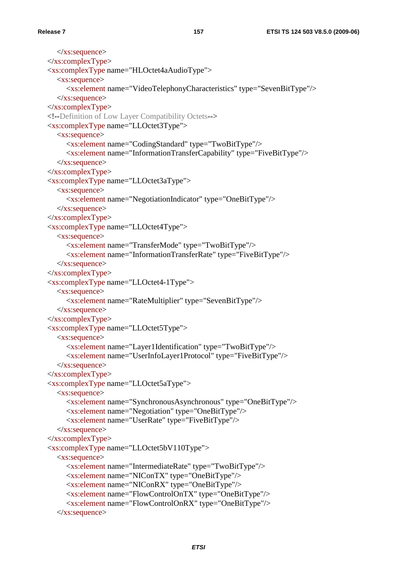```
\langle x \ranglexs:sequence
\langle xs:complexType\rangle <xs:complexType name="HLOctet4aAudioType"> 
    <xs:sequence> 
       <xs:element name="VideoTelephonyCharacteristics" type="SevenBitType"/> 
   \langle x \ranglexs:sequence
 </xs:complexType> 
 <!--Definition of Low Layer Compatibility Octets--> 
 <xs:complexType name="LLOctet3Type"> 
    <xs:sequence> 
       <xs:element name="CodingStandard" type="TwoBitType"/> 
       <xs:element name="InformationTransferCapability" type="FiveBitType"/> 
   \langle x \ranglexs:sequence
\langle xs:complexType\rangle <xs:complexType name="LLOctet3aType"> 
    <xs:sequence> 
       <xs:element name="NegotiationIndicator" type="OneBitType"/> 
   \langle x \ranglexs:sequence
 </xs:complexType> 
 <xs:complexType name="LLOctet4Type"> 
    <xs:sequence> 
       <xs:element name="TransferMode" type="TwoBitType"/> 
       <xs:element name="InformationTransferRate" type="FiveBitType"/> 
   \langle x \rangles: sequence
 </xs:complexType> 
 <xs:complexType name="LLOctet4-1Type"> 
    <xs:sequence> 
       <xs:element name="RateMultiplier" type="SevenBitType"/> 
    </xs:sequence> 
\langle xs:complexType\rangle <xs:complexType name="LLOctet5Type"> 
    <xs:sequence> 
       <xs:element name="Layer1Identification" type="TwoBitType"/> 
       <xs:element name="UserInfoLayer1Protocol" type="FiveBitType"/> 
   \langle x \ranglexs:sequence
 </xs:complexType> 
 <xs:complexType name="LLOctet5aType"> 
    <xs:sequence> 
       <xs:element name="SynchronousAsynchronous" type="OneBitType"/> 
       <xs:element name="Negotiation" type="OneBitType"/> 
       <xs:element name="UserRate" type="FiveBitType"/> 
   \langle x \ranglexs:sequence
 </xs:complexType> 
 <xs:complexType name="LLOctet5bV110Type"> 
    <xs:sequence> 
       <xs:element name="IntermediateRate" type="TwoBitType"/> 
       <xs:element name="NIConTX" type="OneBitType"/> 
       <xs:element name="NIConRX" type="OneBitType"/> 
       <xs:element name="FlowControlOnTX" type="OneBitType"/> 
       <xs:element name="FlowControlOnRX" type="OneBitType"/> 
    </xs:sequence>
```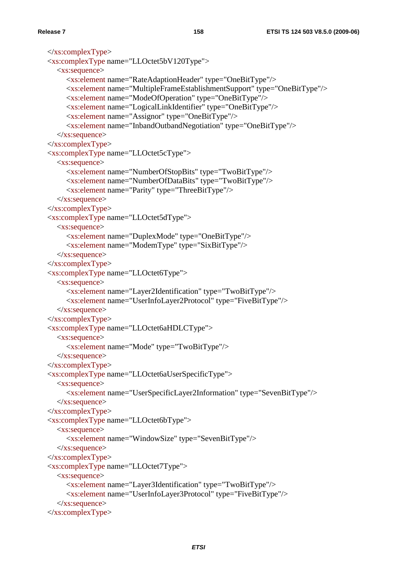```
\langle xs:complexType\rangle <xs:complexType name="LLOctet5bV120Type"> 
    <xs:sequence> 
       <xs:element name="RateAdaptionHeader" type="OneBitType"/> 
       <xs:element name="MultipleFrameEstablishmentSupport" type="OneBitType"/> 
       <xs:element name="ModeOfOperation" type="OneBitType"/> 
       <xs:element name="LogicalLinkIdentifier" type="OneBitType"/> 
       <xs:element name="Assignor" type="OneBitType"/> 
       <xs:element name="InbandOutbandNegotiation" type="OneBitType"/> 
   \langle x \ranglexs:sequence
\langle xs:complexType\rangle <xs:complexType name="LLOctet5cType"> 
    <xs:sequence> 
       <xs:element name="NumberOfStopBits" type="TwoBitType"/> 
       <xs:element name="NumberOfDataBits" type="TwoBitType"/> 
       <xs:element name="Parity" type="ThreeBitType"/> 
   \langle x \ranglexs:sequence
\langle xs:complexType\rangle <xs:complexType name="LLOctet5dType"> 
    <xs:sequence> 
       <xs:element name="DuplexMode" type="OneBitType"/> 
       <xs:element name="ModemType" type="SixBitType"/> 
   \langle x \ranglexs:sequence
\langle xs:complexType\rangle <xs:complexType name="LLOctet6Type"> 
    <xs:sequence> 
       <xs:element name="Layer2Identification" type="TwoBitType"/> 
       <xs:element name="UserInfoLayer2Protocol" type="FiveBitType"/> 
    </xs:sequence> 
\langle xs:complexType\rangle <xs:complexType name="LLOctet6aHDLCType"> 
    <xs:sequence> 
       <xs:element name="Mode" type="TwoBitType"/> 
   \langle x \ranglexs:sequence
 </xs:complexType> 
 <xs:complexType name="LLOctet6aUserSpecificType"> 
    <xs:sequence> 
       <xs:element name="UserSpecificLayer2Information" type="SevenBitType"/> 
   \langle x \ranglexs:sequence
 </xs:complexType> 
 <xs:complexType name="LLOctet6bType"> 
    <xs:sequence> 
       <xs:element name="WindowSize" type="SevenBitType"/> 
    </xs:sequence> 
\langle xs:complexType\rangle <xs:complexType name="LLOctet7Type"> 
    <xs:sequence> 
       <xs:element name="Layer3Identification" type="TwoBitType"/> 
       <xs:element name="UserInfoLayer3Protocol" type="FiveBitType"/> 
   \langle x \ranglexs:sequence
\langle xs:complexType\rangle
```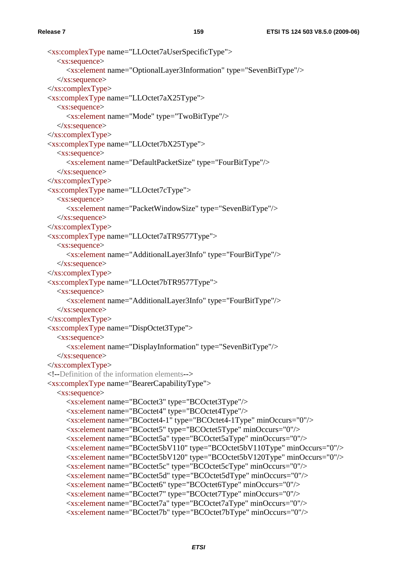```
 <xs:complexType name="LLOctet7aUserSpecificType"> 
   <xs:sequence> 
      <xs:element name="OptionalLayer3Information" type="SevenBitType"/> 
  \langle x \ranglexs:sequence
\langle xs:complexType\rangle <xs:complexType name="LLOctet7aX25Type"> 
   <xs:sequence> 
      <xs:element name="Mode" type="TwoBitType"/> 
  \langle x \ranglexs:sequence
\langle xs:complexType\rangle <xs:complexType name="LLOctet7bX25Type"> 
   <xs:sequence> 
      <xs:element name="DefaultPacketSize" type="FourBitType"/> 
  \langle x \ranglexs:sequence
\langle xs:complexType\rangle <xs:complexType name="LLOctet7cType"> 
   <xs:sequence> 
      <xs:element name="PacketWindowSize" type="SevenBitType"/> 
   </xs:sequence> 
 </xs:complexType> 
 <xs:complexType name="LLOctet7aTR9577Type"> 
   <xs:sequence> 
      <xs:element name="AdditionalLayer3Info" type="FourBitType"/> 
  \langle x \rangles: sequence
 </xs:complexType> 
 <xs:complexType name="LLOctet7bTR9577Type"> 
    <xs:sequence> 
      <xs:element name="AdditionalLayer3Info" type="FourBitType"/> 
   </xs:sequence> 
\langle xs:complexType\rangle <xs:complexType name="DispOctet3Type"> 
   <xs:sequence> 
      <xs:element name="DisplayInformation" type="SevenBitType"/> 
   </xs:sequence> 
 </xs:complexType> 
 <!--Definition of the information elements--> 
 <xs:complexType name="BearerCapabilityType"> 
    <xs:sequence> 
      <xs:element name="BCoctet3" type="BCOctet3Type"/> 
      <xs:element name="BCoctet4" type="BCOctet4Type"/> 
      <xs:element name="BCoctet4-1" type="BCOctet4-1Type" minOccurs="0"/> 
      <xs:element name="BCoctet5" type="BCOctet5Type" minOccurs="0"/> 
      <xs:element name="BCoctet5a" type="BCOctet5aType" minOccurs="0"/> 
      <xs:element name="BCoctet5bV110" type="BCOctet5bV110Type" minOccurs="0"/> 
      <xs:element name="BCoctet5bV120" type="BCOctet5bV120Type" minOccurs="0"/> 
      <xs:element name="BCoctet5c" type="BCOctet5cType" minOccurs="0"/> 
      <xs:element name="BCoctet5d" type="BCOctet5dType" minOccurs="0"/> 
      <xs:element name="BCoctet6" type="BCOctet6Type" minOccurs="0"/> 
      <xs:element name="BCoctet7" type="BCOctet7Type" minOccurs="0"/> 
      <xs:element name="BCoctet7a" type="BCOctet7aType" minOccurs="0"/> 
      <xs:element name="BCoctet7b" type="BCOctet7bType" minOccurs="0"/>
```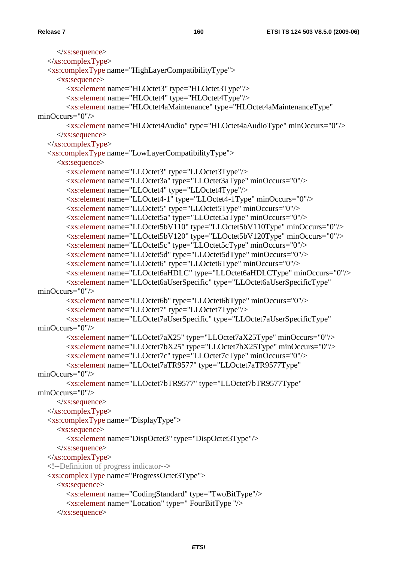```
\langle x \ranglexs:sequence
  \langle xs:complexType\rangle <xs:complexType name="HighLayerCompatibilityType"> 
      <xs:sequence> 
         <xs:element name="HLOctet3" type="HLOctet3Type"/> 
         <xs:element name="HLOctet4" type="HLOctet4Type"/> 
         <xs:element name="HLOctet4aMaintenance" type="HLOctet4aMaintenanceType" 
minOccurs="0"/> 
         <xs:element name="HLOctet4Audio" type="HLOctet4aAudioType" minOccurs="0"/> 
      </xs:sequence> 
  \langle xs:complexType\rangle <xs:complexType name="LowLayerCompatibilityType"> 
      <xs:sequence> 
         <xs:element name="LLOctet3" type="LLOctet3Type"/> 
         <xs:element name="LLOctet3a" type="LLOctet3aType" minOccurs="0"/> 
         <xs:element name="LLOctet4" type="LLOctet4Type"/> 
         <xs:element name="LLOctet4-1" type="LLOctet4-1Type" minOccurs="0"/> 
         <xs:element name="LLOctet5" type="LLOctet5Type" minOccurs="0"/> 
         <xs:element name="LLOctet5a" type="LLOctet5aType" minOccurs="0"/> 
         <xs:element name="LLOctet5bV110" type="LLOctet5bV110Type" minOccurs="0"/> 
         <xs:element name="LLOctet5bV120" type="LLOctet5bV120Type" minOccurs="0"/> 
         <xs:element name="LLOctet5c" type="LLOctet5cType" minOccurs="0"/> 
         <xs:element name="LLOctet5d" type="LLOctet5dType" minOccurs="0"/> 
         <xs:element name="LLOctet6" type="LLOctet6Type" minOccurs="0"/> 
         <xs:element name="LLOctet6aHDLC" type="LLOctet6aHDLCType" minOccurs="0"/> 
         <xs:element name="LLOctet6aUserSpecific" type="LLOctet6aUserSpecificType" 
minOccurs="0"/> 
         <xs:element name="LLOctet6b" type="LLOctet6bType" minOccurs="0"/> 
         <xs:element name="LLOctet7" type="LLOctet7Type"/> 
         <xs:element name="LLOctet7aUserSpecific" type="LLOctet7aUserSpecificType" 
minOccurs="0"/> 
         <xs:element name="LLOctet7aX25" type="LLOctet7aX25Type" minOccurs="0"/> 
         <xs:element name="LLOctet7bX25" type="LLOctet7bX25Type" minOccurs="0"/> 
         <xs:element name="LLOctet7c" type="LLOctet7cType" minOccurs="0"/> 
         <xs:element name="LLOctet7aTR9577" type="LLOctet7aTR9577Type" 
minOccurs="0"/> 
         <xs:element name="LLOctet7bTR9577" type="LLOctet7bTR9577Type" 
minOccurs="0"/> 
     \langle x \ranglexs:sequence
   </xs:complexType> 
   <xs:complexType name="DisplayType"> 
      <xs:sequence> 
         <xs:element name="DispOctet3" type="DispOctet3Type"/> 
      </xs:sequence> 
  \langle xs:complexType\rangle <!--Definition of progress indicator--> 
   <xs:complexType name="ProgressOctet3Type"> 
      <xs:sequence> 
         <xs:element name="CodingStandard" type="TwoBitType"/> 
         <xs:element name="Location" type=" FourBitType "/> 
      </xs:sequence>
```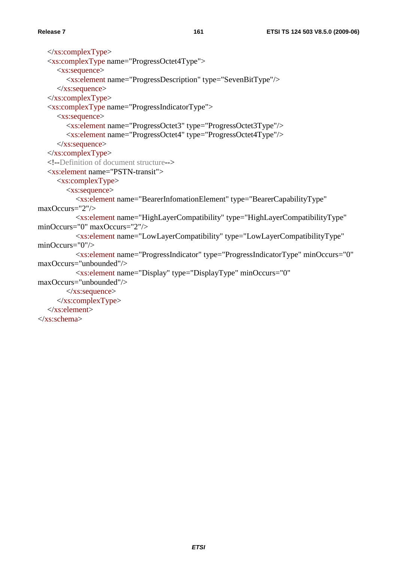$\langle$ xs:complexType> <xs:complexType name="ProgressOctet4Type"> <xs:sequence> <xs:element name="ProgressDescription" type="SevenBitType"/>  $\langle x \rangle$ xs:sequence  $\langle xs:complexType\rangle$  <xs:complexType name="ProgressIndicatorType"> <xs:sequence> <xs:element name="ProgressOctet3" type="ProgressOctet3Type"/> <xs:element name="ProgressOctet4" type="ProgressOctet4Type"/>  $\langle x \rangle$ xs:sequence </xs:complexType> <!--Definition of document structure--> <xs:element name="PSTN-transit"> <xs:complexType> <xs:sequence> <xs:element name="BearerInfomationElement" type="BearerCapabilityType" maxOccurs="2"/> <xs:element name="HighLayerCompatibility" type="HighLayerCompatibilityType" minOccurs="0" maxOccurs="2"/> <xs:element name="LowLayerCompatibility" type="LowLayerCompatibilityType" minOccurs="0"/> <xs:element name="ProgressIndicator" type="ProgressIndicatorType" minOccurs="0" maxOccurs="unbounded"/> <xs:element name="Display" type="DisplayType" minOccurs="0" maxOccurs="unbounded"/>  $\langle x \rangle$ s: sequence </xs:complexType> </xs:element> </xs:schema>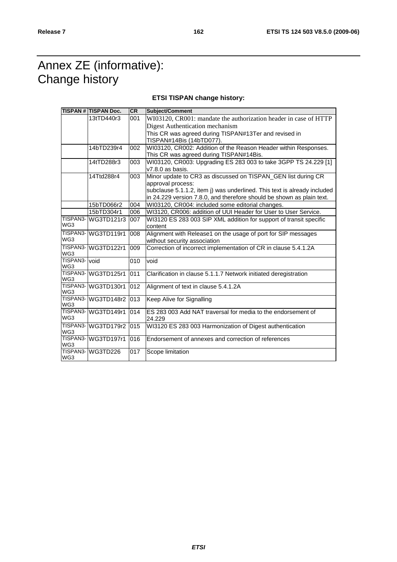## Annex ZE (informative): Change history

## **ETSI TISPAN change history:**

|                     | <b>TISPAN # TISPAN Doc.</b>  | CR               | Subject/Comment                                                                     |
|---------------------|------------------------------|------------------|-------------------------------------------------------------------------------------|
|                     | 13tTD440r3                   | 001              | WI03120, CR001: mandate the authorization header in case of HTTP                    |
|                     |                              |                  | Digest Authentication mechanism                                                     |
|                     |                              |                  | This CR was agreed during TISPAN#13Ter and revised in                               |
|                     |                              |                  | TISPAN#14Bis (14bTD077).                                                            |
|                     | 14bTD239r4                   | 002              | WI03120, CR002: Addition of the Reason Header within Responses.                     |
|                     |                              |                  | This CR was agreed during TISPAN#14Bis.                                             |
|                     | 14tTD288r3                   | 003              | WI03120, CR003: Upgrading ES 283 003 to take 3GPP TS 24.229 [1]<br>v7.8.0 as basis. |
|                     | 14Ttd288r4                   | 003              | Minor update to CR3 as discussed on TISPAN_GEN list during CR                       |
|                     |                              |                  | approval process:                                                                   |
|                     |                              |                  | subclause 5.1.1.2, item j) was underlined. This text is already included            |
|                     |                              |                  | in 24.229 version 7.8.0, and therefore should be shown as plain text.               |
|                     | 15bTD066r2                   | 004              | WI03120, CR004: included some editorial changes.                                    |
|                     | 15bTD304r1                   | 006              | WI3120, CR006: addition of UUI Header for User to User Service.                     |
| TISPAN3-            | WG3TD121r3                   | 007              | WI3120 ES 283 003 SIP XML addition for support of transit specific                  |
| WG3                 |                              |                  | content                                                                             |
| TISPAN3-            | WG3TD119r1                   | 008              | Alignment with Release1 on the usage of port for SIP messages                       |
| WG3                 |                              |                  | without security association                                                        |
| TISPAN3-<br>WG3     | WG3TD122r1                   | 009              | Correction of incorrect implementation of CR in clause 5.4.1.2A                     |
| TISPAN3-            | void                         | 010              | void                                                                                |
|                     | WG3<br> TISPAN3-  WG3TD125r1 | 011              | Clarification in clause 5.1.1.7 Network initiated deregistration                    |
| WG3                 |                              |                  |                                                                                     |
| TISPAN3-<br>WG3     | WG3TD130r1                   | $\overline{012}$ | Alignment of text in clause 5.4.1.2A                                                |
|                     | TISPAN3-WG3TD148r2           | 013              | Keep Alive for Signalling                                                           |
| WG3                 |                              |                  |                                                                                     |
|                     | TISPAN3- WG3TD149r1          | 014              | ES 283 003 Add NAT traversal for media to the endorsement of                        |
| WG3                 |                              |                  | 24.229                                                                              |
| WG3                 | TISPAN3-WG3TD179r2           | 015              | WI3120 ES 283 003 Harmonization of Digest authentication                            |
|                     | TISPAN3-WG3TD197r1           | 016              | Endorsement of annexes and correction of references                                 |
| WG3                 |                              |                  |                                                                                     |
| TISPAN <sub>3</sub> | WG3TD226                     | 017              | Scope limitation                                                                    |
| WG3                 |                              |                  |                                                                                     |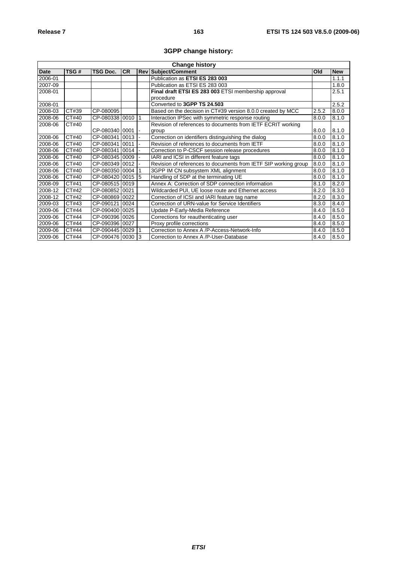## **3GPP change history:**

| <b>Change history</b> |       |                 |           |           |                                                                 |       |            |
|-----------------------|-------|-----------------|-----------|-----------|-----------------------------------------------------------------|-------|------------|
| <b>Date</b>           | TSG#  | <b>TSG Doc.</b> | <b>CR</b> |           | <b>Rev Subject/Comment</b>                                      | Old   | <b>New</b> |
| 2006-01               |       |                 |           |           | Publication as ETSI ES 283 003                                  |       | 1.1.1      |
| 2007-09               |       |                 |           |           | Publication as ETSI ES 283 003                                  |       | 1.8.0      |
| 2008-01               |       |                 |           |           | Final draft ETSI ES 283 003 ETSI membership approval            |       | 2.5.1      |
|                       |       |                 |           |           | procedure                                                       |       |            |
| 2008-01               |       |                 |           |           | Converted to 3GPP TS 24.503                                     |       | 2.5.2      |
| 2008-03               | CT#39 | CP-080095       |           |           | Based on the decision in CT#39 version 8.0.0 created by MCC     | 2.5.2 | 8.0.0      |
| 2008-06               | CT#40 | CP-080338 0010  |           | $\vert$ 1 | Interaction IPSec with symmetric response routing               | 8.0.0 | 8.1.0      |
| 2008-06               | CT#40 |                 |           |           | Revision of references to documents from IETF ECRIT working     |       |            |
|                       |       | CP-080340 0001  |           |           | group                                                           | 8.0.0 | 8.1.0      |
| 2008-06               | CT#40 | CP-080341 0013  |           |           | Correction on identifiers distinguishing the dialog             | 8.0.0 | 8.1.0      |
| 2008-06               | CT#40 | CP-080341 0011  |           |           | Revision of references to documents from IETF                   | 8.0.0 | 8.1.0      |
| 2008-06               | CT#40 | CP-080341 0014  |           |           | Correction to P-CSCF session release procedures                 | 8.0.0 | 8.1.0      |
| 2008-06               | CT#40 | CP-080345 0009  |           |           | IARI and ICSI in different feature tags                         | 8.0.0 | 8.1.0      |
| 2008-06               | CT#40 | CP-080349 0012  |           |           | Revision of references to documents from IETF SIP working group | 8.0.0 | 8.1.0      |
| 2008-06               | CT#40 | CP-080350 0004  |           |           | 3GPP IM CN subsystem XML alignment                              | 8.0.0 | 8.1.0      |
| 2008-06               | CT#40 | CP-080420 0015  |           | 15        | Handling of SDP at the terminating UE                           | 8.0.0 | 8.1.0      |
| 2008-09               | CT#41 | CP-080515 0019  |           |           | Annex A: Correction of SDP connection information               | 8.1.0 | 8.2.0      |
| 2008-12               | CT#42 | CP-080852 0021  |           |           | Wildcarded PUI, UE loose route and Ethernet access              | 8.2.0 | 8.3.0      |
| 2008-12               | CT#42 | CP-080869 0022  |           |           | Correction of ICSI and IARI feature tag name                    | 8.2.0 | 8.3.0      |
| 2009-03               | CT#43 | CP-09012110024  |           |           | Correction of URN-value for Service Identifiers                 | 8.3.0 | 8.4.0      |
| 2009-06               | CT#44 | CP-090400 0025  |           |           | Update P-Early-Media Reference                                  | 8.4.0 | 8.5.0      |
| 2009-06               | CT#44 | CP-090396 0026  |           |           | Corrections for reauthenticating user                           | 8.4.0 | 8.5.0      |
| 2009-06               | CT#44 | CP-090396 0027  |           |           | Proxy profile corrections                                       | 8.4.0 | 8.5.0      |
| 2009-06               | CT#44 | CP-090445 0029  |           |           | Correction to Annex A /P-Access-Network-Info                    | 8.4.0 | 8.5.0      |
| 2009-06               | CT#44 | CP-090476 0030  |           | 13        | Correction to Annex A /P-User-Database                          | 8.4.0 | 8.5.0      |